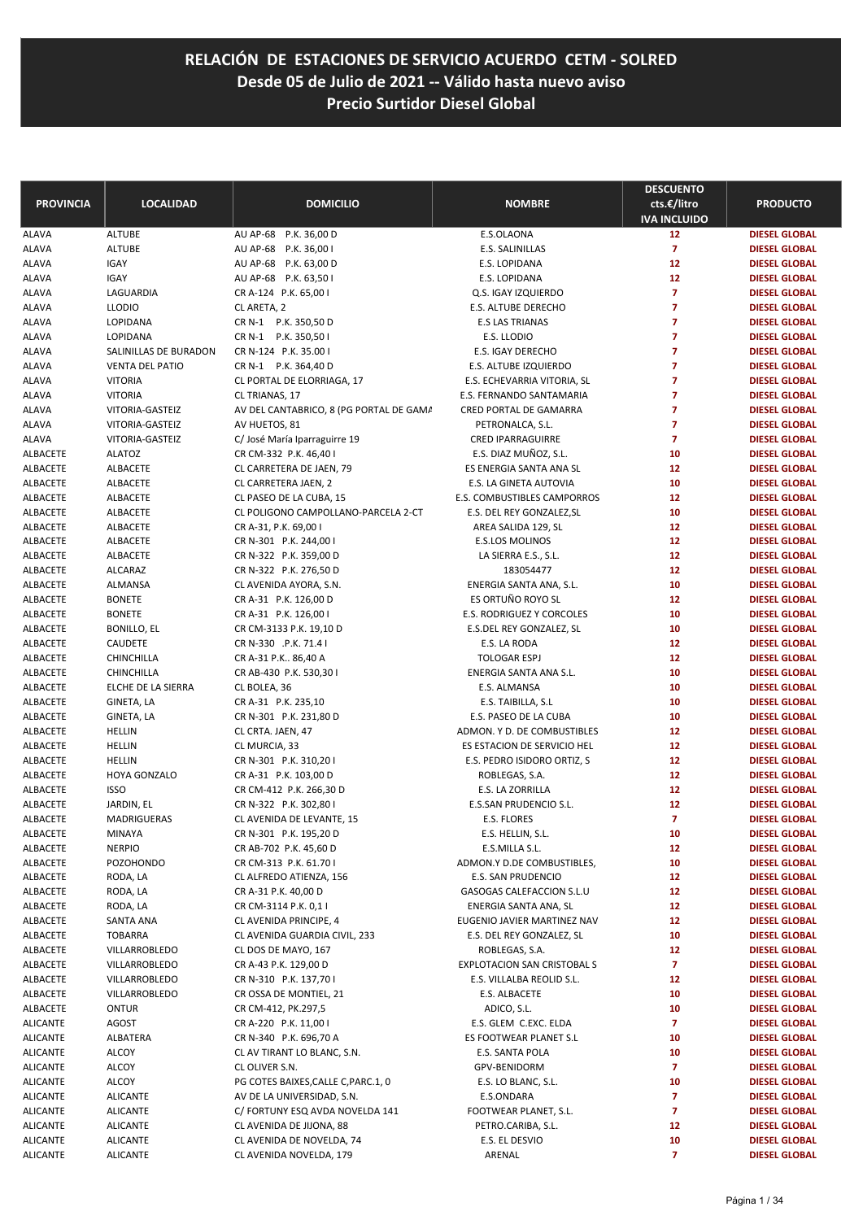| <b>PROVINCIA</b>     | <b>LOCALIDAD</b>              | <b>DOMICILIO</b>                                | <b>NOMBRE</b>                                   | <b>DESCUENTO</b><br>cts.€/litro | <b>PRODUCTO</b>                              |
|----------------------|-------------------------------|-------------------------------------------------|-------------------------------------------------|---------------------------------|----------------------------------------------|
| <b>ALAVA</b>         | <b>ALTUBE</b>                 | AU AP-68 P.K. 36,00 D                           | E.S.OLAONA                                      | <b>IVA INCLUIDO</b><br>12       | <b>DIESEL GLOBAL</b>                         |
| ALAVA                | <b>ALTUBE</b>                 | AU AP-68 P.K. 36,00 I                           | E.S. SALINILLAS                                 | $\overline{7}$                  | <b>DIESEL GLOBAL</b>                         |
| ALAVA                | <b>IGAY</b>                   | AU AP-68 P.K. 63,00 D                           | E.S. LOPIDANA                                   | 12                              | <b>DIESEL GLOBAL</b>                         |
| ALAVA                | <b>IGAY</b>                   | AU AP-68 P.K. 63,501                            | E.S. LOPIDANA                                   | 12                              | <b>DIESEL GLOBAL</b>                         |
| ALAVA                | LAGUARDIA                     | CR A-124 P.K. 65,00 I                           | Q.S. IGAY IZQUIERDO                             | $\overline{7}$                  | <b>DIESEL GLOBAL</b>                         |
| ALAVA                | <b>LLODIO</b>                 | CL ARETA, 2                                     | E.S. ALTUBE DERECHO                             | 7                               | <b>DIESEL GLOBAL</b>                         |
| ALAVA                | <b>LOPIDANA</b>               | CR N-1 P.K. 350,50 D                            | <b>E.S LAS TRIANAS</b>                          | $\overline{7}$                  | <b>DIESEL GLOBAL</b>                         |
| ALAVA                | LOPIDANA                      | CR N-1 P.K. 350,50 I                            | E.S. LLODIO                                     | $\overline{7}$                  | <b>DIESEL GLOBAL</b>                         |
| ALAVA                | SALINILLAS DE BURADON         | CR N-124 P.K. 35.00 I                           | E.S. IGAY DERECHO                               | $\overline{7}$                  | <b>DIESEL GLOBAL</b>                         |
| ALAVA                | <b>VENTA DEL PATIO</b>        | CR N-1 P.K. 364,40 D                            | E.S. ALTUBE IZQUIERDO                           | 7                               | <b>DIESEL GLOBAL</b>                         |
| ALAVA                | <b>VITORIA</b>                | CL PORTAL DE ELORRIAGA, 17                      | E.S. ECHEVARRIA VITORIA, SL                     | 7                               | <b>DIESEL GLOBAL</b>                         |
| ALAVA                | <b>VITORIA</b>                | CL TRIANAS, 17                                  | E.S. FERNANDO SANTAMARIA                        | $\overline{7}$                  | <b>DIESEL GLOBAL</b>                         |
| ALAVA                | VITORIA-GASTEIZ               | AV DEL CANTABRICO, 8 (PG PORTAL DE GAMA         | CRED PORTAL DE GAMARRA                          | $\overline{7}$                  | <b>DIESEL GLOBAL</b>                         |
| ALAVA                | VITORIA-GASTEIZ               | AV HUETOS, 81                                   | PETRONALCA, S.L.                                | $\overline{7}$                  | <b>DIESEL GLOBAL</b>                         |
| ALAVA                | VITORIA-GASTEIZ               | C/José María Iparraguirre 19                    | <b>CRED IPARRAGUIRRE</b>                        | $\overline{7}$                  | <b>DIESEL GLOBAL</b>                         |
| ALBACETE             | <b>ALATOZ</b>                 | CR CM-332 P.K. 46,40 I                          | E.S. DIAZ MUÑOZ, S.L.                           | 10                              | <b>DIESEL GLOBAL</b>                         |
| ALBACETE             | ALBACETE                      | CL CARRETERA DE JAEN, 79                        | ES ENERGIA SANTA ANA SL                         | 12                              | <b>DIESEL GLOBAL</b>                         |
| <b>ALBACETE</b>      | ALBACETE                      | CL CARRETERA JAEN, 2                            | <b>E.S. LA GINETA AUTOVIA</b>                   | 10                              | <b>DIESEL GLOBAL</b>                         |
| <b>ALBACETE</b>      | ALBACETE                      | CL PASEO DE LA CUBA, 15                         | E.S. COMBUSTIBLES CAMPORROS                     | 12                              | <b>DIESEL GLOBAL</b>                         |
| ALBACETE             | ALBACETE                      | CL POLIGONO CAMPOLLANO-PARCELA 2-CT             | E.S. DEL REY GONZALEZ, SL                       | 10                              | <b>DIESEL GLOBAL</b>                         |
| ALBACETE             | ALBACETE                      | CR A-31, P.K. 69,00 I                           | AREA SALIDA 129, SL                             | 12                              | <b>DIESEL GLOBAL</b>                         |
| <b>ALBACETE</b>      | ALBACETE                      | CR N-301 P.K. 244,00 I                          | <b>E.S.LOS MOLINOS</b>                          | 12                              | <b>DIESEL GLOBAL</b>                         |
| ALBACETE             | ALBACETE                      | CR N-322 P.K. 359,00 D                          | LA SIERRA E.S., S.L.                            | 12                              | <b>DIESEL GLOBAL</b>                         |
| ALBACETE             | <b>ALCARAZ</b>                | CR N-322 P.K. 276,50 D                          | 183054477                                       | 12                              | <b>DIESEL GLOBAL</b>                         |
| ALBACETE             | <b>ALMANSA</b>                | CL AVENIDA AYORA, S.N.                          | ENERGIA SANTA ANA, S.L.                         | 10                              | <b>DIESEL GLOBAL</b>                         |
| ALBACETE             | <b>BONETE</b>                 | CR A-31 P.K. 126,00 D                           | ES ORTUÑO ROYO SL                               | 12                              | <b>DIESEL GLOBAL</b>                         |
| ALBACETE             | <b>BONETE</b>                 | CR A-31 P.K. 126,00 I                           | E.S. RODRIGUEZ Y CORCOLES                       | 10                              | <b>DIESEL GLOBAL</b>                         |
| ALBACETE<br>ALBACETE | <b>BONILLO, EL</b><br>CAUDETE | CR CM-3133 P.K. 19,10 D                         | E.S.DEL REY GONZALEZ, SL                        | 10<br>12                        | <b>DIESEL GLOBAL</b>                         |
| ALBACETE             | CHINCHILLA                    | CR N-330 .P.K. 71.4 I<br>CR A-31 P.K., 86,40 A  | E.S. LA RODA<br><b>TOLOGAR ESPJ</b>             | 12                              | <b>DIESEL GLOBAL</b><br><b>DIESEL GLOBAL</b> |
| ALBACETE             | CHINCHILLA                    | CR AB-430 P.K. 530,30 I                         | ENERGIA SANTA ANA S.L.                          | 10                              | <b>DIESEL GLOBAL</b>                         |
| ALBACETE             | ELCHE DE LA SIERRA            | CL BOLEA, 36                                    | E.S. ALMANSA                                    | 10                              | <b>DIESEL GLOBAL</b>                         |
| ALBACETE             | GINETA, LA                    | CR A-31 P.K. 235,10                             | E.S. TAIBILLA, S.L                              | 10                              | <b>DIESEL GLOBAL</b>                         |
| ALBACETE             | GINETA, LA                    | CR N-301 P.K. 231,80 D                          | E.S. PASEO DE LA CUBA                           | 10                              | <b>DIESEL GLOBAL</b>                         |
| ALBACETE             | <b>HELLIN</b>                 | CL CRTA. JAEN, 47                               | ADMON. Y D. DE COMBUSTIBLES                     | 12                              | <b>DIESEL GLOBAL</b>                         |
| ALBACETE             | <b>HELLIN</b>                 | CL MURCIA, 33                                   | ES ESTACION DE SERVICIO HEL                     | 12                              | <b>DIESEL GLOBAL</b>                         |
| ALBACETE             | <b>HELLIN</b>                 | CR N-301 P.K. 310,201                           | E.S. PEDRO ISIDORO ORTIZ, S                     | 12                              | <b>DIESEL GLOBAL</b>                         |
| ALBACETE             | HOYA GONZALO                  | CR A-31 P.K. 103,00 D                           | ROBLEGAS, S.A.                                  | 12                              | <b>DIESEL GLOBAL</b>                         |
| ALBACETE             | <b>ISSO</b>                   | CR CM-412 P.K. 266,30 D                         | E.S. LA ZORRILLA                                | 12                              | <b>DIESEL GLOBAL</b>                         |
| ALBACETE             | JARDIN, EL                    | CR N-322 P.K. 302,80 I                          | E.S.SAN PRUDENCIO S.L.                          | 12                              | <b>DIESEL GLOBAL</b>                         |
| ALBACETE             | <b>MADRIGUERAS</b>            | CL AVENIDA DE LEVANTE, 15                       | E.S. FLORES                                     | $\overline{7}$                  | <b>DIESEL GLOBAL</b>                         |
| ALBACETE             | MINAYA                        | CR N-301 P.K. 195,20 D                          | E.S. HELLIN, S.L.                               | 10                              | <b>DIESEL GLOBAL</b>                         |
| ALBACETE             | <b>NERPIO</b>                 | CR AB-702 P.K. 45,60 D                          | E.S.MILLA S.L.                                  | 12                              | <b>DIESEL GLOBAL</b>                         |
| ALBACETE             | <b>POZOHONDO</b>              | CR CM-313 P.K. 61.70 I                          | ADMON.Y D.DE COMBUSTIBLES,                      | 10                              | <b>DIESEL GLOBAL</b>                         |
| ALBACETE             | RODA, LA                      | CL ALFREDO ATIENZA, 156                         | E.S. SAN PRUDENCIO                              | 12                              | <b>DIESEL GLOBAL</b>                         |
| ALBACETE             | RODA, LA                      | CR A-31 P.K. 40,00 D                            | GASOGAS CALEFACCION S.L.U                       | 12                              | <b>DIESEL GLOBAL</b>                         |
| ALBACETE             | RODA, LA                      | CR CM-3114 P.K. 0,1 I                           | ENERGIA SANTA ANA, SL                           | 12                              | <b>DIESEL GLOBAL</b>                         |
| ALBACETE             | SANTA ANA                     | CL AVENIDA PRINCIPE, 4                          | EUGENIO JAVIER MARTINEZ NAV                     | 12                              | <b>DIESEL GLOBAL</b>                         |
| ALBACETE             | <b>TOBARRA</b>                | CL AVENIDA GUARDIA CIVIL, 233                   | E.S. DEL REY GONZALEZ, SL                       | 10                              | <b>DIESEL GLOBAL</b>                         |
| ALBACETE             | VILLARROBLEDO                 | CL DOS DE MAYO, 167                             | ROBLEGAS, S.A.                                  | 12                              | <b>DIESEL GLOBAL</b>                         |
| ALBACETE             | VILLARROBLEDO                 | CR A-43 P.K. 129,00 D                           | <b>EXPLOTACION SAN CRISTOBAL S</b>              | $\overline{7}$                  | <b>DIESEL GLOBAL</b>                         |
| ALBACETE             | VILLARROBLEDO                 | CR N-310 P.K. 137,70 I                          | E.S. VILLALBA REOLID S.L.                       | 12                              | <b>DIESEL GLOBAL</b>                         |
| ALBACETE             | VILLARROBLEDO                 | CR OSSA DE MONTIEL, 21                          | E.S. ALBACETE                                   | 10                              | <b>DIESEL GLOBAL</b>                         |
| ALBACETE             | <b>ONTUR</b>                  | CR CM-412, PK.297,5                             | ADICO, S.L.                                     | 10                              | <b>DIESEL GLOBAL</b>                         |
| ALICANTE<br>ALICANTE | AGOST<br>ALBATERA             | CR A-220 P.K. 11,00 I<br>CR N-340 P.K. 696,70 A | E.S. GLEM C.EXC. ELDA<br>ES FOOTWEAR PLANET S.L | $\overline{7}$<br>10            | <b>DIESEL GLOBAL</b><br><b>DIESEL GLOBAL</b> |
| ALICANTE             | ALCOY                         | CL AV TIRANT LO BLANC, S.N.                     | E.S. SANTA POLA                                 | 10                              | <b>DIESEL GLOBAL</b>                         |
| ALICANTE             | ALCOY                         | CL OLIVER S.N.                                  | GPV-BENIDORM                                    | $\overline{7}$                  | <b>DIESEL GLOBAL</b>                         |
| ALICANTE             | ALCOY                         | PG COTES BAIXES, CALLE C, PARC.1, 0             | E.S. LO BLANC, S.L.                             | 10                              | <b>DIESEL GLOBAL</b>                         |
| ALICANTE             | <b>ALICANTE</b>               | AV DE LA UNIVERSIDAD, S.N.                      | E.S.ONDARA                                      | $\overline{7}$                  | <b>DIESEL GLOBAL</b>                         |
| ALICANTE             | <b>ALICANTE</b>               | C/ FORTUNY ESQ AVDA NOVELDA 141                 | FOOTWEAR PLANET, S.L.                           | $\overline{ }$                  | <b>DIESEL GLOBAL</b>                         |
| ALICANTE             | <b>ALICANTE</b>               | CL AVENIDA DE JIJONA, 88                        | PETRO.CARIBA, S.L.                              | 12                              | <b>DIESEL GLOBAL</b>                         |
| ALICANTE             | <b>ALICANTE</b>               | CL AVENIDA DE NOVELDA, 74                       | E.S. EL DESVIO                                  | 10                              | <b>DIESEL GLOBAL</b>                         |
| ALICANTE             | <b>ALICANTE</b>               | CL AVENIDA NOVELDA, 179                         | ARENAL                                          | $\overline{7}$                  | <b>DIESEL GLOBAL</b>                         |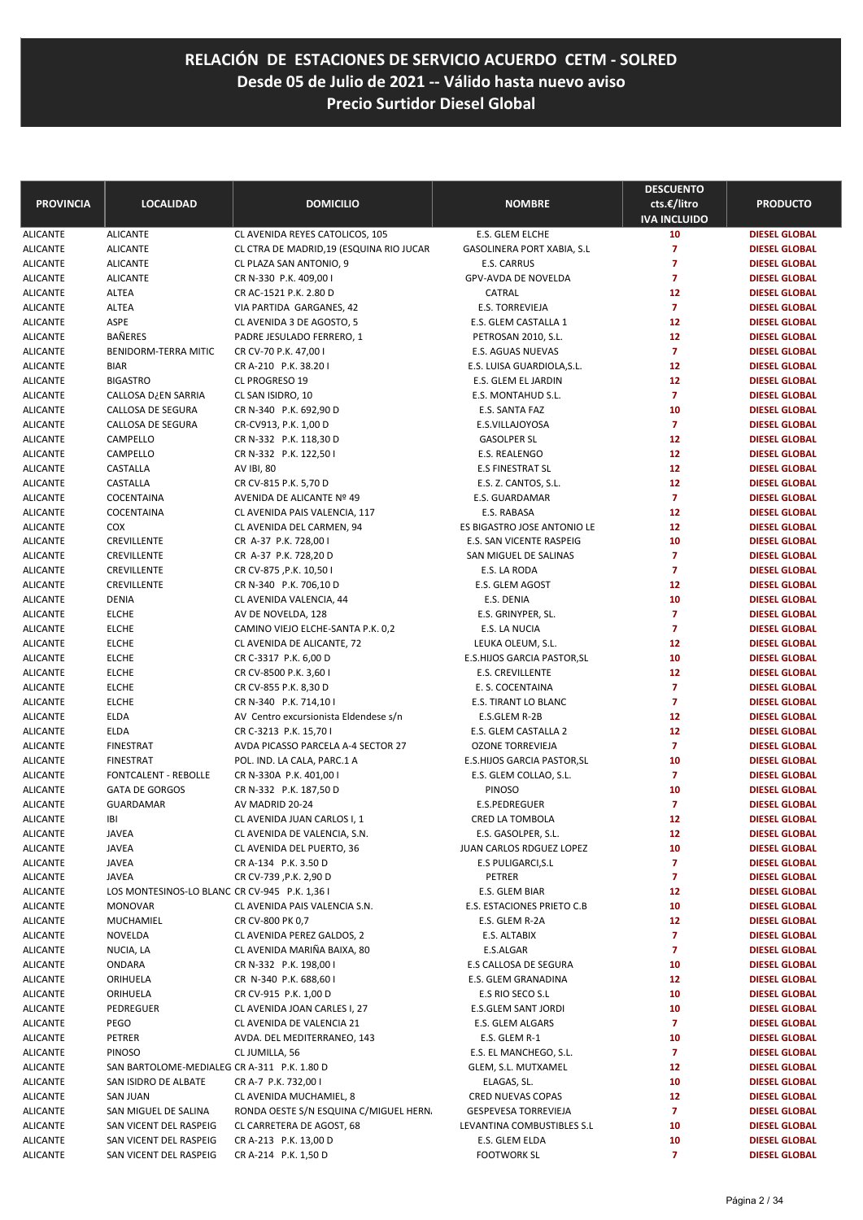| <b>PROVINCIA</b>                   | <b>LOCALIDAD</b>                              | <b>DOMICILIO</b>                                          | <b>NOMBRE</b>                      | <b>DESCUENTO</b><br>cts.€/litro<br><b>IVA INCLUIDO</b> | <b>PRODUCTO</b>                              |
|------------------------------------|-----------------------------------------------|-----------------------------------------------------------|------------------------------------|--------------------------------------------------------|----------------------------------------------|
| <b>ALICANTE</b>                    | <b>ALICANTE</b>                               | CL AVENIDA REYES CATOLICOS, 105                           | E.S. GLEM ELCHE                    | 10                                                     | <b>DIESEL GLOBAL</b>                         |
| <b>ALICANTE</b>                    | <b>ALICANTE</b>                               | CL CTRA DE MADRID, 19 (ESQUINA RIO JUCAR                  | GASOLINERA PORT XABIA, S.L         | $\overline{7}$                                         | <b>DIESEL GLOBAL</b>                         |
| <b>ALICANTE</b>                    | <b>ALICANTE</b>                               | CL PLAZA SAN ANTONIO, 9                                   | E.S. CARRUS                        | 7                                                      | <b>DIESEL GLOBAL</b>                         |
| <b>ALICANTE</b>                    | <b>ALICANTE</b>                               | CR N-330 P.K. 409,00 I                                    | GPV-AVDA DE NOVELDA                | $\overline{7}$                                         | <b>DIESEL GLOBAL</b>                         |
| <b>ALICANTE</b>                    | <b>ALTEA</b>                                  | CR AC-1521 P.K. 2.80 D                                    | CATRAL                             | 12                                                     | <b>DIESEL GLOBAL</b>                         |
| <b>ALICANTE</b>                    | <b>ALTEA</b>                                  | VIA PARTIDA GARGANES, 42                                  | <b>E.S. TORREVIEJA</b>             | $\overline{7}$                                         | <b>DIESEL GLOBAL</b>                         |
| <b>ALICANTE</b>                    | <b>ASPE</b>                                   | CL AVENIDA 3 DE AGOSTO, 5                                 | E.S. GLEM CASTALLA 1               | 12                                                     | <b>DIESEL GLOBAL</b>                         |
| <b>ALICANTE</b>                    | BAÑERES                                       | PADRE JESULADO FERRERO, 1                                 | PETROSAN 2010, S.L.                | 12                                                     | <b>DIESEL GLOBAL</b>                         |
| <b>ALICANTE</b>                    | BENIDORM-TERRA MITIC                          | CR CV-70 P.K. 47,00 I                                     | E.S. AGUAS NUEVAS                  | $\overline{7}$                                         | <b>DIESEL GLOBAL</b>                         |
| <b>ALICANTE</b>                    | <b>BIAR</b>                                   | CR A-210 P.K. 38.201                                      | E.S. LUISA GUARDIOLA, S.L.         | 12                                                     | <b>DIESEL GLOBAL</b>                         |
| <b>ALICANTE</b>                    | <b>BIGASTRO</b>                               | CL PROGRESO 19                                            | E.S. GLEM EL JARDIN                | 12                                                     | <b>DIESEL GLOBAL</b>                         |
| <b>ALICANTE</b>                    | CALLOSA D¿EN SARRIA                           | CL SAN ISIDRO, 10                                         | E.S. MONTAHUD S.L.                 | $\overline{7}$                                         | <b>DIESEL GLOBAL</b>                         |
| <b>ALICANTE</b>                    | CALLOSA DE SEGURA                             | CR N-340 P.K. 692,90 D                                    | E.S. SANTA FAZ                     | 10                                                     | <b>DIESEL GLOBAL</b>                         |
| <b>ALICANTE</b>                    | CALLOSA DE SEGURA                             | CR-CV913, P.K. 1,00 D                                     | E.S.VILLAJOYOSA                    | $\overline{7}$                                         | <b>DIESEL GLOBAL</b>                         |
| <b>ALICANTE</b>                    | CAMPELLO                                      | CR N-332 P.K. 118,30 D                                    | <b>GASOLPER SL</b>                 | 12                                                     | <b>DIESEL GLOBAL</b>                         |
| <b>ALICANTE</b>                    | CAMPELLO                                      | CR N-332 P.K. 122,50 I                                    | E.S. REALENGO                      | 12                                                     | <b>DIESEL GLOBAL</b>                         |
| <b>ALICANTE</b>                    | CASTALLA                                      | <b>AV IBI, 80</b>                                         | <b>E.S FINESTRAT SL</b>            | 12                                                     | <b>DIESEL GLOBAL</b>                         |
| <b>ALICANTE</b>                    | CASTALLA                                      | CR CV-815 P.K. 5,70 D                                     | E.S. Z. CANTOS, S.L.               | 12                                                     | <b>DIESEL GLOBAL</b>                         |
| <b>ALICANTE</b>                    | COCENTAINA                                    | AVENIDA DE ALICANTE Nº 49                                 | E.S. GUARDAMAR                     | $\overline{7}$                                         | <b>DIESEL GLOBAL</b>                         |
| <b>ALICANTE</b>                    | COCENTAINA                                    | CL AVENIDA PAIS VALENCIA, 117                             | E.S. RABASA                        | 12                                                     | <b>DIESEL GLOBAL</b>                         |
| <b>ALICANTE</b>                    | COX                                           | CL AVENIDA DEL CARMEN, 94                                 | ES BIGASTRO JOSE ANTONIO LE        | 12                                                     | <b>DIESEL GLOBAL</b>                         |
| <b>ALICANTE</b>                    | CREVILLENTE                                   | CR A-37 P.K. 728,001                                      | E.S. SAN VICENTE RASPEIG           | 10                                                     | <b>DIESEL GLOBAL</b>                         |
| <b>ALICANTE</b>                    | CREVILLENTE                                   | CR A-37 P.K. 728,20 D                                     | SAN MIGUEL DE SALINAS              | $\overline{7}$<br>$\overline{7}$                       | <b>DIESEL GLOBAL</b>                         |
| <b>ALICANTE</b>                    | CREVILLENTE                                   | CR CV-875, P.K. 10,50 I<br>CR N-340 P.K. 706,10 D         | E.S. LA RODA                       | 12                                                     | <b>DIESEL GLOBAL</b>                         |
| <b>ALICANTE</b><br><b>ALICANTE</b> | CREVILLENTE<br><b>DENIA</b>                   |                                                           | E.S. GLEM AGOST<br>E.S. DENIA      | 10                                                     | <b>DIESEL GLOBAL</b><br><b>DIESEL GLOBAL</b> |
| <b>ALICANTE</b>                    | <b>ELCHE</b>                                  | CL AVENIDA VALENCIA, 44<br>AV DE NOVELDA, 128             | E.S. GRINYPER, SL.                 | $\overline{7}$                                         | <b>DIESEL GLOBAL</b>                         |
| <b>ALICANTE</b>                    | <b>ELCHE</b>                                  | CAMINO VIEJO ELCHE-SANTA P.K. 0,2                         | E.S. LA NUCIA                      | $\overline{7}$                                         | <b>DIESEL GLOBAL</b>                         |
| <b>ALICANTE</b>                    | <b>ELCHE</b>                                  | CL AVENIDA DE ALICANTE, 72                                | LEUKA OLEUM, S.L.                  | 12                                                     | <b>DIESEL GLOBAL</b>                         |
| <b>ALICANTE</b>                    | <b>ELCHE</b>                                  | CR C-3317 P.K. 6,00 D                                     | E.S.HIJOS GARCIA PASTOR, SL        | 10                                                     | <b>DIESEL GLOBAL</b>                         |
| <b>ALICANTE</b>                    | <b>ELCHE</b>                                  | CR CV-8500 P.K. 3,60 I                                    | <b>E.S. CREVILLENTE</b>            | 12                                                     | <b>DIESEL GLOBAL</b>                         |
| <b>ALICANTE</b>                    | <b>ELCHE</b>                                  | CR CV-855 P.K. 8,30 D                                     | E. S. COCENTAINA                   | $\overline{7}$                                         | <b>DIESEL GLOBAL</b>                         |
| <b>ALICANTE</b>                    | <b>ELCHE</b>                                  | CR N-340 P.K. 714,10 I                                    | E.S. TIRANT LO BLANC               | $\overline{7}$                                         | <b>DIESEL GLOBAL</b>                         |
| <b>ALICANTE</b>                    | ELDA                                          | AV Centro excursionista Eldendese s/n                     | E.S.GLEM R-2B                      | 12                                                     | <b>DIESEL GLOBAL</b>                         |
| <b>ALICANTE</b>                    | <b>ELDA</b>                                   | CR C-3213 P.K. 15,70 I                                    | E.S. GLEM CASTALLA 2               | 12                                                     | <b>DIESEL GLOBAL</b>                         |
| <b>ALICANTE</b>                    | <b>FINESTRAT</b>                              | AVDA PICASSO PARCELA A-4 SECTOR 27                        | <b>OZONE TORREVIEJA</b>            | $\overline{7}$                                         | <b>DIESEL GLOBAL</b>                         |
| <b>ALICANTE</b>                    | <b>FINESTRAT</b>                              | POL. IND. LA CALA, PARC.1 A                               | E.S.HIJOS GARCIA PASTOR, SL        | 10                                                     | <b>DIESEL GLOBAL</b>                         |
| <b>ALICANTE</b>                    | <b>FONTCALENT - REBOLLE</b>                   | CR N-330A P.K. 401,00 I                                   | E.S. GLEM COLLAO, S.L.             | $\overline{7}$                                         | <b>DIESEL GLOBAL</b>                         |
| <b>ALICANTE</b>                    | <b>GATA DE GORGOS</b>                         | CR N-332 P.K. 187,50 D                                    | PINOSO                             | 10                                                     | <b>DIESEL GLOBAL</b>                         |
| <b>ALICANTE</b>                    | <b>GUARDAMAR</b>                              | AV MADRID 20-24                                           | E.S.PEDREGUER                      | $\overline{7}$                                         | <b>DIESEL GLOBAL</b>                         |
| <b>ALICANTE</b>                    | IBI                                           | CL AVENIDA JUAN CARLOS I, 1                               | CRED LA TOMBOLA                    | 12                                                     | <b>DIESEL GLOBAL</b>                         |
| <b>ALICANTE</b>                    | JAVEA                                         | CL AVENIDA DE VALENCIA, S.N.                              | E.S. GASOLPER, S.L.                | 12                                                     | <b>DIESEL GLOBAL</b>                         |
| <b>ALICANTE</b>                    | JAVEA                                         | CL AVENIDA DEL PUERTO, 36                                 | JUAN CARLOS RDGUEZ LOPEZ           | 10                                                     | <b>DIESEL GLOBAL</b>                         |
| <b>ALICANTE</b>                    | JAVEA                                         | CR A-134 P.K. 3.50 D                                      | E.S PULIGARCI, S.L                 | $\overline{7}$                                         | <b>DIESEL GLOBAL</b>                         |
| ALICANTE                           | JAVEA                                         | CR CV-739, P.K. 2,90 D                                    | PETRER                             | 7                                                      | <b>DIESEL GLOBAL</b>                         |
| ALICANTE                           | LOS MONTESINOS-LO BLANC CR CV-945 P.K. 1,36 I |                                                           | E.S. GLEM BIAR                     | 12                                                     | <b>DIESEL GLOBAL</b>                         |
| ALICANTE                           | <b>MONOVAR</b>                                | CL AVENIDA PAIS VALENCIA S.N.                             | E.S. ESTACIONES PRIETO C.B         | 10                                                     | <b>DIESEL GLOBAL</b>                         |
| <b>ALICANTE</b>                    | MUCHAMIEL                                     | CR CV-800 PK 0,7                                          | E.S. GLEM R-2A                     | 12                                                     | <b>DIESEL GLOBAL</b>                         |
| ALICANTE                           | NOVELDA                                       | CL AVENIDA PEREZ GALDOS, 2<br>CL AVENIDA MARIÑA BAIXA, 80 | E.S. ALTABIX                       | 7<br>$\overline{ }$                                    | <b>DIESEL GLOBAL</b>                         |
| ALICANTE<br>ALICANTE               | NUCIA, LA<br>ONDARA                           | CR N-332 P.K. 198,00 I                                    | E.S.ALGAR<br>E.S CALLOSA DE SEGURA | 10                                                     | <b>DIESEL GLOBAL</b><br><b>DIESEL GLOBAL</b> |
| <b>ALICANTE</b>                    | ORIHUELA                                      | CR N-340 P.K. 688,60 I                                    | E.S. GLEM GRANADINA                | 12                                                     | <b>DIESEL GLOBAL</b>                         |
| <b>ALICANTE</b>                    | ORIHUELA                                      | CR CV-915 P.K. 1,00 D                                     | E.S RIO SECO S.L                   | 10                                                     | <b>DIESEL GLOBAL</b>                         |
| <b>ALICANTE</b>                    | PEDREGUER                                     | CL AVENIDA JOAN CARLES I, 27                              | E.S.GLEM SANT JORDI                | 10                                                     | <b>DIESEL GLOBAL</b>                         |
| ALICANTE                           | PEGO                                          | CL AVENIDA DE VALENCIA 21                                 | E.S. GLEM ALGARS                   | $\overline{7}$                                         | <b>DIESEL GLOBAL</b>                         |
| ALICANTE                           | PETRER                                        | AVDA. DEL MEDITERRANEO, 143                               | E.S. GLEM R-1                      | 10                                                     | <b>DIESEL GLOBAL</b>                         |
| ALICANTE                           | <b>PINOSO</b>                                 | CL JUMILLA, 56                                            | E.S. EL MANCHEGO, S.L.             | $\overline{7}$                                         | <b>DIESEL GLOBAL</b>                         |
| ALICANTE                           | SAN BARTOLOME-MEDIALEG CR A-311 P.K. 1.80 D   |                                                           | GLEM, S.L. MUTXAMEL                | 12                                                     | <b>DIESEL GLOBAL</b>                         |
| <b>ALICANTE</b>                    | SAN ISIDRO DE ALBATE                          | CR A-7 P.K. 732,00 I                                      | ELAGAS, SL.                        | 10                                                     | <b>DIESEL GLOBAL</b>                         |
| <b>ALICANTE</b>                    | SAN JUAN                                      | CL AVENIDA MUCHAMIEL, 8                                   | CRED NUEVAS COPAS                  | 12                                                     | <b>DIESEL GLOBAL</b>                         |
| <b>ALICANTE</b>                    | SAN MIGUEL DE SALINA                          | RONDA OESTE S/N ESQUINA C/MIGUEL HERN.                    | <b>GESPEVESA TORREVIEJA</b>        | $\overline{7}$                                         | <b>DIESEL GLOBAL</b>                         |
| ALICANTE                           | SAN VICENT DEL RASPEIG                        | CL CARRETERA DE AGOST, 68                                 | LEVANTINA COMBUSTIBLES S.L         | 10                                                     | <b>DIESEL GLOBAL</b>                         |
| ALICANTE                           | SAN VICENT DEL RASPEIG                        | CR A-213 P.K. 13,00 D                                     | E.S. GLEM ELDA                     | 10                                                     | <b>DIESEL GLOBAL</b>                         |
| <b>ALICANTE</b>                    | SAN VICENT DEL RASPEIG                        | CR A-214 P.K. 1,50 D                                      | <b>FOOTWORK SL</b>                 | $\overline{7}$                                         | <b>DIESEL GLOBAL</b>                         |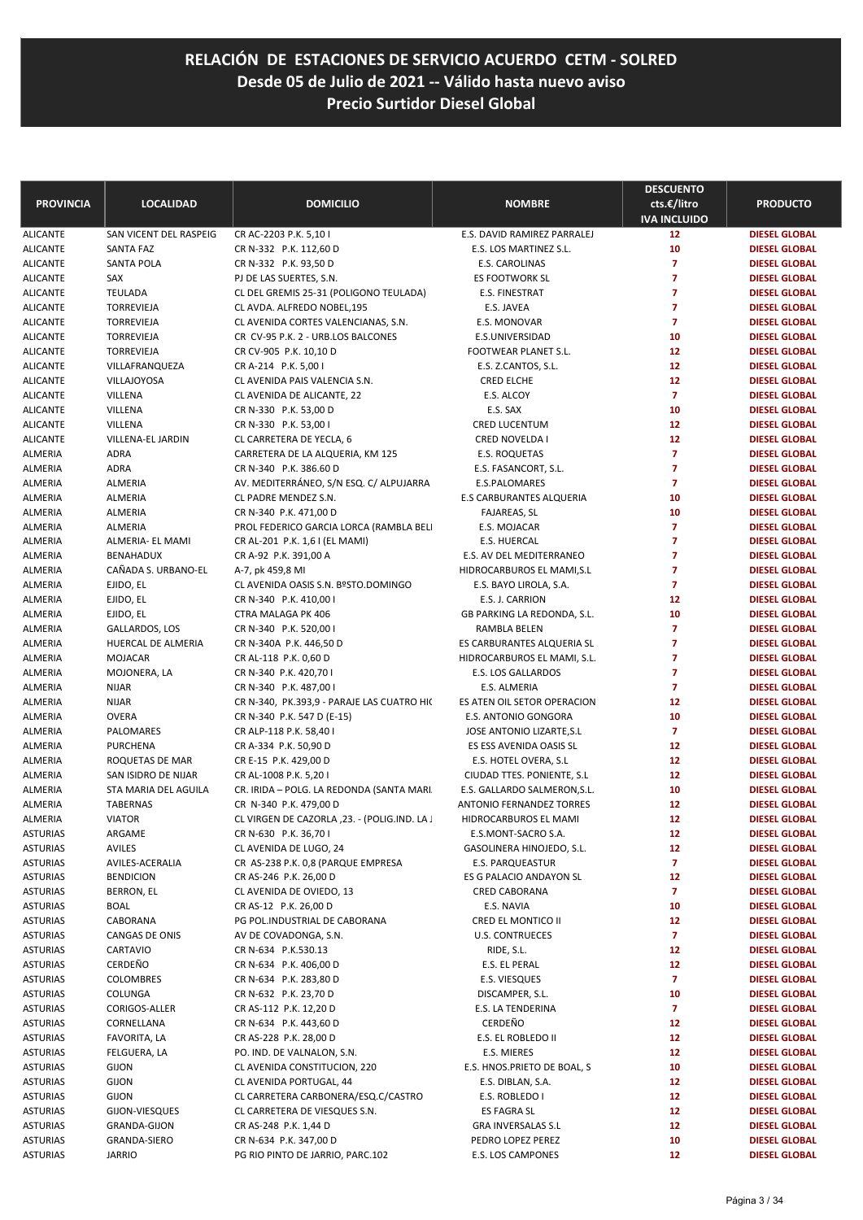| <b>PROVINCIA</b> | <b>LOCALIDAD</b>        | <b>DOMICILIO</b>                             | <b>NOMBRE</b>                | <b>DESCUENTO</b><br>cts.€/litro<br><b>IVA INCLUIDO</b> | <b>PRODUCTO</b>      |
|------------------|-------------------------|----------------------------------------------|------------------------------|--------------------------------------------------------|----------------------|
| <b>ALICANTE</b>  | SAN VICENT DEL RASPEIG  | CR AC-2203 P.K. 5,10 I                       | E.S. DAVID RAMIREZ PARRALEJ  | 12                                                     | <b>DIESEL GLOBAL</b> |
| <b>ALICANTE</b>  | SANTA FAZ               | CR N-332 P.K. 112,60 D                       | E.S. LOS MARTINEZ S.L.       | 10                                                     | <b>DIESEL GLOBAL</b> |
| <b>ALICANTE</b>  | <b>SANTA POLA</b>       | CR N-332 P.K. 93,50 D                        | E.S. CAROLINAS               | $\overline{7}$                                         | <b>DIESEL GLOBAL</b> |
| ALICANTE         | SAX                     | PJ DE LAS SUERTES, S.N.                      | ES FOOTWORK SL               | $\overline{7}$                                         | <b>DIESEL GLOBAL</b> |
| <b>ALICANTE</b>  | <b>TEULADA</b>          | CL DEL GREMIS 25-31 (POLIGONO TEULADA)       | E.S. FINESTRAT               | $\overline{7}$                                         | <b>DIESEL GLOBAL</b> |
| <b>ALICANTE</b>  | <b>TORREVIEJA</b>       | CL AVDA. ALFREDO NOBEL, 195                  | E.S. JAVEA                   | $\overline{7}$                                         | <b>DIESEL GLOBAL</b> |
| <b>ALICANTE</b>  | <b>TORREVIEJA</b>       | CL AVENIDA CORTES VALENCIANAS, S.N.          | E.S. MONOVAR                 | $\overline{7}$                                         | <b>DIESEL GLOBAL</b> |
| <b>ALICANTE</b>  | TORREVIEJA              | CR CV-95 P.K. 2 - URB.LOS BALCONES           | E.S.UNIVERSIDAD              | 10                                                     | <b>DIESEL GLOBAL</b> |
| <b>ALICANTE</b>  | TORREVIEJA              | CR CV-905 P.K. 10,10 D                       | FOOTWEAR PLANET S.L.         | 12                                                     | <b>DIESEL GLOBAL</b> |
| <b>ALICANTE</b>  | VILLAFRANQUEZA          | CR A-214 P.K. 5,00 I                         | E.S. Z.CANTOS, S.L.          | 12                                                     | <b>DIESEL GLOBAL</b> |
| <b>ALICANTE</b>  | <b>VILLAJOYOSA</b>      | CL AVENIDA PAIS VALENCIA S.N.                | CRED ELCHE                   | 12                                                     | <b>DIESEL GLOBAL</b> |
| <b>ALICANTE</b>  | VILLENA                 | CL AVENIDA DE ALICANTE, 22                   | E.S. ALCOY                   | $\overline{7}$                                         | <b>DIESEL GLOBAL</b> |
| ALICANTE         | VILLENA                 | CR N-330 P.K. 53,00 D                        | E.S. SAX                     | 10                                                     | <b>DIESEL GLOBAL</b> |
| <b>ALICANTE</b>  | VILLENA                 | CR N-330 P.K. 53,00 I                        | <b>CRED LUCENTUM</b>         | 12                                                     | <b>DIESEL GLOBAL</b> |
| <b>ALICANTE</b>  | VILLENA-EL JARDIN       | CL CARRETERA DE YECLA, 6                     | CRED NOVELDA I               | 12                                                     | <b>DIESEL GLOBAL</b> |
| ALMERIA          | <b>ADRA</b>             | CARRETERA DE LA ALQUERIA, KM 125             | E.S. ROQUETAS                | $\overline{z}$                                         | <b>DIESEL GLOBAL</b> |
| ALMERIA          | <b>ADRA</b>             | CR N-340 P.K. 386.60 D                       | E.S. FASANCORT, S.L.         | $\overline{7}$                                         | <b>DIESEL GLOBAL</b> |
| ALMERIA          | <b>ALMERIA</b>          | AV. MEDITERRÁNEO, S/N ESQ. C/ ALPUJARRA      | <b>E.S.PALOMARES</b>         | $\overline{7}$                                         | <b>DIESEL GLOBAL</b> |
| ALMERIA          | ALMERIA                 | CL PADRE MENDEZ S.N.                         | E.S CARBURANTES ALQUERIA     | 10                                                     | <b>DIESEL GLOBAL</b> |
| ALMERIA          | ALMERIA                 | CR N-340 P.K. 471,00 D                       | <b>FAJAREAS, SL</b>          | 10                                                     | <b>DIESEL GLOBAL</b> |
| ALMERIA          | <b>ALMERIA</b>          | PROL FEDERICO GARCIA LORCA (RAMBLA BELI      | E.S. MOJACAR                 | $\overline{7}$                                         | <b>DIESEL GLOBAL</b> |
| ALMERIA          | <b>ALMERIA- EL MAMI</b> | CR AL-201 P.K. 1,6 I (EL MAMI)               | <b>E.S. HUERCAL</b>          | $\overline{7}$                                         | <b>DIESEL GLOBAL</b> |
| ALMERIA          | <b>BENAHADUX</b>        | CR A-92 P.K. 391,00 A                        | E.S. AV DEL MEDITERRANEO     | $\overline{7}$                                         | <b>DIESEL GLOBAL</b> |
| ALMERIA          | CAÑADA S. URBANO-EL     | A-7, pk 459,8 MI                             | HIDROCARBUROS EL MAMI, S.L   | $\overline{7}$                                         | <b>DIESEL GLOBAL</b> |
| ALMERIA          | EJIDO, EL               | CL AVENIDA OASIS S.N. BºSTO.DOMINGO          | E.S. BAYO LIROLA, S.A.       | $\overline{7}$                                         | <b>DIESEL GLOBAL</b> |
| ALMERIA          | EJIDO, EL               | CR N-340 P.K. 410,00 I                       | E.S. J. CARRION              | 12                                                     | <b>DIESEL GLOBAL</b> |
| ALMERIA          | EJIDO, EL               | CTRA MALAGA PK 406                           | GB PARKING LA REDONDA, S.L.  | 10                                                     | <b>DIESEL GLOBAL</b> |
| ALMERIA          | GALLARDOS, LOS          | CR N-340 P.K. 520,00 I                       | RAMBLA BELEN                 | $\overline{7}$                                         | <b>DIESEL GLOBAL</b> |
| ALMERIA          | HUERCAL DE ALMERIA      | CR N-340A P.K. 446,50 D                      | ES CARBURANTES ALQUERIA SL   | $\overline{7}$                                         | <b>DIESEL GLOBAL</b> |
| ALMERIA          | MOJACAR                 | CR AL-118 P.K. 0,60 D                        | HIDROCARBUROS EL MAMI, S.L.  | $\overline{7}$                                         | <b>DIESEL GLOBAL</b> |
| ALMERIA          | MOJONERA, LA            | CR N-340 P.K. 420,70 I                       | E.S. LOS GALLARDOS           | $\overline{7}$                                         | <b>DIESEL GLOBAL</b> |
| ALMERIA          | <b>NIJAR</b>            | CR N-340 P.K. 487,00 I                       | E.S. ALMERIA                 | $\overline{7}$                                         | <b>DIESEL GLOBAL</b> |
| ALMERIA          | <b>NIJAR</b>            | CR N-340, PK.393,9 - PARAJE LAS CUATRO HIC   | ES ATEN OIL SETOR OPERACION  | 12                                                     | <b>DIESEL GLOBAL</b> |
| ALMERIA          | <b>OVERA</b>            | CR N-340 P.K. 547 D (E-15)                   | E.S. ANTONIO GONGORA         | 10                                                     | <b>DIESEL GLOBAL</b> |
| ALMERIA          | PALOMARES               | CR ALP-118 P.K. 58,40 I                      | JOSE ANTONIO LIZARTE, S.L    | $\overline{7}$                                         | <b>DIESEL GLOBAL</b> |
| ALMERIA          | <b>PURCHENA</b>         | CR A-334 P.K. 50,90 D                        | ES ESS AVENIDA OASIS SL      | 12                                                     | <b>DIESEL GLOBAL</b> |
| ALMERIA          | ROQUETAS DE MAR         | CR E-15 P.K. 429,00 D                        | E.S. HOTEL OVERA, S.L        | 12                                                     | <b>DIESEL GLOBAL</b> |
| ALMERIA          | SAN ISIDRO DE NIJAR     | CR AL-1008 P.K. 5,20 I                       | CIUDAD TTES. PONIENTE, S.L.  | 12                                                     | <b>DIESEL GLOBAL</b> |
| ALMERIA          | STA MARIA DEL AGUILA    | CR. IRIDA - POLG. LA REDONDA (SANTA MARI.    | E.S. GALLARDO SALMERON, S.L. | 10                                                     | <b>DIESEL GLOBAL</b> |
| ALMERIA          | <b>TABERNAS</b>         | CR N-340 P.K. 479,00 D                       | ANTONIO FERNANDEZ TORRES     | 12                                                     | <b>DIESEL GLOBAL</b> |
| ALMERIA          | <b>VIATOR</b>           | CL VIRGEN DE CAZORLA, 23. - (POLIG.IND. LA J | HIDROCARBUROS EL MAMI        | 12                                                     | <b>DIESEL GLOBAL</b> |
| ASTURIAS         | ARGAME                  | CR N-630 P.K. 36,70 I                        | E.S.MONT-SACRO S.A.          | 12                                                     | <b>DIESEL GLOBAL</b> |
| ASTURIAS         | <b>AVILES</b>           | CL AVENIDA DE LUGO, 24                       | GASOLINERA HINOJEDO, S.L.    | 12                                                     | <b>DIESEL GLOBAL</b> |
| ASTURIAS         | AVILES-ACERALIA         | CR AS-238 P.K. 0,8 (PARQUE EMPRESA           | <b>E.S. PARQUEASTUR</b>      | $\overline{7}$                                         | <b>DIESEL GLOBAL</b> |
| <b>ASTURIAS</b>  | <b>BENDICION</b>        | CR AS-246 P.K. 26,00 D                       | ES G PALACIO ANDAYON SL      | 12                                                     | <b>DIESEL GLOBAL</b> |
| ASTURIAS         | BERRON, EL              | CL AVENIDA DE OVIEDO, 13                     | CRED CABORANA                | $\overline{7}$                                         | <b>DIESEL GLOBAL</b> |
| ASTURIAS         | <b>BOAL</b>             | CR AS-12 P.K. 26,00 D                        | E.S. NAVIA                   | 10                                                     | <b>DIESEL GLOBAL</b> |
| ASTURIAS         | CABORANA                | PG POL.INDUSTRIAL DE CABORANA                | CRED EL MONTICO II           | 12                                                     | <b>DIESEL GLOBAL</b> |
| ASTURIAS         | CANGAS DE ONIS          | AV DE COVADONGA, S.N.                        | U.S. CONTRUECES              | $\overline{7}$                                         | <b>DIESEL GLOBAL</b> |
| ASTURIAS         | CARTAVIO                | CR N-634 P.K.530.13                          | RIDE, S.L.                   | 12                                                     | <b>DIESEL GLOBAL</b> |
| ASTURIAS         | CERDEÑO                 | CR N-634 P.K. 406,00 D                       | E.S. EL PERAL                | 12                                                     | <b>DIESEL GLOBAL</b> |
| ASTURIAS         | COLOMBRES               | CR N-634 P.K. 283,80 D                       | E.S. VIESQUES                | $\overline{7}$                                         | <b>DIESEL GLOBAL</b> |
| ASTURIAS         | COLUNGA                 | CR N-632 P.K. 23,70 D                        | DISCAMPER, S.L.              | 10                                                     | <b>DIESEL GLOBAL</b> |
| ASTURIAS         | CORIGOS-ALLER           | CR AS-112 P.K. 12,20 D                       | E.S. LA TENDERINA            | $\overline{7}$                                         | <b>DIESEL GLOBAL</b> |
| ASTURIAS         | CORNELLANA              | CR N-634 P.K. 443,60 D                       | CERDEÑO                      | 12                                                     | <b>DIESEL GLOBAL</b> |
| ASTURIAS         | FAVORITA, LA            | CR AS-228 P.K. 28,00 D                       | E.S. EL ROBLEDO II           | 12                                                     | <b>DIESEL GLOBAL</b> |
| ASTURIAS         | FELGUERA, LA            | PO. IND. DE VALNALON, S.N.                   | E.S. MIERES                  | 12                                                     | <b>DIESEL GLOBAL</b> |
| ASTURIAS         | <b>GIJON</b>            | CL AVENIDA CONSTITUCION, 220                 | E.S. HNOS.PRIETO DE BOAL, S  | 10                                                     | <b>DIESEL GLOBAL</b> |
| ASTURIAS         | <b>GIJON</b>            | CL AVENIDA PORTUGAL, 44                      | E.S. DIBLAN, S.A.            | 12                                                     | <b>DIESEL GLOBAL</b> |
| ASTURIAS         | <b>GIJON</b>            | CL CARRETERA CARBONERA/ESQ.C/CASTRO          | E.S. ROBLEDO I               | 12                                                     | <b>DIESEL GLOBAL</b> |
| ASTURIAS         | GIJON-VIESQUES          | CL CARRETERA DE VIESQUES S.N.                | <b>ES FAGRA SL</b>           | 12                                                     | <b>DIESEL GLOBAL</b> |
| ASTURIAS         | <b>GRANDA-GIJON</b>     | CR AS-248 P.K. 1,44 D                        | <b>GRA INVERSALAS S.L</b>    | 12                                                     | <b>DIESEL GLOBAL</b> |
| ASTURIAS         | GRANDA-SIERO            | CR N-634 P.K. 347,00 D                       | PEDRO LOPEZ PEREZ            | 10                                                     | <b>DIESEL GLOBAL</b> |
| ASTURIAS         | <b>JARRIO</b>           | PG RIO PINTO DE JARRIO, PARC.102             | E.S. LOS CAMPONES            | 12                                                     | <b>DIESEL GLOBAL</b> |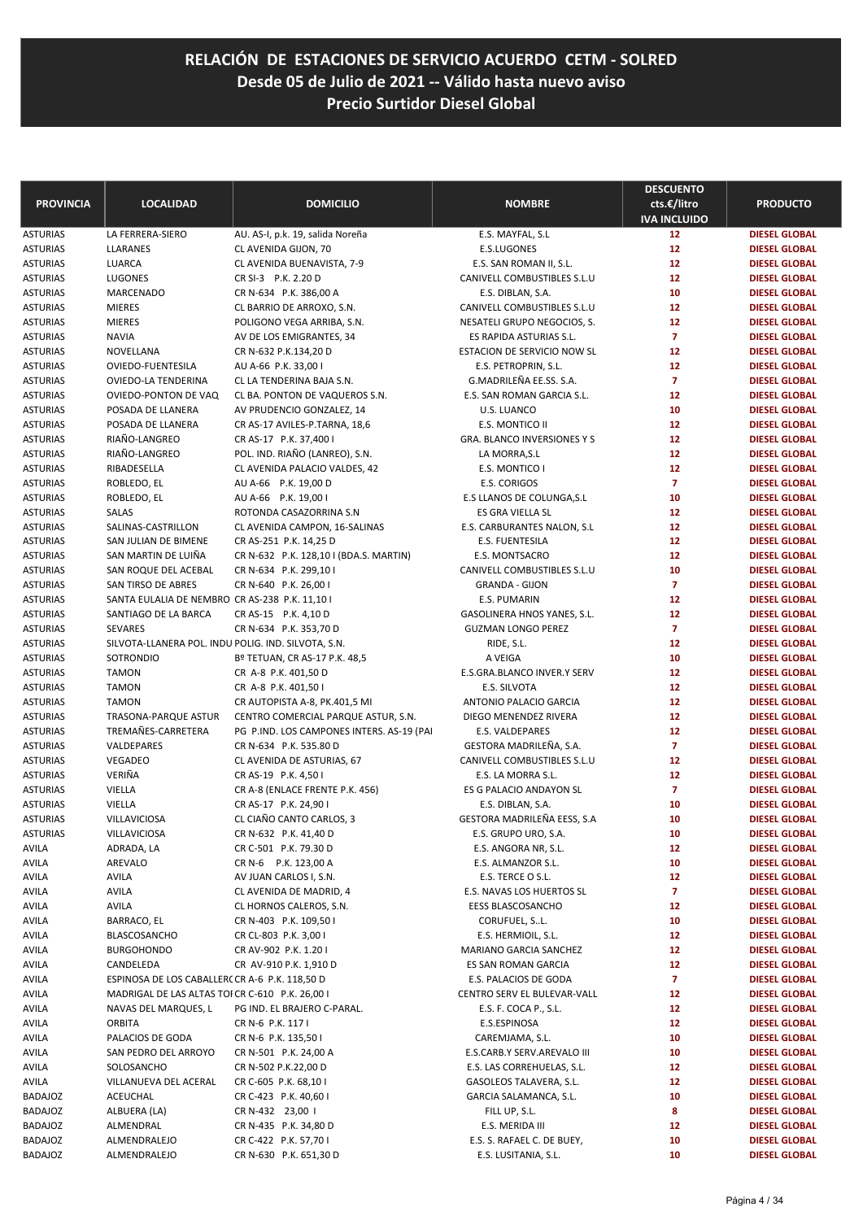| <b>PROVINCIA</b>                   | <b>LOCALIDAD</b>                                                 | <b>DOMICILIO</b>                                  | <b>NOMBRE</b>                                      | <b>DESCUENTO</b><br>cts.€/litro<br><b>IVA INCLUIDO</b> | <b>PRODUCTO</b>                              |
|------------------------------------|------------------------------------------------------------------|---------------------------------------------------|----------------------------------------------------|--------------------------------------------------------|----------------------------------------------|
| <b>ASTURIAS</b>                    | LA FERRERA-SIERO                                                 | AU. AS-I, p.k. 19, salida Noreña                  | E.S. MAYFAL, S.L                                   | 12 <sub>2</sub>                                        | <b>DIESEL GLOBAL</b>                         |
| <b>ASTURIAS</b>                    | LLARANES                                                         | CL AVENIDA GIJON, 70                              | E.S.LUGONES                                        | 12                                                     | <b>DIESEL GLOBAL</b>                         |
| ASTURIAS                           | LUARCA                                                           | CL AVENIDA BUENAVISTA, 7-9                        | E.S. SAN ROMAN II, S.L.                            | 12                                                     | <b>DIESEL GLOBAL</b>                         |
| <b>ASTURIAS</b>                    | LUGONES                                                          | CR SI-3 P.K. 2.20 D                               | CANIVELL COMBUSTIBLES S.L.U                        | 12                                                     | <b>DIESEL GLOBAL</b>                         |
| ASTURIAS                           | MARCENADO                                                        | CR N-634 P.K. 386,00 A                            | E.S. DIBLAN, S.A.                                  | 10                                                     | <b>DIESEL GLOBAL</b>                         |
| <b>ASTURIAS</b>                    | <b>MIERES</b>                                                    | CL BARRIO DE ARROXO, S.N.                         | CANIVELL COMBUSTIBLES S.L.U                        | 12                                                     | <b>DIESEL GLOBAL</b>                         |
| <b>ASTURIAS</b>                    | <b>MIERES</b>                                                    | POLIGONO VEGA ARRIBA, S.N.                        | NESATELI GRUPO NEGOCIOS, S.                        | 12                                                     | <b>DIESEL GLOBAL</b>                         |
| ASTURIAS                           | <b>NAVIA</b>                                                     | AV DE LOS EMIGRANTES, 34                          | ES RAPIDA ASTURIAS S.L.                            | $\overline{7}$                                         | <b>DIESEL GLOBAL</b>                         |
| <b>ASTURIAS</b>                    | NOVELLANA                                                        | CR N-632 P.K.134,20 D                             | <b>ESTACION DE SERVICIO NOW SL</b>                 | 12                                                     | <b>DIESEL GLOBAL</b>                         |
| <b>ASTURIAS</b><br>ASTURIAS        | OVIEDO-FUENTESILA<br>OVIEDO-LA TENDERINA                         | AU A-66 P.K. 33,00 I<br>CL LA TENDERINA BAJA S.N. | E.S. PETROPRIN, S.L.<br>G.MADRILEÑA EE.SS. S.A.    | 12<br>$\overline{7}$                                   | <b>DIESEL GLOBAL</b><br><b>DIESEL GLOBAL</b> |
| <b>ASTURIAS</b>                    | OVIEDO-PONTON DE VAQ                                             | CL BA. PONTON DE VAQUEROS S.N.                    | E.S. SAN ROMAN GARCIA S.L.                         | 12                                                     | <b>DIESEL GLOBAL</b>                         |
| <b>ASTURIAS</b>                    | POSADA DE LLANERA                                                | AV PRUDENCIO GONZALEZ, 14                         | U.S. LUANCO                                        | 10                                                     | <b>DIESEL GLOBAL</b>                         |
| ASTURIAS                           | POSADA DE LLANERA                                                | CR AS-17 AVILES-P.TARNA, 18,6                     | E.S. MONTICO II                                    | 12                                                     | <b>DIESEL GLOBAL</b>                         |
| ASTURIAS                           | RIAÑO-LANGREO                                                    | CR AS-17 P.K. 37,400 I                            | <b>GRA. BLANCO INVERSIONES Y S</b>                 | 12                                                     | <b>DIESEL GLOBAL</b>                         |
| <b>ASTURIAS</b>                    | RIAÑO-LANGREO                                                    | POL. IND. RIAÑO (LANREO), S.N.                    | LA MORRA, S.L                                      | 12                                                     | <b>DIESEL GLOBAL</b>                         |
| <b>ASTURIAS</b>                    | RIBADESELLA                                                      | CL AVENIDA PALACIO VALDES, 42                     | E.S. MONTICO I                                     | 12                                                     | <b>DIESEL GLOBAL</b>                         |
| ASTURIAS                           | ROBLEDO, EL                                                      | AU A-66 P.K. 19,00 D                              | E.S. CORIGOS                                       | $\overline{7}$                                         | <b>DIESEL GLOBAL</b>                         |
| <b>ASTURIAS</b>                    | ROBLEDO, EL                                                      | AU A-66 P.K. 19,00 I                              | E.S LLANOS DE COLUNGA, S.L                         | 10                                                     | <b>DIESEL GLOBAL</b>                         |
| <b>ASTURIAS</b>                    | <b>SALAS</b>                                                     | ROTONDA CASAZORRINA S.N                           | ES GRA VIELLA SL                                   | 12                                                     | <b>DIESEL GLOBAL</b>                         |
| ASTURIAS                           | SALINAS-CASTRILLON                                               | CL AVENIDA CAMPON, 16-SALINAS                     | E.S. CARBURANTES NALON, S.L                        | 12                                                     | <b>DIESEL GLOBAL</b>                         |
| <b>ASTURIAS</b>                    | SAN JULIAN DE BIMENE                                             | CR AS-251 P.K. 14,25 D                            | <b>E.S. FUENTESILA</b>                             | 12                                                     | <b>DIESEL GLOBAL</b>                         |
| <b>ASTURIAS</b>                    | SAN MARTIN DE LUIÑA                                              | CR N-632 P.K. 128,10 I (BDA.S. MARTIN)            | E.S. MONTSACRO                                     | 12                                                     | <b>DIESEL GLOBAL</b>                         |
| <b>ASTURIAS</b>                    | SAN ROQUE DEL ACEBAL                                             | CR N-634 P.K. 299,10 I                            | CANIVELL COMBUSTIBLES S.L.U                        | 10                                                     | <b>DIESEL GLOBAL</b>                         |
| ASTURIAS                           | SAN TIRSO DE ABRES                                               | CR N-640 P.K. 26,00 I                             | <b>GRANDA - GIJON</b>                              | $\overline{7}$                                         | <b>DIESEL GLOBAL</b>                         |
| <b>ASTURIAS</b>                    | SANTA EULALIA DE NEMBRO CR AS-238 P.K. 11,10 I                   |                                                   | E.S. PUMARIN                                       | 12                                                     | <b>DIESEL GLOBAL</b>                         |
| <b>ASTURIAS</b>                    | SANTIAGO DE LA BARCA                                             | CR AS-15 P.K. 4,10 D                              | GASOLINERA HNOS YANES, S.L.                        | 12                                                     | <b>DIESEL GLOBAL</b>                         |
| <b>ASTURIAS</b><br><b>ASTURIAS</b> | SEVARES                                                          | CR N-634 P.K. 353,70 D                            | <b>GUZMAN LONGO PEREZ</b>                          | $\overline{7}$<br>12                                   | <b>DIESEL GLOBAL</b><br><b>DIESEL GLOBAL</b> |
| ASTURIAS                           | SILVOTA-LLANERA POL. INDU POLIG. IND. SILVOTA, S.N.<br>SOTRONDIO | Bº TETUAN, CR AS-17 P.K. 48,5                     | RIDE, S.L.<br>A VEIGA                              | 10                                                     | <b>DIESEL GLOBAL</b>                         |
| <b>ASTURIAS</b>                    | <b>TAMON</b>                                                     | CR A-8 P.K. 401,50 D                              | E.S.GRA.BLANCO INVER.Y SERV                        | 12                                                     | <b>DIESEL GLOBAL</b>                         |
| <b>ASTURIAS</b>                    | <b>TAMON</b>                                                     | CR A-8 P.K. 401,50 l                              | E.S. SILVOTA                                       | 12                                                     | <b>DIESEL GLOBAL</b>                         |
| ASTURIAS                           | <b>TAMON</b>                                                     | CR AUTOPISTA A-8, PK.401,5 MI                     | ANTONIO PALACIO GARCIA                             | 12                                                     | <b>DIESEL GLOBAL</b>                         |
| <b>ASTURIAS</b>                    | TRASONA-PARQUE ASTUR                                             | CENTRO COMERCIAL PARQUE ASTUR, S.N.               | DIEGO MENENDEZ RIVERA                              | 12                                                     | <b>DIESEL GLOBAL</b>                         |
| <b>ASTURIAS</b>                    | TREMAÑES-CARRETERA                                               | PG P.IND. LOS CAMPONES INTERS. AS-19 (PAI         | E.S. VALDEPARES                                    | 12                                                     | <b>DIESEL GLOBAL</b>                         |
| ASTURIAS                           | VALDEPARES                                                       | CR N-634 P.K. 535.80 D                            | GESTORA MADRILEÑA, S.A.                            | $\overline{7}$                                         | <b>DIESEL GLOBAL</b>                         |
| <b>ASTURIAS</b>                    | VEGADEO                                                          | CL AVENIDA DE ASTURIAS, 67                        | CANIVELL COMBUSTIBLES S.L.U                        | 12                                                     | <b>DIESEL GLOBAL</b>                         |
| <b>ASTURIAS</b>                    | VERIÑA                                                           | CR AS-19 P.K. 4,50 I                              | E.S. LA MORRA S.L.                                 | 12                                                     | <b>DIESEL GLOBAL</b>                         |
| ASTURIAS                           | VIELLA                                                           | CR A-8 (ENLACE FRENTE P.K. 456)                   | ES G PALACIO ANDAYON SL                            | $\overline{7}$                                         | <b>DIESEL GLOBAL</b>                         |
| <b>ASTURIAS</b>                    | VIELLA                                                           | CR AS-17 P.K. 24,90 I                             | E.S. DIBLAN, S.A.                                  | 10                                                     | <b>DIESEL GLOBAL</b>                         |
| <b>ASTURIAS</b>                    | <b>VILLAVICIOSA</b>                                              | CL CIAÑO CANTO CARLOS, 3                          | GESTORA MADRILEÑA EESS, S.A                        | 10                                                     | <b>DIESEL GLOBAL</b>                         |
| ASTURIAS                           | VILLAVICIOSA                                                     | CR N-632 P.K. 41,40 D                             | E.S. GRUPO URO, S.A.                               | 10                                                     | <b>DIESEL GLOBAL</b>                         |
| AVILA                              | ADRADA, LA                                                       | CR C-501 P.K. 79.30 D                             | E.S. ANGORA NR, S.L.                               | 12                                                     | <b>DIESEL GLOBAL</b>                         |
| AVILA                              | AREVALO                                                          | CR N-6 P.K. 123,00 A                              | E.S. ALMANZOR S.L.                                 | 10                                                     | <b>DIESEL GLOBAL</b>                         |
| AVILA                              | AVILA                                                            | AV JUAN CARLOS I, S.N.                            | E.S. TERCE O S.L.                                  | 12                                                     | <b>DIESEL GLOBAL</b>                         |
| AVILA                              | <b>AVILA</b><br><b>AVILA</b>                                     | CL AVENIDA DE MADRID, 4                           | E.S. NAVAS LOS HUERTOS SL<br>EESS BLASCOSANCHO     | $\overline{7}$<br>12                                   | <b>DIESEL GLOBAL</b><br><b>DIESEL GLOBAL</b> |
| AVILA<br>AVILA                     | BARRACO, EL                                                      | CL HORNOS CALEROS, S.N.<br>CR N-403 P.K. 109,50 I | CORUFUEL, SL.                                      | 10                                                     | <b>DIESEL GLOBAL</b>                         |
| AVILA                              | <b>BLASCOSANCHO</b>                                              | CR CL-803 P.K. 3,00 I                             | E.S. HERMIOIL, S.L.                                | 12                                                     | <b>DIESEL GLOBAL</b>                         |
| AVILA                              | <b>BURGOHONDO</b>                                                | CR AV-902 P.K. 1.20 I                             | MARIANO GARCIA SANCHEZ                             | 12                                                     | <b>DIESEL GLOBAL</b>                         |
| AVILA                              | CANDELEDA                                                        | CR AV-910 P.K. 1,910 D                            | ES SAN ROMAN GARCIA                                | 12                                                     | <b>DIESEL GLOBAL</b>                         |
| AVILA                              | ESPINOSA DE LOS CABALLERC CR A-6 P.K. 118,50 D                   |                                                   | E.S. PALACIOS DE GODA                              | $\overline{7}$                                         | <b>DIESEL GLOBAL</b>                         |
| AVILA                              | MADRIGAL DE LAS ALTAS TOI CR C-610 P.K. 26,00 I                  |                                                   | CENTRO SERV EL BULEVAR-VALL                        | 12                                                     | <b>DIESEL GLOBAL</b>                         |
| AVILA                              | NAVAS DEL MARQUES, L                                             | PG IND. EL BRAJERO C-PARAL.                       | E.S. F. COCA P., S.L.                              | 12                                                     | <b>DIESEL GLOBAL</b>                         |
| AVILA                              | <b>ORBITA</b>                                                    | CR N-6 P.K. 117 I                                 | E.S.ESPINOSA                                       | 12                                                     | <b>DIESEL GLOBAL</b>                         |
| AVILA                              | PALACIOS DE GODA                                                 | CR N-6 P.K. 135,50 I                              | CAREMJAMA, S.L.                                    | 10                                                     | <b>DIESEL GLOBAL</b>                         |
| AVILA                              | SAN PEDRO DEL ARROYO                                             | CR N-501 P.K. 24,00 A                             | E.S.CARB.Y SERV.AREVALO III                        | 10                                                     | <b>DIESEL GLOBAL</b>                         |
| AVILA                              | SOLOSANCHO                                                       | CR N-502 P.K.22,00 D                              | E.S. LAS CORREHUELAS, S.L.                         | 12                                                     | <b>DIESEL GLOBAL</b>                         |
| AVILA                              | VILLANUEVA DEL ACERAL                                            | CR C-605 P.K. 68,10 I                             | GASOLEOS TALAVERA, S.L.                            | 12                                                     | <b>DIESEL GLOBAL</b>                         |
| BADAJOZ                            | ACEUCHAL                                                         | CR C-423 P.K. 40,60 I                             | GARCIA SALAMANCA, S.L.                             | 10                                                     | <b>DIESEL GLOBAL</b>                         |
| BADAJOZ                            | ALBUERA (LA)                                                     | CR N-432 23,00 1                                  | FILL UP, S.L.                                      | 8                                                      | <b>DIESEL GLOBAL</b>                         |
| BADAJOZ                            | ALMENDRAL                                                        | CR N-435 P.K. 34,80 D                             | E.S. MERIDA III                                    | 12                                                     | <b>DIESEL GLOBAL</b>                         |
| BADAJOZ<br>BADAJOZ                 | ALMENDRALEJO<br>ALMENDRALEJO                                     | CR C-422 P.K. 57,70 I<br>CR N-630 P.K. 651,30 D   | E.S. S. RAFAEL C. DE BUEY,<br>E.S. LUSITANIA, S.L. | 10<br>10                                               | <b>DIESEL GLOBAL</b><br><b>DIESEL GLOBAL</b> |
|                                    |                                                                  |                                                   |                                                    |                                                        |                                              |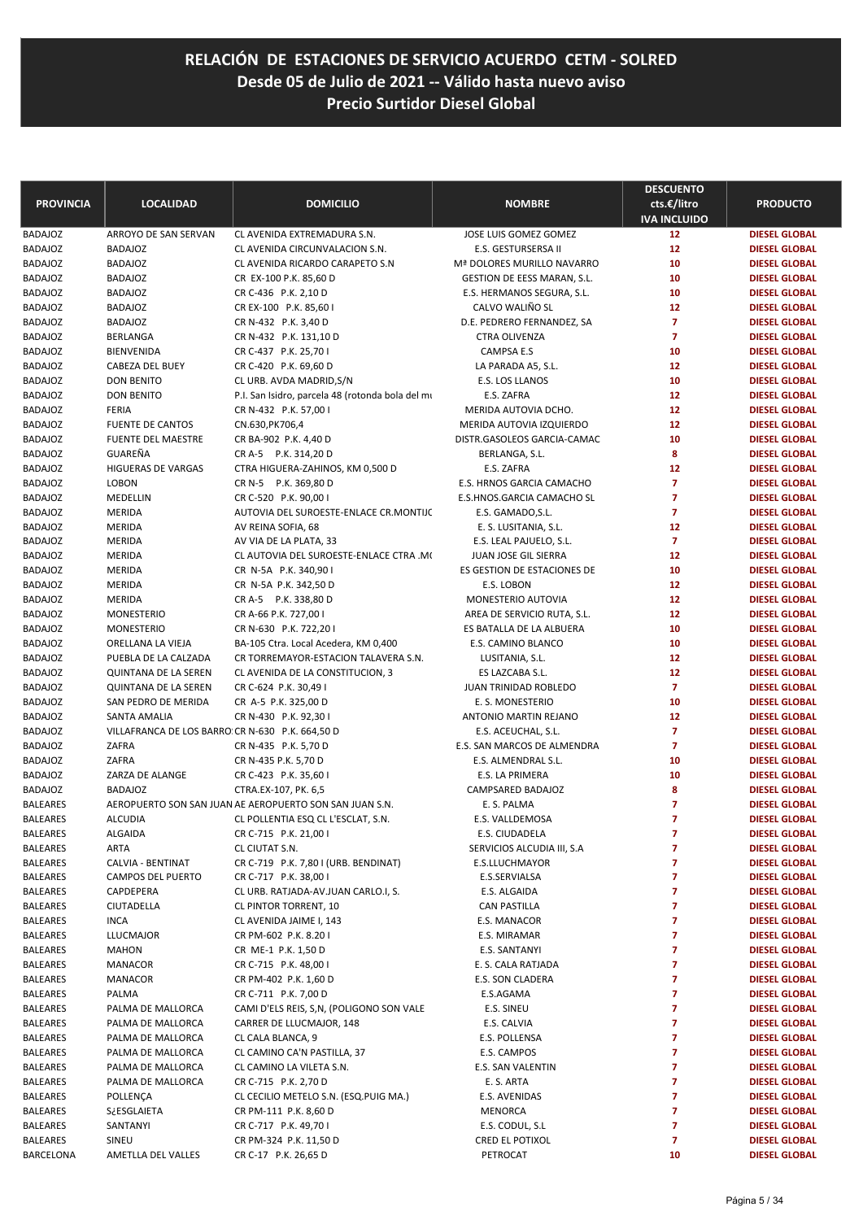| <b>PROVINCIA</b> | <b>LOCALIDAD</b>                                 | <b>DOMICILIO</b>                                        | <b>NOMBRE</b>               | <b>DESCUENTO</b><br>cts.€/litro<br><b>IVA INCLUIDO</b> | <b>PRODUCTO</b>      |
|------------------|--------------------------------------------------|---------------------------------------------------------|-----------------------------|--------------------------------------------------------|----------------------|
| <b>BADAJOZ</b>   | ARROYO DE SAN SERVAN                             | CL AVENIDA EXTREMADURA S.N.                             | JOSE LUIS GOMEZ GOMEZ       | 12                                                     | <b>DIESEL GLOBAL</b> |
| BADAJOZ          | <b>BADAJOZ</b>                                   | CL AVENIDA CIRCUNVALACION S.N.                          | E.S. GESTURSERSA II         | 12                                                     | <b>DIESEL GLOBAL</b> |
| BADAJOZ          | <b>BADAJOZ</b>                                   | CL AVENIDA RICARDO CARAPETO S.N                         | Mª DOLORES MURILLO NAVARRO  | 10                                                     | <b>DIESEL GLOBAL</b> |
| BADAJOZ          | <b>BADAJOZ</b>                                   | CR EX-100 P.K. 85,60 D                                  | GESTION DE EESS MARAN, S.L. | 10                                                     | <b>DIESEL GLOBAL</b> |
| <b>BADAJOZ</b>   | <b>BADAJOZ</b>                                   | CR C-436 P.K. 2,10 D                                    | E.S. HERMANOS SEGURA, S.L.  | 10                                                     | <b>DIESEL GLOBAL</b> |
| BADAJOZ          | <b>BADAJOZ</b>                                   | CR EX-100 P.K. 85,60 I                                  | CALVO WALIÑO SL             | 12                                                     | <b>DIESEL GLOBAL</b> |
| BADAJOZ          | <b>BADAJOZ</b>                                   | CR N-432 P.K. 3,40 D                                    | D.E. PEDRERO FERNANDEZ, SA  | $\overline{7}$                                         | <b>DIESEL GLOBAL</b> |
| BADAJOZ          | BERLANGA                                         | CR N-432 P.K. 131,10 D                                  | CTRA OLIVENZA               | $\overline{7}$                                         | <b>DIESEL GLOBAL</b> |
| BADAJOZ          | <b>BIENVENIDA</b>                                | CR C-437 P.K. 25,70 I                                   | CAMPSA E.S                  | 10                                                     | <b>DIESEL GLOBAL</b> |
| <b>BADAJOZ</b>   | CABEZA DEL BUEY                                  | CR C-420 P.K. 69,60 D                                   | LA PARADA A5, S.L.          | 12                                                     | <b>DIESEL GLOBAL</b> |
| <b>BADAJOZ</b>   | <b>DON BENITO</b>                                | CL URB. AVDA MADRID, S/N                                | E.S. LOS LLANOS             | 10                                                     | <b>DIESEL GLOBAL</b> |
| BADAJOZ          | <b>DON BENITO</b>                                | P.I. San Isidro, parcela 48 (rotonda bola del mi        | E.S. ZAFRA                  | 12                                                     | <b>DIESEL GLOBAL</b> |
| BADAJOZ          | <b>FERIA</b>                                     | CR N-432 P.K. 57,00 I                                   | MERIDA AUTOVIA DCHO.        | 12                                                     | <b>DIESEL GLOBAL</b> |
| BADAJOZ          | <b>FUENTE DE CANTOS</b>                          | CN.630, PK706, 4                                        | MERIDA AUTOVIA IZQUIERDO    | 12                                                     | <b>DIESEL GLOBAL</b> |
| <b>BADAJOZ</b>   | <b>FUENTE DEL MAESTRE</b>                        | CR BA-902 P.K. 4,40 D                                   | DISTR.GASOLEOS GARCIA-CAMAC | 10                                                     | <b>DIESEL GLOBAL</b> |
| BADAJOZ          | GUAREÑA                                          | CR A-5 P.K. 314,20 D                                    | BERLANGA, S.L.              | 8                                                      | <b>DIESEL GLOBAL</b> |
| <b>BADAJOZ</b>   | <b>HIGUERAS DE VARGAS</b>                        | CTRA HIGUERA-ZAHINOS, KM 0,500 D                        | E.S. ZAFRA                  | 12                                                     | <b>DIESEL GLOBAL</b> |
| BADAJOZ          | <b>LOBON</b>                                     | CR N-5 P.K. 369,80 D                                    | E.S. HRNOS GARCIA CAMACHO   | $\overline{7}$                                         | <b>DIESEL GLOBAL</b> |
| <b>BADAJOZ</b>   | MEDELLIN                                         | CR C-520 P.K. 90,00 I                                   | E.S.HNOS.GARCIA CAMACHO SL  | $\overline{7}$                                         | <b>DIESEL GLOBAL</b> |
| <b>BADAJOZ</b>   | <b>MERIDA</b>                                    | AUTOVIA DEL SUROESTE-ENLACE CR.MONTIJC                  | E.S. GAMADO, S.L.           | $\overline{7}$                                         | <b>DIESEL GLOBAL</b> |
| BADAJOZ          | <b>MERIDA</b>                                    | AV REINA SOFIA, 68                                      | E. S. LUSITANIA, S.L.       | 12                                                     | <b>DIESEL GLOBAL</b> |
| BADAJOZ          | <b>MERIDA</b>                                    | AV VIA DE LA PLATA, 33                                  | E.S. LEAL PAJUELO, S.L.     | $\overline{7}$                                         | <b>DIESEL GLOBAL</b> |
| BADAJOZ          | MERIDA                                           | CL AUTOVIA DEL SUROESTE-ENLACE CTRA .MO                 | JUAN JOSE GIL SIERRA        | 12                                                     | <b>DIESEL GLOBAL</b> |
| <b>BADAJOZ</b>   | <b>MERIDA</b>                                    | CR N-5A P.K. 340,90 I                                   | ES GESTION DE ESTACIONES DE | 10                                                     | <b>DIESEL GLOBAL</b> |
| BADAJOZ          | <b>MERIDA</b>                                    | CR N-5A P.K. 342,50 D                                   | E.S. LOBON                  | 12                                                     | <b>DIESEL GLOBAL</b> |
| BADAJOZ          | MERIDA                                           | CR A-5 P.K. 338,80 D                                    | MONESTERIO AUTOVIA          | 12                                                     | <b>DIESEL GLOBAL</b> |
| <b>BADAJOZ</b>   | <b>MONESTERIO</b>                                | CR A-66 P.K. 727,00 I                                   | AREA DE SERVICIO RUTA, S.L. | 12                                                     | <b>DIESEL GLOBAL</b> |
| <b>BADAJOZ</b>   | <b>MONESTERIO</b>                                | CR N-630 P.K. 722,201                                   | ES BATALLA DE LA ALBUERA    | 10                                                     | <b>DIESEL GLOBAL</b> |
| <b>BADAJOZ</b>   | ORELLANA LA VIEJA                                | BA-105 Ctra. Local Acedera, KM 0,400                    | E.S. CAMINO BLANCO          | 10                                                     | <b>DIESEL GLOBAL</b> |
| <b>BADAJOZ</b>   | PUEBLA DE LA CALZADA                             | CR TORREMAYOR-ESTACION TALAVERA S.N.                    | LUSITANIA, S.L.             | 12                                                     | <b>DIESEL GLOBAL</b> |
| BADAJOZ          | <b>QUINTANA DE LA SEREN</b>                      | CL AVENIDA DE LA CONSTITUCION, 3                        | ES LAZCABA S.L.             | 12                                                     | <b>DIESEL GLOBAL</b> |
| BADAJOZ          | <b>QUINTANA DE LA SEREN</b>                      | CR C-624 P.K. 30,49 I                                   | JUAN TRINIDAD ROBLEDO       | $\overline{7}$                                         | <b>DIESEL GLOBAL</b> |
| <b>BADAJOZ</b>   | SAN PEDRO DE MERIDA                              | CR A-5 P.K. 325,00 D                                    | E. S. MONESTERIO            | 10                                                     | <b>DIESEL GLOBAL</b> |
| BADAJOZ          | SANTA AMALIA                                     | CR N-430 P.K. 92,30 I                                   | ANTONIO MARTIN REJANO       | 12                                                     | <b>DIESEL GLOBAL</b> |
| <b>BADAJOZ</b>   | VILLAFRANCA DE LOS BARRO: CR N-630 P.K. 664,50 D |                                                         | E.S. ACEUCHAL, S.L.         | $\overline{7}$                                         | <b>DIESEL GLOBAL</b> |
| BADAJOZ          | ZAFRA                                            | CR N-435 P.K. 5,70 D                                    | E.S. SAN MARCOS DE ALMENDRA | $\overline{7}$                                         | <b>DIESEL GLOBAL</b> |
| BADAJOZ          | ZAFRA                                            | CR N-435 P.K. 5,70 D                                    | E.S. ALMENDRAL S.L.         | 10                                                     | <b>DIESEL GLOBAL</b> |
| BADAJOZ          | ZARZA DE ALANGE                                  | CR C-423 P.K. 35,60 I                                   | E.S. LA PRIMERA             | 10                                                     | <b>DIESEL GLOBAL</b> |
| <b>BADAJOZ</b>   | <b>BADAJOZ</b>                                   | CTRA.EX-107, PK. 6,5                                    | CAMPSARED BADAJOZ           | 8                                                      | <b>DIESEL GLOBAL</b> |
| <b>BALEARES</b>  |                                                  | AEROPUERTO SON SAN JUAN AE AEROPUERTO SON SAN JUAN S.N. | E. S. PALMA                 | $\overline{7}$                                         | <b>DIESEL GLOBAL</b> |
| <b>BALEARES</b>  | <b>ALCUDIA</b>                                   | CL POLLENTIA ESQ CL L'ESCLAT, S.N.                      | E.S. VALLDEMOSA             | $\overline{7}$                                         | <b>DIESEL GLOBAL</b> |
| BALEARES         | ALGAIDA                                          | CR C-715 P.K. 21,00 l                                   | E.S. CIUDADELA              | 7                                                      | <b>DIESEL GLOBAL</b> |
| <b>BALEARES</b>  | ARTA                                             | CL CIUTAT S.N.                                          | SERVICIOS ALCUDIA III, S.A  | 7                                                      | <b>DIESEL GLOBAL</b> |
| <b>BALEARES</b>  | CALVIA - BENTINAT                                | CR C-719 P.K. 7,80 I (URB. BENDINAT)                    | E.S.LLUCHMAYOR              | 7                                                      | <b>DIESEL GLOBAL</b> |
| BALEARES         | CAMPOS DEL PUERTO                                | CR C-717 P.K. 38,00 I                                   | E.S.SERVIALSA               | 7                                                      | <b>DIESEL GLOBAL</b> |
| BALEARES         | CAPDEPERA                                        | CL URB. RATJADA-AV.JUAN CARLO.I, S.                     | E.S. ALGAIDA                | 7                                                      | <b>DIESEL GLOBAL</b> |
| BALEARES         | CIUTADELLA                                       | CL PINTOR TORRENT, 10                                   | <b>CAN PASTILLA</b>         | 7                                                      | <b>DIESEL GLOBAL</b> |
| BALEARES         | <b>INCA</b>                                      | CL AVENIDA JAIME I, 143                                 | E.S. MANACOR                | 7                                                      | <b>DIESEL GLOBAL</b> |
| BALEARES         | <b>LLUCMAJOR</b>                                 | CR PM-602 P.K. 8.201                                    | E.S. MIRAMAR                | 7                                                      | <b>DIESEL GLOBAL</b> |
| BALEARES         | <b>MAHON</b>                                     | CR ME-1 P.K. 1,50 D                                     | E.S. SANTANYI               | 7                                                      | <b>DIESEL GLOBAL</b> |
| BALEARES         | <b>MANACOR</b>                                   | CR C-715 P.K. 48,00 I                                   | E. S. CALA RATJADA          | 7                                                      | <b>DIESEL GLOBAL</b> |
| BALEARES         | <b>MANACOR</b>                                   | CR PM-402 P.K. 1,60 D                                   | E.S. SON CLADERA            | 7                                                      | <b>DIESEL GLOBAL</b> |
| BALEARES         | PALMA                                            | CR C-711 P.K. 7,00 D                                    | E.S.AGAMA                   | 7                                                      | <b>DIESEL GLOBAL</b> |
| BALEARES         | PALMA DE MALLORCA                                | CAMI D'ELS REIS, S,N, (POLIGONO SON VALE                | E.S. SINEU                  | 7                                                      | <b>DIESEL GLOBAL</b> |
| BALEARES         | PALMA DE MALLORCA                                | CARRER DE LLUCMAJOR, 148                                | E.S. CALVIA                 | 7                                                      | <b>DIESEL GLOBAL</b> |
| BALEARES         | PALMA DE MALLORCA                                | CL CALA BLANCA, 9                                       | E.S. POLLENSA               | 7                                                      | <b>DIESEL GLOBAL</b> |
| BALEARES         | PALMA DE MALLORCA                                | CL CAMINO CA'N PASTILLA, 37                             | E.S. CAMPOS                 | 7                                                      | <b>DIESEL GLOBAL</b> |
| BALEARES         | PALMA DE MALLORCA                                | CL CAMINO LA VILETA S.N.                                | E.S. SAN VALENTIN           | 7                                                      | <b>DIESEL GLOBAL</b> |
| BALEARES         | PALMA DE MALLORCA                                | CR C-715 P.K. 2,70 D                                    | E. S. ARTA                  | 7                                                      | <b>DIESEL GLOBAL</b> |
| BALEARES         | POLLENÇA                                         | CL CECILIO METELO S.N. (ESQ.PUIG MA.)                   | E.S. AVENIDAS               | 7                                                      | <b>DIESEL GLOBAL</b> |
| BALEARES         | S¿ESGLAIETA                                      | CR PM-111 P.K. 8,60 D                                   | MENORCA                     | 7                                                      | <b>DIESEL GLOBAL</b> |
| BALEARES         | SANTANYI                                         | CR C-717 P.K. 49,701                                    | E.S. CODUL, S.L             | 7                                                      | <b>DIESEL GLOBAL</b> |
| BALEARES         | SINEU                                            | CR PM-324 P.K. 11,50 D                                  | CRED EL POTIXOL             | 7                                                      | <b>DIESEL GLOBAL</b> |
| BARCELONA        | AMETLLA DEL VALLES                               | CR C-17 P.K. 26,65 D                                    | PETROCAT                    | 10                                                     | <b>DIESEL GLOBAL</b> |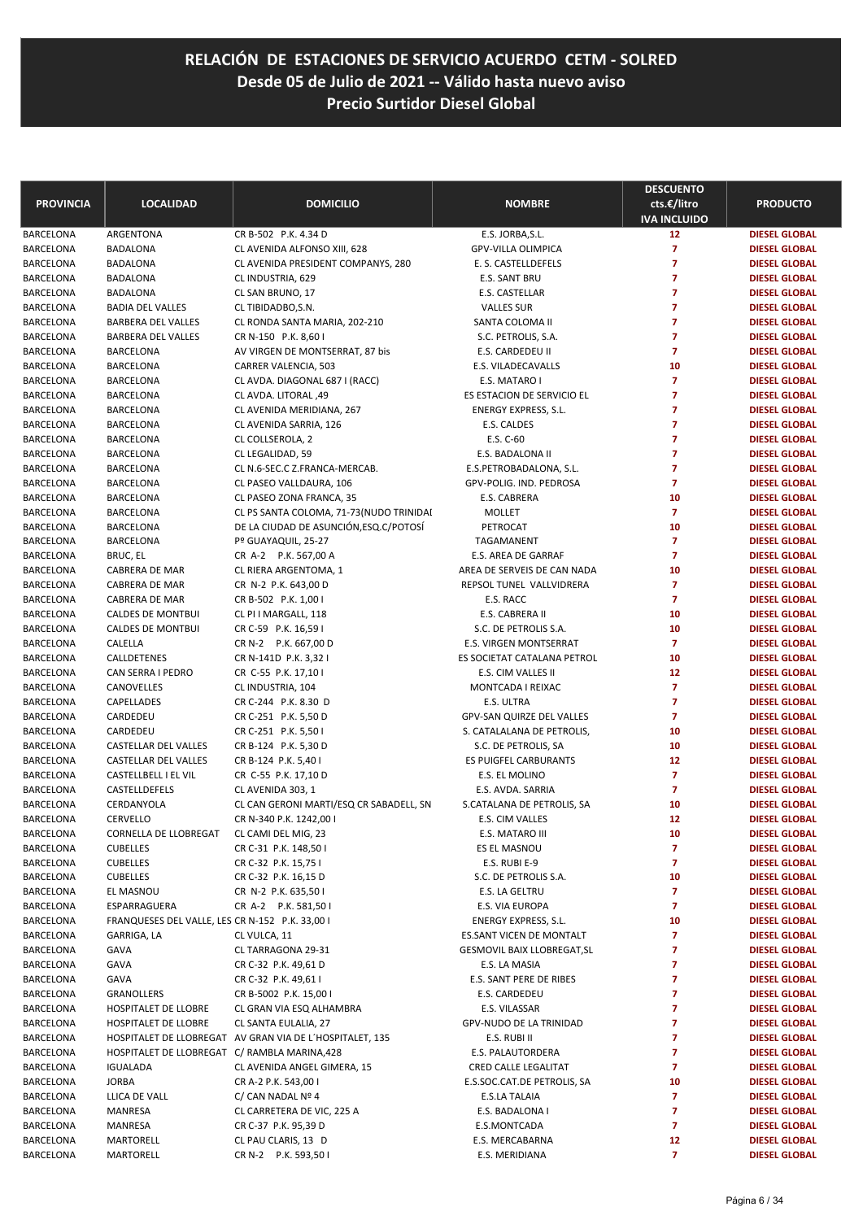| <b>PROVINCIA</b>       | <b>LOCALIDAD</b>                                | <b>DOMICILIO</b>                                         | <b>NOMBRE</b>                                | <b>DESCUENTO</b><br>cts.€/litro<br><b>IVA INCLUIDO</b> | <b>PRODUCTO</b>                              |
|------------------------|-------------------------------------------------|----------------------------------------------------------|----------------------------------------------|--------------------------------------------------------|----------------------------------------------|
| BARCELONA              | ARGENTONA                                       | CR B-502 P.K. 4.34 D                                     | E.S. JORBA, S.L.                             | 12                                                     | <b>DIESEL GLOBAL</b>                         |
| BARCELONA              | <b>BADALONA</b>                                 | CL AVENIDA ALFONSO XIII, 628                             | <b>GPV-VILLA OLIMPICA</b>                    | 7                                                      | <b>DIESEL GLOBAL</b>                         |
| BARCELONA              | <b>BADALONA</b>                                 | CL AVENIDA PRESIDENT COMPANYS, 280                       | E. S. CASTELLDEFELS                          | $\overline{7}$                                         | <b>DIESEL GLOBAL</b>                         |
| BARCELONA              | <b>BADALONA</b>                                 | CL INDUSTRIA, 629                                        | E.S. SANT BRU                                | $\overline{7}$                                         | <b>DIESEL GLOBAL</b>                         |
| BARCELONA              | <b>BADALONA</b>                                 | CL SAN BRUNO, 17                                         | E.S. CASTELLAR                               | 7                                                      | <b>DIESEL GLOBAL</b>                         |
| BARCELONA              | <b>BADIA DEL VALLES</b>                         | CL TIBIDADBO, S.N.                                       | <b>VALLES SUR</b>                            | 7                                                      | <b>DIESEL GLOBAL</b>                         |
| BARCELONA              | BARBERA DEL VALLES                              | CL RONDA SANTA MARIA, 202-210                            | SANTA COLOMA II                              | $\overline{7}$                                         | <b>DIESEL GLOBAL</b>                         |
| BARCELONA              | BARBERA DEL VALLES                              | CR N-150 P.K. 8,60 I                                     | S.C. PETROLIS, S.A.                          | $\overline{7}$                                         | <b>DIESEL GLOBAL</b>                         |
| BARCELONA              | <b>BARCELONA</b>                                | AV VIRGEN DE MONTSERRAT, 87 bis                          | E.S. CARDEDEU II                             | $\overline{7}$                                         | <b>DIESEL GLOBAL</b>                         |
| BARCELONA              | <b>BARCELONA</b>                                | CARRER VALENCIA, 503                                     | E.S. VILADECAVALLS                           | 10                                                     | <b>DIESEL GLOBAL</b>                         |
| BARCELONA              | <b>BARCELONA</b>                                | CL AVDA. DIAGONAL 687 I (RACC)                           | E.S. MATARO I                                | $\overline{7}$                                         | <b>DIESEL GLOBAL</b>                         |
| BARCELONA              | <b>BARCELONA</b>                                | CL AVDA. LITORAL ,49                                     | ES ESTACION DE SERVICIO EL                   | $\overline{7}$                                         | <b>DIESEL GLOBAL</b>                         |
| BARCELONA              | <b>BARCELONA</b>                                | CL AVENIDA MERIDIANA, 267                                | ENERGY EXPRESS, S.L.                         | $\overline{7}$                                         | <b>DIESEL GLOBAL</b>                         |
| BARCELONA              | <b>BARCELONA</b>                                | CL AVENIDA SARRIA, 126                                   | E.S. CALDES                                  | $\overline{7}$                                         | <b>DIESEL GLOBAL</b>                         |
| BARCELONA              | <b>BARCELONA</b>                                | CL COLLSEROLA, 2                                         | E.S. C-60                                    | $\overline{7}$<br>$\overline{7}$                       | <b>DIESEL GLOBAL</b>                         |
| BARCELONA              | <b>BARCELONA</b>                                | CL LEGALIDAD, 59                                         | E.S. BADALONA II<br>E.S.PETROBADALONA, S.L.  | 7                                                      | <b>DIESEL GLOBAL</b>                         |
| BARCELONA<br>BARCELONA | <b>BARCELONA</b><br><b>BARCELONA</b>            | CL N.6-SEC.C Z.FRANCA-MERCAB.<br>CL PASEO VALLDAURA, 106 | GPV-POLIG. IND. PEDROSA                      | 7                                                      | <b>DIESEL GLOBAL</b><br><b>DIESEL GLOBAL</b> |
| BARCELONA              | <b>BARCELONA</b>                                | CL PASEO ZONA FRANCA, 35                                 | E.S. CABRERA                                 | 10                                                     | <b>DIESEL GLOBAL</b>                         |
| BARCELONA              | <b>BARCELONA</b>                                | CL PS SANTA COLOMA, 71-73 (NUDO TRINIDAI                 | MOLLET                                       | $\overline{7}$                                         | <b>DIESEL GLOBAL</b>                         |
| BARCELONA              | <b>BARCELONA</b>                                | DE LA CIUDAD DE ASUNCIÓN, ESQ. C/POTOSÍ                  | PETROCAT                                     | 10                                                     | <b>DIESEL GLOBAL</b>                         |
| BARCELONA              | <b>BARCELONA</b>                                | Pº GUAYAQUIL, 25-27                                      | TAGAMANENT                                   | $\overline{7}$                                         | <b>DIESEL GLOBAL</b>                         |
| BARCELONA              | BRUC, EL                                        | CR A-2 P.K. 567,00 A                                     | E.S. AREA DE GARRAF                          | $\overline{7}$                                         | <b>DIESEL GLOBAL</b>                         |
| BARCELONA              | CABRERA DE MAR                                  | CL RIERA ARGENTOMA, 1                                    | AREA DE SERVEIS DE CAN NADA                  | 10                                                     | <b>DIESEL GLOBAL</b>                         |
| BARCELONA              | <b>CABRERA DE MAR</b>                           | CR N-2 P.K. 643,00 D                                     | REPSOL TUNEL VALLVIDRERA                     | $\overline{7}$                                         | <b>DIESEL GLOBAL</b>                         |
| BARCELONA              | CABRERA DE MAR                                  | CR B-502 P.K. 1,00 I                                     | E.S. RACC                                    | $\overline{7}$                                         | <b>DIESEL GLOBAL</b>                         |
| BARCELONA              | <b>CALDES DE MONTBUI</b>                        | CL PI I MARGALL, 118                                     | E.S. CABRERA II                              | 10                                                     | <b>DIESEL GLOBAL</b>                         |
| BARCELONA              | <b>CALDES DE MONTBUI</b>                        | CR C-59 P.K. 16,59 I                                     | S.C. DE PETROLIS S.A.                        | 10                                                     | <b>DIESEL GLOBAL</b>                         |
| BARCELONA              | CALELLA                                         | CR N-2 P.K. 667,00 D                                     | <b>E.S. VIRGEN MONTSERRAT</b>                | $\overline{7}$                                         | <b>DIESEL GLOBAL</b>                         |
| BARCELONA              | CALLDETENES                                     | CR N-141D P.K. 3,32 I                                    | ES SOCIETAT CATALANA PETROL                  | 10                                                     | <b>DIESEL GLOBAL</b>                         |
| BARCELONA              | CAN SERRA I PEDRO                               | CR C-55 P.K. 17,10 I                                     | E.S. CIM VALLES II                           | 12                                                     | <b>DIESEL GLOBAL</b>                         |
| BARCELONA              | CANOVELLES                                      | CL INDUSTRIA, 104                                        | MONTCADA I REIXAC                            | 7                                                      | <b>DIESEL GLOBAL</b>                         |
| BARCELONA              | CAPELLADES                                      | CR C-244 P.K. 8.30 D                                     | E.S. ULTRA                                   | $\overline{7}$                                         | <b>DIESEL GLOBAL</b>                         |
| BARCELONA              | CARDEDEU                                        | CR C-251 P.K. 5,50 D                                     | GPV-SAN QUIRZE DEL VALLES                    | $\overline{7}$                                         | <b>DIESEL GLOBAL</b>                         |
| BARCELONA              | CARDEDEU                                        | CR C-251 P.K. 5,50 I                                     | S. CATALALANA DE PETROLIS,                   | 10                                                     | <b>DIESEL GLOBAL</b>                         |
| BARCELONA              | CASTELLAR DEL VALLES<br>CASTELLAR DEL VALLES    | CR B-124 P.K. 5,30 D                                     | S.C. DE PETROLIS, SA                         | 10<br>12                                               | <b>DIESEL GLOBAL</b>                         |
| BARCELONA<br>BARCELONA | CASTELLBELL I EL VIL                            | CR B-124 P.K. 5,40 I                                     | ES PUIGFEL CARBURANTS                        | $\overline{7}$                                         | <b>DIESEL GLOBAL</b><br><b>DIESEL GLOBAL</b> |
| BARCELONA              | CASTELLDEFELS                                   | CR C-55 P.K. 17,10 D<br>CL AVENIDA 303, 1                | E.S. EL MOLINO<br>E.S. AVDA. SARRIA          | 7                                                      | <b>DIESEL GLOBAL</b>                         |
| BARCELONA              | CERDANYOLA                                      | CL CAN GERONI MARTI/ESQ CR SABADELL, SN                  | S.CATALANA DE PETROLIS, SA                   | 10                                                     | <b>DIESEL GLOBAL</b>                         |
| BARCELONA              | CERVELLO                                        | CR N-340 P.K. 1242,00 I                                  | E.S. CIM VALLES                              | 12                                                     | <b>DIESEL GLOBAL</b>                         |
| BARCELONA              | CORNELLA DE LLOBREGAT                           | CL CAMI DEL MIG, 23                                      | E.S. MATARO III                              | 10                                                     | <b>DIESEL GLOBAL</b>                         |
| BARCELONA              | <b>CUBELLES</b>                                 | CR C-31 P.K. 148,50 I                                    | ES EL MASNOU                                 | 7                                                      | <b>DIESEL GLOBAL</b>                         |
| BARCELONA              | <b>CUBELLES</b>                                 | CR C-32 P.K. 15,75 I                                     | E.S. RUBI E-9                                | 7                                                      | <b>DIESEL GLOBAL</b>                         |
| BARCELONA              | <b>CUBELLES</b>                                 | CR C-32 P.K. 16,15 D                                     | S.C. DE PETROLIS S.A.                        | 10                                                     | <b>DIESEL GLOBAL</b>                         |
| BARCELONA              | EL MASNOU                                       | CR N-2 P.K. 635,50 I                                     | E.S. LA GELTRU                               | 7                                                      | <b>DIESEL GLOBAL</b>                         |
| BARCELONA              | ESPARRAGUERA                                    | CR A-2 P.K. 581,50 I                                     | E.S. VIA EUROPA                              | 7                                                      | <b>DIESEL GLOBAL</b>                         |
| BARCELONA              | FRANQUESES DEL VALLE, LES CR N-152 P.K. 33,00 I |                                                          | ENERGY EXPRESS, S.L.                         | 10                                                     | <b>DIESEL GLOBAL</b>                         |
| BARCELONA              | GARRIGA, LA                                     | CL VULCA, 11                                             | ES.SANT VICEN DE MONTALT                     | 7                                                      | <b>DIESEL GLOBAL</b>                         |
| BARCELONA              | GAVA                                            | CL TARRAGONA 29-31                                       | GESMOVIL BAIX LLOBREGAT, SL                  | 7                                                      | <b>DIESEL GLOBAL</b>                         |
| BARCELONA              | GAVA                                            | CR C-32 P.K. 49,61 D                                     | E.S. LA MASIA                                | 7                                                      | <b>DIESEL GLOBAL</b>                         |
| BARCELONA              | GAVA                                            | CR C-32 P.K. 49,61 I                                     | E.S. SANT PERE DE RIBES                      | 7                                                      | <b>DIESEL GLOBAL</b>                         |
| BARCELONA              | GRANOLLERS                                      | CR B-5002 P.K. 15,00 I                                   | E.S. CARDEDEU                                | 7                                                      | <b>DIESEL GLOBAL</b>                         |
| BARCELONA              | HOSPITALET DE LLOBRE                            | CL GRAN VIA ESQ ALHAMBRA                                 | E.S. VILASSAR                                | 7                                                      | <b>DIESEL GLOBAL</b>                         |
| BARCELONA              | HOSPITALET DE LLOBRE                            | CL SANTA EULALIA, 27                                     | GPV-NUDO DE LA TRINIDAD                      | 7                                                      | <b>DIESEL GLOBAL</b>                         |
| BARCELONA              |                                                 | HOSPITALET DE LLOBREGAT AV GRAN VIA DE L'HOSPITALET, 135 | E.S. RUBI II                                 | 7                                                      | <b>DIESEL GLOBAL</b>                         |
| BARCELONA              | HOSPITALET DE LLOBREGAT C/ RAMBLA MARINA,428    |                                                          | E.S. PALAUTORDERA                            | 7                                                      | <b>DIESEL GLOBAL</b>                         |
| BARCELONA              | <b>IGUALADA</b><br><b>JORBA</b>                 | CL AVENIDA ANGEL GIMERA, 15                              | CRED CALLE LEGALITAT                         | 7                                                      | <b>DIESEL GLOBAL</b>                         |
| BARCELONA<br>BARCELONA | LLICA DE VALL                                   | CR A-2 P.K. 543,00 I<br>C/CAN NADAL N <sup>o</sup> 4     | E.S.SOC.CAT.DE PETROLIS, SA<br>E.S.LA TALAIA | 10<br>7                                                | <b>DIESEL GLOBAL</b><br><b>DIESEL GLOBAL</b> |
| BARCELONA              | MANRESA                                         | CL CARRETERA DE VIC, 225 A                               | E.S. BADALONA I                              | 7                                                      | <b>DIESEL GLOBAL</b>                         |
| BARCELONA              | MANRESA                                         | CR C-37 P.K. 95,39 D                                     | E.S.MONTCADA                                 | 7                                                      | <b>DIESEL GLOBAL</b>                         |
| BARCELONA              | MARTORELL                                       | CL PAU CLARIS, 13 D                                      | E.S. MERCABARNA                              | 12                                                     | <b>DIESEL GLOBAL</b>                         |
| BARCELONA              | MARTORELL                                       | CR N-2 P.K. 593,50 I                                     | E.S. MERIDIANA                               | 7                                                      | <b>DIESEL GLOBAL</b>                         |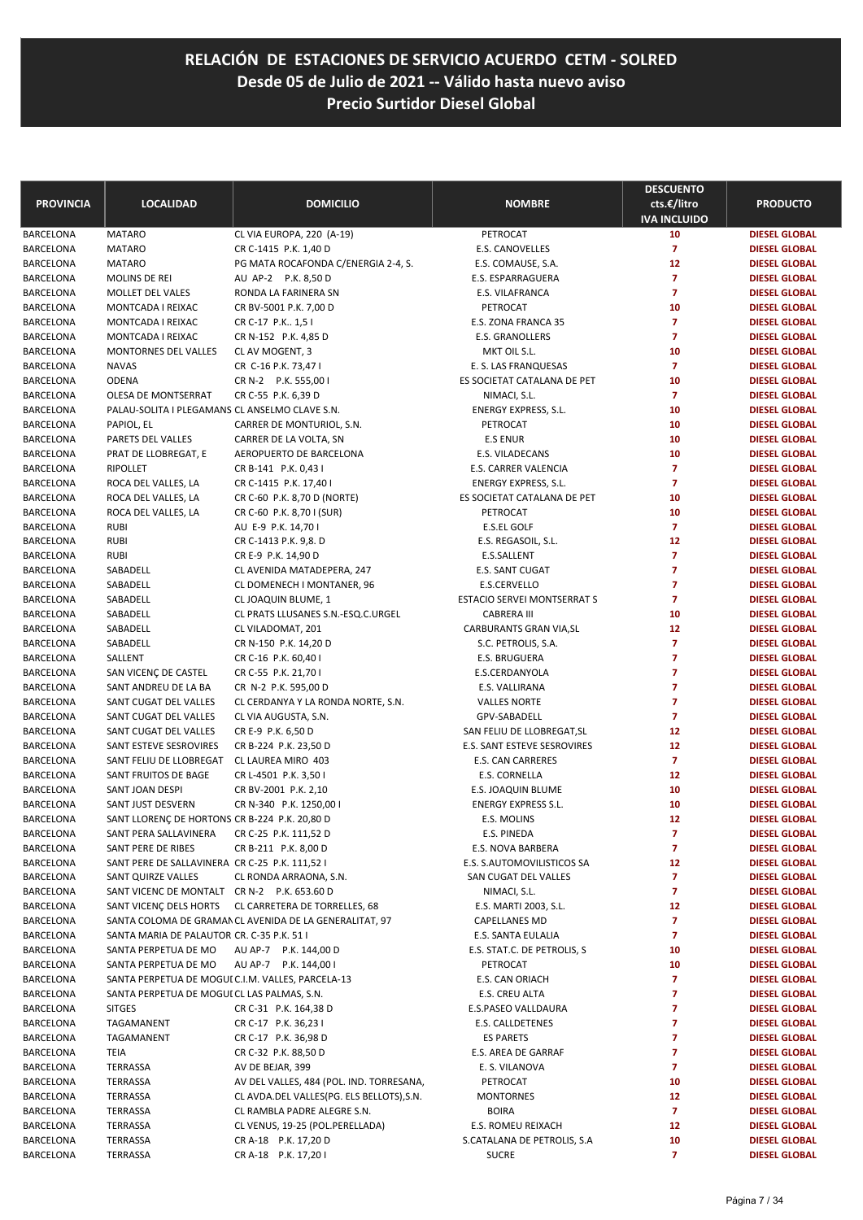| <b>PROVINCIA</b>              | <b>LOCALIDAD</b>                                  | <b>DOMICILIO</b>                                           | <b>NOMBRE</b>                           | <b>DESCUENTO</b><br>cts.€/litro | <b>PRODUCTO</b>                              |
|-------------------------------|---------------------------------------------------|------------------------------------------------------------|-----------------------------------------|---------------------------------|----------------------------------------------|
|                               |                                                   |                                                            |                                         | <b>IVA INCLUIDO</b>             |                                              |
| BARCELONA                     | <b>MATARO</b>                                     | CL VIA EUROPA, 220 (A-19)                                  | PETROCAT                                | 10                              | <b>DIESEL GLOBAL</b>                         |
| BARCELONA                     | <b>MATARO</b>                                     | CR C-1415 P.K. 1,40 D                                      | E.S. CANOVELLES                         | $\overline{7}$<br>12            | <b>DIESEL GLOBAL</b>                         |
| BARCELONA<br>BARCELONA        | <b>MATARO</b><br>MOLINS DE REI                    | PG MATA ROCAFONDA C/ENERGIA 2-4, S.<br>AU AP-2 P.K. 8,50 D | E.S. COMAUSE, S.A.<br>E.S. ESPARRAGUERA | 7                               | <b>DIESEL GLOBAL</b><br><b>DIESEL GLOBAL</b> |
| BARCELONA                     | MOLLET DEL VALES                                  | RONDA LA FARINERA SN                                       | E.S. VILAFRANCA                         | $\overline{7}$                  | <b>DIESEL GLOBAL</b>                         |
| BARCELONA                     | MONTCADA I REIXAC                                 | CR BV-5001 P.K. 7,00 D                                     | PETROCAT                                | 10                              | <b>DIESEL GLOBAL</b>                         |
| <b>BARCELONA</b>              | MONTCADA I REIXAC                                 | CR C-17 P.K., 1,5 I                                        | E.S. ZONA FRANCA 35                     | $\overline{7}$                  | <b>DIESEL GLOBAL</b>                         |
| BARCELONA                     | MONTCADA I REIXAC                                 | CR N-152 P.K. 4,85 D                                       | E.S. GRANOLLERS                         | $\overline{7}$                  | <b>DIESEL GLOBAL</b>                         |
| BARCELONA                     | MONTORNES DEL VALLES                              | CL AV MOGENT, 3                                            | MKT OIL S.L.                            | 10                              | <b>DIESEL GLOBAL</b>                         |
| BARCELONA                     | <b>NAVAS</b>                                      | CR C-16 P.K. 73,47 I                                       | E. S. LAS FRANQUESAS                    | $\overline{7}$                  | <b>DIESEL GLOBAL</b>                         |
| BARCELONA                     | <b>ODENA</b>                                      | CR N-2 P.K. 555,00 I                                       | ES SOCIETAT CATALANA DE PET             | 10                              | <b>DIESEL GLOBAL</b>                         |
| BARCELONA                     | OLESA DE MONTSERRAT                               | CR C-55 P.K. 6,39 D                                        | NIMACI, S.L.                            | $\overline{7}$                  | <b>DIESEL GLOBAL</b>                         |
| BARCELONA                     | PALAU-SOLITA I PLEGAMANS CL ANSELMO CLAVE S.N.    |                                                            | ENERGY EXPRESS, S.L.                    | 10                              | <b>DIESEL GLOBAL</b>                         |
| BARCELONA                     | PAPIOL, EL                                        | CARRER DE MONTURIOL, S.N.                                  | PETROCAT                                | 10                              | <b>DIESEL GLOBAL</b>                         |
| BARCELONA                     | PARETS DEL VALLES                                 | CARRER DE LA VOLTA, SN                                     | <b>E.S ENUR</b>                         | 10                              | <b>DIESEL GLOBAL</b>                         |
| BARCELONA                     | PRAT DE LLOBREGAT, E                              | AEROPUERTO DE BARCELONA                                    | E.S. VILADECANS                         | 10                              | <b>DIESEL GLOBAL</b>                         |
| <b>BARCELONA</b>              | <b>RIPOLLET</b>                                   | CR B-141 P.K. 0,43 I                                       | E.S. CARRER VALENCIA                    | $\overline{7}$                  | <b>DIESEL GLOBAL</b>                         |
| BARCELONA                     | ROCA DEL VALLES, LA                               | CR C-1415 P.K. 17,40 I                                     | <b>ENERGY EXPRESS, S.L.</b>             | $\overline{7}$                  | <b>DIESEL GLOBAL</b>                         |
| BARCELONA                     | ROCA DEL VALLES, LA                               | CR C-60 P.K. 8,70 D (NORTE)                                | ES SOCIETAT CATALANA DE PET             | 10                              | <b>DIESEL GLOBAL</b>                         |
| BARCELONA                     | ROCA DEL VALLES, LA                               | CR C-60 P.K. 8,70 I (SUR)                                  | PETROCAT                                | 10                              | <b>DIESEL GLOBAL</b>                         |
| BARCELONA                     | <b>RUBI</b>                                       | AU E-9 P.K. 14,70 I                                        | E.S.EL GOLF                             | $\overline{7}$                  | <b>DIESEL GLOBAL</b>                         |
| BARCELONA                     | <b>RUBI</b>                                       | CR C-1413 P.K. 9,8. D                                      | E.S. REGASOIL, S.L.                     | 12                              | <b>DIESEL GLOBAL</b>                         |
| BARCELONA                     | <b>RUBI</b>                                       | CR E-9 P.K. 14,90 D                                        | E.S.SALLENT                             | 7                               | <b>DIESEL GLOBAL</b>                         |
| BARCELONA                     | SABADELL                                          | CL AVENIDA MATADEPERA, 247                                 | E.S. SANT CUGAT                         | 7                               | <b>DIESEL GLOBAL</b>                         |
| BARCELONA                     | SABADELL                                          | CL DOMENECH I MONTANER, 96                                 | E.S.CERVELLO                            | 7                               | <b>DIESEL GLOBAL</b>                         |
| BARCELONA                     | SABADELL                                          | CL JOAQUIN BLUME, 1                                        | ESTACIO SERVEI MONTSERRAT S             | $\overline{7}$                  | <b>DIESEL GLOBAL</b>                         |
| BARCELONA                     | SABADELL                                          | CL PRATS LLUSANES S.N.-ESQ.C.URGEL                         | <b>CABRERA III</b>                      | 10                              | <b>DIESEL GLOBAL</b>                         |
| <b>BARCELONA</b>              | SABADELL                                          | CL VILADOMAT, 201                                          | CARBURANTS GRAN VIA, SL                 | 12<br>$\overline{7}$            | <b>DIESEL GLOBAL</b>                         |
| BARCELONA                     | SABADELL                                          | CR N-150 P.K. 14,20 D                                      | S.C. PETROLIS, S.A.                     | 7                               | <b>DIESEL GLOBAL</b>                         |
| BARCELONA<br>BARCELONA        | SALLENT<br>SAN VICENÇ DE CASTEL                   | CR C-16 P.K. 60,40 I<br>CR C-55 P.K. 21,70 I               | E.S. BRUGUERA<br>E.S.CERDANYOLA         | 7                               | <b>DIESEL GLOBAL</b><br><b>DIESEL GLOBAL</b> |
| BARCELONA                     | SANT ANDREU DE LA BA                              | CR N-2 P.K. 595,00 D                                       | E.S. VALLIRANA                          | $\overline{7}$                  | <b>DIESEL GLOBAL</b>                         |
| BARCELONA                     | SANT CUGAT DEL VALLES                             | CL CERDANYA Y LA RONDA NORTE, S.N.                         | <b>VALLES NORTE</b>                     | $\overline{7}$                  | <b>DIESEL GLOBAL</b>                         |
| BARCELONA                     | SANT CUGAT DEL VALLES                             | CL VIA AUGUSTA, S.N.                                       | GPV-SABADELL                            | 7                               | <b>DIESEL GLOBAL</b>                         |
| BARCELONA                     | SANT CUGAT DEL VALLES                             | CR E-9 P.K. 6,50 D                                         | SAN FELIU DE LLOBREGAT, SL              | 12                              | <b>DIESEL GLOBAL</b>                         |
| <b>BARCELONA</b>              | SANT ESTEVE SESROVIRES                            | CR B-224 P.K. 23,50 D                                      | E.S. SANT ESTEVE SESROVIRES             | 12                              | <b>DIESEL GLOBAL</b>                         |
| BARCELONA                     | SANT FELIU DE LLOBREGAT                           | CL LAUREA MIRO 403                                         | E.S. CAN CARRERES                       | $\overline{7}$                  | <b>DIESEL GLOBAL</b>                         |
| BARCELONA                     | SANT FRUITOS DE BAGE                              | CR L-4501 P.K. 3,50 I                                      | E.S. CORNELLA                           | 12                              | <b>DIESEL GLOBAL</b>                         |
| BARCELONA                     | SANT JOAN DESPI                                   | CR BV-2001 P.K. 2,10                                       | E.S. JOAQUIN BLUME                      | 10                              | <b>DIESEL GLOBAL</b>                         |
| <b>BARCELONA</b>              | SANT JUST DESVERN                                 | CR N-340 P.K. 1250,00 I                                    | <b>ENERGY EXPRESS S.L.</b>              | 10                              | <b>DIESEL GLOBAL</b>                         |
| <b>BARCELONA</b>              | SANT LLORENÇ DE HORTONS CR B-224 P.K. 20,80 D     |                                                            | E.S. MOLINS                             | 12                              | <b>DIESEL GLOBAL</b>                         |
| BARCELONA                     | SANT PERA SALLAVINERA                             | CR C-25 P.K. 111,52 D                                      | E.S. PINEDA                             | 7                               | <b>DIESEL GLOBAL</b>                         |
| BARCELONA                     | SANT PERE DE RIBES                                | CR B-211 P.K. 8,00 D                                       | E.S. NOVA BARBERA                       | $\overline{7}$                  | <b>DIESEL GLOBAL</b>                         |
| BARCELONA                     | SANT PERE DE SALLAVINERA CR C-25 P.K. 111,52 I    |                                                            | E.S. S.AUTOMOVILISTICOS SA              | 12                              | <b>DIESEL GLOBAL</b>                         |
| BARCELONA                     | SANT QUIRZE VALLES                                | CL RONDA ARRAONA, S.N.                                     | SAN CUGAT DEL VALLES                    | 7                               | <b>DIESEL GLOBAL</b>                         |
| BARCELONA                     | SANT VICENC DE MONTALT CR N-2 P.K. 653.60 D       |                                                            | NIMACI, S.L.                            | $\overline{ }$                  | <b>DIESEL GLOBAL</b>                         |
| BARCELONA                     |                                                   | SANT VICENÇ DELS HORTS CL CARRETERA DE TORRELLES, 68       | E.S. MARTI 2003, S.L.                   | 12                              | <b>DIESEL GLOBAL</b>                         |
| BARCELONA                     |                                                   | SANTA COLOMA DE GRAMAN CL AVENIDA DE LA GENERALITAT, 97    | CAPELLANES MD                           | 7                               | <b>DIESEL GLOBAL</b>                         |
| BARCELONA                     | SANTA MARIA DE PALAUTOR CR. C-35 P.K. 51 I        |                                                            | E.S. SANTA EULALIA                      | $\overline{ }$                  | <b>DIESEL GLOBAL</b>                         |
| BARCELONA                     | SANTA PERPETUA DE MO                              | AU AP-7 P.K. 144,00 D                                      | E.S. STAT.C. DE PETROLIS, S             | 10                              | <b>DIESEL GLOBAL</b>                         |
| BARCELONA                     | SANTA PERPETUA DE MO                              | AU AP-7 P.K. 144,00 I                                      | PETROCAT                                | 10                              | <b>DIESEL GLOBAL</b>                         |
| BARCELONA                     | SANTA PERPETUA DE MOGUI C.I.M. VALLES, PARCELA-13 |                                                            | E.S. CAN ORIACH                         | 7<br>7                          | <b>DIESEL GLOBAL</b>                         |
| BARCELONA<br><b>BARCELONA</b> | SANTA PERPETUA DE MOGUI CL LAS PALMAS, S.N.       |                                                            | E.S. CREU ALTA                          | 7                               | <b>DIESEL GLOBAL</b>                         |
| BARCELONA                     | <b>SITGES</b><br>TAGAMANENT                       | CR C-31 P.K. 164,38 D<br>CR C-17 P.K. 36,23 I              | E.S.PASEO VALLDAURA<br>E.S. CALLDETENES | 7                               | <b>DIESEL GLOBAL</b><br><b>DIESEL GLOBAL</b> |
| BARCELONA                     | TAGAMANENT                                        | CR C-17 P.K. 36,98 D                                       | <b>ES PARETS</b>                        | 7                               | <b>DIESEL GLOBAL</b>                         |
| BARCELONA                     | TEIA                                              | CR C-32 P.K. 88,50 D                                       | E.S. AREA DE GARRAF                     | 7                               | <b>DIESEL GLOBAL</b>                         |
| BARCELONA                     | TERRASSA                                          | AV DE BEJAR, 399                                           | E. S. VILANOVA                          | 7                               | <b>DIESEL GLOBAL</b>                         |
| BARCELONA                     | TERRASSA                                          | AV DEL VALLES, 484 (POL. IND. TORRESANA,                   | PETROCAT                                | 10                              | <b>DIESEL GLOBAL</b>                         |
| BARCELONA                     | TERRASSA                                          | CL AVDA.DEL VALLES(PG. ELS BELLOTS), S.N.                  | <b>MONTORNES</b>                        | 12                              | <b>DIESEL GLOBAL</b>                         |
| BARCELONA                     | TERRASSA                                          | CL RAMBLA PADRE ALEGRE S.N.                                | <b>BOIRA</b>                            | $\overline{7}$                  | <b>DIESEL GLOBAL</b>                         |
| BARCELONA                     | TERRASSA                                          | CL VENUS, 19-25 (POL.PERELLADA)                            | E.S. ROMEU REIXACH                      | 12                              | <b>DIESEL GLOBAL</b>                         |
| BARCELONA                     | TERRASSA                                          | CR A-18 P.K. 17,20 D                                       | S.CATALANA DE PETROLIS, S.A             | 10                              | <b>DIESEL GLOBAL</b>                         |
| BARCELONA                     | TERRASSA                                          | CR A-18 P.K. 17,201                                        | <b>SUCRE</b>                            | $\overline{7}$                  | <b>DIESEL GLOBAL</b>                         |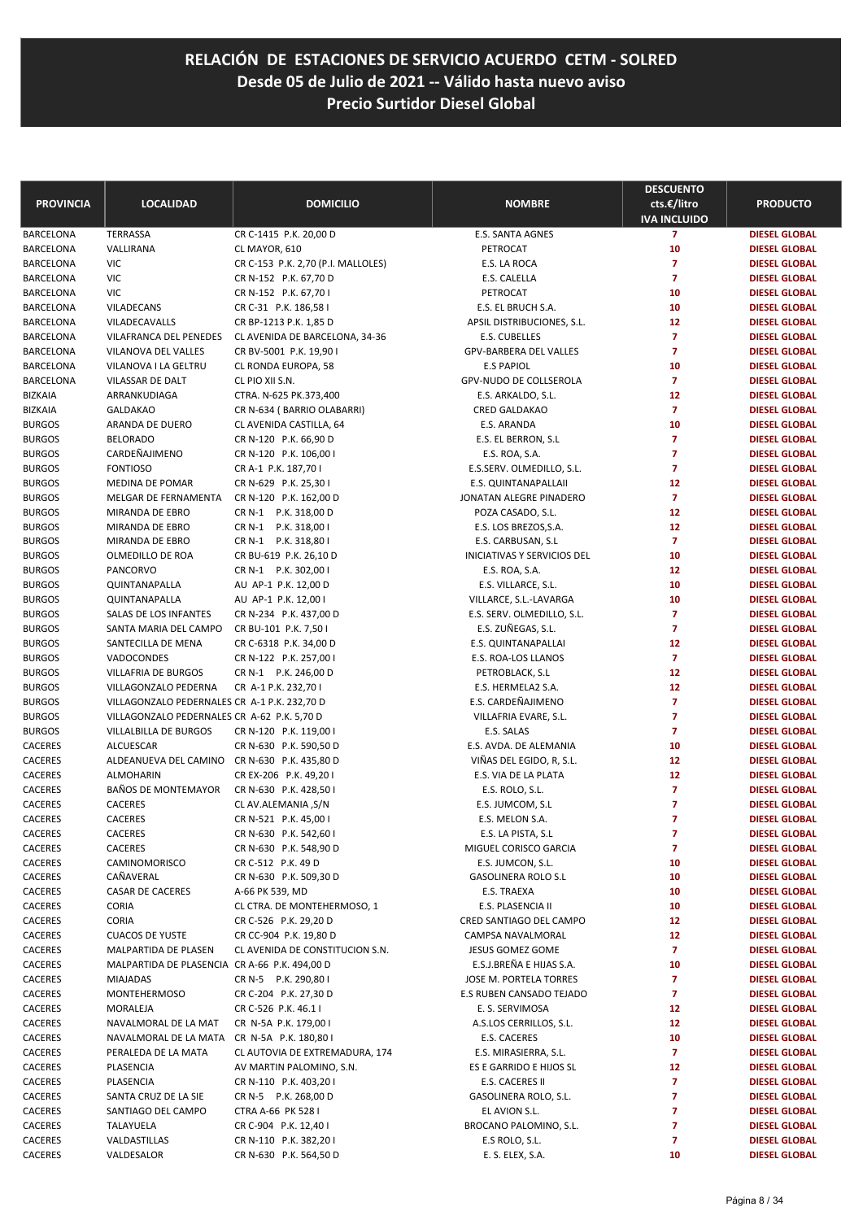| <b>PROVINCIA</b>               | <b>LOCALIDAD</b>                                                 | <b>DOMICILIO</b>                               | <b>NOMBRE</b>                                      | <b>DESCUENTO</b><br>cts.€/litro     | <b>PRODUCTO</b>                              |
|--------------------------------|------------------------------------------------------------------|------------------------------------------------|----------------------------------------------------|-------------------------------------|----------------------------------------------|
|                                | <b>TERRASSA</b>                                                  |                                                | <b>E.S. SANTA AGNES</b>                            | <b>IVA INCLUIDO</b><br>$\mathbf{7}$ | <b>DIESEL GLOBAL</b>                         |
| BARCELONA<br>BARCELONA         | VALLIRANA                                                        | CR C-1415 P.K. 20,00 D<br>CL MAYOR, 610        | PETROCAT                                           | 10                                  | <b>DIESEL GLOBAL</b>                         |
| BARCELONA                      | VIC                                                              | CR C-153 P.K. 2,70 (P.I. MALLOLES)             | E.S. LA ROCA                                       | $\overline{7}$                      | <b>DIESEL GLOBAL</b>                         |
| BARCELONA                      | VIC                                                              | CR N-152 P.K. 67,70 D                          | E.S. CALELLA                                       | $\overline{7}$                      | <b>DIESEL GLOBAL</b>                         |
| BARCELONA                      | VIC                                                              | CR N-152 P.K. 67,70 I                          | PETROCAT                                           | 10                                  | <b>DIESEL GLOBAL</b>                         |
| BARCELONA                      | <b>VILADECANS</b>                                                | CR C-31 P.K. 186,58 I                          | E.S. EL BRUCH S.A.                                 | 10                                  | <b>DIESEL GLOBAL</b>                         |
| BARCELONA                      | VILADECAVALLS                                                    | CR BP-1213 P.K. 1,85 D                         | APSIL DISTRIBUCIONES, S.L.                         | 12                                  | <b>DIESEL GLOBAL</b>                         |
| BARCELONA                      | VILAFRANCA DEL PENEDES                                           | CL AVENIDA DE BARCELONA, 34-36                 | E.S. CUBELLES                                      | $\overline{7}$                      | <b>DIESEL GLOBAL</b>                         |
| BARCELONA                      | VILANOVA DEL VALLES                                              | CR BV-5001 P.K. 19,90 I                        | GPV-BARBERA DEL VALLES                             | $\overline{7}$                      | <b>DIESEL GLOBAL</b>                         |
| BARCELONA                      | VILANOVA I LA GELTRU                                             | CL RONDA EUROPA, 58                            | <b>E.S PAPIOL</b>                                  | 10                                  | <b>DIESEL GLOBAL</b>                         |
| BARCELONA                      | VILASSAR DE DALT                                                 | CL PIO XII S.N.                                | GPV-NUDO DE COLLSEROLA                             | $\overline{7}$                      | <b>DIESEL GLOBAL</b>                         |
| BIZKAIA                        | ARRANKUDIAGA                                                     | CTRA. N-625 PK.373,400                         | E.S. ARKALDO, S.L.                                 | 12                                  | <b>DIESEL GLOBAL</b>                         |
| <b>BIZKAIA</b>                 | <b>GALDAKAO</b>                                                  | CR N-634 (BARRIO OLABARRI)                     | <b>CRED GALDAKAO</b>                               | $\overline{7}$                      | <b>DIESEL GLOBAL</b>                         |
| <b>BURGOS</b>                  | ARANDA DE DUERO                                                  | CL AVENIDA CASTILLA, 64                        | E.S. ARANDA                                        | 10                                  | <b>DIESEL GLOBAL</b>                         |
| <b>BURGOS</b>                  | <b>BELORADO</b>                                                  | CR N-120 P.K. 66,90 D                          | E.S. EL BERRON, S.L                                | $\overline{7}$                      | <b>DIESEL GLOBAL</b>                         |
| <b>BURGOS</b><br><b>BURGOS</b> | CARDEÑAJIMENO<br><b>FONTIOSO</b>                                 | CR N-120 P.K. 106,00 I                         | E.S. ROA, S.A.<br>E.S.SERV. OLMEDILLO, S.L.        | $\overline{7}$<br>$\overline{7}$    | <b>DIESEL GLOBAL</b><br><b>DIESEL GLOBAL</b> |
| <b>BURGOS</b>                  | <b>MEDINA DE POMAR</b>                                           | CR A-1 P.K. 187,701<br>CR N-629 P.K. 25,30 I   | E.S. QUINTANAPALLAII                               | 12                                  | <b>DIESEL GLOBAL</b>                         |
| <b>BURGOS</b>                  | MELGAR DE FERNAMENTA                                             | CR N-120 P.K. 162,00 D                         | JONATAN ALEGRE PINADERO                            | $\overline{7}$                      | <b>DIESEL GLOBAL</b>                         |
| <b>BURGOS</b>                  | MIRANDA DE EBRO                                                  | CR N-1 P.K. 318,00 D                           | POZA CASADO, S.L.                                  | 12                                  | <b>DIESEL GLOBAL</b>                         |
| <b>BURGOS</b>                  | MIRANDA DE EBRO                                                  | CR N-1 P.K. 318,00 I                           | E.S. LOS BREZOS, S.A.                              | 12                                  | <b>DIESEL GLOBAL</b>                         |
| <b>BURGOS</b>                  | MIRANDA DE EBRO                                                  | CR N-1 P.K. 318,80 I                           | E.S. CARBUSAN, S.L                                 | $\overline{7}$                      | <b>DIESEL GLOBAL</b>                         |
| <b>BURGOS</b>                  | OLMEDILLO DE ROA                                                 | CR BU-619 P.K. 26,10 D                         | <b>INICIATIVAS Y SERVICIOS DEL</b>                 | 10                                  | <b>DIESEL GLOBAL</b>                         |
| <b>BURGOS</b>                  | PANCORVO                                                         | CR N-1 P.K. 302,00 I                           | E.S. ROA, S.A.                                     | 12                                  | <b>DIESEL GLOBAL</b>                         |
| <b>BURGOS</b>                  | QUINTANAPALLA                                                    | AU AP-1 P.K. 12,00 D                           | E.S. VILLARCE, S.L.                                | 10                                  | <b>DIESEL GLOBAL</b>                         |
| <b>BURGOS</b>                  | QUINTANAPALLA                                                    | AU AP-1 P.K. 12,00 I                           | VILLARCE, S.L.-LAVARGA                             | 10                                  | <b>DIESEL GLOBAL</b>                         |
| <b>BURGOS</b>                  | SALAS DE LOS INFANTES                                            | CR N-234 P.K. 437,00 D                         | E.S. SERV. OLMEDILLO, S.L.                         | $\overline{7}$                      | <b>DIESEL GLOBAL</b>                         |
| <b>BURGOS</b>                  | SANTA MARIA DEL CAMPO                                            | CR BU-101 P.K. 7,50 I                          | E.S. ZUÑEGAS, S.L.                                 | $\overline{7}$                      | <b>DIESEL GLOBAL</b>                         |
| <b>BURGOS</b>                  | SANTECILLA DE MENA                                               | CR C-6318 P.K. 34,00 D                         | E.S. QUINTANAPALLAI                                | 12                                  | <b>DIESEL GLOBAL</b>                         |
| <b>BURGOS</b>                  | VADOCONDES                                                       | CR N-122 P.K. 257,00 I                         | E.S. ROA-LOS LLANOS                                | $\overline{7}$                      | <b>DIESEL GLOBAL</b>                         |
| <b>BURGOS</b>                  | <b>VILLAFRIA DE BURGOS</b>                                       | CR N-1 P.K. 246,00 D                           | PETROBLACK, S.L                                    | 12                                  | <b>DIESEL GLOBAL</b>                         |
| <b>BURGOS</b>                  | VILLAGONZALO PEDERNA                                             | CR A-1 P.K. 232,701                            | E.S. HERMELA2 S.A.                                 | 12                                  | <b>DIESEL GLOBAL</b>                         |
| <b>BURGOS</b>                  | VILLAGONZALO PEDERNALES CR A-1 P.K. 232,70 D                     |                                                | E.S. CARDEÑAJIMENO                                 | $\overline{7}$                      | <b>DIESEL GLOBAL</b>                         |
| <b>BURGOS</b>                  | VILLAGONZALO PEDERNALES CR A-62 P.K. 5,70 D                      |                                                | VILLAFRIA EVARE, S.L.                              | $\overline{7}$                      | <b>DIESEL GLOBAL</b>                         |
| <b>BURGOS</b>                  | VILLALBILLA DE BURGOS                                            | CR N-120 P.K. 119,00 I                         | E.S. SALAS                                         | $\overline{7}$                      | <b>DIESEL GLOBAL</b>                         |
| CACERES<br>CACERES             | <b>ALCUESCAR</b><br>ALDEANUEVA DEL CAMINO CR N-630 P.K. 435,80 D | CR N-630 P.K. 590,50 D                         | E.S. AVDA. DE ALEMANIA<br>VIÑAS DEL EGIDO, R, S.L. | 10<br>12                            | <b>DIESEL GLOBAL</b><br><b>DIESEL GLOBAL</b> |
| CACERES                        | <b>ALMOHARIN</b>                                                 | CR EX-206 P.K. 49,201                          | E.S. VIA DE LA PLATA                               | 12                                  | <b>DIESEL GLOBAL</b>                         |
| CACERES                        | BAÑOS DE MONTEMAYOR                                              | CR N-630 P.K. 428,50 I                         | E.S. ROLO, S.L.                                    | $\overline{7}$                      | <b>DIESEL GLOBAL</b>                         |
| CACERES                        | CACERES                                                          | CL AV.ALEMANIA, S/N                            | E.S. JUMCOM, S.L                                   | $\overline{7}$                      | <b>DIESEL GLOBAL</b>                         |
| CACERES                        | <b>CACERES</b>                                                   | CR N-521 P.K. 45,00 l                          | E.S. MELON S.A.                                    | $\overline{7}$                      | <b>DIESEL GLOBAL</b>                         |
| CACERES                        | CACERES                                                          | CR N-630 P.K. 542,60 I                         | E.S. LA PISTA, S.L                                 | 7                                   | <b>DIESEL GLOBAL</b>                         |
| CACERES                        | CACERES                                                          | CR N-630 P.K. 548,90 D                         | MIGUEL CORISCO GARCIA                              | $\overline{7}$                      | <b>DIESEL GLOBAL</b>                         |
| CACERES                        | CAMINOMORISCO                                                    | CR C-512 P.K. 49 D                             | E.S. JUMCON, S.L.                                  | 10                                  | <b>DIESEL GLOBAL</b>                         |
| CACERES                        | CAÑAVERAL                                                        | CR N-630 P.K. 509,30 D                         | <b>GASOLINERA ROLO S.L</b>                         | 10                                  | <b>DIESEL GLOBAL</b>                         |
| CACERES                        | CASAR DE CACERES                                                 | A-66 PK 539, MD                                | E.S. TRAEXA                                        | 10                                  | <b>DIESEL GLOBAL</b>                         |
| CACERES                        | <b>CORIA</b>                                                     | CL CTRA. DE MONTEHERMOSO, 1                    | E.S. PLASENCIA II                                  | 10                                  | <b>DIESEL GLOBAL</b>                         |
| CACERES                        | <b>CORIA</b>                                                     | CR C-526 P.K. 29,20 D                          | CRED SANTIAGO DEL CAMPO                            | 12                                  | <b>DIESEL GLOBAL</b>                         |
| CACERES                        | <b>CUACOS DE YUSTE</b>                                           | CR CC-904 P.K. 19,80 D                         | CAMPSA NAVALMORAL                                  | 12                                  | <b>DIESEL GLOBAL</b>                         |
| CACERES                        | MALPARTIDA DE PLASEN                                             | CL AVENIDA DE CONSTITUCION S.N.                | JESUS GOMEZ GOME                                   | 7                                   | <b>DIESEL GLOBAL</b>                         |
| CACERES                        | MALPARTIDA DE PLASENCIA CR A-66 P.K. 494,00 D                    |                                                | E.S.J.BREÑA E HIJAS S.A.                           | 10                                  | <b>DIESEL GLOBAL</b>                         |
| CACERES                        | <b>MIAJADAS</b>                                                  | CR N-5 P.K. 290,801                            | JOSE M. PORTELA TORRES                             | 7                                   | <b>DIESEL GLOBAL</b>                         |
| CACERES                        | <b>MONTEHERMOSO</b>                                              | CR C-204 P.K. 27,30 D                          | E.S RUBEN CANSADO TEJADO                           | 7                                   | <b>DIESEL GLOBAL</b>                         |
| CACERES                        | MORALEJA                                                         | CR C-526 P.K. 46.1 I                           | E. S. SERVIMOSA                                    | 12<br>12                            | <b>DIESEL GLOBAL</b>                         |
| CACERES<br>CACERES             | NAVALMORAL DE LA MAT<br>NAVALMORAL DE LA MATA                    | CR N-5A P.K. 179,00 I<br>CR N-5A P.K. 180,80 I | A.S.LOS CERRILLOS, S.L.<br>E.S. CACERES            | 10                                  | <b>DIESEL GLOBAL</b><br><b>DIESEL GLOBAL</b> |
| CACERES                        | PERALEDA DE LA MATA                                              | CL AUTOVIA DE EXTREMADURA, 174                 | E.S. MIRASIERRA, S.L.                              | 7                                   | <b>DIESEL GLOBAL</b>                         |
| CACERES                        | PLASENCIA                                                        | AV MARTIN PALOMINO, S.N.                       | ES E GARRIDO E HIJOS SL                            | 12                                  | <b>DIESEL GLOBAL</b>                         |
| CACERES                        | PLASENCIA                                                        | CR N-110 P.K. 403,201                          | E.S. CACERES II                                    | 7                                   | <b>DIESEL GLOBAL</b>                         |
| CACERES                        | SANTA CRUZ DE LA SIE                                             | CR N-5 P.K. 268,00 D                           | GASOLINERA ROLO, S.L.                              | 7                                   | <b>DIESEL GLOBAL</b>                         |
| CACERES                        | SANTIAGO DEL CAMPO                                               | CTRA A-66 PK 528 I                             | EL AVION S.L.                                      | 7                                   | <b>DIESEL GLOBAL</b>                         |
| CACERES                        | TALAYUELA                                                        | CR C-904 P.K. 12,40 I                          | BROCANO PALOMINO, S.L.                             | 7                                   | <b>DIESEL GLOBAL</b>                         |
| CACERES                        | VALDASTILLAS                                                     | CR N-110 P.K. 382,201                          | E.S ROLO, S.L.                                     | 7                                   | <b>DIESEL GLOBAL</b>                         |
| CACERES                        | VALDESALOR                                                       | CR N-630 P.K. 564,50 D                         | E. S. ELEX, S.A.                                   | 10                                  | <b>DIESEL GLOBAL</b>                         |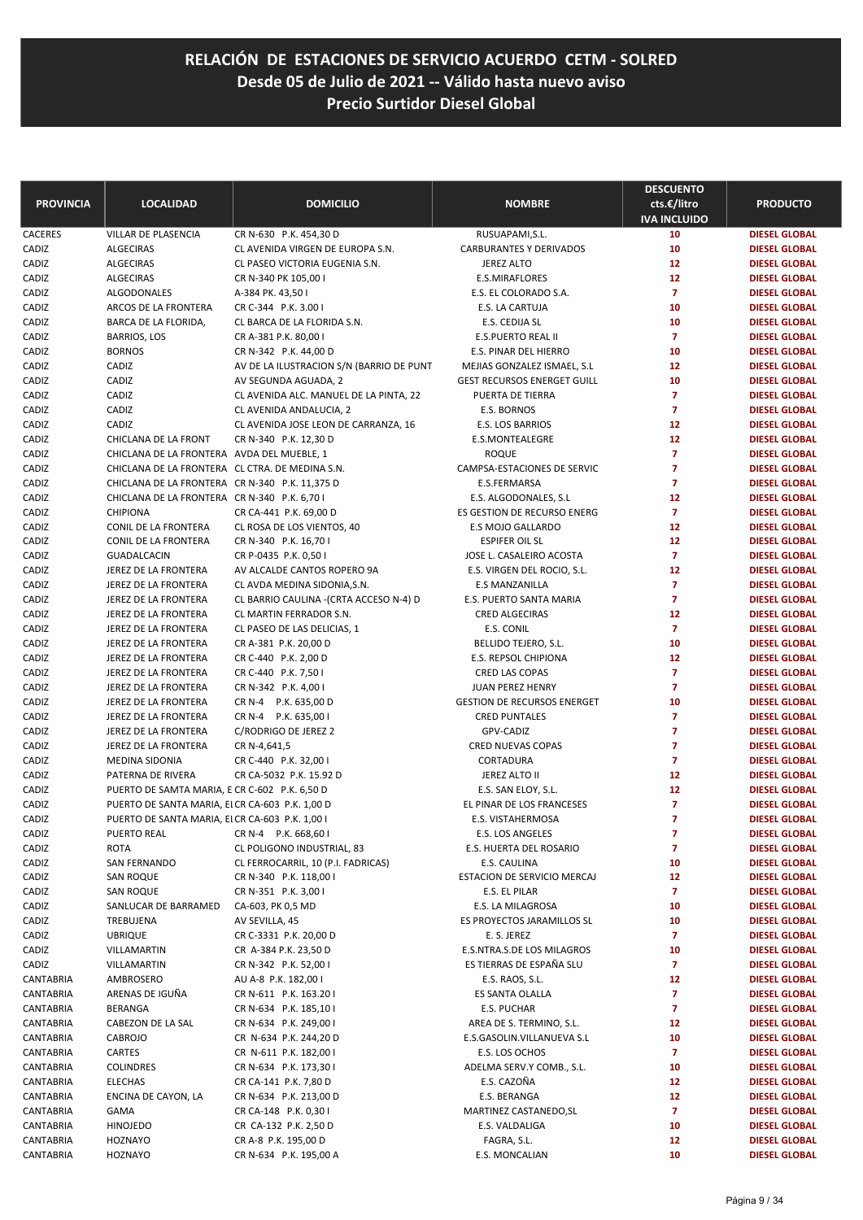| <b>PROVINCIA</b>       | <b>LOCALIDAD</b>                                | <b>DOMICILIO</b>                                                 | <b>NOMBRE</b>                                                     | <b>DESCUENTO</b><br>cts.€/litro<br><b>IVA INCLUIDO</b> | <b>PRODUCTO</b>                              |
|------------------------|-------------------------------------------------|------------------------------------------------------------------|-------------------------------------------------------------------|--------------------------------------------------------|----------------------------------------------|
| CACERES                | <b>VILLAR DE PLASENCIA</b>                      | CR N-630 P.K. 454,30 D                                           | RUSUAPAMI, S.L.                                                   | 10                                                     | <b>DIESEL GLOBAL</b>                         |
| CADIZ                  | <b>ALGECIRAS</b>                                | CL AVENIDA VIRGEN DE EUROPA S.N.                                 | CARBURANTES Y DERIVADOS                                           | 10                                                     | <b>DIESEL GLOBAL</b>                         |
| CADIZ                  | <b>ALGECIRAS</b>                                | CL PASEO VICTORIA EUGENIA S.N.                                   | <b>JEREZ ALTO</b>                                                 | 12                                                     | <b>DIESEL GLOBAL</b>                         |
| CADIZ                  | <b>ALGECIRAS</b>                                | CR N-340 PK 105,00 I                                             | E.S.MIRAFLORES                                                    | 12                                                     | <b>DIESEL GLOBAL</b>                         |
| CADIZ                  | ALGODONALES                                     | A-384 PK. 43,50 I                                                | E.S. EL COLORADO S.A.                                             | $\overline{7}$                                         | <b>DIESEL GLOBAL</b>                         |
| CADIZ                  | ARCOS DE LA FRONTERA                            | CR C-344 P.K. 3.00 I                                             | E.S. LA CARTUJA                                                   | 10                                                     | <b>DIESEL GLOBAL</b>                         |
| CADIZ                  | BARCA DE LA FLORIDA,                            | CL BARCA DE LA FLORIDA S.N.                                      | E.S. CEDIJA SL                                                    | 10                                                     | <b>DIESEL GLOBAL</b>                         |
| CADIZ                  | <b>BARRIOS, LOS</b>                             | CR A-381 P.K. 80,00 I                                            | E.S.PUERTO REAL II                                                | $\overline{7}$                                         | <b>DIESEL GLOBAL</b>                         |
| CADIZ                  | <b>BORNOS</b>                                   | CR N-342 P.K. 44,00 D                                            | E.S. PINAR DEL HIERRO                                             | 10                                                     | <b>DIESEL GLOBAL</b>                         |
| CADIZ<br>CADIZ         | CADIZ<br>CADIZ                                  | AV DE LA ILUSTRACION S/N (BARRIO DE PUNT<br>AV SEGUNDA AGUADA, 2 | MEJIAS GONZALEZ ISMAEL, S.L<br><b>GEST RECURSOS ENERGET GUILL</b> | 12<br>10                                               | <b>DIESEL GLOBAL</b><br><b>DIESEL GLOBAL</b> |
| CADIZ                  | CADIZ                                           | CL AVENIDA ALC. MANUEL DE LA PINTA, 22                           | PUERTA DE TIERRA                                                  | $\overline{7}$                                         | <b>DIESEL GLOBAL</b>                         |
| CADIZ                  | CADIZ                                           | CL AVENIDA ANDALUCIA, 2                                          | E.S. BORNOS                                                       | $\overline{7}$                                         | <b>DIESEL GLOBAL</b>                         |
| CADIZ                  | CADIZ                                           | CL AVENIDA JOSE LEON DE CARRANZA, 16                             | E.S. LOS BARRIOS                                                  | 12                                                     | <b>DIESEL GLOBAL</b>                         |
| CADIZ                  | CHICLANA DE LA FRONT                            | CR N-340 P.K. 12,30 D                                            | E.S.MONTEALEGRE                                                   | 12                                                     | <b>DIESEL GLOBAL</b>                         |
| CADIZ                  | CHICLANA DE LA FRONTERA AVDA DEL MUEBLE, 1      |                                                                  | <b>ROQUE</b>                                                      | $\overline{7}$                                         | <b>DIESEL GLOBAL</b>                         |
| CADIZ                  | CHICLANA DE LA FRONTERA CL CTRA. DE MEDINA S.N. |                                                                  | CAMPSA-ESTACIONES DE SERVIC                                       | $\overline{7}$                                         | <b>DIESEL GLOBAL</b>                         |
| CADIZ                  | CHICLANA DE LA FRONTERA CR N-340 P.K. 11,375 D  |                                                                  | E.S.FERMARSA                                                      | $\overline{7}$                                         | <b>DIESEL GLOBAL</b>                         |
| CADIZ                  | CHICLANA DE LA FRONTERA CR N-340 P.K. 6,70 I    |                                                                  | E.S. ALGODONALES, S.L                                             | 12                                                     | <b>DIESEL GLOBAL</b>                         |
| CADIZ                  | <b>CHIPIONA</b>                                 | CR CA-441 P.K. 69,00 D                                           | ES GESTION DE RECURSO ENERG                                       | $\overline{7}$                                         | <b>DIESEL GLOBAL</b>                         |
| CADIZ                  | CONIL DE LA FRONTERA                            | CL ROSA DE LOS VIENTOS, 40                                       | E.S MOJO GALLARDO                                                 | 12                                                     | <b>DIESEL GLOBAL</b>                         |
| CADIZ                  | CONIL DE LA FRONTERA                            | CR N-340 P.K. 16,70 I                                            | <b>ESPIFER OIL SL</b>                                             | 12                                                     | <b>DIESEL GLOBAL</b>                         |
| CADIZ                  | GUADALCACIN                                     | CR P-0435 P.K. 0,50 I                                            | JOSE L. CASALEIRO ACOSTA                                          | $\overline{7}$                                         | <b>DIESEL GLOBAL</b>                         |
| CADIZ                  | JEREZ DE LA FRONTERA                            | AV ALCALDE CANTOS ROPERO 9A                                      | E.S. VIRGEN DEL ROCIO, S.L.                                       | 12                                                     | <b>DIESEL GLOBAL</b>                         |
| CADIZ                  | JEREZ DE LA FRONTERA                            | CL AVDA MEDINA SIDONIA, S.N.                                     | <b>E.S MANZANILLA</b>                                             | $\overline{7}$                                         | <b>DIESEL GLOBAL</b>                         |
| CADIZ                  | JEREZ DE LA FRONTERA                            | CL BARRIO CAULINA - (CRTA ACCESO N-4) D                          | E.S. PUERTO SANTA MARIA                                           | $\overline{7}$                                         | <b>DIESEL GLOBAL</b>                         |
| CADIZ                  | JEREZ DE LA FRONTERA                            | CL MARTIN FERRADOR S.N.                                          | CRED ALGECIRAS                                                    | 12                                                     | <b>DIESEL GLOBAL</b>                         |
| CADIZ                  | JEREZ DE LA FRONTERA                            | CL PASEO DE LAS DELICIAS, 1                                      | E.S. CONIL                                                        | $\overline{7}$                                         | <b>DIESEL GLOBAL</b>                         |
| CADIZ                  | JEREZ DE LA FRONTERA                            | CR A-381 P.K. 20,00 D                                            | BELLIDO TEJERO, S.L.                                              | 10                                                     | <b>DIESEL GLOBAL</b>                         |
| CADIZ                  | JEREZ DE LA FRONTERA                            | CR C-440 P.K. 2,00 D                                             | E.S. REPSOL CHIPIONA                                              | 12                                                     | <b>DIESEL GLOBAL</b>                         |
| CADIZ                  | JEREZ DE LA FRONTERA                            | CR C-440 P.K. 7,50 I                                             | CRED LAS COPAS                                                    | $\overline{7}$<br>$\overline{7}$                       | <b>DIESEL GLOBAL</b>                         |
| CADIZ<br>CADIZ         | JEREZ DE LA FRONTERA<br>JEREZ DE LA FRONTERA    | CR N-342 P.K. 4,001<br>CR N-4 P.K. 635,00 D                      | <b>JUAN PEREZ HENRY</b><br><b>GESTION DE RECURSOS ENERGET</b>     | 10                                                     | <b>DIESEL GLOBAL</b><br><b>DIESEL GLOBAL</b> |
| CADIZ                  | JEREZ DE LA FRONTERA                            | CR N-4 P.K. 635,00 I                                             | <b>CRED PUNTALES</b>                                              | $\overline{7}$                                         | <b>DIESEL GLOBAL</b>                         |
| CADIZ                  | JEREZ DE LA FRONTERA                            | C/RODRIGO DE JEREZ 2                                             | GPV-CADIZ                                                         | 7                                                      | <b>DIESEL GLOBAL</b>                         |
| CADIZ                  | JEREZ DE LA FRONTERA                            | CR N-4,641,5                                                     | <b>CRED NUEVAS COPAS</b>                                          | $\overline{7}$                                         | <b>DIESEL GLOBAL</b>                         |
| CADIZ                  | MEDINA SIDONIA                                  | CR C-440 P.K. 32,00 I                                            | CORTADURA                                                         | $\overline{7}$                                         | <b>DIESEL GLOBAL</b>                         |
| CADIZ                  | PATERNA DE RIVERA                               | CR CA-5032 P.K. 15.92 D                                          | JEREZ ALTO II                                                     | 12                                                     | <b>DIESEL GLOBAL</b>                         |
| CADIZ                  | PUERTO DE SAMTA MARIA, E CR C-602 P.K. 6,50 D   |                                                                  | E.S. SAN ELOY, S.L.                                               | 12                                                     | <b>DIESEL GLOBAL</b>                         |
| CADIZ                  | PUERTO DE SANTA MARIA, ELCR CA-603 P.K. 1,00 D  |                                                                  | EL PINAR DE LOS FRANCESES                                         | $\overline{7}$                                         | <b>DIESEL GLOBAL</b>                         |
| CADIZ                  | PUERTO DE SANTA MARIA, ELCR CA-603 P.K. 1,00 I  |                                                                  | E.S. VISTAHERMOSA                                                 | $\overline{7}$                                         | <b>DIESEL GLOBAL</b>                         |
| CADIZ                  | PUERTO REAL                                     | CR N-4 P.K. 668,60 I                                             | E.S. LOS ANGELES                                                  | 7                                                      | <b>DIESEL GLOBAL</b>                         |
| CADIZ                  | <b>ROTA</b>                                     | CL POLIGONO INDUSTRIAL, 83                                       | E.S. HUERTA DEL ROSARIO                                           | 7                                                      | <b>DIESEL GLOBAL</b>                         |
| CADIZ                  | SAN FERNANDO                                    | CL FERROCARRIL, 10 (P.I. FADRICAS)                               | E.S. CAULINA                                                      | 10                                                     | <b>DIESEL GLOBAL</b>                         |
| CADIZ                  | SAN ROQUE                                       | CR N-340 P.K. 118,00 I                                           | ESTACION DE SERVICIO MERCAJ                                       | 12                                                     | <b>DIESEL GLOBAL</b>                         |
| CADIZ                  | <b>SAN ROQUE</b>                                | CR N-351 P.K. 3,00 I                                             | E.S. EL PILAR                                                     | $\overline{7}$                                         | <b>DIESEL GLOBAL</b>                         |
| CADIZ                  | SANLUCAR DE BARRAMED                            | CA-603, PK 0,5 MD                                                | E.S. LA MILAGROSA                                                 | 10                                                     | <b>DIESEL GLOBAL</b>                         |
| CADIZ                  | TREBUJENA                                       | AV SEVILLA, 45                                                   | ES PROYECTOS JARAMILLOS SL                                        | 10                                                     | <b>DIESEL GLOBAL</b>                         |
| CADIZ                  | <b>UBRIQUE</b>                                  | CR C-3331 P.K. 20,00 D                                           | E. S. JEREZ                                                       | $\overline{7}$                                         | <b>DIESEL GLOBAL</b>                         |
| CADIZ                  | VILLAMARTIN                                     | CR A-384 P.K. 23,50 D                                            | E.S.NTRA.S.DE LOS MILAGROS                                        | 10                                                     | <b>DIESEL GLOBAL</b>                         |
| CADIZ                  | VILLAMARTIN                                     | CR N-342 P.K. 52,00 I                                            | ES TIERRAS DE ESPAÑA SLU                                          | 7                                                      | <b>DIESEL GLOBAL</b><br><b>DIESEL GLOBAL</b> |
| CANTABRIA<br>CANTABRIA | AMBROSERO<br>ARENAS DE IGUÑA                    | AU A-8 P.K. 182,00 I<br>CR N-611 P.K. 163.201                    | E.S. RAOS, S.L.<br>ES SANTA OLALLA                                | 12<br>$\overline{7}$                                   | <b>DIESEL GLOBAL</b>                         |
| CANTABRIA              | <b>BERANGA</b>                                  | CR N-634 P.K. 185,10 I                                           | E.S. PUCHAR                                                       | 7                                                      | <b>DIESEL GLOBAL</b>                         |
| CANTABRIA              | CABEZON DE LA SAL                               | CR N-634 P.K. 249,00 I                                           | AREA DE S. TERMINO, S.L.                                          | 12                                                     | <b>DIESEL GLOBAL</b>                         |
| CANTABRIA              | CABROJO                                         | CR N-634 P.K. 244,20 D                                           | E.S.GASOLIN.VILLANUEVA S.L                                        | 10                                                     | <b>DIESEL GLOBAL</b>                         |
| CANTABRIA              | CARTES                                          | CR N-611 P.K. 182,00 l                                           | E.S. LOS OCHOS                                                    | 7                                                      | <b>DIESEL GLOBAL</b>                         |
| CANTABRIA              | <b>COLINDRES</b>                                | CR N-634 P.K. 173,30 I                                           | ADELMA SERV.Y COMB., S.L.                                         | 10                                                     | <b>DIESEL GLOBAL</b>                         |
| CANTABRIA              | <b>ELECHAS</b>                                  | CR CA-141 P.K. 7,80 D                                            | E.S. CAZOÑA                                                       | 12                                                     | <b>DIESEL GLOBAL</b>                         |
| CANTABRIA              | ENCINA DE CAYON, LA                             | CR N-634 P.K. 213,00 D                                           | E.S. BERANGA                                                      | 12                                                     | <b>DIESEL GLOBAL</b>                         |
| CANTABRIA              | GAMA                                            | CR CA-148 P.K. 0,30 I                                            | MARTINEZ CASTANEDO, SL                                            | $\overline{ }$                                         | <b>DIESEL GLOBAL</b>                         |
| CANTABRIA              | <b>HINOJEDO</b>                                 | CR CA-132 P.K. 2,50 D                                            | E.S. VALDALIGA                                                    | 10                                                     | <b>DIESEL GLOBAL</b>                         |
| CANTABRIA              | <b>HOZNAYO</b>                                  | CR A-8 P.K. 195,00 D                                             | FAGRA, S.L.                                                       | 12                                                     | <b>DIESEL GLOBAL</b>                         |
| CANTABRIA              | HOZNAYO                                         | CR N-634 P.K. 195,00 A                                           | E.S. MONCALIAN                                                    | 10                                                     | <b>DIESEL GLOBAL</b>                         |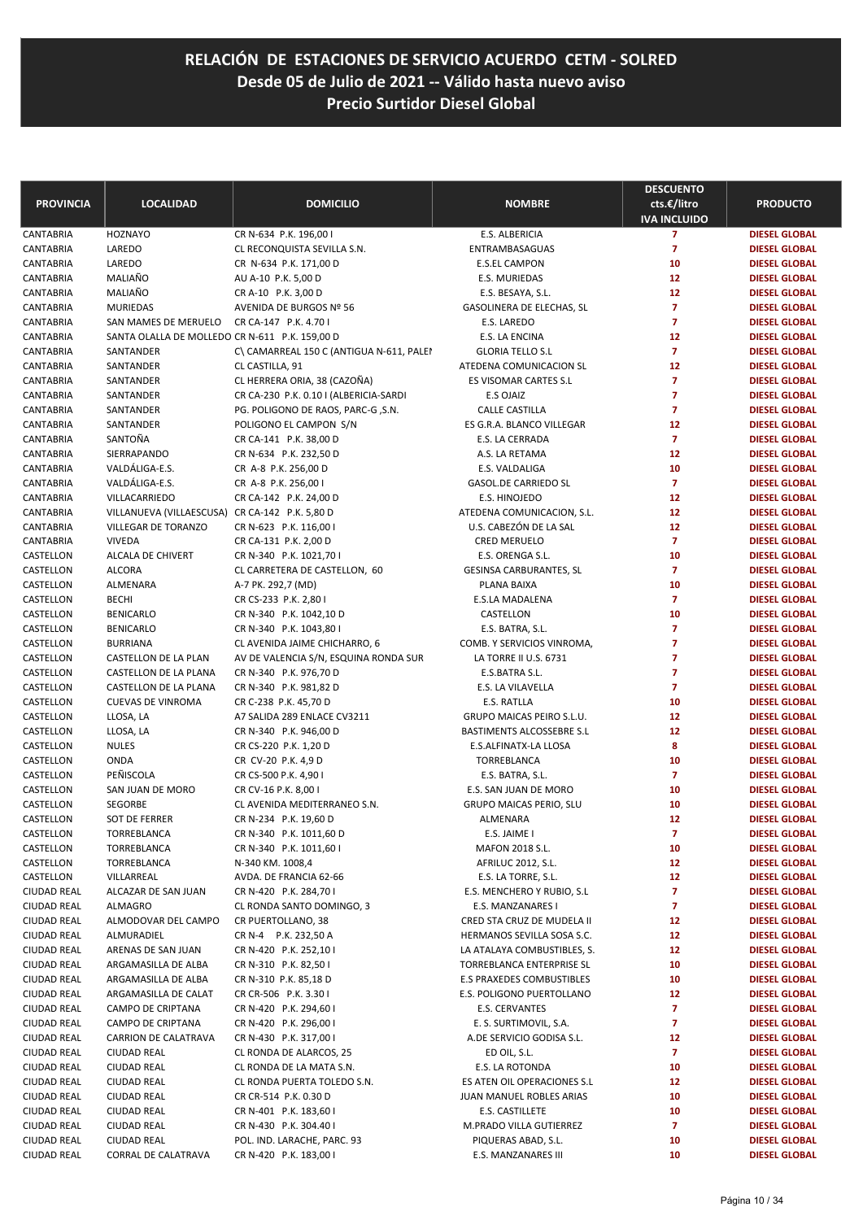| <b>PROVINCIA</b>           | <b>LOCALIDAD</b>                               | <b>DOMICILIO</b>                                                             | <b>NOMBRE</b>                                           | <b>DESCUENTO</b><br>cts.€/litro<br><b>IVA INCLUIDO</b> | <b>PRODUCTO</b>                              |
|----------------------------|------------------------------------------------|------------------------------------------------------------------------------|---------------------------------------------------------|--------------------------------------------------------|----------------------------------------------|
| <b>CANTABRIA</b>           | <b>HOZNAYO</b>                                 | CR N-634 P.K. 196,00 I                                                       | E.S. ALBERICIA                                          | $\overline{\mathbf{z}}$                                | <b>DIESEL GLOBAL</b>                         |
| CANTABRIA                  | LAREDO                                         | CL RECONQUISTA SEVILLA S.N.                                                  | ENTRAMBASAGUAS                                          | $\overline{7}$                                         | <b>DIESEL GLOBAL</b>                         |
| CANTABRIA                  | LAREDO                                         | CR N-634 P.K. 171,00 D                                                       | <b>E.S.EL CAMPON</b>                                    | 10                                                     | <b>DIESEL GLOBAL</b>                         |
| CANTABRIA                  | MALIAÑO                                        | AU A-10 P.K. 5,00 D                                                          | E.S. MURIEDAS                                           | 12                                                     | <b>DIESEL GLOBAL</b>                         |
| CANTABRIA                  | MALIAÑO                                        | CR A-10 P.K. 3,00 D                                                          | E.S. BESAYA, S.L.                                       | 12                                                     | <b>DIESEL GLOBAL</b>                         |
| CANTABRIA                  | <b>MURIEDAS</b>                                | AVENIDA DE BURGOS Nº 56                                                      | GASOLINERA DE ELECHAS, SL                               | $\overline{7}$                                         | <b>DIESEL GLOBAL</b>                         |
| CANTABRIA                  | SAN MAMES DE MERUELO                           | CR CA-147 P.K. 4.70 I                                                        | E.S. LAREDO                                             | $\overline{7}$                                         | <b>DIESEL GLOBAL</b>                         |
| CANTABRIA                  | SANTA OLALLA DE MOLLEDO CR N-611 P.K. 159,00 D |                                                                              | E.S. LA ENCINA                                          | 12                                                     | <b>DIESEL GLOBAL</b>                         |
| CANTABRIA                  | SANTANDER                                      | C\ CAMARREAL 150 C (ANTIGUA N-611, PALEI                                     | <b>GLORIA TELLO S.L</b>                                 | $\overline{7}$                                         | <b>DIESEL GLOBAL</b>                         |
| CANTABRIA                  | SANTANDER                                      | CL CASTILLA, 91                                                              | ATEDENA COMUNICACION SL<br><b>ES VISOMAR CARTES S.L</b> | 12<br>7                                                | <b>DIESEL GLOBAL</b>                         |
| CANTABRIA                  | SANTANDER                                      | CL HERRERA ORIA, 38 (CAZOÑA)                                                 | E.S OJAIZ                                               | 7                                                      | <b>DIESEL GLOBAL</b>                         |
| CANTABRIA                  | SANTANDER                                      | CR CA-230 P.K. 0.10 I (ALBERICIA-SARDI<br>PG. POLIGONO DE RAOS, PARC-G, S.N. |                                                         | $\overline{7}$                                         | <b>DIESEL GLOBAL</b>                         |
| CANTABRIA<br>CANTABRIA     | SANTANDER<br>SANTANDER                         | POLIGONO EL CAMPON S/N                                                       | <b>CALLE CASTILLA</b><br>ES G.R.A. BLANCO VILLEGAR      | 12                                                     | <b>DIESEL GLOBAL</b><br><b>DIESEL GLOBAL</b> |
| CANTABRIA                  | SANTOÑA                                        | CR CA-141 P.K. 38,00 D                                                       | E.S. LA CERRADA                                         | $\overline{7}$                                         | <b>DIESEL GLOBAL</b>                         |
| CANTABRIA                  | SIERRAPANDO                                    | CR N-634 P.K. 232,50 D                                                       | A.S. LA RETAMA                                          | 12                                                     | <b>DIESEL GLOBAL</b>                         |
| CANTABRIA                  | VALDÁLIGA-E.S.                                 | CR A-8 P.K. 256,00 D                                                         | E.S. VALDALIGA                                          | 10                                                     | <b>DIESEL GLOBAL</b>                         |
| CANTABRIA                  | VALDÁLIGA-E.S.                                 | CR A-8 P.K. 256,00 I                                                         | GASOL.DE CARRIEDO SL                                    | $\overline{7}$                                         | <b>DIESEL GLOBAL</b>                         |
| CANTABRIA                  | VILLACARRIEDO                                  | CR CA-142 P.K. 24,00 D                                                       | E.S. HINOJEDO                                           | 12                                                     | <b>DIESEL GLOBAL</b>                         |
| CANTABRIA                  | VILLANUEVA (VILLAESCUSA) CR CA-142 P.K. 5,80 D |                                                                              | ATEDENA COMUNICACION, S.L.                              | 12                                                     | <b>DIESEL GLOBAL</b>                         |
| CANTABRIA                  | VILLEGAR DE TORANZO                            | CR N-623 P.K. 116,00 I                                                       | U.S. CABEZÓN DE LA SAL                                  | 12                                                     | <b>DIESEL GLOBAL</b>                         |
| CANTABRIA                  | <b>VIVEDA</b>                                  | CR CA-131 P.K. 2,00 D                                                        | <b>CRED MERUELO</b>                                     | $\overline{7}$                                         | <b>DIESEL GLOBAL</b>                         |
| CASTELLON                  | ALCALA DE CHIVERT                              | CR N-340 P.K. 1021,70 I                                                      | E.S. ORENGA S.L.                                        | 10                                                     | <b>DIESEL GLOBAL</b>                         |
| CASTELLON                  | <b>ALCORA</b>                                  | CL CARRETERA DE CASTELLON, 60                                                | <b>GESINSA CARBURANTES, SL</b>                          | $\overline{7}$                                         | <b>DIESEL GLOBAL</b>                         |
| CASTELLON                  | ALMENARA                                       | A-7 PK. 292,7 (MD)                                                           | PLANA BAIXA                                             | 10                                                     | <b>DIESEL GLOBAL</b>                         |
| CASTELLON                  | <b>BECHI</b>                                   | CR CS-233 P.K. 2,80 I                                                        | E.S.LA MADALENA                                         | $\overline{7}$                                         | <b>DIESEL GLOBAL</b>                         |
| CASTELLON                  | <b>BENICARLO</b>                               | CR N-340 P.K. 1042,10 D                                                      | CASTELLON                                               | 10                                                     | <b>DIESEL GLOBAL</b>                         |
| CASTELLON                  | <b>BENICARLO</b>                               | CR N-340 P.K. 1043,80 I                                                      | E.S. BATRA, S.L.                                        | 7                                                      | <b>DIESEL GLOBAL</b>                         |
| CASTELLON                  | <b>BURRIANA</b>                                | CL AVENIDA JAIME CHICHARRO, 6                                                | COMB. Y SERVICIOS VINROMA,                              | 7                                                      | <b>DIESEL GLOBAL</b>                         |
| CASTELLON                  | CASTELLON DE LA PLAN                           | AV DE VALENCIA S/N, ESQUINA RONDA SUR                                        | LA TORRE II U.S. 6731                                   | 7                                                      | <b>DIESEL GLOBAL</b>                         |
| CASTELLON                  | CASTELLON DE LA PLANA                          | CR N-340 P.K. 976,70 D                                                       | E.S.BATRA S.L.                                          | 7                                                      | <b>DIESEL GLOBAL</b>                         |
| CASTELLON                  | CASTELLON DE LA PLANA                          | CR N-340 P.K. 981,82 D                                                       | E.S. LA VILAVELLA                                       | $\overline{7}$                                         | <b>DIESEL GLOBAL</b>                         |
| CASTELLON                  | <b>CUEVAS DE VINROMA</b>                       | CR C-238 P.K. 45,70 D                                                        | E.S. RATLLA                                             | 10                                                     | <b>DIESEL GLOBAL</b>                         |
| CASTELLON                  | LLOSA, LA                                      | A7 SALIDA 289 ENLACE CV3211                                                  | GRUPO MAICAS PEIRO S.L.U.                               | 12                                                     | <b>DIESEL GLOBAL</b>                         |
| CASTELLON                  | LLOSA, LA                                      | CR N-340 P.K. 946,00 D                                                       | BASTIMENTS ALCOSSEBRE S.L                               | 12                                                     | <b>DIESEL GLOBAL</b>                         |
| CASTELLON                  | <b>NULES</b>                                   | CR CS-220 P.K. 1,20 D                                                        | E.S.ALFINATX-LA LLOSA                                   | 8                                                      | <b>DIESEL GLOBAL</b>                         |
| CASTELLON                  | <b>ONDA</b>                                    | CR CV-20 P.K. 4,9 D                                                          | TORREBLANCA                                             | 10                                                     | <b>DIESEL GLOBAL</b>                         |
| CASTELLON                  | PEÑISCOLA                                      | CR CS-500 P.K. 4,90 I                                                        | E.S. BATRA, S.L.                                        | $\overline{7}$                                         | <b>DIESEL GLOBAL</b>                         |
| CASTELLON                  | SAN JUAN DE MORO                               | CR CV-16 P.K. 8,00 I                                                         | E.S. SAN JUAN DE MORO                                   | 10                                                     | <b>DIESEL GLOBAL</b>                         |
| CASTELLON                  | SEGORBE                                        | CL AVENIDA MEDITERRANEO S.N.                                                 | <b>GRUPO MAICAS PERIO, SLU</b>                          | 10                                                     | <b>DIESEL GLOBAL</b>                         |
| CASTELLON                  | SOT DE FERRER                                  | CR N-234 P.K. 19,60 D                                                        | ALMENARA                                                | 12                                                     | <b>DIESEL GLOBAL</b>                         |
| CASTELLON                  | TORREBLANCA                                    | CR N-340 P.K. 1011,60 D                                                      | E.S. JAIME I                                            |                                                        | <b>DIESEL GLOBAL</b>                         |
| CASTELLON                  | TORREBLANCA                                    | CR N-340 P.K. 1011,60 I                                                      | MAFON 2018 S.L.                                         | 10                                                     | <b>DIESEL GLOBAL</b>                         |
| CASTELLON                  | TORREBLANCA                                    | N-340 KM. 1008,4                                                             | AFRILUC 2012, S.L.                                      | 12                                                     | <b>DIESEL GLOBAL</b>                         |
| CASTELLON                  | VILLARREAL                                     | AVDA. DE FRANCIA 62-66                                                       | E.S. LA TORRE, S.L.<br>E.S. MENCHERO Y RUBIO, S.L       | 12<br>$\overline{7}$                                   | <b>DIESEL GLOBAL</b>                         |
| CIUDAD REAL<br>CIUDAD REAL | ALCAZAR DE SAN JUAN<br>ALMAGRO                 | CR N-420 P.K. 284,70 I<br>CL RONDA SANTO DOMINGO, 3                          | E.S. MANZANARES I                                       | 7                                                      | <b>DIESEL GLOBAL</b><br><b>DIESEL GLOBAL</b> |
| CIUDAD REAL                | ALMODOVAR DEL CAMPO                            | CR PUERTOLLANO, 38                                                           | CRED STA CRUZ DE MUDELA II                              | 12                                                     | <b>DIESEL GLOBAL</b>                         |
| CIUDAD REAL                | ALMURADIEL                                     | CR N-4 P.K. 232,50 A                                                         | HERMANOS SEVILLA SOSA S.C.                              | 12                                                     | <b>DIESEL GLOBAL</b>                         |
| CIUDAD REAL                | ARENAS DE SAN JUAN                             | CR N-420 P.K. 252,10 I                                                       | LA ATALAYA COMBUSTIBLES, S.                             | 12                                                     | <b>DIESEL GLOBAL</b>                         |
| CIUDAD REAL                | ARGAMASILLA DE ALBA                            | CR N-310 P.K. 82,50 I                                                        | TORREBLANCA ENTERPRISE SL                               | 10                                                     | <b>DIESEL GLOBAL</b>                         |
| CIUDAD REAL                | ARGAMASILLA DE ALBA                            | CR N-310 P.K. 85,18 D                                                        | E.S PRAXEDES COMBUSTIBLES                               | 10                                                     | <b>DIESEL GLOBAL</b>                         |
| <b>CIUDAD REAL</b>         | ARGAMASILLA DE CALAT                           | CR CR-506 P.K. 3.30 I                                                        | E.S. POLIGONO PUERTOLLANO                               | 12                                                     | <b>DIESEL GLOBAL</b>                         |
| CIUDAD REAL                | CAMPO DE CRIPTANA                              | CR N-420 P.K. 294,60 I                                                       | E.S. CERVANTES                                          | 7                                                      | <b>DIESEL GLOBAL</b>                         |
| CIUDAD REAL                | CAMPO DE CRIPTANA                              | CR N-420 P.K. 296,00 I                                                       | E. S. SURTIMOVIL, S.A.                                  | 7                                                      | <b>DIESEL GLOBAL</b>                         |
| CIUDAD REAL                | CARRION DE CALATRAVA                           | CR N-430 P.K. 317,00 I                                                       | A.DE SERVICIO GODISA S.L.                               | 12                                                     | <b>DIESEL GLOBAL</b>                         |
| CIUDAD REAL                | <b>CIUDAD REAL</b>                             | CL RONDA DE ALARCOS, 25                                                      | ED OIL, S.L.                                            | 7                                                      | <b>DIESEL GLOBAL</b>                         |
| CIUDAD REAL                | <b>CIUDAD REAL</b>                             | CL RONDA DE LA MATA S.N.                                                     | E.S. LA ROTONDA                                         | 10                                                     | <b>DIESEL GLOBAL</b>                         |
| CIUDAD REAL                | <b>CIUDAD REAL</b>                             | CL RONDA PUERTA TOLEDO S.N.                                                  | ES ATEN OIL OPERACIONES S.L                             | 12                                                     | <b>DIESEL GLOBAL</b>                         |
| CIUDAD REAL                | <b>CIUDAD REAL</b>                             | CR CR-514 P.K. 0.30 D                                                        | JUAN MANUEL ROBLES ARIAS                                | 10                                                     | <b>DIESEL GLOBAL</b>                         |
| CIUDAD REAL                | <b>CIUDAD REAL</b>                             | CR N-401 P.K. 183,60 I                                                       | E.S. CASTILLETE                                         | 10                                                     | <b>DIESEL GLOBAL</b>                         |
| CIUDAD REAL                | <b>CIUDAD REAL</b>                             | CR N-430 P.K. 304.40 I                                                       | M.PRADO VILLA GUTIERREZ                                 | 7                                                      | <b>DIESEL GLOBAL</b>                         |
| CIUDAD REAL                | <b>CIUDAD REAL</b>                             | POL. IND. LARACHE, PARC. 93                                                  | PIQUERAS ABAD, S.L.                                     | 10                                                     | <b>DIESEL GLOBAL</b>                         |
| CIUDAD REAL                | CORRAL DE CALATRAVA                            | CR N-420 P.K. 183,00 I                                                       | E.S. MANZANARES III                                     | 10                                                     | <b>DIESEL GLOBAL</b>                         |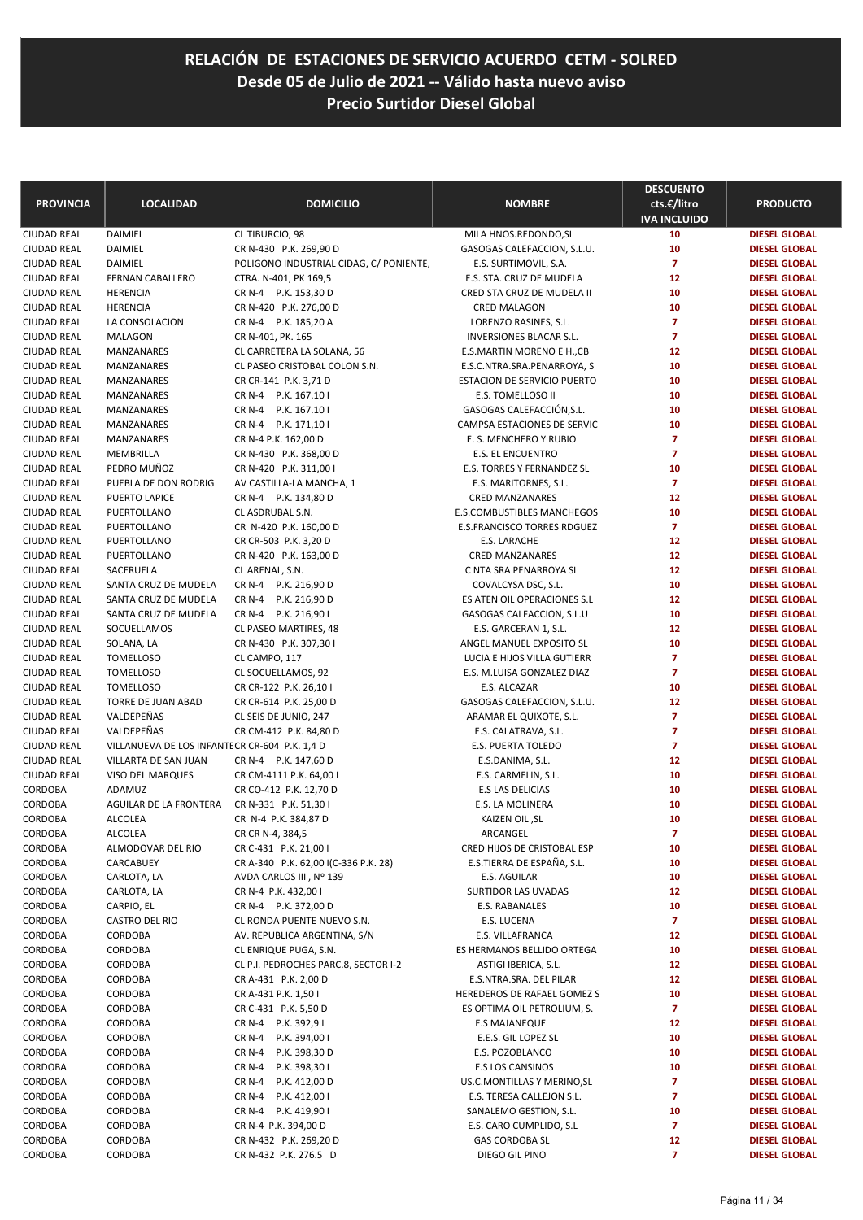| <b>PROVINCIA</b> | <b>LOCALIDAD</b>                               | <b>DOMICILIO</b>                        | <b>NOMBRE</b>                  | <b>DESCUENTO</b><br>cts.€/litro<br><b>IVA INCLUIDO</b> | <b>PRODUCTO</b>      |
|------------------|------------------------------------------------|-----------------------------------------|--------------------------------|--------------------------------------------------------|----------------------|
| CIUDAD REAL      | DAIMIEL                                        | CL TIBURCIO, 98                         | MILA HNOS.REDONDO, SL          | 10                                                     | <b>DIESEL GLOBAL</b> |
| CIUDAD REAL      | DAIMIEL                                        | CR N-430 P.K. 269,90 D                  | GASOGAS CALEFACCION, S.L.U.    | 10                                                     | <b>DIESEL GLOBAL</b> |
| CIUDAD REAL      | <b>DAIMIEL</b>                                 | POLIGONO INDUSTRIAL CIDAG, C/ PONIENTE, | E.S. SURTIMOVIL, S.A.          | $\overline{7}$                                         | <b>DIESEL GLOBAL</b> |
| CIUDAD REAL      | <b>FERNAN CABALLERO</b>                        | CTRA. N-401, PK 169,5                   | E.S. STA. CRUZ DE MUDELA       | 12                                                     | <b>DIESEL GLOBAL</b> |
| CIUDAD REAL      | <b>HERENCIA</b>                                | CR N-4 P.K. 153,30 D                    | CRED STA CRUZ DE MUDELA II     | 10                                                     | <b>DIESEL GLOBAL</b> |
| CIUDAD REAL      | <b>HERENCIA</b>                                | CR N-420 P.K. 276,00 D                  | CRED MALAGON                   | 10                                                     | <b>DIESEL GLOBAL</b> |
| CIUDAD REAL      | LA CONSOLACION                                 | CR N-4 P.K. 185,20 A                    | LORENZO RASINES, S.L.          | $\overline{7}$                                         | <b>DIESEL GLOBAL</b> |
| CIUDAD REAL      | <b>MALAGON</b>                                 | CR N-401, PK. 165                       | <b>INVERSIONES BLACAR S.L.</b> | $\overline{7}$                                         | <b>DIESEL GLOBAL</b> |
| CIUDAD REAL      | MANZANARES                                     | CL CARRETERA LA SOLANA, 56              | E.S.MARTIN MORENO E H.,CB      | 12                                                     | <b>DIESEL GLOBAL</b> |
| CIUDAD REAL      | MANZANARES                                     | CL PASEO CRISTOBAL COLON S.N.           | E.S.C.NTRA.SRA.PENARROYA, S    | 10                                                     | <b>DIESEL GLOBAL</b> |
| CIUDAD REAL      | MANZANARES                                     | CR CR-141 P.K. 3,71 D                   | ESTACION DE SERVICIO PUERTO    | 10                                                     | <b>DIESEL GLOBAL</b> |
| CIUDAD REAL      | MANZANARES                                     | CR N-4 P.K. 167.10 I                    | E.S. TOMELLOSO II              | 10                                                     | <b>DIESEL GLOBAL</b> |
| CIUDAD REAL      | MANZANARES                                     | CR N-4 P.K. 167.10 I                    | GASOGAS CALEFACCIÓN, S.L.      | 10                                                     | <b>DIESEL GLOBAL</b> |
| CIUDAD REAL      | MANZANARES                                     | CR N-4 P.K. 171,10 I                    | CAMPSA ESTACIONES DE SERVIC    | 10                                                     | <b>DIESEL GLOBAL</b> |
| CIUDAD REAL      | MANZANARES                                     | CR N-4 P.K. 162,00 D                    | E. S. MENCHERO Y RUBIO         | $\overline{7}$                                         | <b>DIESEL GLOBAL</b> |
| CIUDAD REAL      | MEMBRILLA                                      | CR N-430 P.K. 368,00 D                  | <b>E.S. EL ENCUENTRO</b>       | $\overline{7}$                                         | <b>DIESEL GLOBAL</b> |
| CIUDAD REAL      | PEDRO MUÑOZ                                    | CR N-420 P.K. 311,00 I                  | E.S. TORRES Y FERNANDEZ SL     | 10                                                     | <b>DIESEL GLOBAL</b> |
| CIUDAD REAL      | PUEBLA DE DON RODRIG                           | AV CASTILLA-LA MANCHA, 1                | E.S. MARITORNES, S.L.          | $\overline{7}$                                         | <b>DIESEL GLOBAL</b> |
| CIUDAD REAL      | PUERTO LAPICE                                  | CR N-4 P.K. 134,80 D                    | <b>CRED MANZANARES</b>         | 12                                                     | <b>DIESEL GLOBAL</b> |
| CIUDAD REAL      | PUERTOLLANO                                    | CL ASDRUBAL S.N.                        | E.S.COMBUSTIBLES MANCHEGOS     | 10                                                     | <b>DIESEL GLOBAL</b> |
| CIUDAD REAL      | PUERTOLLANO                                    | CR N-420 P.K. 160,00 D                  | E.S.FRANCISCO TORRES RDGUEZ    | $\overline{7}$                                         | <b>DIESEL GLOBAL</b> |
| CIUDAD REAL      | PUERTOLLANO                                    | CR CR-503 P.K. 3,20 D                   | E.S. LARACHE                   | 12                                                     | <b>DIESEL GLOBAL</b> |
| CIUDAD REAL      | PUERTOLLANO                                    | CR N-420 P.K. 163,00 D                  | <b>CRED MANZANARES</b>         | 12                                                     | <b>DIESEL GLOBAL</b> |
| CIUDAD REAL      | SACERUELA                                      | CL ARENAL, S.N.                         | C NTA SRA PENARROYA SL         | 12                                                     | <b>DIESEL GLOBAL</b> |
| CIUDAD REAL      | SANTA CRUZ DE MUDELA                           | CR N-4 P.K. 216,90 D                    | COVALCYSA DSC, S.L.            | 10                                                     | <b>DIESEL GLOBAL</b> |
| CIUDAD REAL      | SANTA CRUZ DE MUDELA                           | CR N-4 P.K. 216,90 D                    | ES ATEN OIL OPERACIONES S.L    | 12                                                     | <b>DIESEL GLOBAL</b> |
| CIUDAD REAL      | SANTA CRUZ DE MUDELA                           | CR N-4 P.K. 216,901                     | GASOGAS CALFACCION, S.L.U      | 10                                                     | <b>DIESEL GLOBAL</b> |
| CIUDAD REAL      | SOCUELLAMOS                                    | CL PASEO MARTIRES, 48                   | E.S. GARCERAN 1, S.L.          | 12                                                     | <b>DIESEL GLOBAL</b> |
| CIUDAD REAL      | SOLANA, LA                                     | CR N-430 P.K. 307,30 I                  | ANGEL MANUEL EXPOSITO SL       | 10                                                     | <b>DIESEL GLOBAL</b> |
| CIUDAD REAL      | <b>TOMELLOSO</b>                               | CL CAMPO, 117                           | LUCIA E HIJOS VILLA GUTIERR    | $\overline{7}$                                         | <b>DIESEL GLOBAL</b> |
| CIUDAD REAL      | <b>TOMELLOSO</b>                               | CL SOCUELLAMOS, 92                      | E.S. M.LUISA GONZALEZ DIAZ     | $\overline{7}$                                         | <b>DIESEL GLOBAL</b> |
| CIUDAD REAL      | <b>TOMELLOSO</b>                               | CR CR-122 P.K. 26,10 I                  | E.S. ALCAZAR                   | 10                                                     | <b>DIESEL GLOBAL</b> |
| CIUDAD REAL      | TORRE DE JUAN ABAD                             | CR CR-614 P.K. 25,00 D                  | GASOGAS CALEFACCION, S.L.U.    | 12                                                     | <b>DIESEL GLOBAL</b> |
| CIUDAD REAL      | VALDEPEÑAS                                     | CL SEIS DE JUNIO, 247                   | ARAMAR EL QUIXOTE, S.L.        | $\overline{7}$                                         | <b>DIESEL GLOBAL</b> |
| CIUDAD REAL      | VALDEPEÑAS                                     | CR CM-412 P.K. 84,80 D                  | E.S. CALATRAVA, S.L.           | $\overline{7}$                                         | <b>DIESEL GLOBAL</b> |
| CIUDAD REAL      | VILLANUEVA DE LOS INFANTE CR CR-604 P.K. 1,4 D |                                         | E.S. PUERTA TOLEDO             | $\overline{7}$                                         | <b>DIESEL GLOBAL</b> |
| CIUDAD REAL      | VILLARTA DE SAN JUAN                           | CR N-4 P.K. 147,60 D                    | E.S.DANIMA, S.L.               | 12                                                     | <b>DIESEL GLOBAL</b> |
| CIUDAD REAL      | VISO DEL MARQUES                               | CR CM-4111 P.K. 64,00 I                 | E.S. CARMELIN, S.L.            | 10                                                     | <b>DIESEL GLOBAL</b> |
| CORDOBA          | ADAMUZ                                         | CR CO-412 P.K. 12,70 D                  | E.S LAS DELICIAS               | 10                                                     | <b>DIESEL GLOBAL</b> |
| CORDOBA          | AGUILAR DE LA FRONTERA                         | CR N-331 P.K. 51,301                    | <b>E.S. LA MOLINERA</b>        | 10                                                     | <b>DIESEL GLOBAL</b> |
| CORDOBA          | <b>ALCOLEA</b>                                 | CR N-4 P.K. 384,87 D                    | KAIZEN OIL, SL                 | 10                                                     | <b>DIESEL GLOBAL</b> |
| CORDOBA          | <b>ALCOLEA</b>                                 | CR CR N-4, 384,5                        | ARCANGEL                       | 7                                                      | <b>DIESEL GLOBAL</b> |
| CORDOBA          | ALMODOVAR DEL RIO                              | CR C-431 P.K. 21,00 I                   | CRED HIJOS DE CRISTOBAL ESP    | 10                                                     | <b>DIESEL GLOBAL</b> |
| CORDOBA          | CARCABUEY                                      | CR A-340 P.K. 62,00 I(C-336 P.K. 28)    | E.S.TIERRA DE ESPAÑA, S.L.     | 10                                                     | <b>DIESEL GLOBAL</b> |
| CORDOBA          | CARLOTA, LA                                    | AVDA CARLOS III, Nº 139                 | E.S. AGUILAR                   | 10                                                     | <b>DIESEL GLOBAL</b> |
| CORDOBA          | CARLOTA, LA                                    | CR N-4 P.K. 432,00 I                    | SURTIDOR LAS UVADAS            | 12                                                     | <b>DIESEL GLOBAL</b> |
| CORDOBA          | CARPIO, EL                                     | CR N-4 P.K. 372,00 D                    | E.S. RABANALES                 | 10                                                     | <b>DIESEL GLOBAL</b> |
| CORDOBA          | CASTRO DEL RIO                                 | CL RONDA PUENTE NUEVO S.N.              | E.S. LUCENA                    | $\overline{7}$                                         | <b>DIESEL GLOBAL</b> |
| CORDOBA          | CORDOBA                                        | AV. REPUBLICA ARGENTINA, S/N            | E.S. VILLAFRANCA               | 12                                                     | <b>DIESEL GLOBAL</b> |
| CORDOBA          | CORDOBA                                        | CL ENRIQUE PUGA, S.N.                   | ES HERMANOS BELLIDO ORTEGA     | 10                                                     | <b>DIESEL GLOBAL</b> |
| CORDOBA          | CORDOBA                                        | CL P.I. PEDROCHES PARC.8, SECTOR I-2    | ASTIGI IBERICA, S.L.           | 12                                                     | <b>DIESEL GLOBAL</b> |
| CORDOBA          | CORDOBA                                        | CR A-431 P.K. 2,00 D                    | E.S.NTRA.SRA. DEL PILAR        | 12                                                     | <b>DIESEL GLOBAL</b> |
| CORDOBA          | CORDOBA                                        | CR A-431 P.K. 1,50 I                    | HEREDEROS DE RAFAEL GOMEZ S    | 10                                                     | <b>DIESEL GLOBAL</b> |
| CORDOBA          | CORDOBA                                        | CR C-431 P.K. 5,50 D                    | ES OPTIMA OIL PETROLIUM, S.    | $\overline{z}$                                         | <b>DIESEL GLOBAL</b> |
| CORDOBA          | <b>CORDOBA</b>                                 | CR N-4 P.K. 392,91                      | <b>E.S MAJANEQUE</b>           | 12                                                     | <b>DIESEL GLOBAL</b> |
| CORDOBA          | CORDOBA                                        | CR N-4<br>P.K. 394,00 I                 | E.E.S. GIL LOPEZ SL            | 10                                                     | <b>DIESEL GLOBAL</b> |
| CORDOBA          | CORDOBA                                        | CR N-4 P.K. 398,30 D                    | E.S. POZOBLANCO                | 10                                                     | <b>DIESEL GLOBAL</b> |
| CORDOBA          | <b>CORDOBA</b>                                 | <b>CR N-4</b><br>P.K. 398,301           | <b>E.S LOS CANSINOS</b>        | 10                                                     | <b>DIESEL GLOBAL</b> |
| CORDOBA          | CORDOBA                                        | <b>CR N-4</b><br>P.K. 412,00 D          | US.C.MONTILLAS Y MERINO, SL    | 7                                                      | <b>DIESEL GLOBAL</b> |
| CORDOBA          | CORDOBA                                        | CR N-4<br>P.K. 412,00 I                 | E.S. TERESA CALLEJON S.L.      | 7                                                      | <b>DIESEL GLOBAL</b> |
| CORDOBA          | CORDOBA                                        | CR N-4 P.K. 419,901                     | SANALEMO GESTION, S.L.         | 10                                                     | <b>DIESEL GLOBAL</b> |
| CORDOBA          | CORDOBA                                        | CR N-4 P.K. 394,00 D                    | E.S. CARO CUMPLIDO, S.L        | $\overline{7}$                                         | <b>DIESEL GLOBAL</b> |
| CORDOBA          | CORDOBA                                        | CR N-432 P.K. 269,20 D                  | <b>GAS CORDOBA SL</b>          | 12                                                     | <b>DIESEL GLOBAL</b> |
| CORDOBA          | CORDOBA                                        | CR N-432 P.K. 276.5 D                   | DIEGO GIL PINO                 | $\mathbf{7}$                                           | <b>DIESEL GLOBAL</b> |
|                  |                                                |                                         |                                |                                                        |                      |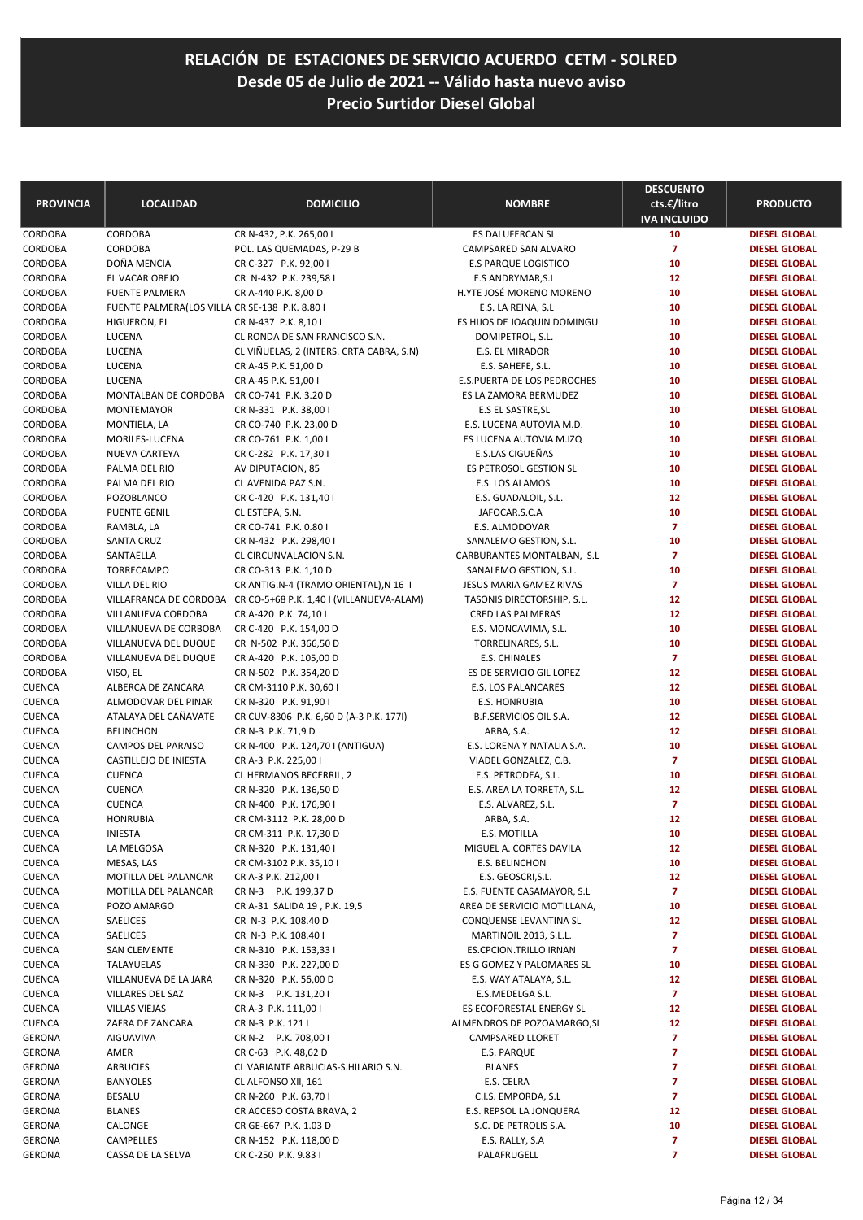| <b>PROVINCIA</b>   | <b>LOCALIDAD</b>                               | <b>DOMICILIO</b>                                                | <b>NOMBRE</b>                                        | <b>DESCUENTO</b><br>cts.€/litro<br><b>IVA INCLUIDO</b> | <b>PRODUCTO</b>                              |
|--------------------|------------------------------------------------|-----------------------------------------------------------------|------------------------------------------------------|--------------------------------------------------------|----------------------------------------------|
| CORDOBA            | CORDOBA                                        | CR N-432, P.K. 265,00 I                                         | ES DALUFERCAN SL                                     | 10                                                     | <b>DIESEL GLOBAL</b>                         |
| CORDOBA            | CORDOBA                                        | POL. LAS QUEMADAS, P-29 B                                       | CAMPSARED SAN ALVARO                                 | $\overline{7}$                                         | <b>DIESEL GLOBAL</b>                         |
| CORDOBA            | DOÑA MENCIA                                    | CR C-327 P.K. 92,00 I                                           | <b>E.S PARQUE LOGISTICO</b>                          | 10                                                     | <b>DIESEL GLOBAL</b>                         |
| CORDOBA            | EL VACAR OBEJO                                 | CR N-432 P.K. 239,58 I                                          | E.S ANDRYMAR, S.L                                    | 12                                                     | <b>DIESEL GLOBAL</b>                         |
| CORDOBA            | <b>FUENTE PALMERA</b>                          | CR A-440 P.K. 8,00 D                                            | H.YTE JOSÉ MORENO MORENO                             | 10                                                     | <b>DIESEL GLOBAL</b>                         |
| CORDOBA            | FUENTE PALMERA(LOS VILLA CR SE-138 P.K. 8.80 I |                                                                 | E.S. LA REINA, S.L.                                  | 10                                                     | <b>DIESEL GLOBAL</b>                         |
| CORDOBA            | HIGUERON, EL                                   | CR N-437 P.K. 8,101                                             | ES HIJOS DE JOAQUIN DOMINGU                          | 10                                                     | <b>DIESEL GLOBAL</b>                         |
| CORDOBA            | LUCENA                                         | CL RONDA DE SAN FRANCISCO S.N.                                  | DOMIPETROL, S.L.                                     | 10                                                     | <b>DIESEL GLOBAL</b>                         |
| CORDOBA            | LUCENA                                         | CL VIÑUELAS, 2 (INTERS. CRTA CABRA, S.N)                        | E.S. EL MIRADOR                                      | 10                                                     | <b>DIESEL GLOBAL</b>                         |
| CORDOBA<br>CORDOBA | LUCENA<br>LUCENA                               | CR A-45 P.K. 51,00 D                                            | E.S. SAHEFE, S.L.                                    | 10<br>10                                               | <b>DIESEL GLOBAL</b><br><b>DIESEL GLOBAL</b> |
| CORDOBA            | MONTALBAN DE CORDOBA                           | CR A-45 P.K. 51,00 I<br>CR CO-741 P.K. 3.20 D                   | E.S.PUERTA DE LOS PEDROCHES<br>ES LA ZAMORA BERMUDEZ | 10                                                     | <b>DIESEL GLOBAL</b>                         |
| CORDOBA            | MONTEMAYOR                                     | CR N-331 P.K. 38,00 I                                           | E.S EL SASTRE, SL                                    | 10                                                     | <b>DIESEL GLOBAL</b>                         |
| CORDOBA            | MONTIELA, LA                                   | CR CO-740 P.K. 23,00 D                                          | E.S. LUCENA AUTOVIA M.D.                             | 10                                                     | <b>DIESEL GLOBAL</b>                         |
| CORDOBA            | MORILES-LUCENA                                 | CR CO-761 P.K. 1,00 I                                           | ES LUCENA AUTOVIA M.IZQ                              | 10                                                     | <b>DIESEL GLOBAL</b>                         |
| CORDOBA            | NUEVA CARTEYA                                  | CR C-282 P.K. 17,30 I                                           | E.S.LAS CIGUEÑAS                                     | 10                                                     | <b>DIESEL GLOBAL</b>                         |
| CORDOBA            | PALMA DEL RIO                                  | AV DIPUTACION, 85                                               | ES PETROSOL GESTION SL                               | 10                                                     | <b>DIESEL GLOBAL</b>                         |
| CORDOBA            | PALMA DEL RIO                                  | CL AVENIDA PAZ S.N.                                             | E.S. LOS ALAMOS                                      | 10                                                     | <b>DIESEL GLOBAL</b>                         |
| CORDOBA            | POZOBLANCO                                     | CR C-420 P.K. 131,40 I                                          | E.S. GUADALOIL, S.L.                                 | 12                                                     | <b>DIESEL GLOBAL</b>                         |
| CORDOBA            | <b>PUENTE GENIL</b>                            | CL ESTEPA, S.N.                                                 | JAFOCAR.S.C.A                                        | 10                                                     | <b>DIESEL GLOBAL</b>                         |
| CORDOBA            | RAMBLA, LA                                     | CR CO-741 P.K. 0.80 I                                           | E.S. ALMODOVAR                                       | $\overline{7}$                                         | <b>DIESEL GLOBAL</b>                         |
| CORDOBA            | <b>SANTA CRUZ</b>                              | CR N-432 P.K. 298,40 I                                          | SANALEMO GESTION, S.L.                               | 10                                                     | <b>DIESEL GLOBAL</b>                         |
| CORDOBA            | SANTAELLA                                      | CL CIRCUNVALACION S.N.                                          | CARBURANTES MONTALBAN, S.L                           | $\overline{7}$                                         | <b>DIESEL GLOBAL</b>                         |
| CORDOBA            | TORRECAMPO                                     | CR CO-313 P.K. 1,10 D                                           | SANALEMO GESTION, S.L.                               | 10                                                     | <b>DIESEL GLOBAL</b>                         |
| CORDOBA            | VILLA DEL RIO                                  | CR ANTIG.N-4 (TRAMO ORIENTAL), N 16 I                           | JESUS MARIA GAMEZ RIVAS                              | $\overline{7}$                                         | <b>DIESEL GLOBAL</b>                         |
| CORDOBA            |                                                | VILLAFRANCA DE CORDOBA CR CO-5+68 P.K. 1,40 I (VILLANUEVA-ALAM) | TASONIS DIRECTORSHIP, S.L.                           | 12                                                     | <b>DIESEL GLOBAL</b>                         |
| CORDOBA            | VILLANUEVA CORDOBA                             | CR A-420 P.K. 74,10 I                                           | CRED LAS PALMERAS                                    | 12                                                     | <b>DIESEL GLOBAL</b>                         |
| CORDOBA            | VILLANUEVA DE CORBOBA                          | CR C-420 P.K. 154,00 D                                          | E.S. MONCAVIMA, S.L.                                 | 10                                                     | <b>DIESEL GLOBAL</b>                         |
| CORDOBA            | VILLANUEVA DEL DUQUE                           | CR N-502 P.K. 366,50 D                                          | TORRELINARES, S.L.                                   | 10                                                     | <b>DIESEL GLOBAL</b>                         |
| CORDOBA            | VILLANUEVA DEL DUQUE                           | CR A-420 P.K. 105,00 D                                          | E.S. CHINALES                                        | $\overline{7}$                                         | <b>DIESEL GLOBAL</b>                         |
| CORDOBA            | VISO, EL                                       | CR N-502 P.K. 354,20 D                                          | ES DE SERVICIO GIL LOPEZ                             | 12                                                     | <b>DIESEL GLOBAL</b>                         |
| CUENCA             | ALBERCA DE ZANCARA                             | CR CM-3110 P.K. 30,60 I                                         | <b>E.S. LOS PALANCARES</b>                           | 12                                                     | <b>DIESEL GLOBAL</b>                         |
| CUENCA             | ALMODOVAR DEL PINAR                            | CR N-320 P.K. 91,90 I                                           | <b>E.S. HONRUBIA</b>                                 | 10                                                     | <b>DIESEL GLOBAL</b>                         |
| CUENCA             | ATALAYA DEL CAÑAVATE                           | CR CUV-8306 P.K. 6,60 D (A-3 P.K. 177I)                         | B.F.SERVICIOS OIL S.A.                               | 12                                                     | <b>DIESEL GLOBAL</b>                         |
| CUENCA             | <b>BELINCHON</b>                               | CR N-3 P.K. 71,9 D                                              | ARBA, S.A.                                           | 12                                                     | <b>DIESEL GLOBAL</b>                         |
| CUENCA             | CAMPOS DEL PARAISO                             | CR N-400 P.K. 124,70 I (ANTIGUA)                                | E.S. LORENA Y NATALIA S.A.                           | 10                                                     | <b>DIESEL GLOBAL</b>                         |
| CUENCA             | CASTILLEJO DE INIESTA                          | CR A-3 P.K. 225,00 I                                            | VIADEL GONZALEZ, C.B.                                | $\overline{7}$                                         | <b>DIESEL GLOBAL</b>                         |
| CUENCA             | <b>CUENCA</b>                                  | CL HERMANOS BECERRIL, 2                                         | E.S. PETRODEA, S.L.                                  | 10                                                     | <b>DIESEL GLOBAL</b>                         |
| <b>CUENCA</b>      | <b>CUENCA</b>                                  | CR N-320 P.K. 136,50 D                                          | E.S. AREA LA TORRETA, S.L.                           | 12                                                     | <b>DIESEL GLOBAL</b>                         |
| CUENCA             | <b>CUENCA</b>                                  | CR N-400 P.K. 176,90 I                                          | E.S. ALVAREZ, S.L.                                   | $\overline{7}$                                         | <b>DIESEL GLOBAL</b>                         |
| CUENCA             | <b>HONRUBIA</b>                                | CR CM-3112 P.K. 28,00 D                                         | ARBA, S.A.                                           | 12                                                     | <b>DIESEL GLOBAL</b>                         |
| CUENCA             | INIESTA                                        | CR CM-311 P.K. 17,30 D                                          | E.S. MOTILLA                                         | 10                                                     | <b>DIESEL GLOBAL</b>                         |
| <b>CUENCA</b>      | LA MELGOSA                                     | CR N-320 P.K. 131,40 I                                          | MIGUEL A. CORTES DAVILA                              | 12                                                     | <b>DIESEL GLOBAL</b>                         |
| CUENCA             | MESAS, LAS                                     | CR CM-3102 P.K. 35,10 I                                         | E.S. BELINCHON                                       | 10                                                     | <b>DIESEL GLOBAL</b>                         |
| CUENCA             | MOTILLA DEL PALANCAR<br>MOTILLA DEL PALANCAR   | CR A-3 P.K. 212,00 I<br>CR N-3 P.K. 199,37 D                    | E.S. GEOSCRI, S.L.<br>E.S. FUENTE CASAMAYOR, S.L     | 12<br>$\overline{7}$                                   | <b>DIESEL GLOBAL</b><br><b>DIESEL GLOBAL</b> |
| CUENCA<br>CUENCA   | POZO AMARGO                                    | CR A-31 SALIDA 19, P.K. 19,5                                    | AREA DE SERVICIO MOTILLANA,                          | 10                                                     | <b>DIESEL GLOBAL</b>                         |
| CUENCA             | SAELICES                                       | CR N-3 P.K. 108.40 D                                            | CONQUENSE LEVANTINA SL                               | 12                                                     | <b>DIESEL GLOBAL</b>                         |
| CUENCA             | SAELICES                                       | CR N-3 P.K. 108.40 I                                            | MARTINOIL 2013, S.L.L.                               | $\overline{7}$                                         | <b>DIESEL GLOBAL</b>                         |
| CUENCA             | SAN CLEMENTE                                   | CR N-310 P.K. 153,33 I                                          | ES.CPCION.TRILLO IRNAN                               | 7                                                      | <b>DIESEL GLOBAL</b>                         |
| CUENCA             | TALAYUELAS                                     | CR N-330 P.K. 227,00 D                                          | ES G GOMEZ Y PALOMARES SL                            | 10                                                     | <b>DIESEL GLOBAL</b>                         |
| CUENCA             | VILLANUEVA DE LA JARA                          | CR N-320 P.K. 56,00 D                                           | E.S. WAY ATALAYA, S.L.                               | 12                                                     | <b>DIESEL GLOBAL</b>                         |
| CUENCA             | VILLARES DEL SAZ                               | CR N-3 P.K. 131,201                                             | E.S.MEDELGA S.L.                                     | $\overline{7}$                                         | <b>DIESEL GLOBAL</b>                         |
| CUENCA             | <b>VILLAS VIEJAS</b>                           | CR A-3 P.K. 111,00 I                                            | ES ECOFORESTAL ENERGY SL                             | 12                                                     | <b>DIESEL GLOBAL</b>                         |
| CUENCA             | ZAFRA DE ZANCARA                               | CR N-3 P.K. 121 I                                               | ALMENDROS DE POZOAMARGO, SL                          | 12                                                     | <b>DIESEL GLOBAL</b>                         |
| GERONA             | AIGUAVIVA                                      | CR N-2 P.K. 708,00 I                                            | CAMPSARED LLORET                                     | $\overline{7}$                                         | <b>DIESEL GLOBAL</b>                         |
| GERONA             | AMER                                           | CR C-63 P.K. 48,62 D                                            | E.S. PARQUE                                          | 7                                                      | <b>DIESEL GLOBAL</b>                         |
| GERONA             | ARBUCIES                                       | CL VARIANTE ARBUCIAS-S.HILARIO S.N.                             | <b>BLANES</b>                                        | 7                                                      | <b>DIESEL GLOBAL</b>                         |
| <b>GERONA</b>      | <b>BANYOLES</b>                                | CL ALFONSO XII, 161                                             | E.S. CELRA                                           | 7                                                      | <b>DIESEL GLOBAL</b>                         |
| GERONA             | BESALU                                         | CR N-260 P.K. 63,70 I                                           | C.I.S. EMPORDA, S.L                                  | $\overline{ }$                                         | <b>DIESEL GLOBAL</b>                         |
| GERONA             | <b>BLANES</b>                                  | CR ACCESO COSTA BRAVA, 2                                        | E.S. REPSOL LA JONQUERA                              | 12                                                     | <b>DIESEL GLOBAL</b>                         |
| GERONA             | CALONGE                                        | CR GE-667 P.K. 1.03 D                                           | S.C. DE PETROLIS S.A.                                | 10                                                     | <b>DIESEL GLOBAL</b>                         |
| GERONA             | CAMPELLES                                      | CR N-152 P.K. 118,00 D                                          | E.S. RALLY, S.A                                      | 7                                                      | <b>DIESEL GLOBAL</b>                         |
| GERONA             | CASSA DE LA SELVA                              | CR C-250 P.K. 9.83 I                                            | PALAFRUGELL                                          | $\overline{ }$                                         | <b>DIESEL GLOBAL</b>                         |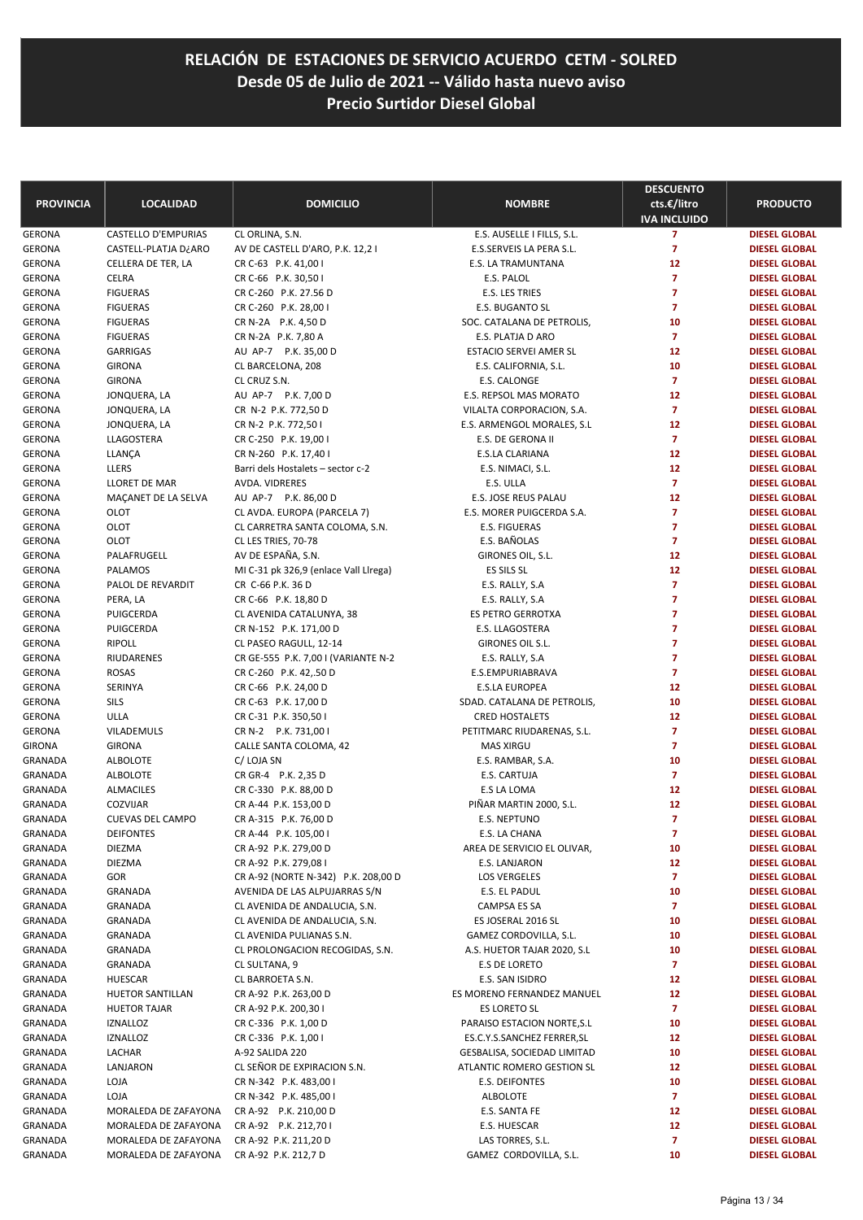| <b>PROVINCIA</b>               | <b>LOCALIDAD</b>                             | <b>DOMICILIO</b>                                             | <b>NOMBRE</b>                                 | <b>DESCUENTO</b><br>cts.€/litro  | <b>PRODUCTO</b>                              |
|--------------------------------|----------------------------------------------|--------------------------------------------------------------|-----------------------------------------------|----------------------------------|----------------------------------------------|
|                                |                                              |                                                              |                                               | <b>IVA INCLUIDO</b>              |                                              |
| <b>GERONA</b>                  | CASTELLO D'EMPURIAS                          | CL ORLINA, S.N.                                              | E.S. AUSELLE I FILLS, S.L.                    | $\overline{7}$                   | <b>DIESEL GLOBAL</b>                         |
| <b>GERONA</b>                  | CASTELL-PLATJA D¿ARO                         | AV DE CASTELL D'ARO, P.K. 12,2 I                             | E.S.SERVEIS LA PERA S.L.                      | $\overline{7}$                   | <b>DIESEL GLOBAL</b>                         |
| <b>GERONA</b>                  | CELLERA DE TER, LA                           | CR C-63 P.K. 41,00 I                                         | E.S. LA TRAMUNTANA                            | 12                               | <b>DIESEL GLOBAL</b>                         |
| GERONA                         | CELRA                                        | CR C-66 P.K. 30,50 I                                         | E.S. PALOL                                    | $\overline{7}$                   | <b>DIESEL GLOBAL</b>                         |
| <b>GERONA</b>                  | <b>FIGUERAS</b>                              | CR C-260 P.K. 27.56 D                                        | E.S. LES TRIES                                | $\overline{7}$<br>$\overline{7}$ | <b>DIESEL GLOBAL</b>                         |
| <b>GERONA</b><br>GERONA        | <b>FIGUERAS</b><br><b>FIGUERAS</b>           | CR C-260 P.K. 28,00 I<br>CR N-2A P.K. 4,50 D                 | E.S. BUGANTO SL<br>SOC. CATALANA DE PETROLIS, | 10                               | <b>DIESEL GLOBAL</b><br><b>DIESEL GLOBAL</b> |
| GERONA                         | <b>FIGUERAS</b>                              | CR N-2A P.K. 7,80 A                                          | E.S. PLATJA D ARO                             | $\overline{7}$                   | <b>DIESEL GLOBAL</b>                         |
| <b>GERONA</b>                  | <b>GARRIGAS</b>                              | AU AP-7 P.K. 35,00 D                                         | <b>ESTACIO SERVEI AMER SL</b>                 | 12                               | <b>DIESEL GLOBAL</b>                         |
| <b>GERONA</b>                  | <b>GIRONA</b>                                | CL BARCELONA, 208                                            | E.S. CALIFORNIA, S.L.                         | 10                               | <b>DIESEL GLOBAL</b>                         |
| GERONA                         | <b>GIRONA</b>                                | CL CRUZ S.N.                                                 | E.S. CALONGE                                  | $\overline{7}$                   | <b>DIESEL GLOBAL</b>                         |
| <b>GERONA</b>                  | JONQUERA, LA                                 | AU AP-7 P.K. 7,00 D                                          | E.S. REPSOL MAS MORATO                        | 12                               | <b>DIESEL GLOBAL</b>                         |
| <b>GERONA</b>                  | JONQUERA, LA                                 | CR N-2 P.K. 772,50 D                                         | VILALTA CORPORACION, S.A.                     | $\overline{7}$                   | <b>DIESEL GLOBAL</b>                         |
| GERONA                         | JONQUERA, LA                                 | CR N-2 P.K. 772,50 I                                         | E.S. ARMENGOL MORALES, S.L.                   | 12                               | <b>DIESEL GLOBAL</b>                         |
| GERONA                         | LLAGOSTERA                                   | CR C-250 P.K. 19,00 I                                        | E.S. DE GERONA II                             | $\overline{7}$                   | <b>DIESEL GLOBAL</b>                         |
| <b>GERONA</b>                  | LLANÇA                                       | CR N-260 P.K. 17,40 I                                        | <b>E.S.LA CLARIANA</b>                        | 12                               | <b>DIESEL GLOBAL</b>                         |
| <b>GERONA</b>                  | LLERS                                        | Barri dels Hostalets - sector c-2                            | E.S. NIMACI, S.L.                             | 12                               | <b>DIESEL GLOBAL</b>                         |
| <b>GERONA</b>                  | LLORET DE MAR                                | AVDA, VIDRERES                                               | E.S. ULLA                                     | $\overline{7}$                   | <b>DIESEL GLOBAL</b>                         |
| <b>GERONA</b>                  | MAÇANET DE LA SELVA                          | AU AP-7 P.K. 86,00 D                                         | E.S. JOSE REUS PALAU                          | 12                               | <b>DIESEL GLOBAL</b>                         |
| GERONA                         | OLOT                                         | CL AVDA. EUROPA (PARCELA 7)                                  | E.S. MORER PUIGCERDA S.A.                     | $\overline{7}$                   | <b>DIESEL GLOBAL</b>                         |
| GERONA                         | OLOT                                         | CL CARRETRA SANTA COLOMA, S.N.                               | E.S. FIGUERAS                                 | $\overline{7}$                   | <b>DIESEL GLOBAL</b>                         |
| <b>GERONA</b>                  | OLOT                                         | CL LES TRIES, 70-78                                          | E.S. BAÑOLAS                                  | $\overline{7}$                   | <b>DIESEL GLOBAL</b>                         |
| <b>GERONA</b>                  | PALAFRUGELL                                  | AV DE ESPAÑA, S.N.                                           | GIRONES OIL, S.L.                             | 12                               | <b>DIESEL GLOBAL</b>                         |
| <b>GERONA</b>                  | PALAMOS                                      | MI C-31 pk 326,9 (enlace Vall Llrega)                        | ES SILS SL                                    | 12                               | <b>DIESEL GLOBAL</b>                         |
| <b>GERONA</b>                  | PALOL DE REVARDIT                            | CR C-66 P.K. 36 D                                            | E.S. RALLY, S.A.                              | $\overline{7}$<br>$\overline{7}$ | <b>DIESEL GLOBAL</b>                         |
| <b>GERONA</b><br><b>GERONA</b> | PERA, LA<br>PUIGCERDA                        | CR C-66 P.K. 18,80 D<br>CL AVENIDA CATALUNYA, 38             | E.S. RALLY, S.A<br>ES PETRO GERROTXA          | $\overline{7}$                   | <b>DIESEL GLOBAL</b><br><b>DIESEL GLOBAL</b> |
| GERONA                         | PUIGCERDA                                    | CR N-152 P.K. 171,00 D                                       | E.S. LLAGOSTERA                               | $\overline{7}$                   | <b>DIESEL GLOBAL</b>                         |
| GERONA                         | <b>RIPOLL</b>                                | CL PASEO RAGULL, 12-14                                       | GIRONES OIL S.L.                              | $\overline{7}$                   | <b>DIESEL GLOBAL</b>                         |
| <b>GERONA</b>                  | RIUDARENES                                   | CR GE-555 P.K. 7,00 I (VARIANTE N-2                          | E.S. RALLY, S.A                               | $\overline{7}$                   | <b>DIESEL GLOBAL</b>                         |
| <b>GERONA</b>                  | <b>ROSAS</b>                                 | CR C-260 P.K. 42,.50 D                                       | E.S.EMPURIABRAVA                              | $\overline{7}$                   | <b>DIESEL GLOBAL</b>                         |
| GERONA                         | SERINYA                                      | CR C-66 P.K. 24,00 D                                         | <b>E.S.LA EUROPEA</b>                         | 12                               | <b>DIESEL GLOBAL</b>                         |
| GERONA                         | <b>SILS</b>                                  | CR C-63 P.K. 17,00 D                                         | SDAD. CATALANA DE PETROLIS,                   | 10                               | <b>DIESEL GLOBAL</b>                         |
| GERONA                         | <b>ULLA</b>                                  | CR C-31 P.K. 350,50 I                                        | <b>CRED HOSTALETS</b>                         | 12                               | <b>DIESEL GLOBAL</b>                         |
| <b>GERONA</b>                  | VILADEMULS                                   | CR N-2 P.K. 731,00 I                                         | PETITMARC RIUDARENAS, S.L.                    | $\overline{7}$                   | <b>DIESEL GLOBAL</b>                         |
| GIRONA                         | <b>GIRONA</b>                                | CALLE SANTA COLOMA, 42                                       | <b>MAS XIRGU</b>                              | $\overline{7}$                   | <b>DIESEL GLOBAL</b>                         |
| GRANADA                        | <b>ALBOLOTE</b>                              | C/LOJA SN                                                    | E.S. RAMBAR, S.A.                             | 10                               | <b>DIESEL GLOBAL</b>                         |
| <b>GRANADA</b>                 | <b>ALBOLOTE</b>                              | CR GR-4 P.K. 2,35 D                                          | E.S. CARTUJA                                  | $\overline{7}$                   | <b>DIESEL GLOBAL</b>                         |
| GRANADA                        | <b>ALMACILES</b>                             | CR C-330 P.K. 88,00 D                                        | E.S LA LOMA                                   | 12                               | <b>DIESEL GLOBAL</b>                         |
| <b>GRANADA</b>                 | COZVIJAR                                     | CR A-44 P.K. 153,00 D                                        | PIÑAR MARTIN 2000, S.L.                       | 12                               | <b>DIESEL GLOBAL</b>                         |
| <b>GRANADA</b>                 | <b>CUEVAS DEL CAMPO</b>                      | CR A-315 P.K. 76,00 D                                        | <b>E.S. NEPTUNO</b>                           | $\overline{7}$                   | <b>DIESEL GLOBAL</b>                         |
| GRANADA                        | <b>DEIFONTES</b>                             | CR A-44 P.K. 105,00 I                                        | E.S. LA CHANA                                 | 7                                | <b>DIESEL GLOBAL</b>                         |
| GRANADA                        | DIEZMA                                       | CR A-92 P.K. 279,00 D                                        | AREA DE SERVICIO EL OLIVAR,                   | 10                               | <b>DIESEL GLOBAL</b><br><b>DIESEL GLOBAL</b> |
| GRANADA<br>GRANADA             | <b>DIEZMA</b><br>GOR                         | CR A-92 P.K. 279,08 I<br>CR A-92 (NORTE N-342) P.K. 208,00 D | E.S. LANJARON<br><b>LOS VERGELES</b>          | 12<br>$\overline{ }$             | <b>DIESEL GLOBAL</b>                         |
| GRANADA                        | GRANADA                                      | AVENIDA DE LAS ALPUJARRAS S/N                                | E.S. EL PADUL                                 | 10                               | <b>DIESEL GLOBAL</b>                         |
| GRANADA                        | GRANADA                                      | CL AVENIDA DE ANDALUCIA, S.N.                                | CAMPSA ES SA                                  | 7                                | <b>DIESEL GLOBAL</b>                         |
| GRANADA                        | GRANADA                                      | CL AVENIDA DE ANDALUCIA, S.N.                                | ES JOSERAL 2016 SL                            | 10                               | <b>DIESEL GLOBAL</b>                         |
| GRANADA                        | GRANADA                                      | CL AVENIDA PULIANAS S.N.                                     | GAMEZ CORDOVILLA, S.L.                        | 10                               | <b>DIESEL GLOBAL</b>                         |
| GRANADA                        | GRANADA                                      | CL PROLONGACION RECOGIDAS, S.N.                              | A.S. HUETOR TAJAR 2020, S.L                   | 10                               | <b>DIESEL GLOBAL</b>                         |
| GRANADA                        | GRANADA                                      | CL SULTANA, 9                                                | E.S DE LORETO                                 | 7                                | <b>DIESEL GLOBAL</b>                         |
| GRANADA                        | HUESCAR                                      | CL BARROETA S.N.                                             | E.S. SAN ISIDRO                               | 12                               | <b>DIESEL GLOBAL</b>                         |
| GRANADA                        | HUETOR SANTILLAN                             | CR A-92 P.K. 263,00 D                                        | ES MORENO FERNANDEZ MANUEL                    | 12                               | <b>DIESEL GLOBAL</b>                         |
| GRANADA                        | <b>HUETOR TAJAR</b>                          | CR A-92 P.K. 200,30 I                                        | ES LORETO SL                                  | $\overline{7}$                   | <b>DIESEL GLOBAL</b>                         |
| GRANADA                        | <b>IZNALLOZ</b>                              | CR C-336 P.K. 1,00 D                                         | PARAISO ESTACION NORTE, S.L                   | 10                               | <b>DIESEL GLOBAL</b>                         |
| GRANADA                        | <b>IZNALLOZ</b>                              | CR C-336 P.K. 1,00 I                                         | ES.C.Y.S.SANCHEZ FERRER, SL                   | 12                               | <b>DIESEL GLOBAL</b>                         |
| GRANADA                        | LACHAR                                       | A-92 SALIDA 220                                              | GESBALISA, SOCIEDAD LIMITAD                   | 10                               | <b>DIESEL GLOBAL</b>                         |
| GRANADA                        | LANJARON                                     | CL SEÑOR DE EXPIRACION S.N.                                  | ATLANTIC ROMERO GESTION SL                    | 12                               | <b>DIESEL GLOBAL</b>                         |
| GRANADA                        | LOJA                                         | CR N-342 P.K. 483,00 I                                       | E.S. DEIFONTES                                | 10                               | <b>DIESEL GLOBAL</b>                         |
| GRANADA                        | LOJA                                         | CR N-342 P.K. 485,00 I                                       | <b>ALBOLOTE</b>                               | $\overline{ }$                   | <b>DIESEL GLOBAL</b>                         |
| GRANADA                        | MORALEDA DE ZAFAYONA                         | CR A-92 P.K. 210,00 D                                        | E.S. SANTA FE                                 | 12                               | <b>DIESEL GLOBAL</b>                         |
| GRANADA<br>GRANADA             | MORALEDA DE ZAFAYONA                         | CR A-92 P.K. 212,70 I<br>CR A-92 P.K. 211,20 D               | E.S. HUESCAR<br>LAS TORRES, S.L.              | 12<br>7                          | <b>DIESEL GLOBAL</b><br><b>DIESEL GLOBAL</b> |
| GRANADA                        | MORALEDA DE ZAFAYONA<br>MORALEDA DE ZAFAYONA | CR A-92 P.K. 212,7 D                                         | GAMEZ CORDOVILLA, S.L.                        | 10                               | <b>DIESEL GLOBAL</b>                         |
|                                |                                              |                                                              |                                               |                                  |                                              |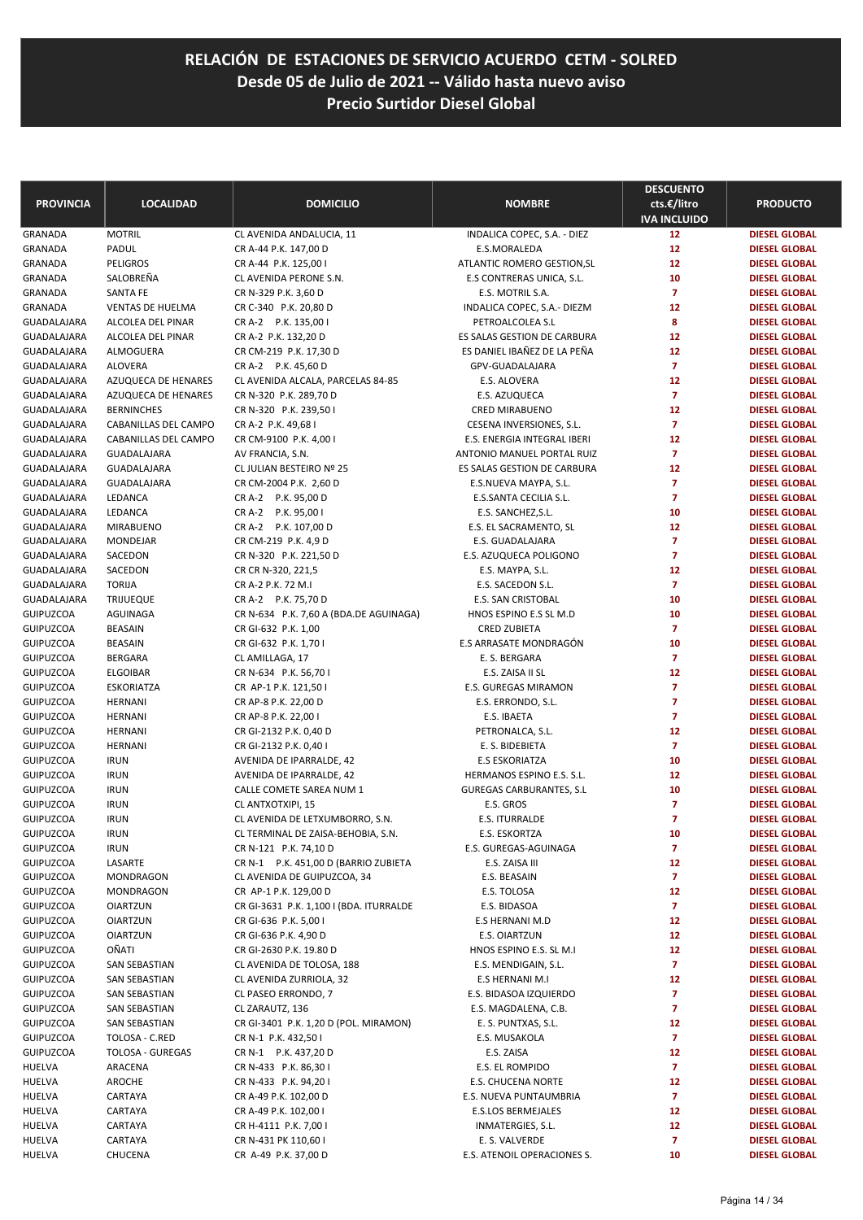| <b>PROVINCIA</b>                     | <b>LOCALIDAD</b>                   | <b>DOMICILIO</b>                                         | <b>NOMBRE</b>                               | <b>DESCUENTO</b><br>cts.€/litro<br><b>IVA INCLUIDO</b> | <b>PRODUCTO</b>                              |
|--------------------------------------|------------------------------------|----------------------------------------------------------|---------------------------------------------|--------------------------------------------------------|----------------------------------------------|
| <b>GRANADA</b>                       | <b>MOTRIL</b>                      | CL AVENIDA ANDALUCIA, 11                                 | INDALICA COPEC, S.A. - DIEZ                 | 12                                                     | <b>DIESEL GLOBAL</b>                         |
| <b>GRANADA</b>                       | PADUL                              | CR A-44 P.K. 147,00 D                                    | E.S.MORALEDA                                | 12                                                     | <b>DIESEL GLOBAL</b>                         |
| <b>GRANADA</b>                       | <b>PELIGROS</b>                    | CR A-44 P.K. 125,00 I                                    | ATLANTIC ROMERO GESTION, SL                 | 12                                                     | <b>DIESEL GLOBAL</b>                         |
| GRANADA                              | SALOBREÑA                          | CL AVENIDA PERONE S.N.                                   | E.S CONTRERAS UNICA, S.L.                   | 10                                                     | <b>DIESEL GLOBAL</b>                         |
| GRANADA                              | <b>SANTA FE</b>                    | CR N-329 P.K. 3,60 D                                     | E.S. MOTRIL S.A.                            | $\overline{7}$                                         | <b>DIESEL GLOBAL</b>                         |
| <b>GRANADA</b>                       | <b>VENTAS DE HUELMA</b>            | CR C-340 P.K. 20,80 D                                    | INDALICA COPEC, S.A.- DIEZM                 | 12                                                     | <b>DIESEL GLOBAL</b>                         |
| <b>GUADALAJARA</b>                   | ALCOLEA DEL PINAR                  | CR A-2 P.K. 135,00 I                                     | PETROALCOLEA S.L                            | 8                                                      | <b>DIESEL GLOBAL</b>                         |
| GUADALAJARA                          | ALCOLEA DEL PINAR                  | CR A-2 P.K. 132,20 D                                     | ES SALAS GESTION DE CARBURA                 | 12                                                     | <b>DIESEL GLOBAL</b>                         |
| <b>GUADALAJARA</b>                   | ALMOGUERA                          | CR CM-219 P.K. 17,30 D                                   | ES DANIEL IBAÑEZ DE LA PEÑA                 | 12                                                     | <b>DIESEL GLOBAL</b>                         |
| GUADALAJARA                          | <b>ALOVERA</b>                     | CR A-2 P.K. 45,60 D                                      | GPV-GUADALAJARA                             | $\overline{7}$                                         | <b>DIESEL GLOBAL</b>                         |
| GUADALAJARA                          | AZUQUECA DE HENARES                | CL AVENIDA ALCALA, PARCELAS 84-85                        | E.S. ALOVERA                                | 12                                                     | <b>DIESEL GLOBAL</b>                         |
| GUADALAJARA                          | AZUQUECA DE HENARES                | CR N-320 P.K. 289,70 D                                   | E.S. AZUQUECA                               | $\overline{7}$                                         | <b>DIESEL GLOBAL</b>                         |
| GUADALAJARA                          | <b>BERNINCHES</b>                  | CR N-320 P.K. 239,50 I                                   | <b>CRED MIRABUENO</b>                       | 12                                                     | <b>DIESEL GLOBAL</b>                         |
| GUADALAJARA                          | CABANILLAS DEL CAMPO               | CR A-2 P.K. 49,68 I                                      | CESENA INVERSIONES, S.L.                    | $\overline{7}$                                         | <b>DIESEL GLOBAL</b>                         |
| GUADALAJARA                          | CABANILLAS DEL CAMPO               | CR CM-9100 P.K. 4,00 I                                   | E.S. ENERGIA INTEGRAL IBERI                 | 12                                                     | <b>DIESEL GLOBAL</b>                         |
| GUADALAJARA                          | GUADALAJARA                        | AV FRANCIA, S.N.                                         | ANTONIO MANUEL PORTAL RUIZ                  | $\overline{7}$                                         | <b>DIESEL GLOBAL</b>                         |
| <b>GUADALAJARA</b>                   | GUADALAJARA                        | CL JULIAN BESTEIRO Nº 25                                 | ES SALAS GESTION DE CARBURA                 | 12                                                     | <b>DIESEL GLOBAL</b>                         |
| <b>GUADALAJARA</b>                   | <b>GUADALAJARA</b>                 | CR CM-2004 P.K. 2,60 D                                   | E.S.NUEVA MAYPA, S.L.                       | $\overline{7}$                                         | <b>DIESEL GLOBAL</b>                         |
| <b>GUADALAJARA</b>                   | LEDANCA                            | CR A-2 P.K. 95,00 D                                      | E.S.SANTA CECILIA S.L.                      | $\overline{7}$                                         | <b>DIESEL GLOBAL</b>                         |
| <b>GUADALAJARA</b>                   | LEDANCA                            | CR A-2 P.K. 95,00 I                                      | E.S. SANCHEZ, S.L.                          | 10                                                     | <b>DIESEL GLOBAL</b>                         |
| GUADALAJARA                          | <b>MIRABUENO</b>                   | CR A-2 P.K. 107,00 D                                     | E.S. EL SACRAMENTO, SL                      | 12                                                     | <b>DIESEL GLOBAL</b>                         |
| <b>GUADALAJARA</b>                   | <b>MONDEJAR</b>                    | CR CM-219 P.K. 4,9 D                                     | E.S. GUADALAJARA                            | $\overline{7}$                                         | <b>DIESEL GLOBAL</b>                         |
| GUADALAJARA                          | SACEDON                            | CR N-320 P.K. 221,50 D                                   | E.S. AZUQUECA POLIGONO                      | $\overline{7}$                                         | <b>DIESEL GLOBAL</b>                         |
| GUADALAJARA                          | SACEDON                            | CR CR N-320, 221,5                                       | E.S. MAYPA, S.L.                            | 12                                                     | <b>DIESEL GLOBAL</b>                         |
| <b>GUADALAJARA</b>                   | <b>TORIJA</b>                      | CR A-2 P.K. 72 M.I                                       | E.S. SACEDON S.L.                           | $\overline{7}$                                         | <b>DIESEL GLOBAL</b>                         |
| GUADALAJARA                          | <b>TRIJUEQUE</b>                   | CR A-2 P.K. 75,70 D                                      | E.S. SAN CRISTOBAL                          | 10                                                     | <b>DIESEL GLOBAL</b>                         |
| <b>GUIPUZCOA</b>                     | AGUINAGA                           | CR N-634 P.K. 7,60 A (BDA.DE AGUINAGA)                   | HNOS ESPINO E.S SL M.D                      | 10                                                     | <b>DIESEL GLOBAL</b>                         |
| <b>GUIPUZCOA</b>                     | BEASAIN                            | CR GI-632 P.K. 1,00                                      | <b>CRED ZUBIETA</b>                         | $\overline{7}$                                         | <b>DIESEL GLOBAL</b>                         |
| <b>GUIPUZCOA</b>                     | <b>BEASAIN</b>                     | CR GI-632 P.K. 1,70 I                                    | E.S ARRASATE MONDRAGÓN                      | 10                                                     | <b>DIESEL GLOBAL</b>                         |
| <b>GUIPUZCOA</b>                     | <b>BERGARA</b>                     | CL AMILLAGA, 17                                          | E. S. BERGARA                               | $\overline{7}$                                         | <b>DIESEL GLOBAL</b>                         |
| <b>GUIPUZCOA</b>                     | <b>ELGOIBAR</b>                    | CR N-634 P.K. 56,70 I                                    | E.S. ZAISA II SL                            | 12                                                     | <b>DIESEL GLOBAL</b>                         |
| <b>GUIPUZCOA</b>                     | <b>ESKORIATZA</b>                  | CR AP-1 P.K. 121,50 I                                    | <b>E.S. GUREGAS MIRAMON</b>                 | $\overline{7}$                                         | <b>DIESEL GLOBAL</b>                         |
| <b>GUIPUZCOA</b>                     | <b>HERNANI</b>                     | CR AP-8 P.K. 22,00 D                                     | E.S. ERRONDO, S.L.                          | $\overline{7}$                                         | <b>DIESEL GLOBAL</b>                         |
| <b>GUIPUZCOA</b>                     | <b>HERNANI</b>                     | CR AP-8 P.K. 22,00 I                                     | E.S. IBAETA                                 | $\overline{7}$                                         | <b>DIESEL GLOBAL</b>                         |
| <b>GUIPUZCOA</b>                     | <b>HERNANI</b>                     | CR GI-2132 P.K. 0,40 D                                   | PETRONALCA, S.L.                            | 12                                                     | <b>DIESEL GLOBAL</b>                         |
| <b>GUIPUZCOA</b>                     | <b>HERNANI</b>                     | CR GI-2132 P.K. 0,40 I                                   | E. S. BIDEBIETA                             | $\overline{7}$                                         | <b>DIESEL GLOBAL</b>                         |
| <b>GUIPUZCOA</b>                     | <b>IRUN</b>                        | AVENIDA DE IPARRALDE, 42                                 | <b>E.S ESKORIATZA</b>                       | 10                                                     | <b>DIESEL GLOBAL</b>                         |
| <b>GUIPUZCOA</b>                     | <b>IRUN</b>                        | AVENIDA DE IPARRALDE, 42                                 | HERMANOS ESPINO E.S. S.L.                   | 12                                                     | <b>DIESEL GLOBAL</b>                         |
| <b>GUIPUZCOA</b>                     | <b>IRUN</b>                        | CALLE COMETE SAREA NUM 1                                 | <b>GUREGAS CARBURANTES, S.L</b>             | 10                                                     | <b>DIESEL GLOBAL</b>                         |
| <b>GUIPUZCOA</b>                     | <b>IRUN</b>                        | CL ANTXOTXIPI, 15                                        | E.S. GROS                                   | $\overline{7}$                                         | <b>DIESEL GLOBAL</b>                         |
| <b>GUIPUZCOA</b>                     | <b>IRUN</b>                        | CL AVENIDA DE LETXUMBORRO, S.N.                          | <b>E.S. ITURRALDE</b>                       | $\overline{7}$                                         | <b>DIESEL GLOBAL</b>                         |
| <b>GUIPUZCOA</b>                     | <b>IRUN</b>                        | CL TERMINAL DE ZAISA-BEHOBIA, S.N.                       | E.S. ESKORTZA                               | 10                                                     | <b>DIESEL GLOBAL</b>                         |
| <b>GUIPUZCOA</b>                     | <b>IRUN</b>                        | CR N-121 P.K. 74,10 D                                    | E.S. GUREGAS-AGUINAGA                       | $\overline{ }$                                         | <b>DIESEL GLOBAL</b>                         |
| <b>GUIPUZCOA</b>                     | LASARTE                            | CR N-1 P.K. 451,00 D (BARRIO ZUBIETA                     | E.S. ZAISA III                              | 12                                                     | <b>DIESEL GLOBAL</b>                         |
| <b>GUIPUZCOA</b>                     | MONDRAGON                          | CL AVENIDA DE GUIPUZCOA, 34                              | E.S. BEASAIN                                | $\overline{7}$                                         | <b>DIESEL GLOBAL</b>                         |
| <b>GUIPUZCOA</b>                     | MONDRAGON                          | CR AP-1 P.K. 129,00 D                                    | E.S. TOLOSA                                 | 12                                                     | <b>DIESEL GLOBAL</b>                         |
| <b>GUIPUZCOA</b>                     | <b>OIARTZUN</b>                    | CR GI-3631 P.K. 1,100 I (BDA. ITURRALDE                  | E.S. BIDASOA                                | $\overline{7}$                                         | <b>DIESEL GLOBAL</b>                         |
| <b>GUIPUZCOA</b><br><b>GUIPUZCOA</b> | <b>OIARTZUN</b><br><b>OIARTZUN</b> | CR GI-636 P.K. 5,00 I                                    | E.S HERNANI M.D                             | 12                                                     | <b>DIESEL GLOBAL</b>                         |
|                                      |                                    | CR GI-636 P.K. 4,90 D                                    | E.S. OIARTZUN                               | 12                                                     | <b>DIESEL GLOBAL</b>                         |
| <b>GUIPUZCOA</b>                     | OÑATI                              | CR GI-2630 P.K. 19.80 D<br>CL AVENIDA DE TOLOSA, 188     | HNOS ESPINO E.S. SL M.I                     | 12<br>$\overline{7}$                                   | <b>DIESEL GLOBAL</b>                         |
| <b>GUIPUZCOA</b>                     | SAN SEBASTIAN<br>SAN SEBASTIAN     |                                                          | E.S. MENDIGAIN, S.L.                        | 12                                                     | <b>DIESEL GLOBAL</b>                         |
| <b>GUIPUZCOA</b><br><b>GUIPUZCOA</b> |                                    | CL AVENIDA ZURRIOLA, 32                                  | E.S HERNANI M.I                             | $\overline{z}$                                         | <b>DIESEL GLOBAL</b><br><b>DIESEL GLOBAL</b> |
|                                      | SAN SEBASTIAN                      | CL PASEO ERRONDO, 7                                      | E.S. BIDASOA IZQUIERDO                      | $\overline{7}$                                         |                                              |
| <b>GUIPUZCOA</b><br><b>GUIPUZCOA</b> | SAN SEBASTIAN<br>SAN SEBASTIAN     | CL ZARAUTZ, 136<br>CR GI-3401 P.K. 1,20 D (POL. MIRAMON) | E.S. MAGDALENA, C.B.<br>E. S. PUNTXAS, S.L. | 12                                                     | <b>DIESEL GLOBAL</b><br><b>DIESEL GLOBAL</b> |
| <b>GUIPUZCOA</b>                     | TOLOSA - C.RED                     | CR N-1 P.K. 432,50 I                                     | E.S. MUSAKOLA                               | $\overline{7}$                                         | <b>DIESEL GLOBAL</b>                         |
| <b>GUIPUZCOA</b>                     | <b>TOLOSA - GUREGAS</b>            | CR N-1 P.K. 437,20 D                                     | E.S. ZAISA                                  | 12                                                     | <b>DIESEL GLOBAL</b>                         |
| HUELVA                               | ARACENA                            | CR N-433 P.K. 86,30 I                                    | E.S. EL ROMPIDO                             | $\overline{7}$                                         | <b>DIESEL GLOBAL</b>                         |
| HUELVA                               | AROCHE                             | CR N-433 P.K. 94,201                                     | <b>E.S. CHUCENA NORTE</b>                   | 12                                                     | <b>DIESEL GLOBAL</b>                         |
| HUELVA                               | CARTAYA                            | CR A-49 P.K. 102,00 D                                    | E.S. NUEVA PUNTAUMBRIA                      | $\overline{7}$                                         | <b>DIESEL GLOBAL</b>                         |
| HUELVA                               | CARTAYA                            | CR A-49 P.K. 102,00 I                                    | <b>E.S.LOS BERMEJALES</b>                   | 12                                                     | <b>DIESEL GLOBAL</b>                         |
| HUELVA                               | CARTAYA                            | CR H-4111 P.K. 7,00 I                                    | INMATERGIES, S.L.                           | 12                                                     | <b>DIESEL GLOBAL</b>                         |
| HUELVA                               | CARTAYA                            | CR N-431 PK 110,60 I                                     | E. S. VALVERDE                              | $\overline{7}$                                         | <b>DIESEL GLOBAL</b>                         |
| HUELVA                               | CHUCENA                            | CR A-49 P.K. 37,00 D                                     | E.S. ATENOIL OPERACIONES S.                 | 10                                                     | DIESEL GLOBAL                                |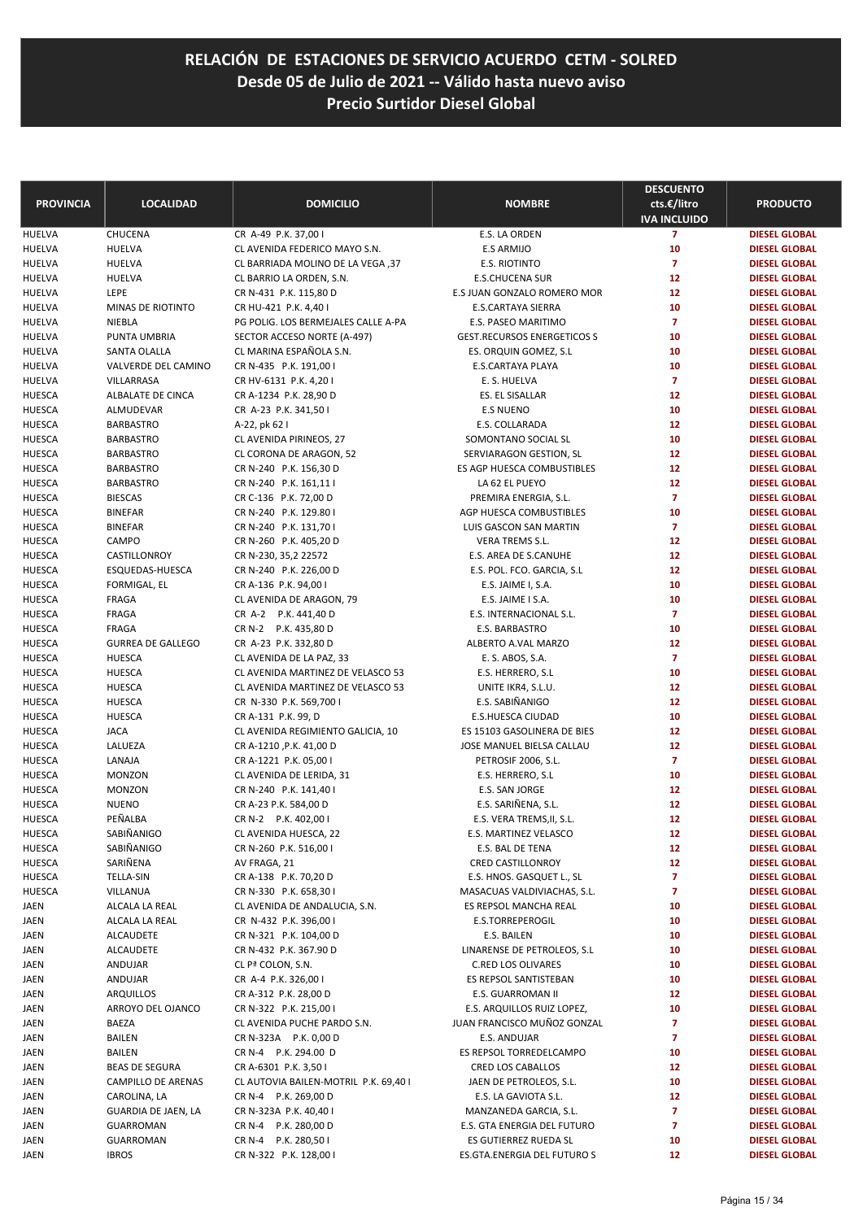| <b>PROVINCIA</b>               | <b>LOCALIDAD</b>          | <b>DOMICILIO</b>                                      | <b>NOMBRE</b>                      | <b>DESCUENTO</b><br>cts.€/litro | <b>PRODUCTO</b>                              |
|--------------------------------|---------------------------|-------------------------------------------------------|------------------------------------|---------------------------------|----------------------------------------------|
|                                |                           |                                                       |                                    | <b>IVA INCLUIDO</b>             |                                              |
| <b>HUELVA</b><br><b>HUELVA</b> | CHUCENA<br><b>HUELVA</b>  | CR A-49 P.K. 37,00 I<br>CL AVENIDA FEDERICO MAYO S.N. | E.S. LA ORDEN<br>E.S ARMIJO        | $\overline{7}$<br>10            | <b>DIESEL GLOBAL</b><br><b>DIESEL GLOBAL</b> |
| <b>HUELVA</b>                  | <b>HUELVA</b>             | CL BARRIADA MOLINO DE LA VEGA, 37                     | E.S. RIOTINTO                      | $\overline{7}$                  | <b>DIESEL GLOBAL</b>                         |
| <b>HUELVA</b>                  | <b>HUELVA</b>             | CL BARRIO LA ORDEN, S.N.                              | <b>E.S.CHUCENA SUR</b>             | 12                              | <b>DIESEL GLOBAL</b>                         |
| <b>HUELVA</b>                  | LEPE                      | CR N-431 P.K. 115,80 D                                | E.S JUAN GONZALO ROMERO MOR        | 12                              | <b>DIESEL GLOBAL</b>                         |
| <b>HUELVA</b>                  | MINAS DE RIOTINTO         | CR HU-421 P.K. 4,40 I                                 | <b>E.S.CARTAYA SIERRA</b>          | 10                              | <b>DIESEL GLOBAL</b>                         |
| <b>HUELVA</b>                  | NIEBLA                    | PG POLIG. LOS BERMEJALES CALLE A-PA                   | E.S. PASEO MARITIMO                | $\overline{7}$                  | <b>DIESEL GLOBAL</b>                         |
| <b>HUELVA</b>                  | PUNTA UMBRIA              | SECTOR ACCESO NORTE (A-497)                           | <b>GEST.RECURSOS ENERGETICOS S</b> | 10                              | <b>DIESEL GLOBAL</b>                         |
| <b>HUELVA</b>                  | SANTA OLALLA              | CL MARINA ESPAÑOLA S.N.                               | ES. ORQUIN GOMEZ, S.L.             | 10                              | <b>DIESEL GLOBAL</b>                         |
| <b>HUELVA</b>                  | VALVERDE DEL CAMINO       | CR N-435 P.K. 191,00 I                                | E.S.CARTAYA PLAYA                  | 10                              | <b>DIESEL GLOBAL</b>                         |
| <b>HUELVA</b>                  | VILLARRASA                | CR HV-6131 P.K. 4,201                                 | E. S. HUELVA                       | $\overline{7}$                  | <b>DIESEL GLOBAL</b>                         |
| <b>HUESCA</b>                  | ALBALATE DE CINCA         | CR A-1234 P.K. 28,90 D                                | ES. EL SISALLAR                    | 12                              | <b>DIESEL GLOBAL</b>                         |
| <b>HUESCA</b>                  | ALMUDEVAR                 | CR A-23 P.K. 341,50 I                                 | <b>E.S NUENO</b>                   | 10                              | <b>DIESEL GLOBAL</b>                         |
| <b>HUESCA</b>                  | <b>BARBASTRO</b>          | A-22, pk 62 l                                         | E.S. COLLARADA                     | 12                              | <b>DIESEL GLOBAL</b>                         |
| <b>HUESCA</b>                  | <b>BARBASTRO</b>          | CL AVENIDA PIRINEOS, 27                               | SOMONTANO SOCIAL SL                | 10                              | <b>DIESEL GLOBAL</b>                         |
| <b>HUESCA</b>                  | <b>BARBASTRO</b>          | CL CORONA DE ARAGON, 52                               | SERVIARAGON GESTION, SL            | 12                              | <b>DIESEL GLOBAL</b>                         |
| <b>HUESCA</b>                  | <b>BARBASTRO</b>          | CR N-240 P.K. 156,30 D                                | ES AGP HUESCA COMBUSTIBLES         | 12                              | <b>DIESEL GLOBAL</b>                         |
| <b>HUESCA</b>                  | <b>BARBASTRO</b>          | CR N-240 P.K. 161,11                                  | LA 62 EL PUEYO                     | 12                              | <b>DIESEL GLOBAL</b>                         |
| <b>HUESCA</b>                  | <b>BIESCAS</b>            | CR C-136 P.K. 72,00 D                                 | PREMIRA ENERGIA, S.L.              | $\overline{7}$                  | <b>DIESEL GLOBAL</b>                         |
| <b>HUESCA</b>                  | <b>BINEFAR</b>            | CR N-240 P.K. 129.80 I                                | AGP HUESCA COMBUSTIBLES            | 10                              | <b>DIESEL GLOBAL</b>                         |
| <b>HUESCA</b>                  | <b>BINEFAR</b>            | CR N-240 P.K. 131,70 I                                | <b>LUIS GASCON SAN MARTIN</b>      | $\overline{7}$                  | <b>DIESEL GLOBAL</b>                         |
| <b>HUESCA</b>                  | CAMPO                     | CR N-260 P.K. 405,20 D                                | <b>VERA TREMS S.L.</b>             | 12                              | <b>DIESEL GLOBAL</b>                         |
| <b>HUESCA</b>                  | CASTILLONROY              | CR N-230, 35,2 22572                                  | E.S. AREA DE S.CANUHE              | 12                              | <b>DIESEL GLOBAL</b>                         |
| <b>HUESCA</b>                  | ESQUEDAS-HUESCA           | CR N-240 P.K. 226,00 D                                | E.S. POL. FCO. GARCIA, S.L         | 12                              | <b>DIESEL GLOBAL</b>                         |
| <b>HUESCA</b>                  | FORMIGAL, EL              | CR A-136 P.K. 94,00 I                                 | E.S. JAIME I, S.A.                 | 10                              | <b>DIESEL GLOBAL</b>                         |
| <b>HUESCA</b>                  | <b>FRAGA</b>              | CL AVENIDA DE ARAGON, 79                              | E.S. JAIME I S.A.                  | 10                              | <b>DIESEL GLOBAL</b>                         |
| <b>HUESCA</b>                  | <b>FRAGA</b>              | CR A-2 P.K. 441,40 D                                  | E.S. INTERNACIONAL S.L.            | $\overline{7}$                  | <b>DIESEL GLOBAL</b>                         |
| <b>HUESCA</b>                  | FRAGA                     | CR N-2 P.K. 435,80 D                                  | E.S. BARBASTRO                     | 10                              | <b>DIESEL GLOBAL</b>                         |
| <b>HUESCA</b>                  | <b>GURREA DE GALLEGO</b>  | CR A-23 P.K. 332,80 D                                 | ALBERTO A.VAL MARZO                | 12                              | <b>DIESEL GLOBAL</b>                         |
| <b>HUESCA</b>                  | <b>HUESCA</b>             | CL AVENIDA DE LA PAZ, 33                              | E. S. ABOS, S.A.                   | $\overline{7}$                  | <b>DIESEL GLOBAL</b>                         |
| <b>HUESCA</b>                  | <b>HUESCA</b>             | CL AVENIDA MARTINEZ DE VELASCO 53                     | E.S. HERRERO, S.L.                 | 10                              | <b>DIESEL GLOBAL</b>                         |
| <b>HUESCA</b>                  | <b>HUESCA</b>             | CL AVENIDA MARTINEZ DE VELASCO 53                     | UNITE IKR4, S.L.U.                 | 12                              | <b>DIESEL GLOBAL</b>                         |
| <b>HUESCA</b>                  | <b>HUESCA</b>             | CR N-330 P.K. 569,700 I                               | E.S. SABIÑANIGO                    | 12                              | <b>DIESEL GLOBAL</b>                         |
| <b>HUESCA</b>                  | <b>HUESCA</b>             | CR A-131 P.K. 99, D                                   | E.S.HUESCA CIUDAD                  | 10                              | <b>DIESEL GLOBAL</b>                         |
| <b>HUESCA</b>                  | <b>JACA</b>               | CL AVENIDA REGIMIENTO GALICIA, 10                     | ES 15103 GASOLINERA DE BIES        | 12                              | <b>DIESEL GLOBAL</b>                         |
| <b>HUESCA</b>                  | LALUEZA                   | CR A-1210, P.K. 41,00 D                               | JOSE MANUEL BIELSA CALLAU          | 12                              | <b>DIESEL GLOBAL</b>                         |
| <b>HUESCA</b>                  | LANAJA                    | CR A-1221 P.K. 05,00 I                                | PETROSIF 2006, S.L.                | $\overline{7}$                  | <b>DIESEL GLOBAL</b>                         |
| <b>HUESCA</b>                  | <b>MONZON</b>             | CL AVENIDA DE LERIDA, 31                              | E.S. HERRERO, S.L                  | 10                              | <b>DIESEL GLOBAL</b>                         |
| <b>HUESCA</b>                  | <b>MONZON</b>             | CR N-240 P.K. 141,40 I                                | E.S. SAN JORGE                     | 12                              | <b>DIESEL GLOBAL</b>                         |
| <b>HUESCA</b>                  | <b>NUENO</b>              | CR A-23 P.K. 584,00 D                                 | E.S. SARIÑENA, S.L.                | 12                              | <b>DIESEL GLOBAL</b>                         |
| <b>HUESCA</b>                  | PEÑALBA                   | CR N-2 P.K. 402,00 I                                  | E.S. VERA TREMS, II, S.L.          | 12                              | <b>DIESEL GLOBAL</b>                         |
| HUESCA                         | SABIÑANIGO                | CL AVENIDA HUESCA, 22                                 | E.S. MARTINEZ VELASCO              | 12                              | <b>DIESEL GLOBAL</b>                         |
| <b>HUESCA</b>                  | SABIÑANIGO                | CR N-260 P.K. 516,00 I                                | E.S. BAL DE TENA                   | 12                              | <b>DIESEL GLOBAL</b>                         |
| <b>HUESCA</b>                  | SARIÑENA                  | AV FRAGA, 21                                          | CRED CASTILLONROY                  | 12                              | <b>DIESEL GLOBAL</b>                         |
| HUESCA                         | <b>TELLA-SIN</b>          | CR A-138 P.K. 70,20 D                                 | E.S. HNOS. GASQUET L., SL          | 7                               | <b>DIESEL GLOBAL</b>                         |
| HUESCA                         | VILLANUA                  | CR N-330 P.K. 658,30 I                                | MASACUAS VALDIVIACHAS, S.L.        | 7                               | <b>DIESEL GLOBAL</b>                         |
| JAEN                           | ALCALA LA REAL            | CL AVENIDA DE ANDALUCIA, S.N.                         | ES REPSOL MANCHA REAL              | 10                              | <b>DIESEL GLOBAL</b>                         |
| JAEN                           | ALCALA LA REAL            | CR N-432 P.K. 396,00 I                                | E.S.TORREPEROGIL                   | 10                              | <b>DIESEL GLOBAL</b>                         |
| JAEN                           | <b>ALCAUDETE</b>          | CR N-321 P.K. 104,00 D                                | E.S. BAILEN                        | 10                              | <b>DIESEL GLOBAL</b>                         |
| JAEN                           | ALCAUDETE                 | CR N-432 P.K. 367.90 D                                | LINARENSE DE PETROLEOS, S.L.       | 10                              | <b>DIESEL GLOBAL</b>                         |
| JAEN                           | ANDUJAR                   | CL Pª COLON, S.N.                                     | <b>C.RED LOS OLIVARES</b>          | 10                              | <b>DIESEL GLOBAL</b>                         |
| JAEN                           | ANDUJAR                   | CR A-4 P.K. 326,00 I                                  | ES REPSOL SANTISTEBAN              | 10                              | <b>DIESEL GLOBAL</b>                         |
| JAEN                           | <b>ARQUILLOS</b>          | CR A-312 P.K. 28,00 D                                 | E.S. GUARROMAN II                  | 12                              | <b>DIESEL GLOBAL</b>                         |
| JAEN                           | ARROYO DEL OJANCO         | CR N-322 P.K. 215,00 I                                | E.S. ARQUILLOS RUIZ LOPEZ,         | 10                              | <b>DIESEL GLOBAL</b>                         |
| JAEN                           | BAEZA                     | CL AVENIDA PUCHE PARDO S.N.                           | JUAN FRANCISCO MUÑOZ GONZAL        | 7                               | <b>DIESEL GLOBAL</b>                         |
| JAEN                           | BAILEN                    | CR N-323A P.K. 0,00 D                                 | E.S. ANDUJAR                       | $\overline{\mathbf{z}}$         | <b>DIESEL GLOBAL</b>                         |
| JAEN                           | BAILEN                    | CR N-4 P.K. 294.00 D                                  | ES REPSOL TORREDELCAMPO            | 10                              | <b>DIESEL GLOBAL</b>                         |
| JAEN                           | <b>BEAS DE SEGURA</b>     | CR A-6301 P.K. 3,50 I                                 | CRED LOS CABALLOS                  | 12                              | <b>DIESEL GLOBAL</b>                         |
| JAEN                           | <b>CAMPILLO DE ARENAS</b> | CL AUTOVIA BAILEN-MOTRIL P.K. 69,40 I                 | JAEN DE PETROLEOS, S.L.            | 10                              | <b>DIESEL GLOBAL</b>                         |
| JAEN                           | CAROLINA, LA              | CR N-4 P.K. 269,00 D                                  | E.S. LA GAVIOTA S.L.               | 12                              | <b>DIESEL GLOBAL</b>                         |
| JAEN                           | GUARDIA DE JAEN, LA       | CR N-323A P.K. 40,40 I                                | MANZANEDA GARCIA, S.L.             | $\overline{\mathbf{z}}$         | <b>DIESEL GLOBAL</b>                         |
| JAEN                           | GUARROMAN                 | CR N-4 P.K. 280,00 D                                  | E.S. GTA ENERGIA DEL FUTURO        | 7                               | <b>DIESEL GLOBAL</b>                         |
| JAEN                           | <b>GUARROMAN</b>          | CR N-4 P.K. 280,50 I                                  | ES GUTIERREZ RUEDA SL              | 10                              | <b>DIESEL GLOBAL</b>                         |
| JAEN                           | <b>IBROS</b>              | CR N-322 P.K. 128,00 I                                | ES.GTA.ENERGIA DEL FUTURO S        | 12                              | <b>DIESEL GLOBAL</b>                         |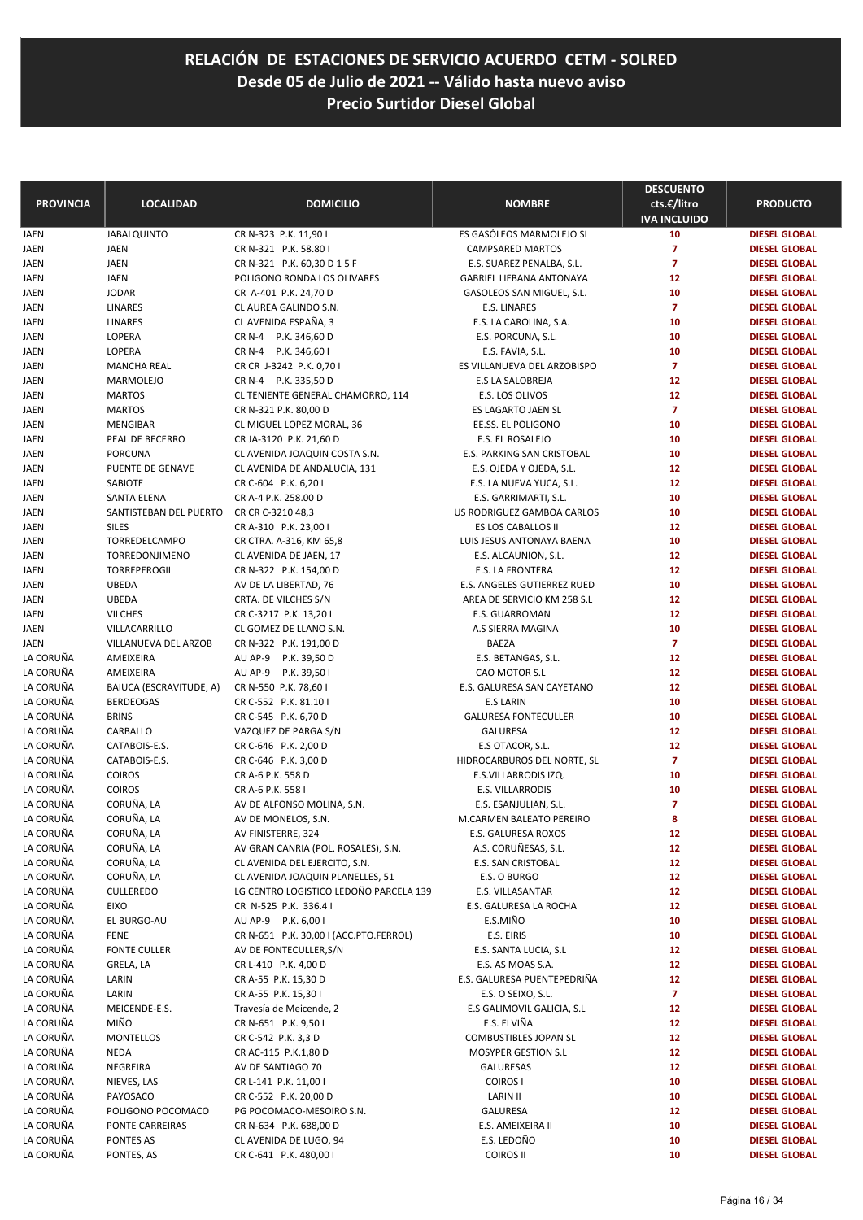| <b>PROVINCIA</b>       | <b>LOCALIDAD</b>                            | <b>DOMICILIO</b>                             | <b>NOMBRE</b>                        | <b>DESCUENTO</b><br>cts.€/litro | <b>PRODUCTO</b>                              |
|------------------------|---------------------------------------------|----------------------------------------------|--------------------------------------|---------------------------------|----------------------------------------------|
|                        |                                             |                                              |                                      | <b>IVA INCLUIDO</b>             |                                              |
| JAEN                   | <b>JABALQUINTO</b>                          | CR N-323 P.K. 11,90 I                        | ES GASÓLEOS MARMOLEJO SL             | 10                              | <b>DIESEL GLOBAL</b>                         |
| JAEN                   | <b>JAEN</b>                                 | CR N-321 P.K. 58.80 I                        | <b>CAMPSARED MARTOS</b>              | 7                               | <b>DIESEL GLOBAL</b>                         |
| JAEN                   | <b>JAEN</b>                                 | CR N-321 P.K. 60,30 D 1 5 F                  | E.S. SUAREZ PENALBA, S.L.            | 7                               | <b>DIESEL GLOBAL</b>                         |
| JAEN                   | <b>JAEN</b>                                 | POLIGONO RONDA LOS OLIVARES                  | <b>GABRIEL LIEBANA ANTONAYA</b>      | 12                              | <b>DIESEL GLOBAL</b>                         |
| JAEN                   | <b>JODAR</b>                                | CR A-401 P.K. 24,70 D                        | GASOLEOS SAN MIGUEL, S.L.            | 10                              | <b>DIESEL GLOBAL</b>                         |
| JAEN                   | LINARES                                     | CL AUREA GALINDO S.N.                        | E.S. LINARES                         | $\overline{z}$                  | <b>DIESEL GLOBAL</b>                         |
| JAEN                   | LINARES                                     | CL AVENIDA ESPAÑA, 3                         | E.S. LA CAROLINA, S.A.               | 10                              | <b>DIESEL GLOBAL</b>                         |
| JAEN                   | LOPERA                                      | CR N-4 P.K. 346,60 D                         | E.S. PORCUNA, S.L.                   | 10                              | <b>DIESEL GLOBAL</b>                         |
| JAEN                   | LOPERA                                      | CR N-4 P.K. 346,60 I                         | E.S. FAVIA, S.L.                     | 10                              | <b>DIESEL GLOBAL</b>                         |
| JAEN                   | <b>MANCHA REAL</b>                          | CR CR J-3242 P.K. 0,70 I                     | ES VILLANUEVA DEL ARZOBISPO          | $\overline{7}$                  | <b>DIESEL GLOBAL</b>                         |
| JAEN                   | MARMOLEJO                                   | CR N-4 P.K. 335,50 D                         | <b>E.S LA SALOBREJA</b>              | 12                              | <b>DIESEL GLOBAL</b>                         |
| JAEN                   | <b>MARTOS</b>                               | CL TENIENTE GENERAL CHAMORRO, 114            | E.S. LOS OLIVOS                      | 12                              | <b>DIESEL GLOBAL</b>                         |
| JAEN                   | <b>MARTOS</b>                               | CR N-321 P.K. 80,00 D                        | ES LAGARTO JAEN SL                   | $\overline{7}$                  | <b>DIESEL GLOBAL</b>                         |
| JAEN                   | MENGIBAR                                    | CL MIGUEL LOPEZ MORAL, 36                    | EE.SS. EL POLIGONO                   | 10                              | <b>DIESEL GLOBAL</b>                         |
| JAEN                   | PEAL DE BECERRO                             | CR JA-3120 P.K. 21,60 D                      | E.S. EL ROSALEJO                     | 10                              | <b>DIESEL GLOBAL</b>                         |
| JAEN                   | <b>PORCUNA</b>                              | CL AVENIDA JOAQUIN COSTA S.N.                | E.S. PARKING SAN CRISTOBAL           | 10                              | <b>DIESEL GLOBAL</b>                         |
| JAEN                   | PUENTE DE GENAVE                            | CL AVENIDA DE ANDALUCIA, 131                 | E.S. OJEDA Y OJEDA, S.L.             | 12                              | <b>DIESEL GLOBAL</b>                         |
| JAEN                   | SABIOTE                                     | CR C-604 P.K. 6,20 I                         | E.S. LA NUEVA YUCA, S.L.             | 12                              | <b>DIESEL GLOBAL</b>                         |
| JAEN                   | <b>SANTA ELENA</b>                          | CR A-4 P.K. 258.00 D                         | E.S. GARRIMARTI, S.L.                | 10                              | <b>DIESEL GLOBAL</b>                         |
| JAEN                   | SANTISTEBAN DEL PUERTO                      | CR CR C-3210 48,3                            | US RODRIGUEZ GAMBOA CARLOS           | 10                              | <b>DIESEL GLOBAL</b>                         |
| JAEN                   | <b>SILES</b>                                | CR A-310 P.K. 23,00 I                        | ES LOS CABALLOS II                   | 12                              | <b>DIESEL GLOBAL</b>                         |
| JAEN                   | TORREDELCAMPO                               | CR CTRA. A-316, KM 65,8                      | LUIS JESUS ANTONAYA BAENA            | 10                              | <b>DIESEL GLOBAL</b>                         |
| JAEN                   | TORREDONJIMENO                              | CL AVENIDA DE JAEN, 17                       | E.S. ALCAUNION, S.L.                 | 12                              | <b>DIESEL GLOBAL</b>                         |
| JAEN                   | TORREPEROGIL                                | CR N-322 P.K. 154,00 D                       | E.S. LA FRONTERA                     | 12                              | <b>DIESEL GLOBAL</b>                         |
| JAEN                   | <b>UBEDA</b>                                | AV DE LA LIBERTAD, 76                        | E.S. ANGELES GUTIERREZ RUED          | 10                              | <b>DIESEL GLOBAL</b>                         |
| JAEN                   | <b>UBEDA</b>                                | CRTA. DE VILCHES S/N                         | AREA DE SERVICIO KM 258 S.L          | 12                              | <b>DIESEL GLOBAL</b>                         |
| JAEN                   | <b>VILCHES</b>                              | CR C-3217 P.K. 13,20 I                       | E.S. GUARROMAN                       | 12                              | <b>DIESEL GLOBAL</b>                         |
| JAEN                   | VILLACARRILLO<br>VILLANUEVA DEL ARZOB       | CL GOMEZ DE LLANO S.N.                       | A.S SIERRA MAGINA<br><b>BAEZA</b>    | 10<br>$\overline{7}$            | <b>DIESEL GLOBAL</b>                         |
| JAEN                   |                                             | CR N-322 P.K. 191,00 D                       |                                      | 12                              | <b>DIESEL GLOBAL</b>                         |
| LA CORUÑA<br>LA CORUÑA | AMEIXEIRA<br>AMEIXEIRA                      | AU AP-9 P.K. 39,50 D                         | E.S. BETANGAS, S.L.<br>CAO MOTOR S.L | 12                              | <b>DIESEL GLOBAL</b>                         |
| LA CORUÑA              |                                             | AU AP-9 P.K. 39,50 I                         | E.S. GALURESA SAN CAYETANO           | 12                              | <b>DIESEL GLOBAL</b>                         |
| LA CORUÑA              | BAIUCA (ESCRAVITUDE, A)<br><b>BERDEOGAS</b> | CR N-550 P.K. 78,60 I                        |                                      | 10                              | <b>DIESEL GLOBAL</b>                         |
| LA CORUÑA              |                                             | CR C-552 P.K. 81.10                          | <b>E.S LARIN</b>                     | 10                              | <b>DIESEL GLOBAL</b>                         |
| LA CORUÑA              | <b>BRINS</b>                                | CR C-545 P.K. 6,70 D                         | <b>GALURESA FONTECULLER</b>          |                                 | <b>DIESEL GLOBAL</b>                         |
| LA CORUÑA              | CARBALLO<br>CATABOIS-E.S.                   | VAZQUEZ DE PARGA S/N<br>CR C-646 P.K. 2,00 D | GALURESA<br>E.S OTACOR, S.L.         | 12<br>12                        | <b>DIESEL GLOBAL</b><br><b>DIESEL GLOBAL</b> |
| LA CORUÑA              | CATABOIS-E.S.                               | CR C-646 P.K. 3,00 D                         | HIDROCARBUROS DEL NORTE, SL          | $\overline{7}$                  | <b>DIESEL GLOBAL</b>                         |
| LA CORUÑA              | <b>COIROS</b>                               | CR A-6 P.K. 558 D                            | E.S.VILLARRODIS IZQ.                 | 10                              | <b>DIESEL GLOBAL</b>                         |
| LA CORUÑA              | <b>COIROS</b>                               | CR A-6 P.K. 558 I                            | E.S. VILLARRODIS                     | 10                              | <b>DIESEL GLOBAL</b>                         |
| LA CORUÑA              | CORUÑA, LA                                  | AV DE ALFONSO MOLINA, S.N.                   | E.S. ESANJULIAN, S.L.                | 7                               | <b>DIESEL GLOBAL</b>                         |
| LA CORUÑA              | CORUÑA, LA                                  | AV DE MONELOS, S.N.                          | M.CARMEN BALEATO PEREIRO             | 8                               | <b>DIESEL GLOBAL</b>                         |
| LA CORUNA              | CORUÑA, LA                                  | AV FINISTERRE, 324                           | E.S. GALURESA ROXOS                  | 12                              | <b>DIESEL GLOBAL</b>                         |
| LA CORUÑA              | CORUÑA, LA                                  | AV GRAN CANRIA (POL. ROSALES), S.N.          | A.S. CORUÑESAS, S.L.                 | 12                              | <b>DIESEL GLOBAL</b>                         |
| LA CORUÑA              | CORUÑA, LA                                  | CL AVENIDA DEL EJERCITO, S.N.                | E.S. SAN CRISTOBAL                   | 12                              | <b>DIESEL GLOBAL</b>                         |
| LA CORUÑA              | CORUÑA, LA                                  | CL AVENIDA JOAQUIN PLANELLES, 51             | E.S. O BURGO                         | 12                              | <b>DIESEL GLOBAL</b>                         |
| LA CORUÑA              | <b>CULLEREDO</b>                            | LG CENTRO LOGISTICO LEDOÑO PARCELA 139       | E.S. VILLASANTAR                     | 12                              | <b>DIESEL GLOBAL</b>                         |
| LA CORUÑA              | EIXO                                        | CR N-525 P.K. 336.4 I                        | E.S. GALURESA LA ROCHA               | 12                              | <b>DIESEL GLOBAL</b>                         |
| LA CORUÑA              | EL BURGO-AU                                 | AU AP-9 P.K. 6,001                           | E.S.MIÑO                             | 10                              | <b>DIESEL GLOBAL</b>                         |
| LA CORUÑA              | <b>FENE</b>                                 | CR N-651 P.K. 30,00 I (ACC.PTO.FERROL)       | E.S. EIRIS                           | 10                              | <b>DIESEL GLOBAL</b>                         |
| LA CORUÑA              | <b>FONTE CULLER</b>                         | AV DE FONTECULLER, S/N                       | E.S. SANTA LUCIA, S.L                | 12                              | <b>DIESEL GLOBAL</b>                         |
| LA CORUÑA              | GRELA, LA                                   | CR L-410 P.K. 4,00 D                         | E.S. AS MOAS S.A.                    | 12                              | <b>DIESEL GLOBAL</b>                         |
| LA CORUÑA              | LARIN                                       | CR A-55 P.K. 15,30 D                         | E.S. GALURESA PUENTEPEDRIÑA          | 12                              | <b>DIESEL GLOBAL</b>                         |
| LA CORUÑA              | LARIN                                       | CR A-55 P.K. 15,30 I                         | E.S. O SEIXO, S.L.                   | $\overline{z}$                  | <b>DIESEL GLOBAL</b>                         |
| LA CORUÑA              | MEICENDE-E.S.                               | Travesía de Meicende, 2                      | E.S GALIMOVIL GALICIA, S.L           | 12                              | <b>DIESEL GLOBAL</b>                         |
| LA CORUÑA              | MIÑO                                        | CR N-651 P.K. 9,50 I                         | E.S. ELVIÑA                          | 12                              | <b>DIESEL GLOBAL</b>                         |
| LA CORUÑA              | MONTELLOS                                   | CR C-542 P.K. 3,3 D                          | COMBUSTIBLES JOPAN SL                | 12                              | <b>DIESEL GLOBAL</b>                         |
| LA CORUÑA              | NEDA                                        | CR AC-115 P.K.1,80 D                         | <b>MOSYPER GESTION S.L</b>           | 12                              | <b>DIESEL GLOBAL</b>                         |
| LA CORUÑA              | NEGREIRA                                    | AV DE SANTIAGO 70                            | <b>GALURESAS</b>                     | 12                              | <b>DIESEL GLOBAL</b>                         |
| LA CORUÑA              | NIEVES, LAS                                 | CR L-141 P.K. 11,00 I                        | COIROS I                             | 10                              | <b>DIESEL GLOBAL</b>                         |
| LA CORUÑA              | PAYOSACO                                    | CR C-552 P.K. 20,00 D                        | LARIN II                             | 10                              | <b>DIESEL GLOBAL</b>                         |
| LA CORUÑA              | POLIGONO POCOMACO                           | PG POCOMACO-MESOIRO S.N.                     | <b>GALURESA</b>                      | 12                              | <b>DIESEL GLOBAL</b>                         |
| LA CORUÑA              | PONTE CARREIRAS                             | CR N-634 P.K. 688,00 D                       | E.S. AMEIXEIRA II                    | 10                              | <b>DIESEL GLOBAL</b>                         |
| LA CORUÑA              | PONTES AS                                   | CL AVENIDA DE LUGO, 94                       | E.S. LEDOÑO                          | 10                              | <b>DIESEL GLOBAL</b>                         |
| LA CORUÑA              | PONTES, AS                                  | CR C-641 P.K. 480,00 I                       | COIROS II                            | 10                              | <b>DIESEL GLOBAL</b>                         |
|                        |                                             |                                              |                                      |                                 |                                              |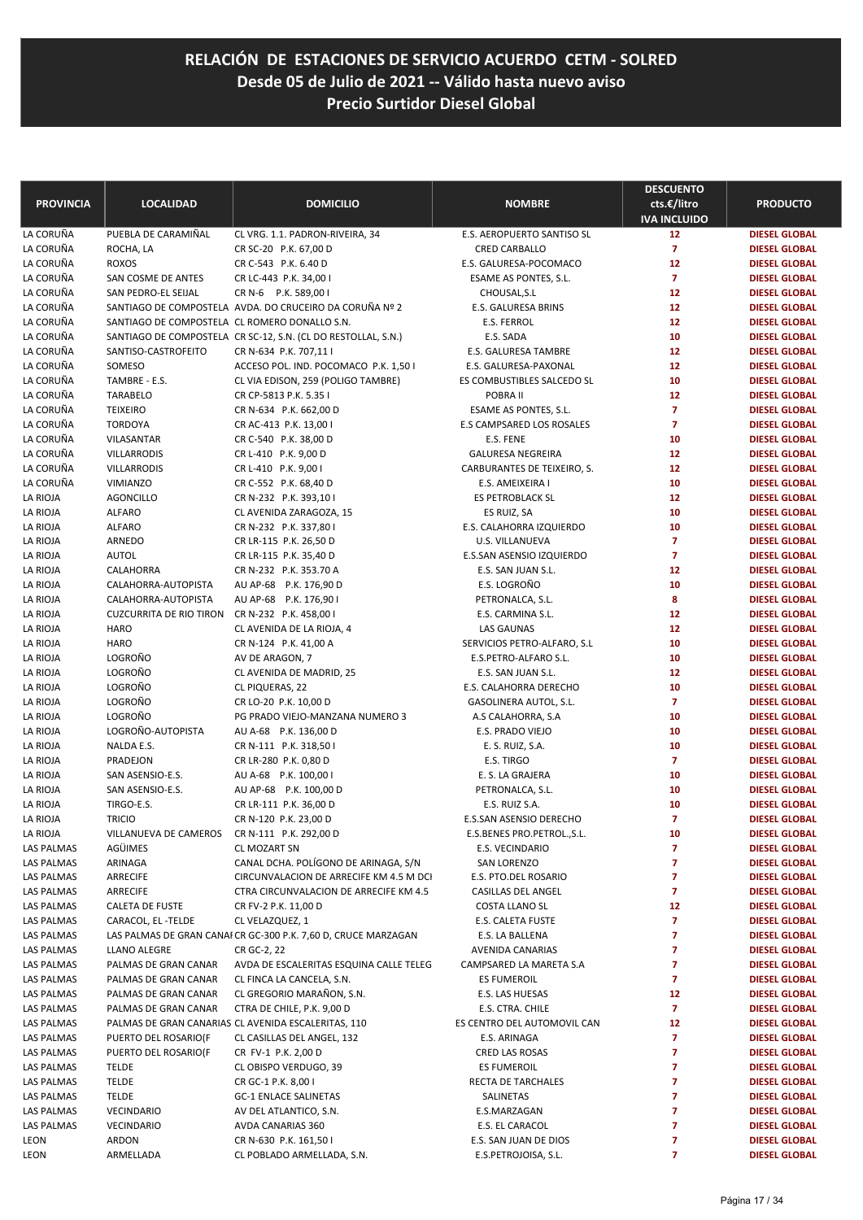| <b>PROVINCIA</b> | <b>LOCALIDAD</b>                              | <b>DOMICILIO</b>                                               | <b>NOMBRE</b>               | <b>DESCUENTO</b><br>cts.€/litro<br><b>IVA INCLUIDO</b> | <b>PRODUCTO</b>      |
|------------------|-----------------------------------------------|----------------------------------------------------------------|-----------------------------|--------------------------------------------------------|----------------------|
| LA CORUÑA        | PUEBLA DE CARAMIÑAL                           | CL VRG. 1.1. PADRON-RIVEIRA, 34                                | E.S. AEROPUERTO SANTISO SL  | 12                                                     | <b>DIESEL GLOBAL</b> |
| LA CORUÑA        | ROCHA, LA                                     | CR SC-20 P.K. 67,00 D                                          | CRED CARBALLO               | $\overline{7}$                                         | <b>DIESEL GLOBAL</b> |
| LA CORUÑA        | <b>ROXOS</b>                                  | CR C-543 P.K. 6.40 D                                           | E.S. GALURESA-POCOMACO      | 12                                                     | <b>DIESEL GLOBAL</b> |
| LA CORUÑA        | SAN COSME DE ANTES                            | CR LC-443 P.K. 34,00 I                                         | ESAME AS PONTES, S.L.       | $\overline{7}$                                         | <b>DIESEL GLOBAL</b> |
| LA CORUÑA        | SAN PEDRO-EL SEIJAL                           | CR N-6 P.K. 589,00 I                                           | CHOUSAL, S.L                | 12                                                     | <b>DIESEL GLOBAL</b> |
| LA CORUÑA        |                                               | SANTIAGO DE COMPOSTELA AVDA. DO CRUCEIRO DA CORUÑA Nº 2        | E.S. GALURESA BRINS         | 12                                                     | <b>DIESEL GLOBAL</b> |
| LA CORUÑA        | SANTIAGO DE COMPOSTELA CL ROMERO DONALLO S.N. |                                                                | <b>E.S. FERROL</b>          | 12                                                     | <b>DIESEL GLOBAL</b> |
| LA CORUÑA        |                                               | SANTIAGO DE COMPOSTELA CR SC-12, S.N. (CL DO RESTOLLAL, S.N.)  | E.S. SADA                   | 10                                                     | <b>DIESEL GLOBAL</b> |
| LA CORUÑA        | SANTISO-CASTROFEITO                           | CR N-634 P.K. 707,11 I                                         | E.S. GALURESA TAMBRE        | 12                                                     | <b>DIESEL GLOBAL</b> |
| LA CORUÑA        | SOMESO                                        | ACCESO POL. IND. POCOMACO P.K. 1,50 I                          | E.S. GALURESA-PAXONAL       | 12                                                     | <b>DIESEL GLOBAL</b> |
| LA CORUÑA        | TAMBRE - E.S.                                 | CL VIA EDISON, 259 (POLIGO TAMBRE)                             | ES COMBUSTIBLES SALCEDO SL  | 10                                                     | <b>DIESEL GLOBAL</b> |
| LA CORUÑA        | <b>TARABELO</b>                               | CR CP-5813 P.K. 5.35 I                                         | POBRA II                    | 12                                                     | <b>DIESEL GLOBAL</b> |
| LA CORUÑA        | <b>TEIXEIRO</b>                               | CR N-634 P.K. 662,00 D                                         | ESAME AS PONTES, S.L.       | $\overline{7}$                                         | <b>DIESEL GLOBAL</b> |
| LA CORUÑA        | <b>TORDOYA</b>                                | CR AC-413 P.K. 13,00 I                                         | E.S CAMPSARED LOS ROSALES   | $\overline{z}$                                         | <b>DIESEL GLOBAL</b> |
| LA CORUÑA        | VILASANTAR                                    | CR C-540 P.K. 38,00 D                                          | E.S. FENE                   | 10                                                     | <b>DIESEL GLOBAL</b> |
| LA CORUÑA        | <b>VILLARRODIS</b>                            | CR L-410 P.K. 9,00 D                                           | <b>GALURESA NEGREIRA</b>    | 12                                                     | <b>DIESEL GLOBAL</b> |
| LA CORUÑA        | <b>VILLARRODIS</b>                            | CR L-410 P.K. 9,00 I                                           | CARBURANTES DE TEIXEIRO, S. | 12                                                     | <b>DIESEL GLOBAL</b> |
| LA CORUÑA        | VIMIANZO                                      | CR C-552 P.K. 68,40 D                                          | E.S. AMEIXEIRA I            | 10                                                     | <b>DIESEL GLOBAL</b> |
| LA RIOJA         | <b>AGONCILLO</b>                              | CR N-232 P.K. 393,10 I                                         | <b>ES PETROBLACK SL</b>     | 12                                                     | <b>DIESEL GLOBAL</b> |
| LA RIOJA         | <b>ALFARO</b>                                 | CL AVENIDA ZARAGOZA, 15                                        | ES RUIZ, SA                 | 10                                                     | <b>DIESEL GLOBAL</b> |
| LA RIOJA         | <b>ALFARO</b>                                 | CR N-232 P.K. 337,80 I                                         | E.S. CALAHORRA IZQUIERDO    | 10                                                     | <b>DIESEL GLOBAL</b> |
| LA RIOJA         | ARNEDO                                        | CR LR-115 P.K. 26,50 D                                         | U.S. VILLANUEVA             | $\overline{7}$                                         | <b>DIESEL GLOBAL</b> |
| LA RIOJA         | <b>AUTOL</b>                                  | CR LR-115 P.K. 35,40 D                                         | E.S.SAN ASENSIO IZQUIERDO   | $\overline{7}$                                         | <b>DIESEL GLOBAL</b> |
| LA RIOJA         | CALAHORRA                                     | CR N-232 P.K. 353.70 A                                         | E.S. SAN JUAN S.L.          | 12                                                     | <b>DIESEL GLOBAL</b> |
| LA RIOJA         | CALAHORRA-AUTOPISTA                           | AU AP-68 P.K. 176,90 D                                         | E.S. LOGROÑO                | 10                                                     | <b>DIESEL GLOBAL</b> |
| LA RIOJA         | CALAHORRA-AUTOPISTA                           | AU AP-68 P.K. 176,901                                          | PETRONALCA, S.L.            | 8                                                      | <b>DIESEL GLOBAL</b> |
| LA RIOJA         | <b>CUZCURRITA DE RIO TIRON</b>                | CR N-232 P.K. 458,00 I                                         | E.S. CARMINA S.L.           | 12                                                     | <b>DIESEL GLOBAL</b> |
| LA RIOJA         | <b>HARO</b>                                   | CL AVENIDA DE LA RIOJA, 4                                      | <b>LAS GAUNAS</b>           | 12                                                     | <b>DIESEL GLOBAL</b> |
| la Rioja         | <b>HARO</b>                                   | CR N-124 P.K. 41,00 A                                          | SERVICIOS PETRO-ALFARO, S.L | 10                                                     | <b>DIESEL GLOBAL</b> |
| la Rioja         | LOGROÑO                                       | AV DE ARAGON, 7                                                | E.S.PETRO-ALFARO S.L.       | 10                                                     | <b>DIESEL GLOBAL</b> |
| LA RIOJA         | LOGROÑO                                       | CL AVENIDA DE MADRID, 25                                       | E.S. SAN JUAN S.L.          | 12                                                     | <b>DIESEL GLOBAL</b> |
| LA RIOJA         | LOGROÑO                                       | CL PIQUERAS, 22                                                | E.S. CALAHORRA DERECHO      | 10                                                     | <b>DIESEL GLOBAL</b> |
| la Rioja         | LOGROÑO                                       | CR LO-20 P.K. 10,00 D                                          | GASOLINERA AUTOL, S.L.      | $\overline{7}$                                         | <b>DIESEL GLOBAL</b> |
| LA RIOJA         | LOGROÑO                                       | PG PRADO VIEJO-MANZANA NUMERO 3                                | A.S CALAHORRA, S.A          | 10                                                     | <b>DIESEL GLOBAL</b> |
| LA RIOJA         | LOGROÑO-AUTOPISTA                             | AU A-68 P.K. 136,00 D                                          | E.S. PRADO VIEJO            | 10                                                     | <b>DIESEL GLOBAL</b> |
| LA RIOJA         | NALDA E.S.                                    | CR N-111 P.K. 318,50 I                                         | E. S. RUIZ, S.A.            | 10                                                     | <b>DIESEL GLOBAL</b> |
| LA RIOJA         | PRADEJON                                      | CR LR-280 P.K. 0,80 D                                          | E.S. TIRGO                  | $\overline{7}$                                         | <b>DIESEL GLOBAL</b> |
| LA RIOJA         | SAN ASENSIO-E.S.                              | AU A-68 P.K. 100,00 I                                          | E. S. LA GRAJERA            | 10                                                     | <b>DIESEL GLOBAL</b> |
| LA RIOJA         | SAN ASENSIO-E.S.                              | AU AP-68 P.K. 100,00 D                                         | PETRONALCA, S.L.            | 10                                                     | <b>DIESEL GLOBAL</b> |
| LA RIOJA         | TIRGO-E.S.                                    | CR LR-111 P.K. 36,00 D                                         | E.S. RUIZ S.A.              | 10                                                     | <b>DIESEL GLOBAL</b> |
| LA RIOJA         | <b>TRICIO</b>                                 | CR N-120 P.K. 23,00 D                                          | E.S.SAN ASENSIO DERECHO     | 7                                                      | <b>DIESEL GLOBAL</b> |
| LA RIOJA         | VILLANUEVA DE CAMEROS                         | CR N-111 P.K. 292,00 D                                         | E.S.BENES PRO.PETROL.,S.L.  | 10                                                     | <b>DIESEL GLOBAL</b> |
| LAS PALMAS       | AGÜIMES                                       | CL MOZART SN                                                   | E.S. VECINDARIO             | 7                                                      | <b>DIESEL GLOBAL</b> |
| LAS PALMAS       | ARINAGA                                       | CANAL DCHA. POLÍGONO DE ARINAGA, S/N                           | SAN LORENZO                 | 7                                                      | <b>DIESEL GLOBAL</b> |
| LAS PALMAS       | ARRECIFE                                      | CIRCUNVALACION DE ARRECIFE KM 4.5 M DCI                        | E.S. PTO.DEL ROSARIO        | 7                                                      | <b>DIESEL GLOBAL</b> |
| LAS PALMAS       | ARRECIFE                                      | CTRA CIRCUNVALACION DE ARRECIFE KM 4.5                         | CASILLAS DEL ANGEL          | 7                                                      | <b>DIESEL GLOBAL</b> |
| LAS PALMAS       | CALETA DE FUSTE                               | CR FV-2 P.K. 11,00 D                                           | COSTA LLANO SL              | 12                                                     | <b>DIESEL GLOBAL</b> |
| LAS PALMAS       | CARACOL, EL -TELDE                            | CL VELAZQUEZ, 1                                                | E.S. CALETA FUSTE           | 7                                                      | <b>DIESEL GLOBAL</b> |
| LAS PALMAS       |                                               | LAS PALMAS DE GRAN CANAI CR GC-300 P.K. 7,60 D, CRUCE MARZAGAN | E.S. LA BALLENA             | 7                                                      | <b>DIESEL GLOBAL</b> |
| LAS PALMAS       | LLANO ALEGRE                                  | CR GC-2, 22                                                    | AVENIDA CANARIAS            | 7                                                      | <b>DIESEL GLOBAL</b> |
| LAS PALMAS       | PALMAS DE GRAN CANAR                          | AVDA DE ESCALERITAS ESQUINA CALLE TELEG                        | CAMPSARED LA MARETA S.A     | 7                                                      | <b>DIESEL GLOBAL</b> |
| LAS PALMAS       | PALMAS DE GRAN CANAR                          | CL FINCA LA CANCELA, S.N.                                      | ES FUMEROIL                 | 7                                                      | <b>DIESEL GLOBAL</b> |
| LAS PALMAS       | PALMAS DE GRAN CANAR                          | CL GREGORIO MARAÑON, S.N.                                      | E.S. LAS HUESAS             | 12                                                     | <b>DIESEL GLOBAL</b> |
| LAS PALMAS       | PALMAS DE GRAN CANAR                          | CTRA DE CHILE, P.K. 9,00 D                                     | E.S. CTRA. CHILE            | 7                                                      | <b>DIESEL GLOBAL</b> |
| LAS PALMAS       |                                               | PALMAS DE GRAN CANARIAS CL AVENIDA ESCALERITAS, 110            | ES CENTRO DEL AUTOMOVIL CAN | 12                                                     | <b>DIESEL GLOBAL</b> |
| LAS PALMAS       | PUERTO DEL ROSARIO(F                          | CL CASILLAS DEL ANGEL, 132                                     | E.S. ARINAGA                | 7                                                      | <b>DIESEL GLOBAL</b> |
| LAS PALMAS       | PUERTO DEL ROSARIO(F                          | CR FV-1 P.K. 2,00 D                                            | CRED LAS ROSAS              | 7                                                      | <b>DIESEL GLOBAL</b> |
| LAS PALMAS       | <b>TELDE</b>                                  | CL OBISPO VERDUGO, 39                                          | <b>ES FUMEROIL</b>          | 7                                                      | <b>DIESEL GLOBAL</b> |
| LAS PALMAS       | <b>TELDE</b>                                  | CR GC-1 P.K. 8,00 I                                            | RECTA DE TARCHALES          | 7                                                      | <b>DIESEL GLOBAL</b> |
| LAS PALMAS       | <b>TELDE</b>                                  | <b>GC-1 ENLACE SALINETAS</b>                                   | SALINETAS                   | 7                                                      | <b>DIESEL GLOBAL</b> |
| LAS PALMAS       | VECINDARIO                                    | AV DEL ATLANTICO, S.N.                                         | E.S.MARZAGAN                | 7                                                      | <b>DIESEL GLOBAL</b> |
| LAS PALMAS       | VECINDARIO                                    | AVDA CANARIAS 360                                              | E.S. EL CARACOL             | 7                                                      | <b>DIESEL GLOBAL</b> |
| LEON             | ARDON                                         | CR N-630 P.K. 161,50 I                                         | E.S. SAN JUAN DE DIOS       | 7                                                      | <b>DIESEL GLOBAL</b> |
| LEON             | ARMELLADA                                     | CL POBLADO ARMELLADA, S.N.                                     | E.S.PETROJOISA, S.L.        | 7                                                      | <b>DIESEL GLOBAL</b> |
|                  |                                               |                                                                |                             |                                                        |                      |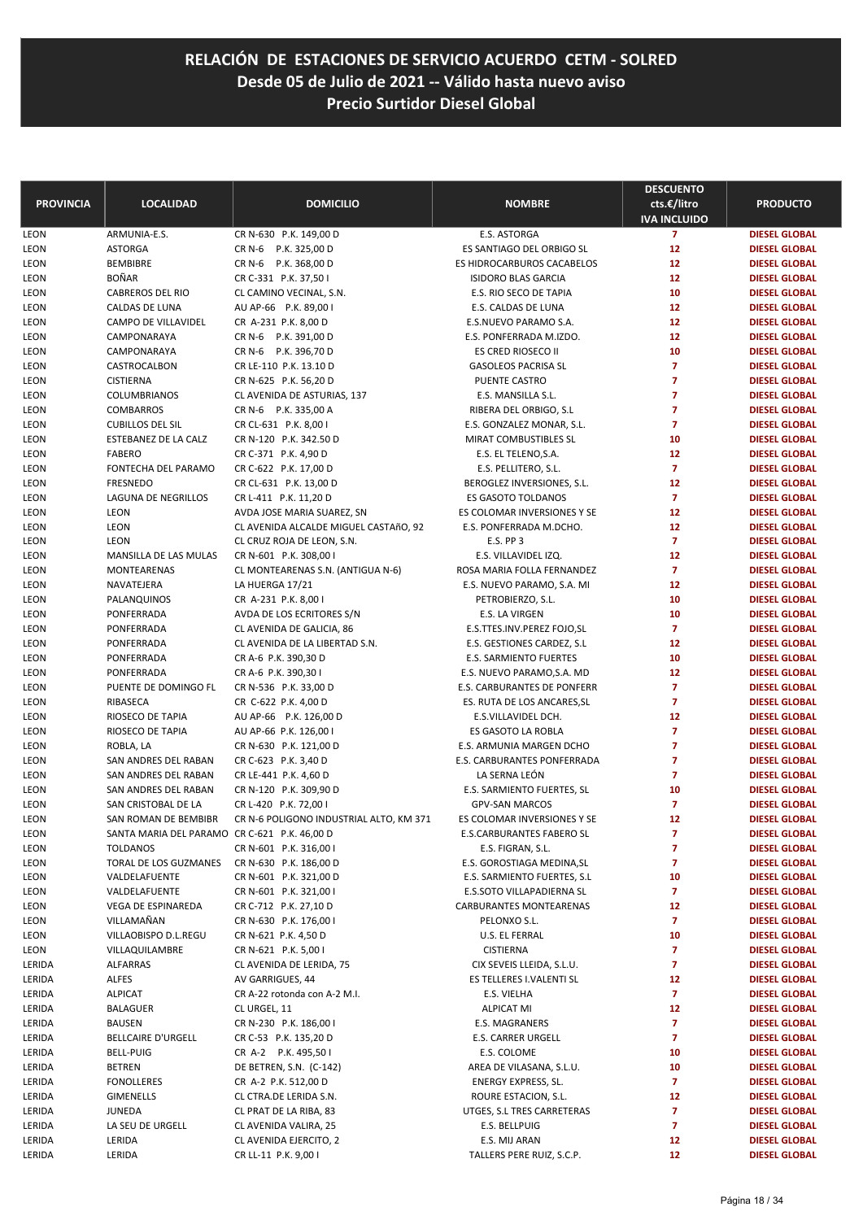| <b>PROVINCIA</b>           | <b>LOCALIDAD</b>                             | <b>DOMICILIO</b>                               | <b>NOMBRE</b>                      | <b>DESCUENTO</b><br>cts.€/litro       | <b>PRODUCTO</b>      |
|----------------------------|----------------------------------------------|------------------------------------------------|------------------------------------|---------------------------------------|----------------------|
|                            | ARMUNIA-E.S.                                 |                                                | E.S. ASTORGA                       | <b>IVA INCLUIDO</b><br>$\overline{7}$ | <b>DIESEL GLOBAL</b> |
| <b>LEON</b><br><b>LEON</b> | <b>ASTORGA</b>                               | CR N-630 P.K. 149,00 D<br>CR N-6 P.K. 325,00 D | ES SANTIAGO DEL ORBIGO SL          | 12                                    | <b>DIESEL GLOBAL</b> |
| LEON                       | <b>BEMBIBRE</b>                              | CR N-6 P.K. 368,00 D                           | ES HIDROCARBUROS CACABELOS         | 12                                    | <b>DIESEL GLOBAL</b> |
| LEON                       | <b>BOÑAR</b>                                 | CR C-331 P.K. 37,50 I                          | <b>ISIDORO BLAS GARCIA</b>         | 12                                    | <b>DIESEL GLOBAL</b> |
| LEON                       | <b>CABREROS DEL RIO</b>                      | CL CAMINO VECINAL, S.N.                        | E.S. RIO SECO DE TAPIA             | 10                                    | <b>DIESEL GLOBAL</b> |
| LEON                       | CALDAS DE LUNA                               | AU AP-66 P.K. 89,00 I                          | E.S. CALDAS DE LUNA                | 12                                    | <b>DIESEL GLOBAL</b> |
| <b>LEON</b>                | CAMPO DE VILLAVIDEL                          | CR A-231 P.K. 8,00 D                           | E.S.NUEVO PARAMO S.A.              | 12                                    | <b>DIESEL GLOBAL</b> |
| LEON                       | CAMPONARAYA                                  | CR N-6 P.K. 391,00 D                           | E.S. PONFERRADA M.IZDO.            | 12                                    | <b>DIESEL GLOBAL</b> |
| LEON                       | CAMPONARAYA                                  | CR N-6 P.K. 396,70 D                           | ES CRED RIOSECO II                 | 10                                    | <b>DIESEL GLOBAL</b> |
| LEON                       | CASTROCALBON                                 | CR LE-110 P.K. 13.10 D                         | <b>GASOLEOS PACRISA SL</b>         | $\overline{7}$                        | <b>DIESEL GLOBAL</b> |
| LEON                       | <b>CISTIERNA</b>                             | CR N-625 P.K. 56,20 D                          | PUENTE CASTRO                      | $\overline{7}$                        | <b>DIESEL GLOBAL</b> |
| LEON                       | COLUMBRIANOS                                 | CL AVENIDA DE ASTURIAS, 137                    | E.S. MANSILLA S.L.                 | $\overline{7}$                        | <b>DIESEL GLOBAL</b> |
| LEON                       | COMBARROS                                    | CR N-6 P.K. 335,00 A                           | RIBERA DEL ORBIGO, S.L             | $\overline{7}$                        | <b>DIESEL GLOBAL</b> |
| LEON                       | <b>CUBILLOS DEL SIL</b>                      | CR CL-631 P.K. 8,00 I                          | E.S. GONZALEZ MONAR, S.L.          | $\overline{\mathbf{z}}$               | <b>DIESEL GLOBAL</b> |
| LEON                       | ESTEBANEZ DE LA CALZ                         | CR N-120 P.K. 342.50 D                         | MIRAT COMBUSTIBLES SL              | 10                                    | <b>DIESEL GLOBAL</b> |
| LEON                       | <b>FABERO</b>                                | CR C-371 P.K. 4,90 D                           | E.S. EL TELENO, S.A.               | 12                                    | <b>DIESEL GLOBAL</b> |
| LEON                       | FONTECHA DEL PARAMO                          | CR C-622 P.K. 17,00 D                          | E.S. PELLITERO, S.L.               | $\overline{7}$                        | <b>DIESEL GLOBAL</b> |
| <b>LEON</b>                | FRESNEDO                                     | CR CL-631 P.K. 13,00 D                         | BEROGLEZ INVERSIONES, S.L.         | 12                                    | <b>DIESEL GLOBAL</b> |
| LEON                       | LAGUNA DE NEGRILLOS                          | CR L-411 P.K. 11,20 D                          | <b>ES GASOTO TOLDANOS</b>          | $\overline{7}$                        | <b>DIESEL GLOBAL</b> |
| LEON                       | LEON                                         | AVDA JOSE MARIA SUAREZ, SN                     | ES COLOMAR INVERSIONES Y SE        | 12                                    | <b>DIESEL GLOBAL</b> |
| LEON                       | LEON                                         | CL AVENIDA ALCALDE MIGUEL CASTAñO, 92          | E.S. PONFERRADA M.DCHO.            | 12                                    | <b>DIESEL GLOBAL</b> |
| LEON                       | LEON                                         | CL CRUZ ROJA DE LEON, S.N.                     | <b>E.S. PP 3</b>                   | $\overline{7}$                        | <b>DIESEL GLOBAL</b> |
| LEON                       | MANSILLA DE LAS MULAS                        | CR N-601 P.K. 308,00 I                         | E.S. VILLAVIDEL IZQ.               | 12                                    | <b>DIESEL GLOBAL</b> |
| LEON                       | MONTEARENAS                                  | CL MONTEARENAS S.N. (ANTIGUA N-6)              | ROSA MARIA FOLLA FERNANDEZ         | $\overline{7}$                        | <b>DIESEL GLOBAL</b> |
| LEON                       | NAVATEJERA                                   | LA HUERGA 17/21                                | E.S. NUEVO PARAMO, S.A. MI         | 12                                    | <b>DIESEL GLOBAL</b> |
| LEON                       | PALANQUINOS                                  | CR A-231 P.K. 8,00 I                           | PETROBIERZO, S.L.                  | 10                                    | <b>DIESEL GLOBAL</b> |
| LEON                       | PONFERRADA                                   | AVDA DE LOS ECRITORES S/N                      | E.S. LA VIRGEN                     | 10                                    | <b>DIESEL GLOBAL</b> |
| LEON                       | PONFERRADA                                   | CL AVENIDA DE GALICIA, 86                      | E.S.TTES.INV.PEREZ FOJO,SL         | $\overline{\mathbf{z}}$               | <b>DIESEL GLOBAL</b> |
| LEON                       | PONFERRADA                                   | CL AVENIDA DE LA LIBERTAD S.N.                 | E.S. GESTIONES CARDEZ, S.L.        | 12                                    | <b>DIESEL GLOBAL</b> |
| LEON                       | PONFERRADA                                   | CR A-6 P.K. 390,30 D                           | E.S. SARMIENTO FUERTES             | 10                                    | <b>DIESEL GLOBAL</b> |
| LEON                       | PONFERRADA                                   | CR A-6 P.K. 390,301                            | E.S. NUEVO PARAMO, S.A. MD         | 12                                    | <b>DIESEL GLOBAL</b> |
| <b>LEON</b>                | PUENTE DE DOMINGO FL                         | CR N-536 P.K. 33,00 D                          | E.S. CARBURANTES DE PONFERR        | $\overline{7}$                        | <b>DIESEL GLOBAL</b> |
| LEON                       | RIBASECA                                     | CR C-622 P.K. 4,00 D                           | ES. RUTA DE LOS ANCARES, SL        | 7                                     | <b>DIESEL GLOBAL</b> |
| LEON                       | RIOSECO DE TAPIA                             | AU AP-66 P.K. 126,00 D                         | E.S.VILLAVIDEL DCH.                | 12                                    | <b>DIESEL GLOBAL</b> |
| LEON                       | RIOSECO DE TAPIA                             | AU AP-66 P.K. 126,00 I                         | ES GASOTO LA ROBLA                 | $\overline{7}$                        | <b>DIESEL GLOBAL</b> |
| <b>LEON</b>                | ROBLA, LA                                    | CR N-630 P.K. 121,00 D                         | E.S. ARMUNIA MARGEN DCHO           | $\overline{7}$                        | <b>DIESEL GLOBAL</b> |
| LEON                       | SAN ANDRES DEL RABAN                         | CR C-623 P.K. 3,40 D                           | <b>E.S. CARBURANTES PONFERRADA</b> | 7                                     | <b>DIESEL GLOBAL</b> |
| LEON                       | SAN ANDRES DEL RABAN                         | CR LE-441 P.K. 4,60 D                          | LA SERNA LEÓN                      | $\overline{7}$                        | <b>DIESEL GLOBAL</b> |
| LEON                       | SAN ANDRES DEL RABAN                         | CR N-120 P.K. 309,90 D                         | E.S. SARMIENTO FUERTES, SL         | 10                                    | <b>DIESEL GLOBAL</b> |
| LEON                       | SAN CRISTOBAL DE LA                          | CR L-420 P.K. 72,00 I                          | <b>GPV-SAN MARCOS</b>              | $\overline{\mathbf{z}}$               | <b>DIESEL GLOBAL</b> |
| LEON                       | SAN ROMAN DE BEMBIBR                         | CR N-6 POLIGONO INDUSTRIAL ALTO, KM 371        | ES COLOMAR INVERSIONES Y SE        | 12                                    | <b>DIESEL GLOBAL</b> |
| LEON                       | SANTA MARIA DEL PARAMO CR C-621 P.K. 46,00 D |                                                | E.S.CARBURANTES FABERO SL          | 7                                     | <b>DIESEL GLOBAL</b> |
| LEON                       | <b>TOLDANOS</b>                              | CR N-601 P.K. 316,00 I                         | E.S. FIGRAN, S.L.                  | 7                                     | <b>DIESEL GLOBAL</b> |
| LEON                       | TORAL DE LOS GUZMANES                        | CR N-630 P.K. 186,00 D                         | E.S. GOROSTIAGA MEDINA, SL         | 7                                     | <b>DIESEL GLOBAL</b> |
| LEON                       | VALDELAFUENTE                                | CR N-601 P.K. 321,00 D                         | E.S. SARMIENTO FUERTES, S.L.       | 10                                    | <b>DIESEL GLOBAL</b> |
| LEON                       | VALDELAFUENTE                                | CR N-601 P.K. 321,00 I                         | E.S.SOTO VILLAPADIERNA SL          | 7                                     | <b>DIESEL GLOBAL</b> |
| LEON                       | VEGA DE ESPINAREDA                           | CR C-712 P.K. 27,10 D                          | CARBURANTES MONTEARENAS            | 12                                    | <b>DIESEL GLOBAL</b> |
| LEON                       | VILLAMAÑAN                                   | CR N-630 P.K. 176,00 I                         | PELONXO S.L.                       | 7                                     | <b>DIESEL GLOBAL</b> |
| LEON                       | VILLAOBISPO D.L.REGU                         | CR N-621 P.K. 4,50 D                           | U.S. EL FERRAL                     | 10                                    | <b>DIESEL GLOBAL</b> |
| LEON                       | VILLAQUILAMBRE                               | CR N-621 P.K. 5,00 I                           | <b>CISTIERNA</b>                   | 7                                     | <b>DIESEL GLOBAL</b> |
| LERIDA                     | <b>ALFARRAS</b>                              | CL AVENIDA DE LERIDA, 75                       | CIX SEVEIS LLEIDA, S.L.U.          | 7                                     | <b>DIESEL GLOBAL</b> |
| LERIDA                     | <b>ALFES</b>                                 | AV GARRIGUES, 44                               | ES TELLERES I.VALENTI SL           | 12                                    | <b>DIESEL GLOBAL</b> |
| LERIDA                     | <b>ALPICAT</b>                               | CR A-22 rotonda con A-2 M.I.                   | E.S. VIELHA                        | $\overline{7}$                        | <b>DIESEL GLOBAL</b> |
| LERIDA                     | <b>BALAGUER</b>                              | CL URGEL, 11                                   | <b>ALPICAT MI</b>                  | 12                                    | <b>DIESEL GLOBAL</b> |
| LERIDA                     | BAUSEN                                       | CR N-230 P.K. 186,00 I                         | E.S. MAGRANERS                     | 7                                     | <b>DIESEL GLOBAL</b> |
| LERIDA                     | <b>BELLCAIRE D'URGELL</b>                    | CR C-53 P.K. 135,20 D                          | E.S. CARRER URGELL                 | 7                                     | <b>DIESEL GLOBAL</b> |
| LERIDA                     | BELL-PUIG                                    | CR A-2 P.K. 495,501                            | E.S. COLOME                        | 10                                    | <b>DIESEL GLOBAL</b> |
| LERIDA                     | <b>BETREN</b>                                | DE BETREN, S.N. (C-142)                        | AREA DE VILASANA, S.L.U.           | 10                                    | <b>DIESEL GLOBAL</b> |
| LERIDA                     | <b>FONOLLERES</b>                            | CR A-2 P.K. 512,00 D                           | ENERGY EXPRESS, SL.                | 7                                     | <b>DIESEL GLOBAL</b> |
| LERIDA                     | <b>GIMENELLS</b>                             | CL CTRA.DE LERIDA S.N.                         | ROURE ESTACION, S.L.               | 12                                    | <b>DIESEL GLOBAL</b> |
| LERIDA                     | JUNEDA                                       | CL PRAT DE LA RIBA, 83                         | UTGES, S.L TRES CARRETERAS         | 7                                     | <b>DIESEL GLOBAL</b> |
| LERIDA                     | LA SEU DE URGELL                             | CL AVENIDA VALIRA, 25                          | E.S. BELLPUIG                      | 7                                     | <b>DIESEL GLOBAL</b> |
| LERIDA                     | LERIDA                                       | CL AVENIDA EJERCITO, 2                         | E.S. MIJ ARAN                      | 12                                    | <b>DIESEL GLOBAL</b> |
| LERIDA                     | LERIDA                                       | CR LL-11 P.K. 9,00 I                           | TALLERS PERE RUIZ, S.C.P.          | 12                                    | <b>DIESEL GLOBAL</b> |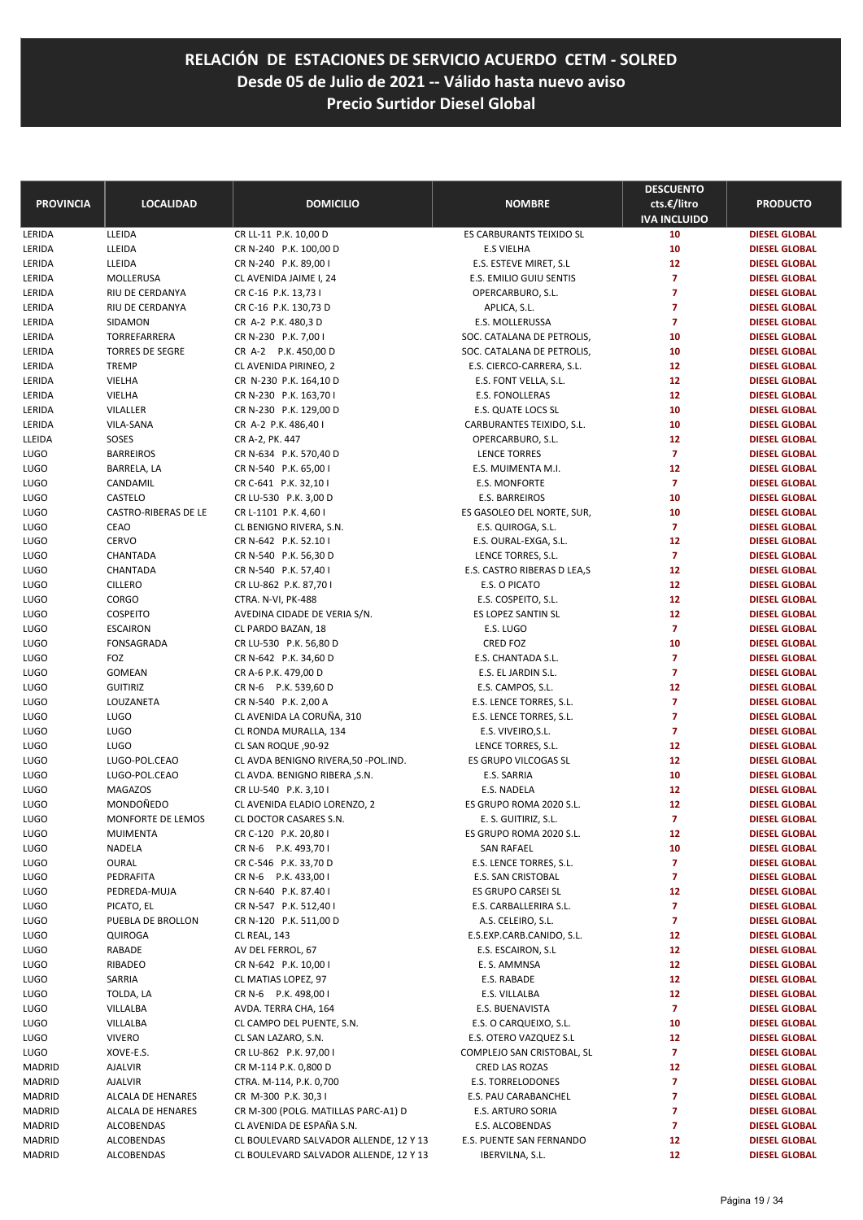| <b>PROVINCIA</b> | <b>LOCALIDAD</b>                     | <b>DOMICILIO</b>                                   | <b>NOMBRE</b>                             | <b>DESCUENTO</b><br>cts.€/litro<br><b>IVA INCLUIDO</b> | <b>PRODUCTO</b>      |
|------------------|--------------------------------------|----------------------------------------------------|-------------------------------------------|--------------------------------------------------------|----------------------|
| LERIDA           | LLEIDA                               | CR LL-11 P.K. 10,00 D                              | ES CARBURANTS TEIXIDO SL                  | 10                                                     | <b>DIESEL GLOBAL</b> |
| LERIDA           | LLEIDA                               | CR N-240 P.K. 100,00 D                             | <b>E.S VIELHA</b>                         | 10                                                     | <b>DIESEL GLOBAL</b> |
| LERIDA           | LLEIDA                               | CR N-240 P.K. 89,00 I                              | E.S. ESTEVE MIRET, S.L                    | 12                                                     | <b>DIESEL GLOBAL</b> |
| LERIDA           | MOLLERUSA                            | CL AVENIDA JAIME I, 24                             | E.S. EMILIO GUIU SENTIS                   | $\overline{7}$                                         | <b>DIESEL GLOBAL</b> |
| LERIDA           | RIU DE CERDANYA                      | CR C-16 P.K. 13,73 I                               | OPERCARBURO, S.L.                         | $\overline{7}$                                         | <b>DIESEL GLOBAL</b> |
| LERIDA           | RIU DE CERDANYA                      | CR C-16 P.K. 130,73 D                              | APLICA, S.L.                              | $\overline{7}$                                         | <b>DIESEL GLOBAL</b> |
| LERIDA           | SIDAMON                              | CR A-2 P.K. 480,3 D                                | E.S. MOLLERUSSA                           | $\overline{7}$                                         | <b>DIESEL GLOBAL</b> |
| LERIDA           | TORREFARRERA                         | CR N-230 P.K. 7,00 I                               | SOC. CATALANA DE PETROLIS,                | 10                                                     | <b>DIESEL GLOBAL</b> |
| LERIDA           | <b>TORRES DE SEGRE</b>               | CR A-2 P.K. 450,00 D                               | SOC. CATALANA DE PETROLIS,                | 10                                                     | <b>DIESEL GLOBAL</b> |
| LERIDA           | <b>TREMP</b>                         | CL AVENIDA PIRINEO, 2                              | E.S. CIERCO-CARRERA, S.L.                 | 12                                                     | <b>DIESEL GLOBAL</b> |
| LERIDA           | VIELHA                               | CR N-230 P.K. 164,10 D                             | E.S. FONT VELLA, S.L.                     | 12                                                     | <b>DIESEL GLOBAL</b> |
| LERIDA           | VIELHA                               | CR N-230 P.K. 163,70 I                             | E.S. FONOLLERAS                           | 12                                                     | <b>DIESEL GLOBAL</b> |
| LERIDA           | VILALLER                             | CR N-230 P.K. 129,00 D                             | E.S. QUATE LOCS SL                        | 10                                                     | <b>DIESEL GLOBAL</b> |
| LERIDA           | VILA-SANA                            | CR A-2 P.K. 486,40 I                               | CARBURANTES TEIXIDO, S.L.                 | 10                                                     | <b>DIESEL GLOBAL</b> |
| LLEIDA           | SOSES                                | CR A-2, PK. 447                                    | OPERCARBURO, S.L.                         | 12                                                     | <b>DIESEL GLOBAL</b> |
| LUGO             | <b>BARREIROS</b>                     | CR N-634 P.K. 570,40 D                             | <b>LENCE TORRES</b>                       | $\overline{7}$                                         | <b>DIESEL GLOBAL</b> |
| LUGO             | BARRELA, LA                          | CR N-540 P.K. 65,00 I                              | E.S. MUIMENTA M.I.                        | 12                                                     | <b>DIESEL GLOBAL</b> |
| LUGO             | CANDAMIL                             | CR C-641 P.K. 32,10 I                              | <b>E.S. MONFORTE</b>                      | $\overline{7}$                                         | <b>DIESEL GLOBAL</b> |
| LUGO             | CASTELO                              | CR LU-530 P.K. 3,00 D                              | E.S. BARREIROS                            | 10                                                     | <b>DIESEL GLOBAL</b> |
| LUGO             | <b>CASTRO-RIBERAS DE LE</b>          | CR L-1101 P.K. 4,60 I                              | ES GASOLEO DEL NORTE, SUR,                | 10                                                     | <b>DIESEL GLOBAL</b> |
| LUGO             | CEAO                                 | CL BENIGNO RIVERA, S.N.                            | E.S. QUIROGA, S.L.                        | $\overline{7}$                                         | <b>DIESEL GLOBAL</b> |
| LUGO             | <b>CERVO</b>                         | CR N-642 P.K. 52.10 I                              | E.S. OURAL-EXGA, S.L.                     | 12                                                     | <b>DIESEL GLOBAL</b> |
| LUGO             | CHANTADA                             | CR N-540 P.K. 56,30 D                              | LENCE TORRES, S.L.                        | $\overline{7}$                                         | <b>DIESEL GLOBAL</b> |
| LUGO             | CHANTADA                             | CR N-540 P.K. 57,40 I                              | E.S. CASTRO RIBERAS D LEA,S               | 12                                                     | <b>DIESEL GLOBAL</b> |
| LUGO             | <b>CILLERO</b>                       | CR LU-862 P.K. 87,70 I                             | E.S. O PICATO                             | 12                                                     | <b>DIESEL GLOBAL</b> |
|                  | CORGO                                |                                                    |                                           | 12                                                     | <b>DIESEL GLOBAL</b> |
| LUGO             | <b>COSPEITO</b>                      | CTRA. N-VI, PK-488<br>AVEDINA CIDADE DE VERIA S/N. | E.S. COSPEITO, S.L.<br>ES LOPEZ SANTIN SL | 12                                                     | <b>DIESEL GLOBAL</b> |
| LUGO             |                                      |                                                    |                                           | $\overline{7}$                                         |                      |
| LUGO             | <b>ESCAIRON</b><br><b>FONSAGRADA</b> | CL PARDO BAZAN, 18                                 | E.S. LUGO<br>CRED FOZ                     | 10                                                     | <b>DIESEL GLOBAL</b> |
| LUGO             |                                      | CR LU-530 P.K. 56,80 D                             |                                           | $\overline{7}$                                         | <b>DIESEL GLOBAL</b> |
| LUGO             | FOZ                                  | CR N-642 P.K. 34,60 D                              | E.S. CHANTADA S.L.                        | $\overline{7}$                                         | <b>DIESEL GLOBAL</b> |
| LUGO             | GOMEAN                               | CR A-6 P.K. 479,00 D                               | E.S. EL JARDIN S.L.                       |                                                        | <b>DIESEL GLOBAL</b> |
| LUGO             | <b>GUITIRIZ</b>                      | CR N-6 P.K. 539,60 D                               | E.S. CAMPOS, S.L.                         | 12                                                     | <b>DIESEL GLOBAL</b> |
| LUGO             | LOUZANETA                            | CR N-540 P.K. 2,00 A                               | E.S. LENCE TORRES, S.L.                   | $\overline{7}$                                         | <b>DIESEL GLOBAL</b> |
| LUGO             | <b>LUGO</b>                          | CL AVENIDA LA CORUÑA, 310                          | E.S. LENCE TORRES, S.L.                   | $\overline{7}$                                         | <b>DIESEL GLOBAL</b> |
| LUGO             | <b>LUGO</b>                          | CL RONDA MURALLA, 134                              | E.S. VIVEIRO, S.L.                        | $\overline{7}$                                         | <b>DIESEL GLOBAL</b> |
| LUGO             | <b>LUGO</b>                          | CL SAN ROQUE, 90-92                                | LENCE TORRES, S.L.                        | 12                                                     | <b>DIESEL GLOBAL</b> |
| LUGO             | LUGO-POL.CEAO                        | CL AVDA BENIGNO RIVERA, 50 - POL. IND.             | ES GRUPO VILCOGAS SL                      | 12                                                     | <b>DIESEL GLOBAL</b> |
| LUGO             | LUGO-POL.CEAO                        | CL AVDA. BENIGNO RIBERA , S.N.                     | E.S. SARRIA                               | 10                                                     | <b>DIESEL GLOBAL</b> |
| LUGO             | <b>MAGAZOS</b>                       | CR LU-540 P.K. 3,10 I                              | E.S. NADELA                               | 12                                                     | <b>DIESEL GLOBAL</b> |
| LUGO             | MONDOÑEDO                            | CL AVENIDA ELADIO LORENZO, 2                       | ES GRUPO ROMA 2020 S.L.                   | 12                                                     | <b>DIESEL GLOBAL</b> |
| LUGO             | MONFORTE DE LEMOS                    | CL DOCTOR CASARES S.N.                             | E. S. GUITIRIZ, S.L.                      | $\overline{7}$                                         | <b>DIESEL GLOBAL</b> |
| LUGO             | MUIMENTA                             | CR C-120 P.K. 20,80 I                              | ES GRUPO ROMA 2020 S.L.                   | 12                                                     | <b>DIESEL GLOBAL</b> |
| LUGO             | NADELA                               | CR N-6 P.K. 493,701                                | SAN RAFAEL                                | 10                                                     | <b>DIESEL GLOBAL</b> |
| LUGO             | <b>OURAL</b>                         | CR C-546 P.K. 33,70 D                              | E.S. LENCE TORRES, S.L.                   | $\overline{ }$                                         | <b>DIESEL GLOBAL</b> |
| LUGO             | PEDRAFITA                            | CR N-6 P.K. 433,00 I                               | E.S. SAN CRISTOBAL                        | $\overline{7}$                                         | <b>DIESEL GLOBAL</b> |
| LUGO             | PEDREDA-MUJA                         | CR N-640 P.K. 87.40 I                              | ES GRUPO CARSEI SL                        | 12                                                     | <b>DIESEL GLOBAL</b> |
| LUGO             | PICATO, EL                           | CR N-547 P.K. 512,40 I                             | E.S. CARBALLERIRA S.L.                    | 7                                                      | <b>DIESEL GLOBAL</b> |
| LUGO             | PUEBLA DE BROLLON                    | CR N-120 P.K. 511,00 D                             | A.S. CELEIRO, S.L.                        | $\overline{ }$                                         | <b>DIESEL GLOBAL</b> |
| LUGO             | QUIROGA                              | CL REAL, 143                                       | E.S.EXP.CARB.CANIDO, S.L.                 | 12                                                     | <b>DIESEL GLOBAL</b> |
| LUGO             | RABADE                               | AV DEL FERROL, 67                                  | E.S. ESCAIRON, S.L                        | 12                                                     | <b>DIESEL GLOBAL</b> |
| LUGO             | RIBADEO                              | CR N-642 P.K. 10,00 I                              | E. S. AMMNSA                              | 12                                                     | <b>DIESEL GLOBAL</b> |
| LUGO             | SARRIA                               | CL MATIAS LOPEZ, 97                                | E.S. RABADE                               | 12                                                     | <b>DIESEL GLOBAL</b> |
| LUGO             | TOLDA, LA                            | CR N-6 P.K. 498,00 I                               | E.S. VILLALBA                             | 12                                                     | <b>DIESEL GLOBAL</b> |
| LUGO             | VILLALBA                             | AVDA. TERRA CHA, 164                               | E.S. BUENAVISTA                           | $\overline{7}$                                         | <b>DIESEL GLOBAL</b> |
| LUGO             | VILLALBA                             | CL CAMPO DEL PUENTE, S.N.                          | E.S. O CARQUEIXO, S.L.                    | 10                                                     | <b>DIESEL GLOBAL</b> |
| LUGO             | <b>VIVERO</b>                        | CL SAN LAZARO, S.N.                                | E.S. OTERO VAZQUEZ S.L                    | 12                                                     | <b>DIESEL GLOBAL</b> |
| LUGO             | XOVE-E.S.                            | CR LU-862 P.K. 97,00 I                             | COMPLEJO SAN CRISTOBAL, SL                | $\overline{7}$                                         | <b>DIESEL GLOBAL</b> |
| MADRID           | AJALVIR                              | CR M-114 P.K. 0,800 D                              | CRED LAS ROZAS                            | 12                                                     | <b>DIESEL GLOBAL</b> |
| MADRID           | AJALVIR                              | CTRA. M-114, P.K. 0,700                            | E.S. TORRELODONES                         | $\overline{7}$                                         | <b>DIESEL GLOBAL</b> |
| MADRID           | ALCALA DE HENARES                    | CR M-300 P.K. 30,31                                | E.S. PAU CARABANCHEL                      | $\overline{7}$                                         | <b>DIESEL GLOBAL</b> |
| MADRID           | ALCALA DE HENARES                    | CR M-300 (POLG. MATILLAS PARC-A1) D                | E.S. ARTURO SORIA                         | $\overline{7}$                                         | <b>DIESEL GLOBAL</b> |
| MADRID           | ALCOBENDAS                           | CL AVENIDA DE ESPAÑA S.N.                          | E.S. ALCOBENDAS                           | $\overline{7}$                                         | <b>DIESEL GLOBAL</b> |
| MADRID           | ALCOBENDAS                           | CL BOULEVARD SALVADOR ALLENDE, 12 Y 13             | E.S. PUENTE SAN FERNANDO                  | 12                                                     | <b>DIESEL GLOBAL</b> |
| MADRID           | ALCOBENDAS                           | CL BOULEVARD SALVADOR ALLENDE, 12 Y 13             | IBERVILNA, S.L.                           | 12                                                     | <b>DIESEL GLOBAL</b> |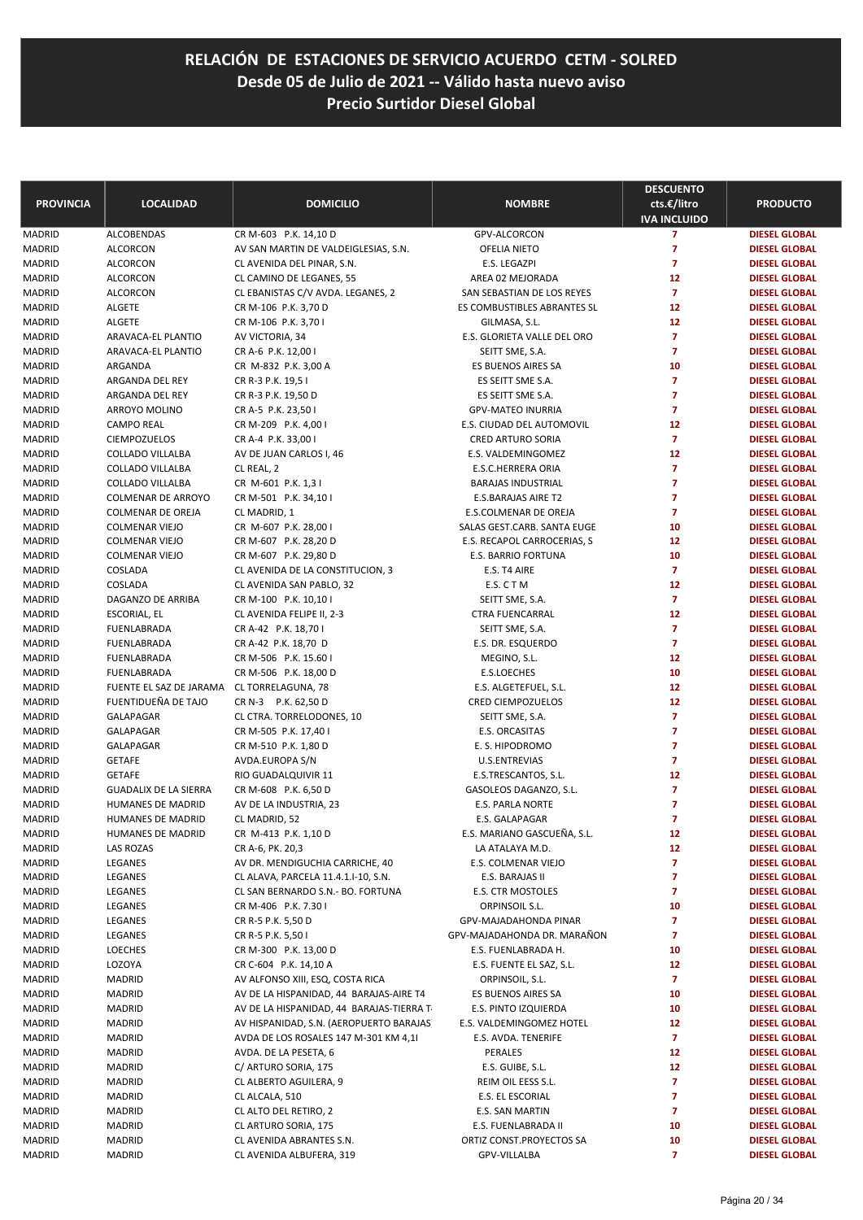| <b>PROVINCIA</b> | <b>LOCALIDAD</b>                               | <b>DOMICILIO</b>                                                         | <b>NOMBRE</b>                                              | <b>DESCUENTO</b><br>cts.€/litro<br><b>IVA INCLUIDO</b> | <b>PRODUCTO</b>                              |
|------------------|------------------------------------------------|--------------------------------------------------------------------------|------------------------------------------------------------|--------------------------------------------------------|----------------------------------------------|
| MADRID           | <b>ALCOBENDAS</b>                              | CR M-603 P.K. 14,10 D                                                    | GPV-ALCORCON                                               | $\overline{z}$                                         | <b>DIESEL GLOBAL</b>                         |
| MADRID           | <b>ALCORCON</b>                                | AV SAN MARTIN DE VALDEIGLESIAS, S.N.                                     | OFELIA NIETO                                               | $\overline{7}$                                         | <b>DIESEL GLOBAL</b>                         |
| MADRID           | <b>ALCORCON</b>                                | CL AVENIDA DEL PINAR, S.N.                                               | E.S. LEGAZPI                                               | $\overline{7}$                                         | <b>DIESEL GLOBAL</b>                         |
| MADRID           | <b>ALCORCON</b>                                | CL CAMINO DE LEGANES, 55                                                 | AREA 02 MEJORADA                                           | 12                                                     | <b>DIESEL GLOBAL</b>                         |
| MADRID           | ALCORCON                                       | CL EBANISTAS C/V AVDA. LEGANES, 2                                        | SAN SEBASTIAN DE LOS REYES                                 | $\overline{z}$                                         | <b>DIESEL GLOBAL</b>                         |
| MADRID           | <b>ALGETE</b>                                  | CR M-106 P.K. 3,70 D                                                     | ES COMBUSTIBLES ABRANTES SL                                | 12                                                     | <b>DIESEL GLOBAL</b>                         |
| MADRID           | <b>ALGETE</b>                                  | CR M-106 P.K. 3,70 I                                                     | GILMASA, S.L.                                              | 12                                                     | <b>DIESEL GLOBAL</b>                         |
| MADRID           | ARAVACA-EL PLANTIO                             | AV VICTORIA, 34                                                          | E.S. GLORIETA VALLE DEL ORO                                | $\overline{z}$                                         | <b>DIESEL GLOBAL</b>                         |
| MADRID           | <b>ARAVACA-EL PLANTIO</b>                      | CR A-6 P.K. 12,00 I                                                      | SEITT SME, S.A.                                            | $\overline{7}$                                         | <b>DIESEL GLOBAL</b>                         |
| MADRID           | ARGANDA                                        | CR M-832 P.K. 3,00 A                                                     | <b>ES BUENOS AIRES SA</b>                                  | 10                                                     | <b>DIESEL GLOBAL</b>                         |
| MADRID           | ARGANDA DEL REY                                | CR R-3 P.K. 19,5 I                                                       | ES SEITT SME S.A.                                          | $\overline{z}$                                         | <b>DIESEL GLOBAL</b>                         |
| MADRID           | ARGANDA DEL REY                                | CR R-3 P.K. 19,50 D                                                      | ES SEITT SME S.A.                                          | $\overline{7}$                                         | <b>DIESEL GLOBAL</b>                         |
| MADRID           | ARROYO MOLINO                                  | CR A-5 P.K. 23,50 I                                                      | <b>GPV-MATEO INURRIA</b>                                   | $\overline{7}$                                         | <b>DIESEL GLOBAL</b>                         |
| MADRID           | <b>CAMPO REAL</b>                              | CR M-209 P.K. 4,001                                                      | E.S. CIUDAD DEL AUTOMOVIL                                  | 12                                                     | <b>DIESEL GLOBAL</b>                         |
| MADRID           | <b>CIEMPOZUELOS</b>                            | CR A-4 P.K. 33,00 I                                                      | CRED ARTURO SORIA                                          | $\overline{7}$                                         | <b>DIESEL GLOBAL</b>                         |
| MADRID           | COLLADO VILLALBA                               | AV DE JUAN CARLOS I, 46                                                  | E.S. VALDEMINGOMEZ                                         | 12                                                     | <b>DIESEL GLOBAL</b>                         |
| MADRID           | COLLADO VILLALBA                               | CL REAL, 2                                                               | E.S.C.HERRERA ORIA                                         | $\overline{7}$                                         | <b>DIESEL GLOBAL</b>                         |
| MADRID           | COLLADO VILLALBA                               | CR M-601 P.K. 1,31                                                       | <b>BARAJAS INDUSTRIAL</b>                                  | $\overline{7}$                                         | <b>DIESEL GLOBAL</b>                         |
| MADRID           | COLMENAR DE ARROYO                             | CR M-501 P.K. 34,10 I                                                    | <b>E.S.BARAJAS AIRE T2</b>                                 | $\overline{7}$<br>$\overline{7}$                       | <b>DIESEL GLOBAL</b>                         |
| MADRID           | COLMENAR DE OREJA                              | CL MADRID, 1                                                             | E.S.COLMENAR DE OREJA                                      | 10                                                     | <b>DIESEL GLOBAL</b>                         |
| MADRID<br>MADRID | <b>COLMENAR VIEJO</b><br><b>COLMENAR VIEJO</b> | CR M-607 P.K. 28,00 I<br>CR M-607 P.K. 28,20 D                           | SALAS GEST.CARB. SANTA EUGE<br>E.S. RECAPOL CARROCERIAS, S | 12                                                     | <b>DIESEL GLOBAL</b><br><b>DIESEL GLOBAL</b> |
| MADRID           | <b>COLMENAR VIEJO</b>                          | CR M-607 P.K. 29,80 D                                                    | <b>E.S. BARRIO FORTUNA</b>                                 | 10                                                     | <b>DIESEL GLOBAL</b>                         |
| MADRID           | COSLADA                                        | CL AVENIDA DE LA CONSTITUCION, 3                                         | E.S. T4 AIRE                                               | $\overline{7}$                                         | <b>DIESEL GLOBAL</b>                         |
| MADRID           | COSLADA                                        | CL AVENIDA SAN PABLO, 32                                                 | E.S. C T M                                                 | 12                                                     | <b>DIESEL GLOBAL</b>                         |
| MADRID           | DAGANZO DE ARRIBA                              | CR M-100 P.K. 10,10 I                                                    | SEITT SME, S.A.                                            | $\overline{7}$                                         | <b>DIESEL GLOBAL</b>                         |
| MADRID           | ESCORIAL, EL                                   | CL AVENIDA FELIPE II, 2-3                                                | <b>CTRA FUENCARRAL</b>                                     | 12                                                     | <b>DIESEL GLOBAL</b>                         |
| MADRID           | FUENLABRADA                                    | CR A-42 P.K. 18,70 I                                                     | SEITT SME, S.A.                                            | $\overline{7}$                                         | <b>DIESEL GLOBAL</b>                         |
| MADRID           | FUENLABRADA                                    | CR A-42 P.K. 18,70 D                                                     | E.S. DR. ESQUERDO                                          | $\overline{7}$                                         | <b>DIESEL GLOBAL</b>                         |
| MADRID           | FUENLABRADA                                    | CR M-506 P.K. 15.60 I                                                    | MEGINO, S.L.                                               | 12                                                     | <b>DIESEL GLOBAL</b>                         |
| MADRID           | FUENLABRADA                                    | CR M-506 P.K. 18,00 D                                                    | E.S.LOECHES                                                | 10                                                     | <b>DIESEL GLOBAL</b>                         |
| MADRID           | FUENTE EL SAZ DE JARAMA                        | CL TORRELAGUNA, 78                                                       | E.S. ALGETEFUEL, S.L.                                      | 12                                                     | <b>DIESEL GLOBAL</b>                         |
| MADRID           | FUENTIDUEÑA DE TAJO                            | CR N-3 P.K. 62,50 D                                                      | <b>CRED CIEMPOZUELOS</b>                                   | 12                                                     | <b>DIESEL GLOBAL</b>                         |
| MADRID           | GALAPAGAR                                      | CL CTRA. TORRELODONES, 10                                                | SEITT SME, S.A.                                            | $\overline{7}$                                         | <b>DIESEL GLOBAL</b>                         |
| MADRID           | GALAPAGAR                                      | CR M-505 P.K. 17,40 I                                                    | E.S. ORCASITAS                                             | $\overline{7}$                                         | <b>DIESEL GLOBAL</b>                         |
| MADRID           | GALAPAGAR                                      | CR M-510 P.K. 1,80 D                                                     | E. S. HIPODROMO                                            | $\overline{7}$                                         | <b>DIESEL GLOBAL</b>                         |
| MADRID           | <b>GETAFE</b>                                  | AVDA.EUROPA S/N                                                          | U.S.ENTREVIAS                                              | $\overline{7}$                                         | <b>DIESEL GLOBAL</b>                         |
| MADRID           | <b>GETAFE</b>                                  | RIO GUADALQUIVIR 11                                                      | E.S.TRESCANTOS, S.L.                                       | 12                                                     | <b>DIESEL GLOBAL</b>                         |
| MADRID           | <b>GUADALIX DE LA SIERRA</b>                   | CR M-608 P.K. 6,50 D                                                     | GASOLEOS DAGANZO, S.L.                                     | $\overline{7}$                                         | <b>DIESEL GLOBAL</b>                         |
| MADRID           | HUMANES DE MADRID                              | AV DE LA INDUSTRIA, 23                                                   | E.S. PARLA NORTE                                           | $\overline{7}$                                         | <b>DIESEL GLOBAL</b>                         |
| MADRID           | <b>HUMANES DE MADRID</b>                       | CL MADRID, 52                                                            | <b>E.S. GALAPAGAR</b>                                      | $\overline{7}$                                         | <b>DIESEL GLOBAL</b>                         |
| MADRID           | HUMANES DE MADRID                              | CR M-413 P.K. 1,10 D                                                     | E.S. MARIANO GASCUENA, S.L.                                | 12                                                     | <b>DIESEL GLOBAL</b>                         |
| MADRID           | LAS ROZAS                                      | CR A-6, PK. 20,3                                                         | LA ATALAYA M.D.                                            | 12                                                     | <b>DIESEL GLOBAL</b>                         |
| MADRID           | LEGANES                                        | AV DR. MENDIGUCHIA CARRICHE, 40                                          | E.S. COLMENAR VIEJO                                        | 7                                                      | <b>DIESEL GLOBAL</b>                         |
| MADRID           | LEGANES<br>LEGANES                             | CL ALAVA, PARCELA 11.4.1.1-10, S.N.<br>CL SAN BERNARDO S.N.- BO. FORTUNA | E.S. BARAJAS II<br>E.S. CTR MOSTOLES                       | 7<br>7                                                 | <b>DIESEL GLOBAL</b><br><b>DIESEL GLOBAL</b> |
| MADRID<br>MADRID | LEGANES                                        | CR M-406 P.K. 7.30 I                                                     | ORPINSOIL S.L.                                             | 10                                                     | <b>DIESEL GLOBAL</b>                         |
| MADRID           | LEGANES                                        | CR R-5 P.K. 5,50 D                                                       | GPV-MAJADAHONDA PINAR                                      | $\overline{7}$                                         | <b>DIESEL GLOBAL</b>                         |
| MADRID           | LEGANES                                        | CR R-5 P.K. 5,50 I                                                       | GPV-MAJADAHONDA DR. MARAÑON                                | 7                                                      | <b>DIESEL GLOBAL</b>                         |
| MADRID           | <b>LOECHES</b>                                 | CR M-300 P.K. 13,00 D                                                    | E.S. FUENLABRADA H.                                        | 10                                                     | <b>DIESEL GLOBAL</b>                         |
| MADRID           | LOZOYA                                         | CR C-604 P.K. 14,10 A                                                    | E.S. FUENTE EL SAZ, S.L.                                   | 12                                                     | <b>DIESEL GLOBAL</b>                         |
| MADRID           | <b>MADRID</b>                                  | AV ALFONSO XIII, ESQ, COSTA RICA                                         | ORPINSOIL, S.L.                                            | $\overline{7}$                                         | <b>DIESEL GLOBAL</b>                         |
| MADRID           | <b>MADRID</b>                                  | AV DE LA HISPANIDAD, 44 BARAJAS-AIRE T4                                  | ES BUENOS AIRES SA                                         | 10                                                     | <b>DIESEL GLOBAL</b>                         |
| MADRID           | <b>MADRID</b>                                  | AV DE LA HISPANIDAD, 44 BARAJAS-TIERRA T                                 | E.S. PINTO IZQUIERDA                                       | 10                                                     | <b>DIESEL GLOBAL</b>                         |
| MADRID           | <b>MADRID</b>                                  | AV HISPANIDAD, S.N. (AEROPUERTO BARAJAS)                                 | E.S. VALDEMINGOMEZ HOTEL                                   | 12                                                     | <b>DIESEL GLOBAL</b>                         |
| MADRID           | <b>MADRID</b>                                  | AVDA DE LOS ROSALES 147 M-301 KM 4,11                                    | E.S. AVDA. TENERIFE                                        | $\overline{7}$                                         | <b>DIESEL GLOBAL</b>                         |
| MADRID           | <b>MADRID</b>                                  | AVDA. DE LA PESETA, 6                                                    | PERALES                                                    | 12                                                     | <b>DIESEL GLOBAL</b>                         |
| MADRID           | <b>MADRID</b>                                  | C/ ARTURO SORIA, 175                                                     | E.S. GUIBE, S.L.                                           | 12                                                     | <b>DIESEL GLOBAL</b>                         |
| MADRID           | <b>MADRID</b>                                  | CL ALBERTO AGUILERA, 9                                                   | REIM OIL EESS S.L.                                         | $\overline{7}$                                         | <b>DIESEL GLOBAL</b>                         |
| MADRID           | <b>MADRID</b>                                  | CL ALCALA, 510                                                           | E.S. EL ESCORIAL                                           | 7                                                      | <b>DIESEL GLOBAL</b>                         |
| MADRID           | <b>MADRID</b>                                  | CL ALTO DEL RETIRO, 2                                                    | E.S. SAN MARTIN                                            | 7                                                      | <b>DIESEL GLOBAL</b>                         |
| MADRID           | <b>MADRID</b>                                  | CL ARTURO SORIA, 175                                                     | E.S. FUENLABRADA II                                        | 10                                                     | <b>DIESEL GLOBAL</b>                         |
| MADRID           | <b>MADRID</b>                                  | CL AVENIDA ABRANTES S.N.                                                 | ORTIZ CONST.PROYECTOS SA                                   | 10                                                     | <b>DIESEL GLOBAL</b>                         |
| MADRID           | <b>MADRID</b>                                  | CL AVENIDA ALBUFERA, 319                                                 | GPV-VILLALBA                                               | 7                                                      | <b>DIESEL GLOBAL</b>                         |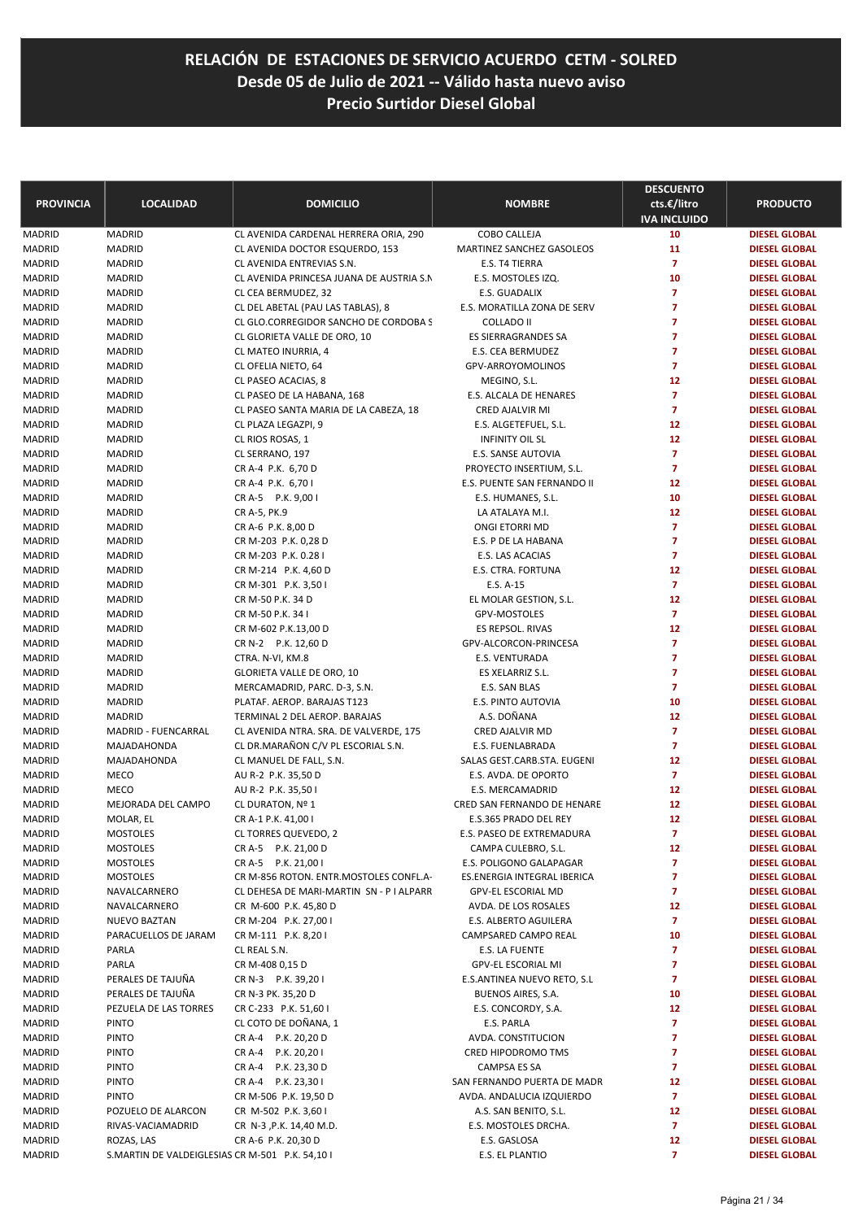| <b>PROVINCIA</b>        | <b>LOCALIDAD</b>                                | <b>DOMICILIO</b>                            | <b>NOMBRE</b>                               | <b>DESCUENTO</b><br>cts.€/litro<br><b>IVA INCLUIDO</b> | <b>PRODUCTO</b>                              |
|-------------------------|-------------------------------------------------|---------------------------------------------|---------------------------------------------|--------------------------------------------------------|----------------------------------------------|
| <b>MADRID</b>           | <b>MADRID</b>                                   | CL AVENIDA CARDENAL HERRERA ORIA, 290       | COBO CALLEJA                                | 10                                                     | <b>DIESEL GLOBAL</b>                         |
| MADRID                  | <b>MADRID</b>                                   | CL AVENIDA DOCTOR ESQUERDO, 153             | MARTINEZ SANCHEZ GASOLEOS                   | 11                                                     | <b>DIESEL GLOBAL</b>                         |
| <b>MADRID</b>           | <b>MADRID</b>                                   | CL AVENIDA ENTREVIAS S.N.                   | E.S. T4 TIERRA                              | $\overline{7}$                                         | <b>DIESEL GLOBAL</b>                         |
| <b>MADRID</b>           | <b>MADRID</b>                                   | CL AVENIDA PRINCESA JUANA DE AUSTRIA S.N    | E.S. MOSTOLES IZQ.                          | 10                                                     | <b>DIESEL GLOBAL</b>                         |
| MADRID                  | <b>MADRID</b>                                   | CL CEA BERMUDEZ, 32                         | E.S. GUADALIX                               | $\overline{7}$                                         | <b>DIESEL GLOBAL</b>                         |
| <b>MADRID</b>           | <b>MADRID</b>                                   | CL DEL ABETAL (PAU LAS TABLAS), 8           | E.S. MORATILLA ZONA DE SERV                 | 7                                                      | <b>DIESEL GLOBAL</b>                         |
| <b>MADRID</b>           | <b>MADRID</b>                                   | CL GLO.CORREGIDOR SANCHO DE CORDOBA S       | COLLADO II                                  | $\overline{7}$                                         | <b>DIESEL GLOBAL</b>                         |
| <b>MADRID</b>           | <b>MADRID</b>                                   | CL GLORIETA VALLE DE ORO, 10                | <b>ES SIERRAGRANDES SA</b>                  | $\overline{7}$                                         | <b>DIESEL GLOBAL</b>                         |
| <b>MADRID</b>           | <b>MADRID</b>                                   | CL MATEO INURRIA, 4                         | E.S. CEA BERMUDEZ                           | 7                                                      | <b>DIESEL GLOBAL</b>                         |
| MADRID                  | <b>MADRID</b>                                   | CL OFELIA NIETO, 64                         | GPV-ARROYOMOLINOS                           | $\overline{7}$                                         | <b>DIESEL GLOBAL</b>                         |
| <b>MADRID</b>           | <b>MADRID</b>                                   | CL PASEO ACACIAS, 8                         | MEGINO, S.L.                                | 12                                                     | <b>DIESEL GLOBAL</b>                         |
| <b>MADRID</b>           | <b>MADRID</b>                                   | CL PASEO DE LA HABANA, 168                  | E.S. ALCALA DE HENARES                      | $\overline{7}$                                         | <b>DIESEL GLOBAL</b>                         |
| MADRID                  | <b>MADRID</b>                                   | CL PASEO SANTA MARIA DE LA CABEZA, 18       | CRED AJALVIR MI                             | $\overline{7}$                                         | <b>DIESEL GLOBAL</b>                         |
| <b>MADRID</b>           | <b>MADRID</b>                                   | CL PLAZA LEGAZPI, 9                         | E.S. ALGETEFUEL, S.L.                       | 12                                                     | <b>DIESEL GLOBAL</b>                         |
| <b>MADRID</b>           | <b>MADRID</b>                                   | CL RIOS ROSAS, 1                            | <b>INFINITY OIL SL</b>                      | 12                                                     | <b>DIESEL GLOBAL</b>                         |
| MADRID                  | <b>MADRID</b>                                   | CL SERRANO, 197                             | E.S. SANSE AUTOVIA                          | $\overline{7}$                                         | <b>DIESEL GLOBAL</b>                         |
| <b>MADRID</b>           | <b>MADRID</b>                                   | CR A-4 P.K. 6,70 D                          | PROYECTO INSERTIUM, S.L.                    | $\overline{7}$                                         | <b>DIESEL GLOBAL</b>                         |
| <b>MADRID</b>           | <b>MADRID</b>                                   | CR A-4 P.K. 6,701                           | E.S. PUENTE SAN FERNANDO II                 | 12                                                     | <b>DIESEL GLOBAL</b>                         |
| MADRID                  | <b>MADRID</b>                                   | CR A-5 P.K. 9,00 I                          | E.S. HUMANES, S.L.                          | 10                                                     | <b>DIESEL GLOBAL</b>                         |
| <b>MADRID</b>           | <b>MADRID</b>                                   | CR A-5, PK.9                                | LA ATALAYA M.I.                             | 12                                                     | <b>DIESEL GLOBAL</b>                         |
| <b>MADRID</b>           | <b>MADRID</b>                                   | CR A-6 P.K. 8,00 D                          | ONGI ETORRI MD                              | 7                                                      | <b>DIESEL GLOBAL</b>                         |
| MADRID                  | <b>MADRID</b>                                   | CR M-203 P.K. 0,28 D                        | E.S. P DE LA HABANA                         | 7                                                      | <b>DIESEL GLOBAL</b>                         |
| <b>MADRID</b>           | <b>MADRID</b>                                   | CR M-203 P.K. 0.28 I                        | E.S. LAS ACACIAS                            | $\overline{7}$                                         | <b>DIESEL GLOBAL</b>                         |
| MADRID                  | <b>MADRID</b>                                   | CR M-214 P.K. 4,60 D                        | E.S. CTRA. FORTUNA                          | 12                                                     | <b>DIESEL GLOBAL</b>                         |
| <b>MADRID</b>           | <b>MADRID</b>                                   | CR M-301 P.K. 3,50 I                        | E.S. A-15                                   | $\overline{7}$                                         | <b>DIESEL GLOBAL</b>                         |
| <b>MADRID</b>           | <b>MADRID</b>                                   | CR M-50 P.K. 34 D                           | EL MOLAR GESTION, S.L.                      | 12<br>$\overline{7}$                                   | <b>DIESEL GLOBAL</b>                         |
| MADRID<br><b>MADRID</b> | <b>MADRID</b><br><b>MADRID</b>                  | CR M-50 P.K. 34 I                           | GPV-MOSTOLES<br>ES REPSOL. RIVAS            | 12                                                     | <b>DIESEL GLOBAL</b><br><b>DIESEL GLOBAL</b> |
| <b>MADRID</b>           | <b>MADRID</b>                                   | CR M-602 P.K.13,00 D<br>CR N-2 P.K. 12,60 D | GPV-ALCORCON-PRINCESA                       | $\overline{7}$                                         | <b>DIESEL GLOBAL</b>                         |
| MADRID                  | <b>MADRID</b>                                   | CTRA. N-VI, KM.8                            | E.S. VENTURADA                              | $\overline{7}$                                         | <b>DIESEL GLOBAL</b>                         |
| <b>MADRID</b>           | <b>MADRID</b>                                   | GLORIETA VALLE DE ORO, 10                   | ES XELARRIZ S.L.                            | 7                                                      | <b>DIESEL GLOBAL</b>                         |
| MADRID                  | <b>MADRID</b>                                   | MERCAMADRID, PARC. D-3, S.N.                | E.S. SAN BLAS                               | 7                                                      | <b>DIESEL GLOBAL</b>                         |
| <b>MADRID</b>           | <b>MADRID</b>                                   | PLATAF. AEROP. BARAJAS T123                 | E.S. PINTO AUTOVIA                          | 10                                                     | <b>DIESEL GLOBAL</b>                         |
| <b>MADRID</b>           | <b>MADRID</b>                                   | TERMINAL 2 DEL AEROP. BARAJAS               | A.S. DOÑANA                                 | 12                                                     | <b>DIESEL GLOBAL</b>                         |
| MADRID                  | MADRID - FUENCARRAL                             | CL AVENIDA NTRA. SRA. DE VALVERDE, 175      | CRED AJALVIR MD                             | 7                                                      | <b>DIESEL GLOBAL</b>                         |
| <b>MADRID</b>           | MAJADAHONDA                                     | CL DR.MARAÑON C/V PL ESCORIAL S.N.          | E.S. FUENLABRADA                            | $\overline{7}$                                         | <b>DIESEL GLOBAL</b>                         |
| <b>MADRID</b>           | MAJADAHONDA                                     | CL MANUEL DE FALL, S.N.                     | SALAS GEST.CARB.STA. EUGENI                 | 12                                                     | <b>DIESEL GLOBAL</b>                         |
| <b>MADRID</b>           | MECO                                            | AU R-2 P.K. 35,50 D                         | E.S. AVDA. DE OPORTO                        | $\overline{7}$                                         | <b>DIESEL GLOBAL</b>                         |
| <b>MADRID</b>           | <b>MECO</b>                                     | AU R-2 P.K. 35,501                          | <b>E.S. MERCAMADRID</b>                     | 12                                                     | <b>DIESEL GLOBAL</b>                         |
| <b>MADRID</b>           | MEJORADA DEL CAMPO                              | CL DURATON, Nº 1                            | CRED SAN FERNANDO DE HENARE                 | 12                                                     | <b>DIESEL GLOBAL</b>                         |
| <b>MADRID</b>           | MOLAR, EL                                       | CR A-1 P.K. 41,00 I                         | E.S.365 PRADO DEL REY                       | 12                                                     | <b>DIESEL GLOBAL</b>                         |
| MADRID                  | <b>MOSTOLES</b>                                 | CL TORRES QUEVEDO, 2                        | E.S. PASEO DE EXTREMADURA                   | 7                                                      | <b>DIESEL GLOBAL</b>                         |
| MADRID                  | <b>MOSTOLES</b>                                 | CR A-5 P.K. 21,00 D                         | CAMPA CULEBRO, S.L.                         | 12                                                     | <b>DIESEL GLOBAL</b>                         |
| MADRID                  | <b>MOSTOLES</b>                                 | CR A-5 P.K. 21,00 I                         | E.S. POLIGONO GALAPAGAR                     | 7                                                      | <b>DIESEL GLOBAL</b>                         |
| <b>MADRID</b>           | <b>MOSTOLES</b>                                 | CR M-856 ROTON. ENTR.MOSTOLES CONFL.A-      | ES.ENERGIA INTEGRAL IBERICA                 | 7                                                      | <b>DIESEL GLOBAL</b>                         |
| MADRID                  | NAVALCARNERO                                    | CL DEHESA DE MARI-MARTIN SN - P I ALPARR    | <b>GPV-EL ESCORIAL MD</b>                   | 7                                                      | <b>DIESEL GLOBAL</b>                         |
| <b>MADRID</b>           | NAVALCARNERO                                    | CR M-600 P.K. 45,80 D                       | AVDA. DE LOS ROSALES                        | 12                                                     | <b>DIESEL GLOBAL</b>                         |
| MADRID                  | <b>NUEVO BAZTAN</b>                             | CR M-204 P.K. 27,00 I                       | E.S. ALBERTO AGUILERA                       | $\overline{7}$                                         | <b>DIESEL GLOBAL</b>                         |
| MADRID                  | PARACUELLOS DE JARAM                            | CR M-111 P.K. 8,201                         | CAMPSARED CAMPO REAL                        | 10                                                     | <b>DIESEL GLOBAL</b>                         |
| MADRID                  | PARLA                                           | CL REAL S.N.                                | E.S. LA FUENTE                              | 7                                                      | <b>DIESEL GLOBAL</b>                         |
| MADRID                  | PARLA                                           | CR M-408 0,15 D                             | <b>GPV-EL ESCORIAL MI</b>                   | 7                                                      | <b>DIESEL GLOBAL</b>                         |
| MADRID                  | PERALES DE TAJUÑA                               | CR N-3 P.K. 39,201                          | E.S.ANTINEA NUEVO RETO, S.L                 | 7                                                      | <b>DIESEL GLOBAL</b>                         |
| <b>MADRID</b>           | PERALES DE TAJUÑA                               | CR N-3 PK. 35,20 D                          | BUENOS AIRES, S.A.                          | 10                                                     | <b>DIESEL GLOBAL</b>                         |
| MADRID                  | PEZUELA DE LAS TORRES                           | CR C-233 P.K. 51,60 I                       | E.S. CONCORDY, S.A.                         | 12                                                     | <b>DIESEL GLOBAL</b>                         |
| MADRID                  | <b>PINTO</b>                                    | CL COTO DE DOÑANA, 1                        | E.S. PARLA                                  | 7                                                      | <b>DIESEL GLOBAL</b>                         |
| MADRID                  | <b>PINTO</b>                                    | CR A-4 P.K. 20,20 D                         | AVDA. CONSTITUCION                          | 7<br>7                                                 | <b>DIESEL GLOBAL</b>                         |
| MADRID                  | <b>PINTO</b>                                    | CR A-4 P.K. 20,201<br>CR A-4 P.K. 23,30 D   | CRED HIPODROMO TMS                          | 7                                                      | <b>DIESEL GLOBAL</b>                         |
| MADRID<br>MADRID        | <b>PINTO</b><br><b>PINTO</b>                    | CR A-4 P.K. 23,30 I                         | CAMPSA ES SA<br>SAN FERNANDO PUERTA DE MADR | 12                                                     | <b>DIESEL GLOBAL</b><br><b>DIESEL GLOBAL</b> |
| MADRID                  | <b>PINTO</b>                                    | CR M-506 P.K. 19,50 D                       | AVDA. ANDALUCIA IZQUIERDO                   | $\overline{7}$                                         | <b>DIESEL GLOBAL</b>                         |
| MADRID                  | POZUELO DE ALARCON                              | CR M-502 P.K. 3,60 I                        | A.S. SAN BENITO, S.L.                       | 12                                                     | <b>DIESEL GLOBAL</b>                         |
| MADRID                  | RIVAS-VACIAMADRID                               | CR N-3, P.K. 14, 40 M.D.                    | E.S. MOSTOLES DRCHA.                        | $\overline{7}$                                         | <b>DIESEL GLOBAL</b>                         |
| MADRID                  | ROZAS, LAS                                      | CR A-6 P.K. 20,30 D                         | E.S. GASLOSA                                | 12                                                     | <b>DIESEL GLOBAL</b>                         |
| MADRID                  | S.MARTIN DE VALDEIGLESIAS CR M-501 P.K. 54,10 I |                                             | E.S. EL PLANTIO                             | 7                                                      | <b>DIESEL GLOBAL</b>                         |
|                         |                                                 |                                             |                                             |                                                        |                                              |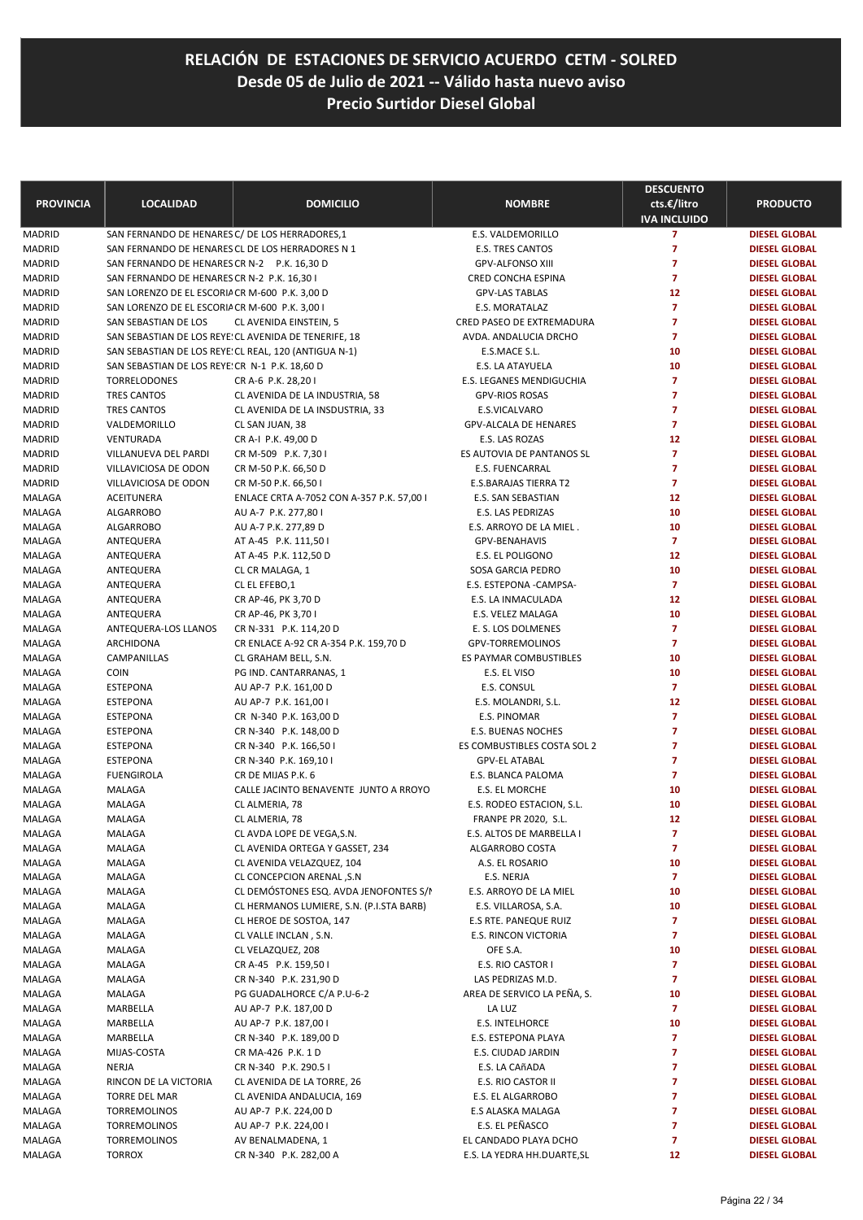| <b>PROVINCIA</b>        | <b>LOCALIDAD</b>                                               | <b>DOMICILIO</b>                                      | <b>NOMBRE</b>                                    | <b>DESCUENTO</b><br>cts.€/litro<br><b>IVA INCLUIDO</b> | <b>PRODUCTO</b>                              |
|-------------------------|----------------------------------------------------------------|-------------------------------------------------------|--------------------------------------------------|--------------------------------------------------------|----------------------------------------------|
| <b>MADRID</b>           | SAN FERNANDO DE HENARES C/ DE LOS HERRADORES,1                 |                                                       | E.S. VALDEMORILLO                                | $\overline{7}$                                         | <b>DIESEL GLOBAL</b>                         |
| <b>MADRID</b>           | SAN FERNANDO DE HENARES CL DE LOS HERRADORES N 1               |                                                       | <b>E.S. TRES CANTOS</b>                          | $\overline{7}$                                         | <b>DIESEL GLOBAL</b>                         |
| MADRID                  | SAN FERNANDO DE HENARES CR N-2 P.K. 16,30 D                    |                                                       | <b>GPV-ALFONSO XIII</b>                          | $\overline{7}$                                         | <b>DIESEL GLOBAL</b>                         |
| <b>MADRID</b>           | SAN FERNANDO DE HENARES CR N-2 P.K. 16,30 I                    |                                                       | CRED CONCHA ESPINA                               | $\overline{7}$                                         | <b>DIESEL GLOBAL</b>                         |
| <b>MADRID</b>           | SAN LORENZO DE EL ESCORIA CR M-600 P.K. 3,00 D                 |                                                       | <b>GPV-LAS TABLAS</b>                            | 12                                                     | <b>DIESEL GLOBAL</b>                         |
| <b>MADRID</b>           | SAN LORENZO DE EL ESCORIA CR M-600 P.K. 3,00 I                 |                                                       | E.S. MORATALAZ                                   | $\overline{7}$                                         | <b>DIESEL GLOBAL</b>                         |
| <b>MADRID</b>           | SAN SEBASTIAN DE LOS                                           | CL AVENIDA EINSTEIN, 5                                | CRED PASEO DE EXTREMADURA                        | $\overline{7}$                                         | <b>DIESEL GLOBAL</b>                         |
| <b>MADRID</b>           |                                                                | SAN SEBASTIAN DE LOS REYE: CL AVENIDA DE TENERIFE, 18 | AVDA. ANDALUCIA DRCHO                            | $\overline{7}$                                         | <b>DIESEL GLOBAL</b>                         |
| <b>MADRID</b>           | SAN SEBASTIAN DE LOS REYE! CL REAL, 120 (ANTIGUA N-1)          |                                                       | E.S.MACE S.L.                                    | 10                                                     | <b>DIESEL GLOBAL</b>                         |
| <b>MADRID</b><br>MADRID | SAN SEBASTIAN DE LOS REYE: CR N-1 P.K. 18,60 D<br>TORRELODONES | CR A-6 P.K. 28,201                                    | E.S. LA ATAYUELA<br>E.S. LEGANES MENDIGUCHIA     | 10<br>$\overline{7}$                                   | <b>DIESEL GLOBAL</b><br><b>DIESEL GLOBAL</b> |
| <b>MADRID</b>           | TRES CANTOS                                                    | CL AVENIDA DE LA INDUSTRIA, 58                        | <b>GPV-RIOS ROSAS</b>                            | $\overline{7}$                                         | <b>DIESEL GLOBAL</b>                         |
| <b>MADRID</b>           | TRES CANTOS                                                    | CL AVENIDA DE LA INSDUSTRIA, 33                       | E.S.VICALVARO                                    | $\overline{7}$                                         | <b>DIESEL GLOBAL</b>                         |
| <b>MADRID</b>           | VALDEMORILLO                                                   | CL SAN JUAN, 38                                       | GPV-ALCALA DE HENARES                            | $\overline{7}$                                         | <b>DIESEL GLOBAL</b>                         |
| MADRID                  | VENTURADA                                                      | CR A-I P.K. 49,00 D                                   | E.S. LAS ROZAS                                   | 12                                                     | <b>DIESEL GLOBAL</b>                         |
| <b>MADRID</b>           | VILLANUEVA DEL PARDI                                           | CR M-509 P.K. 7,30 I                                  | ES AUTOVIA DE PANTANOS SL                        | $\overline{7}$                                         | <b>DIESEL GLOBAL</b>                         |
| MADRID                  | VILLAVICIOSA DE ODON                                           | CR M-50 P.K. 66,50 D                                  | <b>E.S. FUENCARRAL</b>                           | $\overline{7}$                                         | <b>DIESEL GLOBAL</b>                         |
| <b>MADRID</b>           | VILLAVICIOSA DE ODON                                           | CR M-50 P.K. 66,50 I                                  | E.S.BARAJAS TIERRA T2                            | $\overline{7}$                                         | <b>DIESEL GLOBAL</b>                         |
| MALAGA                  | ACEITUNERA                                                     | ENLACE CRTA A-7052 CON A-357 P.K. 57,00 I             | <b>E.S. SAN SEBASTIAN</b>                        | 12                                                     | <b>DIESEL GLOBAL</b>                         |
| MALAGA                  | <b>ALGARROBO</b>                                               | AU A-7 P.K. 277,801                                   | <b>E.S. LAS PEDRIZAS</b>                         | 10                                                     | <b>DIESEL GLOBAL</b>                         |
| MALAGA                  | ALGARROBO                                                      | AU A-7 P.K. 277,89 D                                  | E.S. ARROYO DE LA MIEL.                          | 10                                                     | <b>DIESEL GLOBAL</b>                         |
| MALAGA                  | ANTEQUERA                                                      | AT A-45 P.K. 111,50 I                                 | <b>GPV-BENAHAVIS</b>                             | $\overline{7}$                                         | <b>DIESEL GLOBAL</b>                         |
| MALAGA                  | ANTEQUERA                                                      | AT A-45 P.K. 112,50 D                                 | E.S. EL POLIGONO                                 | 12                                                     | <b>DIESEL GLOBAL</b>                         |
| MALAGA                  | ANTEQUERA                                                      | CL CR MALAGA, 1                                       | SOSA GARCIA PEDRO                                | 10                                                     | <b>DIESEL GLOBAL</b>                         |
| MALAGA                  | ANTEQUERA                                                      | CL EL EFEBO,1                                         | E.S. ESTEPONA - CAMPSA-                          | $\overline{7}$                                         | <b>DIESEL GLOBAL</b>                         |
| MALAGA                  | ANTEQUERA                                                      | CR AP-46, PK 3,70 D                                   | E.S. LA INMACULADA                               | 12                                                     | <b>DIESEL GLOBAL</b>                         |
| MALAGA                  | ANTEQUERA                                                      | CR AP-46, PK 3,701                                    | E.S. VELEZ MALAGA                                | 10                                                     | <b>DIESEL GLOBAL</b>                         |
| MALAGA                  | ANTEQUERA-LOS LLANOS                                           | CR N-331 P.K. 114,20 D                                | E. S. LOS DOLMENES                               | $\overline{7}$                                         | <b>DIESEL GLOBAL</b>                         |
| MALAGA                  | ARCHIDONA                                                      | CR ENLACE A-92 CR A-354 P.K. 159,70 D                 | GPV-TORREMOLINOS                                 | $\overline{7}$                                         | <b>DIESEL GLOBAL</b>                         |
| MALAGA                  | CAMPANILLAS                                                    | CL GRAHAM BELL, S.N.                                  | ES PAYMAR COMBUSTIBLES                           | 10                                                     | <b>DIESEL GLOBAL</b>                         |
| MALAGA                  | <b>COIN</b>                                                    | PG IND. CANTARRANAS, 1                                | E.S. EL VISO                                     | 10<br>$\overline{7}$                                   | <b>DIESEL GLOBAL</b>                         |
| MALAGA                  | <b>ESTEPONA</b><br><b>ESTEPONA</b>                             | AU AP-7 P.K. 161,00 D                                 | E.S. CONSUL                                      | 12                                                     | <b>DIESEL GLOBAL</b><br><b>DIESEL GLOBAL</b> |
| MALAGA<br>MALAGA        | <b>ESTEPONA</b>                                                | AU AP-7 P.K. 161,00 I<br>CR N-340 P.K. 163,00 D       | E.S. MOLANDRI, S.L.<br>E.S. PINOMAR              | $\overline{7}$                                         | <b>DIESEL GLOBAL</b>                         |
| MALAGA                  | <b>ESTEPONA</b>                                                | CR N-340 P.K. 148,00 D                                | <b>E.S. BUENAS NOCHES</b>                        | 7                                                      | <b>DIESEL GLOBAL</b>                         |
| MALAGA                  | <b>ESTEPONA</b>                                                | CR N-340 P.K. 166,50 I                                | ES COMBUSTIBLES COSTA SOL 2                      | 7                                                      | <b>DIESEL GLOBAL</b>                         |
| MALAGA                  | <b>ESTEPONA</b>                                                | CR N-340 P.K. 169,10 I                                | <b>GPV-EL ATABAL</b>                             | $\overline{7}$                                         | <b>DIESEL GLOBAL</b>                         |
| MALAGA                  | <b>FUENGIROLA</b>                                              | CR DE MIJAS P.K. 6                                    | E.S. BLANCA PALOMA                               | $\overline{7}$                                         | <b>DIESEL GLOBAL</b>                         |
| MALAGA                  | MALAGA                                                         | CALLE JACINTO BENAVENTE JUNTO A RROYO                 | E.S. EL MORCHE                                   | 10                                                     | <b>DIESEL GLOBAL</b>                         |
| MALAGA                  | MALAGA                                                         | CL ALMERIA, 78                                        | E.S. RODEO ESTACION, S.L.                        | 10                                                     | <b>DIESEL GLOBAL</b>                         |
| MALAGA                  | MALAGA                                                         | CL ALMERIA, 78                                        | FRANPE PR 2020, S.L.                             | 12                                                     | <b>DIESEL GLOBAL</b>                         |
| MALAGA                  | MALAGA                                                         | CL AVDA LOPE DE VEGA, S.N.                            | E.S. ALTOS DE MARBELLA I                         | 7                                                      | <b>DIESEL GLOBAL</b>                         |
| MALAGA                  | MALAGA                                                         | CL AVENIDA ORTEGA Y GASSET, 234                       | ALGARROBO COSTA                                  | $\overline{z}$                                         | <b>DIESEL GLOBAL</b>                         |
| MALAGA                  | MALAGA                                                         | CL AVENIDA VELAZQUEZ, 104                             | A.S. EL ROSARIO                                  | 10                                                     | <b>DIESEL GLOBAL</b>                         |
| MALAGA                  | MALAGA                                                         | CL CONCEPCION ARENAL, S.N                             | E.S. NERJA                                       | 7                                                      | <b>DIESEL GLOBAL</b>                         |
| MALAGA                  | MALAGA                                                         | CL DEMÓSTONES ESQ. AVDA JENOFONTES S/M                | E.S. ARROYO DE LA MIEL                           | 10                                                     | <b>DIESEL GLOBAL</b>                         |
| MALAGA                  | MALAGA                                                         | CL HERMANOS LUMIERE, S.N. (P.I.STA BARB)              | E.S. VILLAROSA, S.A.                             | 10                                                     | <b>DIESEL GLOBAL</b>                         |
| MALAGA                  | MALAGA                                                         | CL HEROE DE SOSTOA, 147                               | E.S RTE. PANEQUE RUIZ                            | 7                                                      | <b>DIESEL GLOBAL</b>                         |
| MALAGA                  | MALAGA                                                         | CL VALLE INCLAN, S.N.                                 | E.S. RINCON VICTORIA                             | 7                                                      | <b>DIESEL GLOBAL</b>                         |
| MALAGA                  | MALAGA                                                         | CL VELAZQUEZ, 208                                     | OFE S.A.                                         | 10                                                     | <b>DIESEL GLOBAL</b>                         |
| MALAGA                  | MALAGA<br>MALAGA                                               | CR A-45 P.K. 159,50 I<br>CR N-340 P.K. 231,90 D       | E.S. RIO CASTOR I                                | 7<br>7                                                 | <b>DIESEL GLOBAL</b>                         |
| MALAGA<br>MALAGA        | MALAGA                                                         | PG GUADALHORCE C/A P.U-6-2                            | LAS PEDRIZAS M.D.<br>AREA DE SERVICO LA PEÑA, S. | 10                                                     | <b>DIESEL GLOBAL</b><br><b>DIESEL GLOBAL</b> |
| MALAGA                  | MARBELLA                                                       | AU AP-7 P.K. 187,00 D                                 | LA LUZ                                           | 7                                                      | <b>DIESEL GLOBAL</b>                         |
| MALAGA                  | MARBELLA                                                       | AU AP-7 P.K. 187,00 I                                 | E.S. INTELHORCE                                  | 10                                                     | <b>DIESEL GLOBAL</b>                         |
| MALAGA                  | MARBELLA                                                       | CR N-340 P.K. 189,00 D                                | E.S. ESTEPONA PLAYA                              | 7                                                      | <b>DIESEL GLOBAL</b>                         |
| MALAGA                  | MIJAS-COSTA                                                    | CR MA-426 P.K. 1 D                                    | E.S. CIUDAD JARDIN                               | 7                                                      | <b>DIESEL GLOBAL</b>                         |
| MALAGA                  | NERJA                                                          | CR N-340 P.K. 290.5 I                                 | E.S. LA CAñADA                                   | 7                                                      | <b>DIESEL GLOBAL</b>                         |
| MALAGA                  | RINCON DE LA VICTORIA                                          | CL AVENIDA DE LA TORRE, 26                            | E.S. RIO CASTOR II                               | 7                                                      | <b>DIESEL GLOBAL</b>                         |
| MALAGA                  | TORRE DEL MAR                                                  | CL AVENIDA ANDALUCIA, 169                             | E.S. EL ALGARROBO                                | 7                                                      | <b>DIESEL GLOBAL</b>                         |
| MALAGA                  | TORREMOLINOS                                                   | AU AP-7 P.K. 224,00 D                                 | E.S ALASKA MALAGA                                | 7                                                      | <b>DIESEL GLOBAL</b>                         |
| MALAGA                  | TORREMOLINOS                                                   | AU AP-7 P.K. 224,001                                  | E.S. EL PEÑASCO                                  | 7                                                      | <b>DIESEL GLOBAL</b>                         |
| MALAGA                  | <b>TORREMOLINOS</b>                                            | AV BENALMADENA, 1                                     | EL CANDADO PLAYA DCHO                            | 7                                                      | <b>DIESEL GLOBAL</b>                         |
| MALAGA                  | <b>TORROX</b>                                                  | CR N-340 P.K. 282,00 A                                | E.S. LA YEDRA HH.DUARTE, SL                      | 12                                                     | <b>DIESEL GLOBAL</b>                         |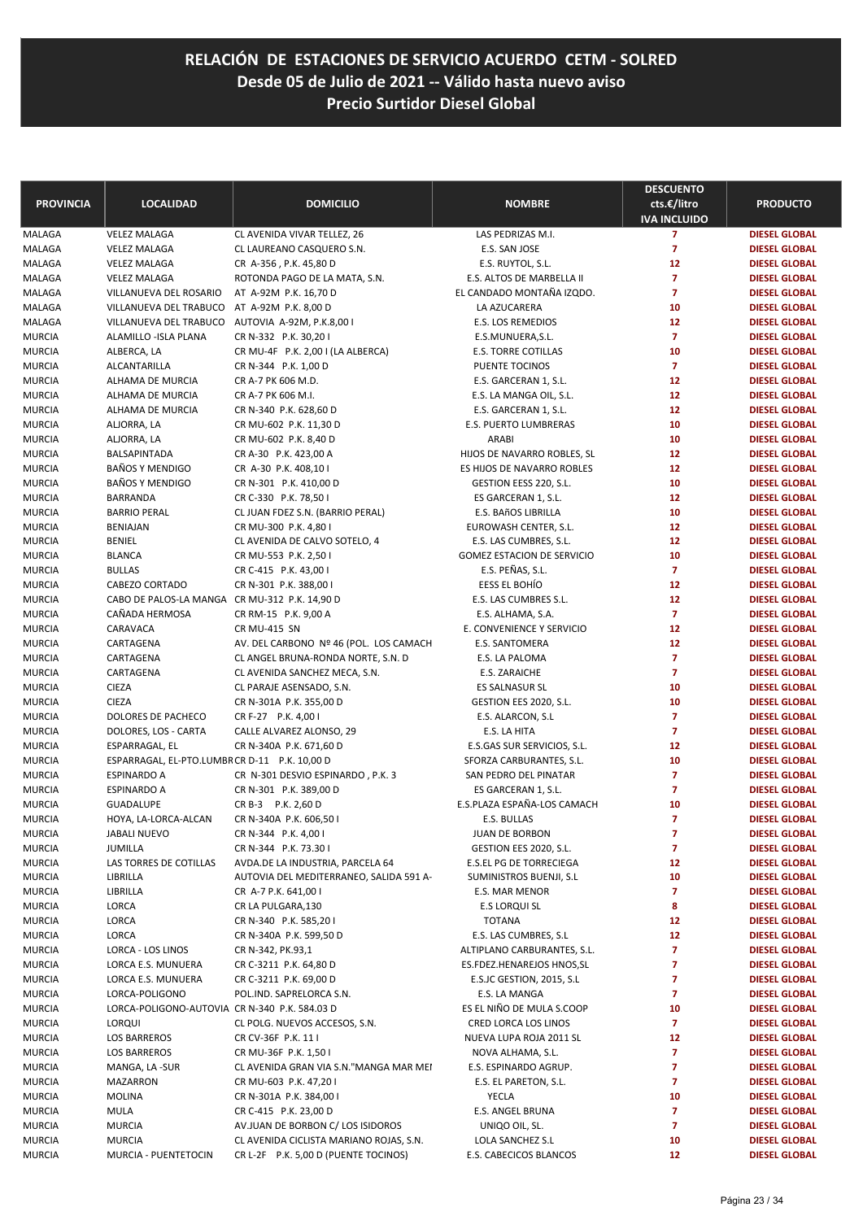| <b>PROVINCIA</b> | <b>LOCALIDAD</b>                              | <b>DOMICILIO</b>                        | <b>NOMBRE</b>                     | <b>DESCUENTO</b><br>cts.€/litro | <b>PRODUCTO</b>                              |
|------------------|-----------------------------------------------|-----------------------------------------|-----------------------------------|---------------------------------|----------------------------------------------|
|                  |                                               |                                         |                                   | <b>IVA INCLUIDO</b>             |                                              |
| MALAGA           | <b>VELEZ MALAGA</b>                           | CL AVENIDA VIVAR TELLEZ, 26             | LAS PEDRIZAS M.I.                 | $\overline{7}$                  | <b>DIESEL GLOBAL</b>                         |
| MALAGA           | <b>VELEZ MALAGA</b>                           | CL LAUREANO CASQUERO S.N.               | E.S. SAN JOSE                     | $\overline{7}$                  | <b>DIESEL GLOBAL</b>                         |
| MALAGA           | <b>VELEZ MALAGA</b>                           | CR A-356, P.K. 45,80 D                  | E.S. RUYTOL, S.L.                 | 12                              | <b>DIESEL GLOBAL</b>                         |
| MALAGA           | <b>VELEZ MALAGA</b>                           | ROTONDA PAGO DE LA MATA, S.N.           | E.S. ALTOS DE MARBELLA II         | $\overline{7}$                  | <b>DIESEL GLOBAL</b>                         |
| MALAGA           | VILLANUEVA DEL ROSARIO                        | AT A-92M P.K. 16,70 D                   | EL CANDADO MONTAÑA IZQDO.         | $\overline{7}$                  | <b>DIESEL GLOBAL</b>                         |
| MALAGA           | VILLANUEVA DEL TRABUCO                        | AT A-92M P.K. 8,00 D                    | LA AZUCARERA                      | 10                              | <b>DIESEL GLOBAL</b>                         |
| MALAGA           | VILLANUEVA DEL TRABUCO                        | AUTOVIA A-92M, P.K.8,001                | E.S. LOS REMEDIOS                 | 12                              | <b>DIESEL GLOBAL</b>                         |
| MURCIA           | ALAMILLO - ISLA PLANA                         | CR N-332 P.K. 30,201                    | E.S.MUNUERA, S.L.                 | $\overline{7}$                  | <b>DIESEL GLOBAL</b>                         |
| MURCIA           | ALBERCA, LA                                   | CR MU-4F P.K. 2,00 I (LA ALBERCA)       | <b>E.S. TORRE COTILLAS</b>        | 10                              | <b>DIESEL GLOBAL</b>                         |
| <b>MURCIA</b>    | ALCANTARILLA                                  | CR N-344 P.K. 1,00 D                    | PUENTE TOCINOS                    | $\overline{7}$                  | <b>DIESEL GLOBAL</b>                         |
| MURCIA           | ALHAMA DE MURCIA                              | CR A-7 PK 606 M.D.                      | E.S. GARCERAN 1, S.L.             | 12                              | <b>DIESEL GLOBAL</b>                         |
| MURCIA           | ALHAMA DE MURCIA                              | CR A-7 PK 606 M.I.                      | E.S. LA MANGA OIL, S.L.           | 12                              | <b>DIESEL GLOBAL</b>                         |
| MURCIA           | ALHAMA DE MURCIA                              | CR N-340 P.K. 628,60 D                  | E.S. GARCERAN 1, S.L.             | 12                              | <b>DIESEL GLOBAL</b>                         |
| MURCIA           | ALJORRA, LA                                   | CR MU-602 P.K. 11,30 D                  | E.S. PUERTO LUMBRERAS             | 10                              | <b>DIESEL GLOBAL</b>                         |
| MURCIA           | ALJORRA, LA                                   | CR MU-602 P.K. 8,40 D                   | ARABI                             | 10                              | <b>DIESEL GLOBAL</b>                         |
| MURCIA           | BALSAPINTADA                                  | CR A-30 P.K. 423,00 A                   | HIJOS DE NAVARRO ROBLES, SL       | 12                              | <b>DIESEL GLOBAL</b>                         |
| MURCIA           | <b>BAÑOS Y MENDIGO</b>                        | CR A-30 P.K. 408,10 I                   | ES HIJOS DE NAVARRO ROBLES        | 12                              | <b>DIESEL GLOBAL</b>                         |
| <b>MURCIA</b>    | <b>BAÑOS Y MENDIGO</b>                        | CR N-301 P.K. 410,00 D                  | GESTION EESS 220, S.L.            | 10                              | <b>DIESEL GLOBAL</b>                         |
| MURCIA           | <b>BARRANDA</b>                               | CR C-330 P.K. 78,50 I                   | ES GARCERAN 1, S.L.               | 12                              | <b>DIESEL GLOBAL</b>                         |
| MURCIA           | <b>BARRIO PERAL</b>                           | CL JUAN FDEZ S.N. (BARRIO PERAL)        | E.S. BAñOS LIBRILLA               | 10                              | <b>DIESEL GLOBAL</b>                         |
| MURCIA           | <b>BENIAJAN</b>                               | CR MU-300 P.K. 4,80 I                   | EUROWASH CENTER, S.L.             | 12                              | <b>DIESEL GLOBAL</b>                         |
| <b>MURCIA</b>    | <b>BENIEL</b>                                 | CL AVENIDA DE CALVO SOTELO, 4           | E.S. LAS CUMBRES, S.L.            | 12                              | <b>DIESEL GLOBAL</b>                         |
| MURCIA           | <b>BLANCA</b>                                 | CR MU-553 P.K. 2,50 I                   | GOMEZ ESTACION DE SERVICIO        | 10<br>$\overline{7}$            | <b>DIESEL GLOBAL</b>                         |
| MURCIA           | <b>BULLAS</b><br>CABEZO CORTADO               | CR C-415 P.K. 43,00 I                   | E.S. PEÑAS, S.L.<br>EESS EL BOHÍO | 12                              | <b>DIESEL GLOBAL</b><br><b>DIESEL GLOBAL</b> |
| MURCIA           | CABO DE PALOS-LA MANGA CR MU-312 P.K. 14,90 D | CR N-301 P.K. 388,00 I                  | E.S. LAS CUMBRES S.L.             | 12                              | <b>DIESEL GLOBAL</b>                         |
| MURCIA<br>MURCIA | CAÑADA HERMOSA                                | CR RM-15 P.K. 9,00 A                    | E.S. ALHAMA, S.A.                 | $\overline{7}$                  | <b>DIESEL GLOBAL</b>                         |
| <b>MURCIA</b>    | CARAVACA                                      | <b>CR MU-415 SN</b>                     | E. CONVENIENCE Y SERVICIO         | 12                              | <b>DIESEL GLOBAL</b>                         |
| MURCIA           | CARTAGENA                                     | AV. DEL CARBONO Nº 46 (POL. LOS CAMACH  | E.S. SANTOMERA                    | 12                              | <b>DIESEL GLOBAL</b>                         |
| MURCIA           | CARTAGENA                                     | CL ANGEL BRUNA-RONDA NORTE, S.N. D      | E.S. LA PALOMA                    | $\overline{7}$                  | <b>DIESEL GLOBAL</b>                         |
| <b>MURCIA</b>    | CARTAGENA                                     | CL AVENIDA SANCHEZ MECA, S.N.           | E.S. ZARAICHE                     | $\overline{7}$                  | <b>DIESEL GLOBAL</b>                         |
| MURCIA           | <b>CIEZA</b>                                  | CL PARAJE ASENSADO, S.N.                | ES SALNASUR SL                    | 10                              | <b>DIESEL GLOBAL</b>                         |
| MURCIA           | <b>CIEZA</b>                                  | CR N-301A P.K. 355,00 D                 | GESTION EES 2020, S.L.            | 10                              | <b>DIESEL GLOBAL</b>                         |
| MURCIA           | DOLORES DE PACHECO                            | CR F-27 P.K. 4,00 I                     | E.S. ALARCON, S.L                 | $\overline{7}$                  | <b>DIESEL GLOBAL</b>                         |
| MURCIA           | DOLORES, LOS - CARTA                          | CALLE ALVAREZ ALONSO, 29                | E.S. LA HITA                      | $\overline{7}$                  | <b>DIESEL GLOBAL</b>                         |
| MURCIA           | ESPARRAGAL, EL                                | CR N-340A P.K. 671,60 D                 | E.S.GAS SUR SERVICIOS, S.L.       | 12                              | <b>DIESEL GLOBAL</b>                         |
| MURCIA           | ESPARRAGAL, EL-PTO.LUMBRCR D-11 P.K. 10,00 D  |                                         | SFORZA CARBURANTES, S.L.          | 10                              | <b>DIESEL GLOBAL</b>                         |
| MURCIA           | <b>ESPINARDO A</b>                            | CR N-301 DESVIO ESPINARDO, P.K. 3       | SAN PEDRO DEL PINATAR             | $\overline{7}$                  | <b>DIESEL GLOBAL</b>                         |
| <b>MURCIA</b>    | <b>ESPINARDO A</b>                            | CR N-301 P.K. 389,00 D                  | ES GARCERAN 1, S.L.               | $\overline{7}$                  | <b>DIESEL GLOBAL</b>                         |
| MURCIA           | <b>GUADALUPE</b>                              | CR B-3 P.K. 2,60 D                      | E.S.PLAZA ESPAÑA-LOS CAMACH       | 10                              | <b>DIESEL GLOBAL</b>                         |
| MURCIA           | HOYA, LA-LORCA-ALCAN                          | CR N-340A P.K. 606,50 I                 | E.S. BULLAS                       | $\overline{7}$                  | <b>DIESEL GLOBAL</b>                         |
| MURCIA           | JABALI NUEVO                                  | CR N-344 P.K. 4,00 I                    | <b>JUAN DE BORBON</b>             | 7                               | <b>DIESEL GLOBAL</b>                         |
| MURCIA           | JUMILLA                                       | CR N-344 P.K. 73.30 I                   | GESTION EES 2020, S.L.            | $\overline{7}$                  | <b>DIESEL GLOBAL</b>                         |
| MURCIA           | LAS TORRES DE COTILLAS                        | AVDA.DE LA INDUSTRIA, PARCELA 64        | <b>E.S.EL PG DE TORRECIEGA</b>    | 12                              | <b>DIESEL GLOBAL</b>                         |
| MURCIA           | LIBRILLA                                      | AUTOVIA DEL MEDITERRANEO, SALIDA 591 A- | SUMINISTROS BUENJI, S.L           | 10                              | <b>DIESEL GLOBAL</b>                         |
| MURCIA           | LIBRILLA                                      | CR A-7 P.K. 641,00 I                    | E.S. MAR MENOR                    | 7                               | <b>DIESEL GLOBAL</b>                         |
| MURCIA           | LORCA                                         | CR LA PULGARA,130                       | E.S LORQUI SL                     | 8                               | <b>DIESEL GLOBAL</b>                         |
| MURCIA           | LORCA                                         | CR N-340 P.K. 585,201                   | <b>TOTANA</b>                     | 12                              | <b>DIESEL GLOBAL</b>                         |
| MURCIA           | LORCA                                         | CR N-340A P.K. 599,50 D                 | E.S. LAS CUMBRES, S.L             | 12                              | <b>DIESEL GLOBAL</b>                         |
| MURCIA           | LORCA - LOS LINOS                             | CR N-342, PK.93,1                       | ALTIPLANO CARBURANTES, S.L.       | 7                               | <b>DIESEL GLOBAL</b>                         |
| MURCIA           | LORCA E.S. MUNUERA                            | CR C-3211 P.K. 64,80 D                  | ES.FDEZ.HENAREJOS HNOS, SL        | 7                               | <b>DIESEL GLOBAL</b>                         |
| MURCIA           | LORCA E.S. MUNUERA                            | CR C-3211 P.K. 69,00 D                  | E.S.JC GESTION, 2015, S.L.        | 7                               | <b>DIESEL GLOBAL</b>                         |
| MURCIA           | LORCA-POLIGONO                                | POL.IND. SAPRELORCA S.N.                | E.S. LA MANGA                     | 7                               | <b>DIESEL GLOBAL</b>                         |
| MURCIA           | LORCA-POLIGONO-AUTOVIA CR N-340 P.K. 584.03 D |                                         | ES EL NIÑO DE MULA S.COOP         | 10                              | <b>DIESEL GLOBAL</b>                         |
| MURCIA           | <b>LORQUI</b>                                 | CL POLG. NUEVOS ACCESOS, S.N.           | CRED LORCA LOS LINOS              | $\overline{7}$                  | <b>DIESEL GLOBAL</b>                         |
| MURCIA           | <b>LOS BARREROS</b>                           | CR CV-36F P.K. 11 I                     | NUEVA LUPA ROJA 2011 SL           | 12                              | <b>DIESEL GLOBAL</b>                         |
| MURCIA           | <b>LOS BARREROS</b>                           | CR MU-36F P.K. 1,50 I                   | NOVA ALHAMA, S.L.                 | 7                               | <b>DIESEL GLOBAL</b>                         |
| MURCIA           | MANGA, LA -SUR                                | CL AVENIDA GRAN VIA S.N."MANGA MAR MEI  | E.S. ESPINARDO AGRUP.             | 7                               | <b>DIESEL GLOBAL</b>                         |
| MURCIA           | <b>MAZARRON</b>                               | CR MU-603 P.K. 47,20 I                  | E.S. EL PARETON, S.L.             | 7                               | <b>DIESEL GLOBAL</b>                         |
| MURCIA           | <b>MOLINA</b>                                 | CR N-301A P.K. 384,00 I                 | YECLA                             | 10                              | <b>DIESEL GLOBAL</b>                         |
| MURCIA           | <b>MULA</b>                                   | CR C-415 P.K. 23,00 D                   | E.S. ANGEL BRUNA                  | $\overline{7}$                  | <b>DIESEL GLOBAL</b>                         |
| MURCIA           | <b>MURCIA</b>                                 | AV.JUAN DE BORBON C/ LOS ISIDOROS       | UNIQO OIL, SL.                    | 7                               | <b>DIESEL GLOBAL</b>                         |
| MURCIA           | <b>MURCIA</b>                                 | CL AVENIDA CICLISTA MARIANO ROJAS, S.N. | LOLA SANCHEZ S.L                  | 10                              | <b>DIESEL GLOBAL</b>                         |
| MURCIA           | MURCIA - PUENTETOCIN                          | CR L-2F P.K. 5,00 D (PUENTE TOCINOS)    | E.S. CABECICOS BLANCOS            | 12                              | DIESEL GLOBAL                                |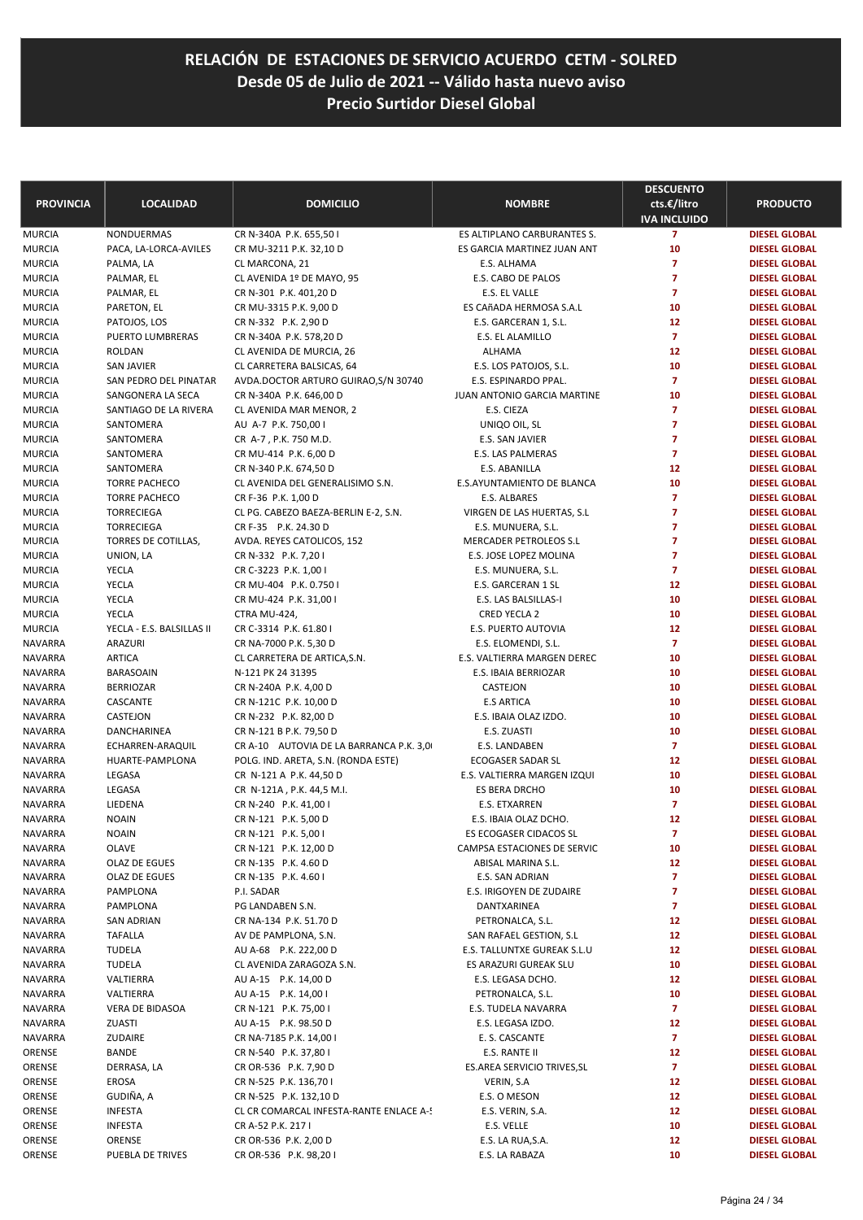| <b>PROVINCIA</b>        | <b>LOCALIDAD</b>                          | <b>DOMICILIO</b>                                            | <b>NOMBRE</b>                              | <b>DESCUENTO</b><br>cts.€/litro<br><b>IVA INCLUIDO</b> | <b>PRODUCTO</b>                              |
|-------------------------|-------------------------------------------|-------------------------------------------------------------|--------------------------------------------|--------------------------------------------------------|----------------------------------------------|
| MURCIA                  | NONDUERMAS                                | CR N-340A P.K. 655,50 I                                     | ES ALTIPLANO CARBURANTES S.                | $\overline{7}$                                         | <b>DIESEL GLOBAL</b>                         |
| MURCIA                  | PACA, LA-LORCA-AVILES                     | CR MU-3211 P.K. 32,10 D                                     | ES GARCIA MARTINEZ JUAN ANT                | 10                                                     | <b>DIESEL GLOBAL</b>                         |
| <b>MURCIA</b>           | PALMA, LA                                 | CL MARCONA, 21                                              | E.S. ALHAMA                                | $\overline{7}$                                         | <b>DIESEL GLOBAL</b>                         |
| MURCIA                  | PALMAR, EL                                | CL AVENIDA 1º DE MAYO, 95                                   | E.S. CABO DE PALOS                         | $\overline{7}$                                         | <b>DIESEL GLOBAL</b>                         |
| MURCIA                  | PALMAR, EL                                | CR N-301 P.K. 401,20 D                                      | E.S. EL VALLE                              | $\overline{7}$                                         | <b>DIESEL GLOBAL</b>                         |
| MURCIA                  | PARETON, EL                               | CR MU-3315 P.K. 9,00 D                                      | ES CAñADA HERMOSA S.A.L                    | 10                                                     | <b>DIESEL GLOBAL</b>                         |
| MURCIA                  | PATOJOS, LOS                              | CR N-332 P.K. 2,90 D                                        | E.S. GARCERAN 1, S.L.                      | 12                                                     | <b>DIESEL GLOBAL</b>                         |
| MURCIA                  | PUERTO LUMBRERAS                          | CR N-340A P.K. 578,20 D                                     | E.S. EL ALAMILLO                           | $\overline{7}$                                         | <b>DIESEL GLOBAL</b>                         |
| <b>MURCIA</b>           | ROLDAN                                    | CL AVENIDA DE MURCIA, 26                                    | <b>ALHAMA</b>                              | 12                                                     | <b>DIESEL GLOBAL</b>                         |
| MURCIA                  | <b>SAN JAVIER</b>                         | CL CARRETERA BALSICAS, 64                                   | E.S. LOS PATOJOS, S.L.                     | 10                                                     | <b>DIESEL GLOBAL</b>                         |
| MURCIA                  | SAN PEDRO DEL PINATAR                     | AVDA.DOCTOR ARTURO GUIRAO, S/N 30740                        | E.S. ESPINARDO PPAL.                       | $\overline{7}$                                         | <b>DIESEL GLOBAL</b>                         |
| MURCIA                  | SANGONERA LA SECA                         | CR N-340A P.K. 646,00 D                                     | JUAN ANTONIO GARCIA MARTINE                | 10                                                     | <b>DIESEL GLOBAL</b>                         |
| MURCIA                  | SANTIAGO DE LA RIVERA                     | CL AVENIDA MAR MENOR, 2                                     | E.S. CIEZA                                 | $\overline{7}$                                         | <b>DIESEL GLOBAL</b>                         |
| MURCIA                  | SANTOMERA                                 | AU A-7 P.K. 750,00 I                                        | UNIQO OIL, SL                              | $\overline{7}$                                         | <b>DIESEL GLOBAL</b>                         |
| <b>MURCIA</b>           | SANTOMERA                                 | CR A-7, P.K. 750 M.D.                                       | E.S. SAN JAVIER                            | $\overline{7}$                                         | <b>DIESEL GLOBAL</b>                         |
| MURCIA                  | SANTOMERA                                 | CR MU-414 P.K. 6,00 D                                       | E.S. LAS PALMERAS                          | $\overline{7}$                                         | <b>DIESEL GLOBAL</b>                         |
| MURCIA                  | SANTOMERA                                 | CR N-340 P.K. 674,50 D                                      | E.S. ABANILLA                              | 12                                                     | <b>DIESEL GLOBAL</b>                         |
| <b>MURCIA</b>           | <b>TORRE PACHECO</b>                      | CL AVENIDA DEL GENERALISIMO S.N.                            | E.S.AYUNTAMIENTO DE BLANCA<br>E.S. ALBARES | 10<br>$\overline{7}$                                   | <b>DIESEL GLOBAL</b><br><b>DIESEL GLOBAL</b> |
| <b>MURCIA</b><br>MURCIA | <b>TORRE PACHECO</b><br><b>TORRECIEGA</b> | CR F-36 P.K. 1,00 D<br>CL PG. CABEZO BAEZA-BERLIN E-2, S.N. | VIRGEN DE LAS HUERTAS, S.L                 | $\overline{7}$                                         | <b>DIESEL GLOBAL</b>                         |
| MURCIA                  | <b>TORRECIEGA</b>                         | CR F-35 P.K. 24.30 D                                        | E.S. MUNUERA, S.L.                         | $\overline{7}$                                         | <b>DIESEL GLOBAL</b>                         |
| <b>MURCIA</b>           | TORRES DE COTILLAS,                       | AVDA. REYES CATOLICOS, 152                                  | <b>MERCADER PETROLEOS S.L</b>              | $\overline{7}$                                         | <b>DIESEL GLOBAL</b>                         |
| MURCIA                  | UNION, LA                                 | CR N-332 P.K. 7,201                                         | E.S. JOSE LOPEZ MOLINA                     | $\overline{7}$                                         | <b>DIESEL GLOBAL</b>                         |
| MURCIA                  | YECLA                                     | CR C-3223 P.K. 1,00 I                                       | E.S. MUNUERA, S.L.                         | $\overline{7}$                                         | <b>DIESEL GLOBAL</b>                         |
| MURCIA                  | <b>YECLA</b>                              | CR MU-404 P.K. 0.750 I                                      | E.S. GARCERAN 1 SL                         | 12                                                     | <b>DIESEL GLOBAL</b>                         |
| <b>MURCIA</b>           | <b>YECLA</b>                              | CR MU-424 P.K. 31,00 I                                      | E.S. LAS BALSILLAS-I                       | 10                                                     | <b>DIESEL GLOBAL</b>                         |
| MURCIA                  | <b>YECLA</b>                              | CTRA MU-424,                                                | CRED YECLA 2                               | 10                                                     | <b>DIESEL GLOBAL</b>                         |
| MURCIA                  | YECLA - E.S. BALSILLAS II                 | CR C-3314 P.K. 61.80 I                                      | E.S. PUERTO AUTOVIA                        | 12                                                     | <b>DIESEL GLOBAL</b>                         |
| NAVARRA                 | ARAZURI                                   | CR NA-7000 P.K. 5,30 D                                      | E.S. ELOMENDI, S.L.                        | $\overline{7}$                                         | <b>DIESEL GLOBAL</b>                         |
| <b>NAVARRA</b>          | <b>ARTICA</b>                             | CL CARRETERA DE ARTICA, S.N.                                | E.S. VALTIERRA MARGEN DEREC                | 10                                                     | <b>DIESEL GLOBAL</b>                         |
| NAVARRA                 | <b>BARASOAIN</b>                          | N-121 PK 24 31395                                           | E.S. IBAIA BERRIOZAR                       | 10                                                     | <b>DIESEL GLOBAL</b>                         |
| <b>NAVARRA</b>          | <b>BERRIOZAR</b>                          | CR N-240A P.K. 4,00 D                                       | CASTEJON                                   | 10                                                     | <b>DIESEL GLOBAL</b>                         |
| <b>NAVARRA</b>          | CASCANTE                                  | CR N-121C P.K. 10,00 D                                      | <b>E.S ARTICA</b>                          | 10                                                     | <b>DIESEL GLOBAL</b>                         |
| <b>NAVARRA</b>          | CASTEJON                                  | CR N-232 P.K. 82,00 D                                       | E.S. IBAIA OLAZ IZDO.                      | 10                                                     | <b>DIESEL GLOBAL</b>                         |
| <b>NAVARRA</b>          | DANCHARINEA                               | CR N-121 B P.K. 79,50 D                                     | E.S. ZUASTI                                | 10                                                     | <b>DIESEL GLOBAL</b>                         |
| NAVARRA                 | ECHARREN-ARAQUIL                          | CR A-10 AUTOVIA DE LA BARRANCA P.K. 3,0                     | E.S. LANDABEN                              | $\overline{7}$                                         | <b>DIESEL GLOBAL</b>                         |
| <b>NAVARRA</b>          | HUARTE-PAMPLONA                           | POLG. IND. ARETA, S.N. (RONDA ESTE)                         | ECOGASER SADAR SL                          | 12                                                     | <b>DIESEL GLOBAL</b>                         |
| NAVARRA                 | LEGASA                                    | CR N-121 A P.K. 44,50 D                                     | E.S. VALTIERRA MARGEN IZQUI                | 10                                                     | <b>DIESEL GLOBAL</b>                         |
| NAVARRA                 | LEGASA                                    | CR N-121A, P.K. 44,5 M.I.                                   | ES BERA DRCHO                              | 10                                                     | <b>DIESEL GLOBAL</b>                         |
| NAVARRA                 | LIEDENA                                   | CR N-240 P.K. 41,00 I                                       | <b>E.S. ETXARREN</b>                       | $\overline{7}$                                         | <b>DIESEL GLOBAL</b>                         |
| <b>NAVARRA</b>          | <b>NOAIN</b>                              | CR N-121 P.K. 5,00 D                                        | E.S. IBAIA OLAZ DCHO.                      | 12                                                     | <b>DIESEL GLOBAL</b>                         |
| NAVARRA                 | <b>NOAIN</b>                              | CR N-121 P.K. 5,00 I                                        | ES ECOGASER CIDACOS SL                     | 7                                                      | <b>DIESEL GLOBAL</b>                         |
| NAVARRA                 | OLAVE                                     | CR N-121 P.K. 12,00 D                                       | CAMPSA ESTACIONES DE SERVIC                | 10                                                     | <b>DIESEL GLOBAL</b>                         |
| <b>NAVARRA</b>          | OLAZ DE EGUES                             | CR N-135 P.K. 4.60 D                                        | ABISAL MARINA S.L.                         | 12                                                     | <b>DIESEL GLOBAL</b>                         |
| NAVARRA                 | OLAZ DE EGUES                             | CR N-135 P.K. 4.60 I                                        | E.S. SAN ADRIAN                            | $\overline{ }$                                         | <b>DIESEL GLOBAL</b>                         |
| NAVARRA                 | PAMPLONA                                  | P.I. SADAR<br>PG LANDABEN S.N.                              | E.S. IRIGOYEN DE ZUDAIRE                   | $\overline{7}$                                         | <b>DIESEL GLOBAL</b><br><b>DIESEL GLOBAL</b> |
| NAVARRA                 | PAMPLONA<br><b>SAN ADRIAN</b>             |                                                             | DANTXARINEA<br>PETRONALCA, S.L.            | 7<br>12                                                | <b>DIESEL GLOBAL</b>                         |
| NAVARRA<br>NAVARRA      | <b>TAFALLA</b>                            | CR NA-134 P.K. 51.70 D<br>AV DE PAMPLONA, S.N.              | SAN RAFAEL GESTION, S.L                    | 12                                                     | <b>DIESEL GLOBAL</b>                         |
| NAVARRA                 | TUDELA                                    | AU A-68 P.K. 222,00 D                                       | E.S. TALLUNTXE GUREAK S.L.U                | 12                                                     | <b>DIESEL GLOBAL</b>                         |
| NAVARRA                 | TUDELA                                    | CL AVENIDA ZARAGOZA S.N.                                    | ES ARAZURI GUREAK SLU                      | 10                                                     | <b>DIESEL GLOBAL</b>                         |
| NAVARRA                 | VALTIERRA                                 | AU A-15 P.K. 14,00 D                                        | E.S. LEGASA DCHO.                          | 12                                                     | <b>DIESEL GLOBAL</b>                         |
| NAVARRA                 | VALTIERRA                                 | AU A-15 P.K. 14,00 I                                        | PETRONALCA, S.L.                           | 10                                                     | <b>DIESEL GLOBAL</b>                         |
| <b>NAVARRA</b>          | VERA DE BIDASOA                           | CR N-121 P.K. 75,00 I                                       | E.S. TUDELA NAVARRA                        | $\overline{7}$                                         | <b>DIESEL GLOBAL</b>                         |
| NAVARRA                 | ZUASTI                                    | AU A-15 P.K. 98.50 D                                        | E.S. LEGASA IZDO.                          | 12                                                     | <b>DIESEL GLOBAL</b>                         |
| NAVARRA                 | ZUDAIRE                                   | CR NA-7185 P.K. 14,00 I                                     | E. S. CASCANTE                             | $\mathbf{7}$                                           | <b>DIESEL GLOBAL</b>                         |
| ORENSE                  | BANDE                                     | CR N-540 P.K. 37,80 I                                       | E.S. RANTE II                              | 12                                                     | <b>DIESEL GLOBAL</b>                         |
| ORENSE                  | DERRASA, LA                               | CR OR-536 P.K. 7,90 D                                       | ES.AREA SERVICIO TRIVES, SL                | $\mathbf{7}$                                           | <b>DIESEL GLOBAL</b>                         |
| ORENSE                  | EROSA                                     | CR N-525 P.K. 136,70 I                                      | VERIN, S.A                                 | 12                                                     | <b>DIESEL GLOBAL</b>                         |
| ORENSE                  | GUDIÑA, A                                 | CR N-525 P.K. 132,10 D                                      | E.S. O MESON                               | 12                                                     | <b>DIESEL GLOBAL</b>                         |
| ORENSE                  | <b>INFESTA</b>                            | CL CR COMARCAL INFESTA-RANTE ENLACE A-5                     | E.S. VERIN, S.A.                           | 12                                                     | <b>DIESEL GLOBAL</b>                         |
| ORENSE                  | <b>INFESTA</b>                            | CR A-52 P.K. 217 I                                          | E.S. VELLE                                 | 10                                                     | <b>DIESEL GLOBAL</b>                         |
| ORENSE                  | ORENSE                                    | CR OR-536 P.K. 2,00 D                                       | E.S. LA RUA, S.A.                          | 12                                                     | <b>DIESEL GLOBAL</b>                         |
| ORENSE                  | PUEBLA DE TRIVES                          | CR OR-536 P.K. 98,201                                       | E.S. LA RABAZA                             | 10                                                     | <b>DIESEL GLOBAL</b>                         |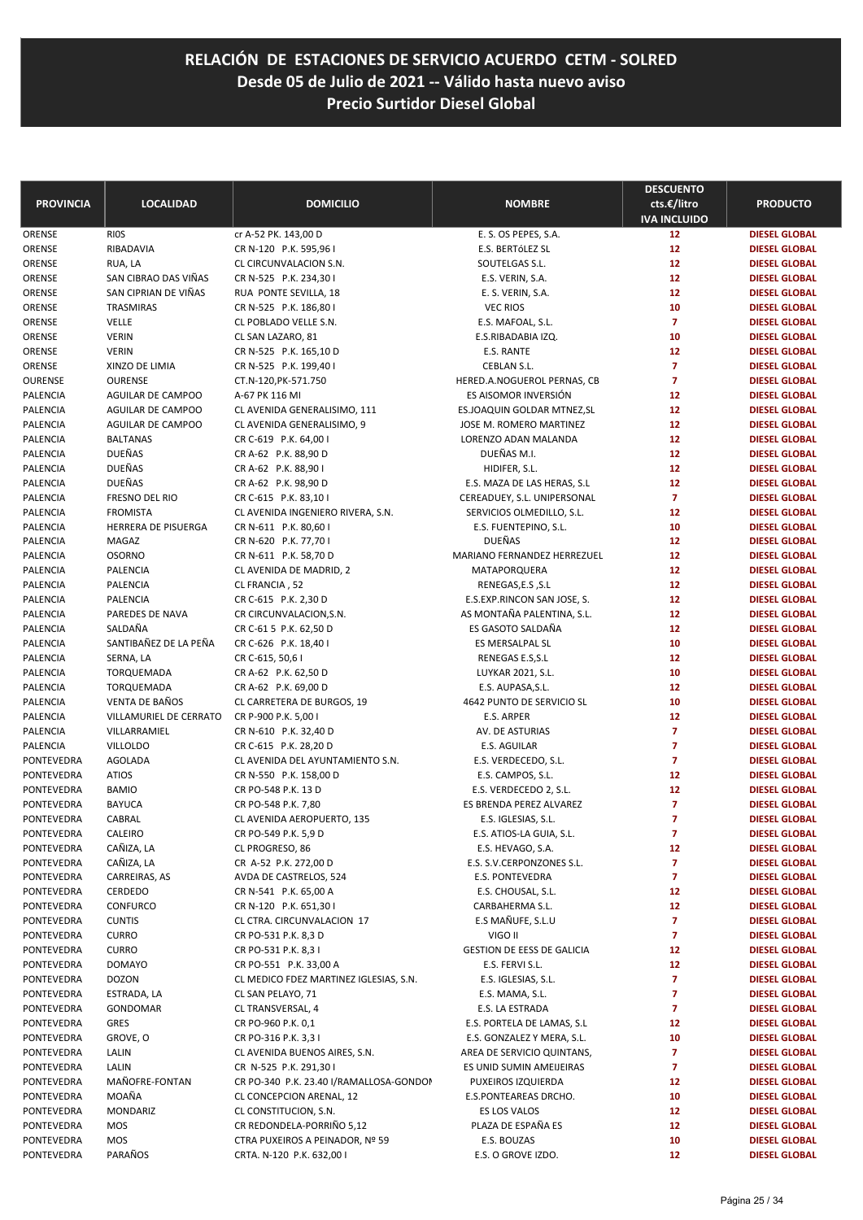|                             |                         |                                                             |                                                            | <b>DESCUENTO</b>                   |                                              |
|-----------------------------|-------------------------|-------------------------------------------------------------|------------------------------------------------------------|------------------------------------|----------------------------------------------|
| <b>PROVINCIA</b>            | <b>LOCALIDAD</b>        | <b>DOMICILIO</b>                                            | <b>NOMBRE</b>                                              | cts.€/litro<br><b>IVA INCLUIDO</b> | <b>PRODUCTO</b>                              |
| ORENSE                      | <b>RIOS</b>             | cr A-52 PK. 143,00 D                                        | E. S. OS PEPES, S.A.                                       | 12 <sup>2</sup>                    | <b>DIESEL GLOBAL</b>                         |
| ORENSE                      | RIBADAVIA               | CR N-120 P.K. 595,96 I                                      | E.S. BERTÓLEZ SL                                           | 12                                 | <b>DIESEL GLOBAL</b>                         |
| ORENSE                      | RUA, LA                 | CL CIRCUNVALACION S.N.                                      | SOUTELGAS S.L.                                             | 12                                 | <b>DIESEL GLOBAL</b>                         |
| ORENSE                      | SAN CIBRAO DAS VIÑAS    | CR N-525 P.K. 234,30 I                                      | E.S. VERIN, S.A.                                           | 12                                 | <b>DIESEL GLOBAL</b>                         |
| ORENSE                      | SAN CIPRIAN DE VIÑAS    | RUA PONTE SEVILLA, 18                                       | E. S. VERIN, S.A.                                          | 12                                 | <b>DIESEL GLOBAL</b>                         |
| ORENSE                      | TRASMIRAS               | CR N-525 P.K. 186,80 I                                      | <b>VEC RIOS</b>                                            | 10                                 | <b>DIESEL GLOBAL</b>                         |
| ORENSE                      | VELLE                   | CL POBLADO VELLE S.N.                                       | E.S. MAFOAL, S.L.                                          | $\overline{7}$                     | <b>DIESEL GLOBAL</b>                         |
| ORENSE                      | <b>VERIN</b>            | CL SAN LAZARO, 81                                           | E.S.RIBADABIA IZQ.                                         | 10                                 | <b>DIESEL GLOBAL</b>                         |
| ORENSE                      | <b>VERIN</b>            | CR N-525 P.K. 165,10 D                                      | E.S. RANTE                                                 | 12                                 | <b>DIESEL GLOBAL</b>                         |
| ORENSE                      | XINZO DE LIMIA          | CR N-525 P.K. 199,40 I                                      | CEBLAN S.L.                                                | $\overline{7}$                     | <b>DIESEL GLOBAL</b>                         |
| OURENSE                     | <b>OURENSE</b>          | CT.N-120, PK-571.750                                        | HERED.A.NOGUEROL PERNAS, CB                                | $\overline{7}$                     | <b>DIESEL GLOBAL</b>                         |
| PALENCIA                    | AGUILAR DE CAMPOO       | A-67 PK 116 MI                                              | ES AISOMOR INVERSIÓN                                       | 12                                 | <b>DIESEL GLOBAL</b>                         |
| PALENCIA                    | AGUILAR DE CAMPOO       | CL AVENIDA GENERALISIMO, 111                                | ES.JOAQUIN GOLDAR MTNEZ, SL                                | 12                                 | <b>DIESEL GLOBAL</b>                         |
| PALENCIA                    | AGUILAR DE CAMPOO       | CL AVENIDA GENERALISIMO, 9                                  | JOSE M. ROMERO MARTINEZ                                    | 12                                 | <b>DIESEL GLOBAL</b>                         |
| <b>PALENCIA</b>             | <b>BALTANAS</b>         | CR C-619 P.K. 64,00 I                                       | LORENZO ADAN MALANDA                                       | 12                                 | <b>DIESEL GLOBAL</b>                         |
| <b>PALENCIA</b>             | <b>DUEÑAS</b>           | CR A-62 P.K. 88,90 D                                        | DUEÑAS M.I.                                                | 12                                 | <b>DIESEL GLOBAL</b>                         |
| PALENCIA<br><b>PALENCIA</b> | DUEÑAS<br><b>DUEÑAS</b> | CR A-62 P.K. 88,901<br>CR A-62 P.K. 98,90 D                 | HIDIFER, S.L.                                              | 12<br>12                           | <b>DIESEL GLOBAL</b><br><b>DIESEL GLOBAL</b> |
| <b>PALENCIA</b>             | FRESNO DEL RIO          | CR C-615 P.K. 83,10 I                                       | E.S. MAZA DE LAS HERAS, S.L<br>CEREADUEY, S.L. UNIPERSONAL | $\overline{7}$                     | <b>DIESEL GLOBAL</b>                         |
| PALENCIA                    | <b>FROMISTA</b>         | CL AVENIDA INGENIERO RIVERA, S.N.                           | SERVICIOS OLMEDILLO, S.L.                                  | 12                                 | <b>DIESEL GLOBAL</b>                         |
| PALENCIA                    | HERRERA DE PISUERGA     | CR N-611 P.K. 80,60 I                                       | E.S. FUENTEPINO, S.L.                                      | 10                                 | <b>DIESEL GLOBAL</b>                         |
| <b>PALENCIA</b>             | MAGAZ                   | CR N-620 P.K. 77,70 I                                       | <b>DUEÑAS</b>                                              | 12                                 | <b>DIESEL GLOBAL</b>                         |
| <b>PALENCIA</b>             | <b>OSORNO</b>           | CR N-611 P.K. 58,70 D                                       | MARIANO FERNANDEZ HERREZUEL                                | 12                                 | <b>DIESEL GLOBAL</b>                         |
| PALENCIA                    | PALENCIA                | CL AVENIDA DE MADRID, 2                                     | MATAPORQUERA                                               | 12                                 | <b>DIESEL GLOBAL</b>                         |
| <b>PALENCIA</b>             | PALENCIA                | CL FRANCIA, 52                                              | RENEGAS,E.S, S.L                                           | 12                                 | <b>DIESEL GLOBAL</b>                         |
| <b>PALENCIA</b>             | PALENCIA                | CR C-615 P.K. 2,30 D                                        | E.S.EXP.RINCON SAN JOSE, S.                                | 12                                 | <b>DIESEL GLOBAL</b>                         |
| PALENCIA                    | PAREDES DE NAVA         | CR CIRCUNVALACION, S.N.                                     | AS MONTAÑA PALENTINA, S.L.                                 | 12                                 | <b>DIESEL GLOBAL</b>                         |
| <b>PALENCIA</b>             | SALDAÑA                 | CR C-61 5 P.K. 62,50 D                                      | ES GASOTO SALDAÑA                                          | 12                                 | <b>DIESEL GLOBAL</b>                         |
| <b>PALENCIA</b>             | SANTIBAÑEZ DE LA PEÑA   | CR C-626 P.K. 18,40 I                                       | ES MERSALPAL SL                                            | 10                                 | <b>DIESEL GLOBAL</b>                         |
| PALENCIA                    | SERNA, LA               | CR C-615, 50,61                                             | RENEGAS E.S, S.L                                           | 12                                 | <b>DIESEL GLOBAL</b>                         |
| <b>PALENCIA</b>             | TORQUEMADA              | CR A-62 P.K. 62,50 D                                        | LUYKAR 2021, S.L.                                          | 10                                 | <b>DIESEL GLOBAL</b>                         |
| PALENCIA                    | TORQUEMADA              | CR A-62 P.K. 69,00 D                                        | E.S. AUPASA, S.L.                                          | 12                                 | <b>DIESEL GLOBAL</b>                         |
| PALENCIA                    | VENTA DE BAÑOS          | CL CARRETERA DE BURGOS, 19                                  | 4642 PUNTO DE SERVICIO SL                                  | 10                                 | <b>DIESEL GLOBAL</b>                         |
| <b>PALENCIA</b>             | VILLAMURIEL DE CERRATO  | CR P-900 P.K. 5,00 I                                        | E.S. ARPER                                                 | 12                                 | <b>DIESEL GLOBAL</b>                         |
| PALENCIA                    | VILLARRAMIEL            | CR N-610 P.K. 32,40 D                                       | AV. DE ASTURIAS                                            | $\overline{7}$                     | <b>DIESEL GLOBAL</b>                         |
| PALENCIA                    | <b>VILLOLDO</b>         | CR C-615 P.K. 28,20 D                                       | E.S. AGUILAR                                               | $\overline{7}$                     | <b>DIESEL GLOBAL</b>                         |
| PONTEVEDRA                  | <b>AGOLADA</b>          | CL AVENIDA DEL AYUNTAMIENTO S.N.                            | E.S. VERDECEDO, S.L.                                       | $\overline{7}$                     | <b>DIESEL GLOBAL</b>                         |
| PONTEVEDRA                  | <b>ATIOS</b>            | CR N-550 P.K. 158,00 D                                      | E.S. CAMPOS, S.L.                                          | 12                                 | <b>DIESEL GLOBAL</b>                         |
| PONTEVEDRA                  | <b>BAMIO</b>            | CR PO-548 P.K. 13 D                                         | E.S. VERDECEDO 2, S.L.                                     | 12                                 | <b>DIESEL GLOBAL</b>                         |
| <b>PONTEVEDRA</b>           | <b>BAYUCA</b>           | CR PO-548 P.K. 7,80                                         | ES BRENDA PEREZ ALVAREZ                                    | 7                                  | <b>DIESEL GLOBAL</b>                         |
| PONTEVEDRA                  | CABRAL                  | CL AVENIDA AEROPUERTO, 135                                  | E.S. IGLESIAS, S.L.                                        | 7                                  | <b>DIESEL GLOBAL</b>                         |
| PONTEVEDRA                  | CALEIRO                 | CR PO-549 P.K. 5,9 D                                        | E.S. ATIOS-LA GUIA, S.L.                                   | 7                                  | <b>DIESEL GLOBAL</b>                         |
| PONTEVEDRA                  | CAÑIZA, LA              | CL PROGRESO, 86                                             | E.S. HEVAGO, S.A.                                          | 12                                 | <b>DIESEL GLOBAL</b>                         |
| PONTEVEDRA                  | CAÑIZA, LA              | CR A-52 P.K. 272,00 D                                       | E.S. S.V.CERPONZONES S.L.                                  | $\overline{7}$                     | <b>DIESEL GLOBAL</b>                         |
| PONTEVEDRA                  | CARREIRAS, AS           | AVDA DE CASTRELOS, 524                                      | E.S. PONTEVEDRA                                            | 7                                  | <b>DIESEL GLOBAL</b>                         |
| PONTEVEDRA                  | CERDEDO                 | CR N-541 P.K. 65,00 A                                       | E.S. CHOUSAL, S.L.                                         | 12                                 | <b>DIESEL GLOBAL</b>                         |
| PONTEVEDRA                  | <b>CONFURCO</b>         | CR N-120 P.K. 651,30 I                                      | CARBAHERMA S.L.                                            | 12                                 | <b>DIESEL GLOBAL</b>                         |
| PONTEVEDRA                  | <b>CUNTIS</b>           | CL CTRA. CIRCUNVALACION 17                                  | E.S MAÑUFE, S.L.U                                          | 7                                  | <b>DIESEL GLOBAL</b>                         |
| PONTEVEDRA                  | <b>CURRO</b>            | CR PO-531 P.K. 8,3 D                                        | VIGO II                                                    | 7                                  | <b>DIESEL GLOBAL</b>                         |
| PONTEVEDRA                  | <b>CURRO</b>            | CR PO-531 P.K. 8,31                                         | <b>GESTION DE EESS DE GALICIA</b>                          | 12                                 | <b>DIESEL GLOBAL</b>                         |
| PONTEVEDRA                  | <b>DOMAYO</b>           | CR PO-551 P.K. 33,00 A                                      | E.S. FERVI S.L.                                            | 12                                 | <b>DIESEL GLOBAL</b>                         |
| PONTEVEDRA                  | <b>DOZON</b>            | CL MEDICO FDEZ MARTINEZ IGLESIAS, S.N.<br>CL SAN PELAYO, 71 | E.S. IGLESIAS, S.L.                                        | $\overline{7}$<br>7                | <b>DIESEL GLOBAL</b>                         |
| PONTEVEDRA<br>PONTEVEDRA    | ESTRADA, LA<br>GONDOMAR | CL TRANSVERSAL, 4                                           | E.S. MAMA, S.L.<br>E.S. LA ESTRADA                         | 7                                  | <b>DIESEL GLOBAL</b><br><b>DIESEL GLOBAL</b> |
| PONTEVEDRA                  | GRES                    | CR PO-960 P.K. 0,1                                          | E.S. PORTELA DE LAMAS, S.L                                 | 12                                 | <b>DIESEL GLOBAL</b>                         |
| PONTEVEDRA                  | GROVE, O                | CR PO-316 P.K. 3,31                                         | E.S. GONZALEZ Y MERA, S.L.                                 | 10                                 | <b>DIESEL GLOBAL</b>                         |
| PONTEVEDRA                  | LALIN                   | CL AVENIDA BUENOS AIRES, S.N.                               | AREA DE SERVICIO QUINTANS,                                 | 7                                  | <b>DIESEL GLOBAL</b>                         |
| PONTEVEDRA                  | LALIN                   | CR N-525 P.K. 291,30 I                                      | ES UNID SUMIN AMEIJEIRAS                                   | 7                                  | <b>DIESEL GLOBAL</b>                         |
| PONTEVEDRA                  | MAÑOFRE-FONTAN          | CR PO-340 P.K. 23.40 I/RAMALLOSA-GONDON                     | PUXEIROS IZQUIERDA                                         | 12                                 | <b>DIESEL GLOBAL</b>                         |
| PONTEVEDRA                  | MOAÑA                   | CL CONCEPCION ARENAL, 12                                    | E.S.PONTEAREAS DRCHO.                                      | 10                                 | <b>DIESEL GLOBAL</b>                         |
| PONTEVEDRA                  | MONDARIZ                | CL CONSTITUCION, S.N.                                       | ES LOS VALOS                                               | 12                                 | <b>DIESEL GLOBAL</b>                         |
| PONTEVEDRA                  | MOS                     | CR REDONDELA-PORRIÑO 5,12                                   | PLAZA DE ESPAÑA ES                                         | 12                                 | <b>DIESEL GLOBAL</b>                         |
| PONTEVEDRA                  | MOS                     | CTRA PUXEIROS A PEINADOR, Nº 59                             | E.S. BOUZAS                                                | 10                                 | <b>DIESEL GLOBAL</b>                         |
| PONTEVEDRA                  | PARAÑOS                 | CRTA. N-120 P.K. 632,00 I                                   | E.S. O GROVE IZDO.                                         | 12                                 | <b>DIESEL GLOBAL</b>                         |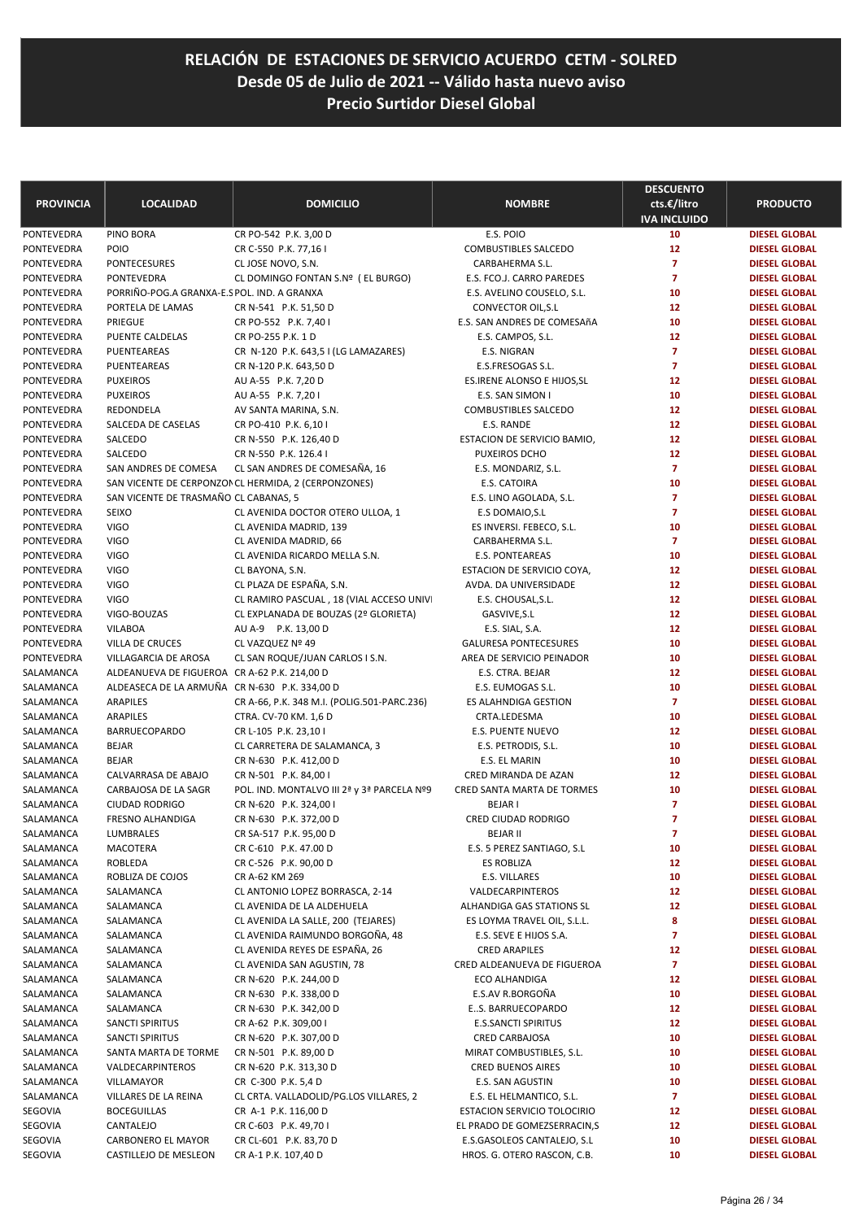| <b>PROVINCIA</b>         | <b>LOCALIDAD</b>                              | <b>DOMICILIO</b>                                       | <b>NOMBRE</b>                        | <b>DESCUENTO</b><br>cts.€/litro<br><b>IVA INCLUIDO</b> | <b>PRODUCTO</b>                              |
|--------------------------|-----------------------------------------------|--------------------------------------------------------|--------------------------------------|--------------------------------------------------------|----------------------------------------------|
| PONTEVEDRA               | PINO BORA                                     | CR PO-542 P.K. 3,00 D                                  | E.S. POIO                            | 10                                                     | <b>DIESEL GLOBAL</b>                         |
| PONTEVEDRA               | POIO                                          | CR C-550 P.K. 77,16 I                                  | <b>COMBUSTIBLES SALCEDO</b>          | 12                                                     | <b>DIESEL GLOBAL</b>                         |
| PONTEVEDRA               | PONTECESURES                                  | CL JOSE NOVO, S.N.                                     | CARBAHERMA S.L.                      | $\overline{7}$                                         | <b>DIESEL GLOBAL</b>                         |
| PONTEVEDRA               | PONTEVEDRA                                    | CL DOMINGO FONTAN S.Nº (EL BURGO)                      | E.S. FCO.J. CARRO PAREDES            | $\overline{7}$                                         | <b>DIESEL GLOBAL</b>                         |
| PONTEVEDRA               | PORRIÑO-POG.A GRANXA-E.S POL. IND. A GRANXA   |                                                        | E.S. AVELINO COUSELO, S.L.           | 10                                                     | <b>DIESEL GLOBAL</b>                         |
| PONTEVEDRA               | PORTELA DE LAMAS                              | CR N-541 P.K. 51,50 D                                  | CONVECTOR OIL, S.L                   | 12                                                     | <b>DIESEL GLOBAL</b>                         |
| PONTEVEDRA               | PRIEGUE                                       | CR PO-552 P.K. 7,40 I                                  | E.S. SAN ANDRES DE COMESAñA          | 10                                                     | <b>DIESEL GLOBAL</b>                         |
| PONTEVEDRA               | PUENTE CALDELAS                               | CR PO-255 P.K. 1 D                                     | E.S. CAMPOS, S.L.                    | 12                                                     | <b>DIESEL GLOBAL</b>                         |
| PONTEVEDRA               | PUENTEAREAS                                   | CR N-120 P.K. 643,5 I (LG LAMAZARES)                   | E.S. NIGRAN                          | $\overline{7}$                                         | <b>DIESEL GLOBAL</b>                         |
| PONTEVEDRA               | PUENTEAREAS                                   | CR N-120 P.K. 643,50 D                                 | E.S.FRESOGAS S.L.                    | $\overline{7}$                                         | <b>DIESEL GLOBAL</b>                         |
| PONTEVEDRA               | <b>PUXEIROS</b>                               | AU A-55 P.K. 7,20 D                                    | ES.IRENE ALONSO E HIJOS, SL          | 12                                                     | <b>DIESEL GLOBAL</b>                         |
| PONTEVEDRA               | <b>PUXEIROS</b>                               | AU A-55 P.K. 7,201                                     | E.S. SAN SIMON I                     | 10                                                     | <b>DIESEL GLOBAL</b>                         |
| PONTEVEDRA               | REDONDELA                                     | AV SANTA MARINA, S.N.                                  | <b>COMBUSTIBLES SALCEDO</b>          | 12                                                     | <b>DIESEL GLOBAL</b>                         |
| PONTEVEDRA               | SALCEDA DE CASELAS                            | CR PO-410 P.K. 6,10 I                                  | E.S. RANDE                           | 12                                                     | <b>DIESEL GLOBAL</b>                         |
| PONTEVEDRA<br>PONTEVEDRA | SALCEDO<br>SALCEDO                            | CR N-550 P.K. 126,40 D                                 | ESTACION DE SERVICIO BAMIO,          | 12<br>12                                               | <b>DIESEL GLOBAL</b>                         |
| PONTEVEDRA               | SAN ANDRES DE COMESA                          | CR N-550 P.K. 126.4 I<br>CL SAN ANDRES DE COMESAÑA, 16 | PUXEIROS DCHO<br>E.S. MONDARIZ, S.L. | $\overline{7}$                                         | <b>DIESEL GLOBAL</b><br><b>DIESEL GLOBAL</b> |
| PONTEVEDRA               |                                               | SAN VICENTE DE CERPONZON CL HERMIDA, 2 (CERPONZONES)   | E.S. CATOIRA                         | 10                                                     | <b>DIESEL GLOBAL</b>                         |
| PONTEVEDRA               | SAN VICENTE DE TRASMAÑO CL CABANAS, 5         |                                                        | E.S. LINO AGOLADA, S.L.              | $\overline{7}$                                         | <b>DIESEL GLOBAL</b>                         |
| PONTEVEDRA               | <b>SEIXO</b>                                  | CL AVENIDA DOCTOR OTERO ULLOA, 1                       | E.S DOMAIO, S.L                      | $\overline{7}$                                         | <b>DIESEL GLOBAL</b>                         |
| PONTEVEDRA               | <b>VIGO</b>                                   | CL AVENIDA MADRID, 139                                 | ES INVERSI. FEBECO, S.L.             | 10                                                     | <b>DIESEL GLOBAL</b>                         |
| PONTEVEDRA               | <b>VIGO</b>                                   | CL AVENIDA MADRID, 66                                  | CARBAHERMA S.L.                      | $\overline{7}$                                         | <b>DIESEL GLOBAL</b>                         |
| PONTEVEDRA               | <b>VIGO</b>                                   | CL AVENIDA RICARDO MELLA S.N.                          | <b>E.S. PONTEAREAS</b>               | 10                                                     | <b>DIESEL GLOBAL</b>                         |
| PONTEVEDRA               | <b>VIGO</b>                                   | CL BAYONA, S.N.                                        | ESTACION DE SERVICIO COYA,           | 12                                                     | <b>DIESEL GLOBAL</b>                         |
| PONTEVEDRA               | <b>VIGO</b>                                   | CL PLAZA DE ESPAÑA, S.N.                               | AVDA. DA UNIVERSIDADE                | 12                                                     | <b>DIESEL GLOBAL</b>                         |
| PONTEVEDRA               | <b>VIGO</b>                                   | CL RAMIRO PASCUAL, 18 (VIAL ACCESO UNIVI               | E.S. CHOUSAL, S.L.                   | 12                                                     | <b>DIESEL GLOBAL</b>                         |
| PONTEVEDRA               | VIGO-BOUZAS                                   | CL EXPLANADA DE BOUZAS (2º GLORIETA)                   | GASVIVE, S.L                         | 12                                                     | <b>DIESEL GLOBAL</b>                         |
| PONTEVEDRA               | <b>VILABOA</b>                                | AU A-9 P.K. 13,00 D                                    | E.S. SIAL, S.A.                      | 12                                                     | <b>DIESEL GLOBAL</b>                         |
| PONTEVEDRA               | VILLA DE CRUCES                               | CL VAZQUEZ Nº 49                                       | <b>GALURESA PONTECESURES</b>         | 10                                                     | <b>DIESEL GLOBAL</b>                         |
| PONTEVEDRA               | VILLAGARCIA DE AROSA                          | CL SAN ROQUE/JUAN CARLOS I S.N.                        | AREA DE SERVICIO PEINADOR            | 10                                                     | <b>DIESEL GLOBAL</b>                         |
| SALAMANCA                | ALDEANUEVA DE FIGUEROA CR A-62 P.K. 214,00 D  |                                                        | E.S. CTRA. BEJAR                     | 12                                                     | <b>DIESEL GLOBAL</b>                         |
| SALAMANCA                | ALDEASECA DE LA ARMUÑA CR N-630 P.K. 334,00 D |                                                        | E.S. EUMOGAS S.L.                    | 10                                                     | <b>DIESEL GLOBAL</b>                         |
| SALAMANCA                | ARAPILES                                      | CR A-66, P.K. 348 M.I. (POLIG.501-PARC.236)            | ES ALAHNDIGA GESTION                 | $\overline{7}$                                         | <b>DIESEL GLOBAL</b>                         |
| SALAMANCA                | <b>ARAPILES</b>                               | CTRA. CV-70 KM. 1,6 D                                  | CRTA.LEDESMA                         | 10                                                     | <b>DIESEL GLOBAL</b>                         |
| SALAMANCA                | <b>BARRUECOPARDO</b>                          | CR L-105 P.K. 23,10 I                                  | E.S. PUENTE NUEVO                    | 12                                                     | <b>DIESEL GLOBAL</b>                         |
| SALAMANCA                | <b>BEJAR</b>                                  | CL CARRETERA DE SALAMANCA, 3                           | E.S. PETRODIS, S.L.                  | 10                                                     | <b>DIESEL GLOBAL</b>                         |
| SALAMANCA                | <b>BEJAR</b>                                  | CR N-630 P.K. 412,00 D                                 | E.S. EL MARIN                        | 10                                                     | <b>DIESEL GLOBAL</b>                         |
| SALAMANCA                | CALVARRASA DE ABAJO                           | CR N-501 P.K. 84,00 I                                  | CRED MIRANDA DE AZAN                 | 12                                                     | <b>DIESEL GLOBAL</b>                         |
| SALAMANCA                | CARBAJOSA DE LA SAGR                          | POL. IND. MONTALVO III 2ª y 3ª PARCELA Nº9             | CRED SANTA MARTA DE TORMES           | 10                                                     | <b>DIESEL GLOBAL</b>                         |
| SALAMANCA                | <b>CIUDAD RODRIGO</b>                         | CR N-620 P.K. 324,00 I                                 | <b>BEJAR I</b>                       | $\overline{7}$                                         | <b>DIESEL GLOBAL</b>                         |
| SALAMANCA                | <b>FRESNO ALHANDIGA</b>                       | CR N-630 P.K. 372,00 D                                 | CRED CIUDAD RODRIGO                  | $\overline{7}$                                         | <b>DIESEL GLOBAL</b>                         |
| SALAMANCA                | <b>LUMBRALES</b>                              | CR SA-517 P.K. 95,00 D                                 | <b>BEJAR II</b>                      |                                                        | <b>DIESEL GLOBAL</b>                         |
| SALAMANCA                | <b>MACOTERA</b>                               | CR C-610 P.K. 47.00 D                                  | E.S. 5 PEREZ SANTIAGO, S.L           | 10                                                     | <b>DIESEL GLOBAL</b>                         |
| SALAMANCA                | ROBLEDA                                       | CR C-526 P.K. 90,00 D                                  | <b>ES ROBLIZA</b>                    | 12                                                     | <b>DIESEL GLOBAL</b>                         |
| SALAMANCA<br>SALAMANCA   | ROBLIZA DE COJOS<br>SALAMANCA                 | CR A-62 KM 269<br>CL ANTONIO LOPEZ BORRASCA, 2-14      | E.S. VILLARES<br>VALDECARPINTEROS    | 10<br>12                                               | <b>DIESEL GLOBAL</b><br><b>DIESEL GLOBAL</b> |
| SALAMANCA                | SALAMANCA                                     | CL AVENIDA DE LA ALDEHUELA                             | ALHANDIGA GAS STATIONS SL            | 12                                                     | <b>DIESEL GLOBAL</b>                         |
| SALAMANCA                | SALAMANCA                                     | CL AVENIDA LA SALLE, 200 (TEJARES)                     | ES LOYMA TRAVEL OIL, S.L.L.          | 8                                                      | <b>DIESEL GLOBAL</b>                         |
| SALAMANCA                | SALAMANCA                                     | CL AVENIDA RAIMUNDO BORGOÑA, 48                        | E.S. SEVE E HIJOS S.A.               | 7                                                      | <b>DIESEL GLOBAL</b>                         |
| SALAMANCA                | SALAMANCA                                     | CL AVENIDA REYES DE ESPAÑA, 26                         | <b>CRED ARAPILES</b>                 | 12                                                     | <b>DIESEL GLOBAL</b>                         |
| SALAMANCA                | SALAMANCA                                     | CL AVENIDA SAN AGUSTIN, 78                             | CRED ALDEANUEVA DE FIGUEROA          | $\overline{7}$                                         | <b>DIESEL GLOBAL</b>                         |
| SALAMANCA                | SALAMANCA                                     | CR N-620 P.K. 244,00 D                                 | <b>ECO ALHANDIGA</b>                 | 12                                                     | <b>DIESEL GLOBAL</b>                         |
| SALAMANCA                | SALAMANCA                                     | CR N-630 P.K. 338,00 D                                 | E.S.AV R.BORGOÑA                     | 10                                                     | <b>DIESEL GLOBAL</b>                         |
| SALAMANCA                | SALAMANCA                                     | CR N-630 P.K. 342,00 D                                 | ES. BARRUECOPARDO                    | 12                                                     | <b>DIESEL GLOBAL</b>                         |
| SALAMANCA                | SANCTI SPIRITUS                               | CR A-62 P.K. 309,00 I                                  | <b>E.S.SANCTI SPIRITUS</b>           | 12                                                     | <b>DIESEL GLOBAL</b>                         |
| SALAMANCA                | SANCTI SPIRITUS                               | CR N-620 P.K. 307,00 D                                 | <b>CRED CARBAJOSA</b>                | 10                                                     | <b>DIESEL GLOBAL</b>                         |
| SALAMANCA                | SANTA MARTA DE TORME                          | CR N-501 P.K. 89,00 D                                  | MIRAT COMBUSTIBLES, S.L.             | 10                                                     | <b>DIESEL GLOBAL</b>                         |
| SALAMANCA                | VALDECARPINTEROS                              | CR N-620 P.K. 313,30 D                                 | <b>CRED BUENOS AIRES</b>             | 10                                                     | <b>DIESEL GLOBAL</b>                         |
| SALAMANCA                | VILLAMAYOR                                    | CR C-300 P.K. 5,4 D                                    | E.S. SAN AGUSTIN                     | 10                                                     | <b>DIESEL GLOBAL</b>                         |
| SALAMANCA                | VILLARES DE LA REINA                          | CL CRTA. VALLADOLID/PG.LOS VILLARES, 2                 | E.S. EL HELMANTICO, S.L.             | $\overline{7}$                                         | <b>DIESEL GLOBAL</b>                         |
| SEGOVIA                  | <b>BOCEGUILLAS</b>                            | CR A-1 P.K. 116,00 D                                   | ESTACION SERVICIO TOLOCIRIO          | 12                                                     | <b>DIESEL GLOBAL</b>                         |
| SEGOVIA                  | CANTALEJO                                     | CR C-603 P.K. 49,70 I                                  | EL PRADO DE GOMEZSERRACIN,S          | 12                                                     | <b>DIESEL GLOBAL</b>                         |
| SEGOVIA                  | CARBONERO EL MAYOR                            | CR CL-601 P.K. 83,70 D                                 | E.S.GASOLEOS CANTALEJO, S.L          | 10                                                     | <b>DIESEL GLOBAL</b>                         |
| SEGOVIA                  | CASTILLEJO DE MESLEON                         | CR A-1 P.K. 107,40 D                                   | HROS. G. OTERO RASCON, C.B.          | 10                                                     | <b>DIESEL GLOBAL</b>                         |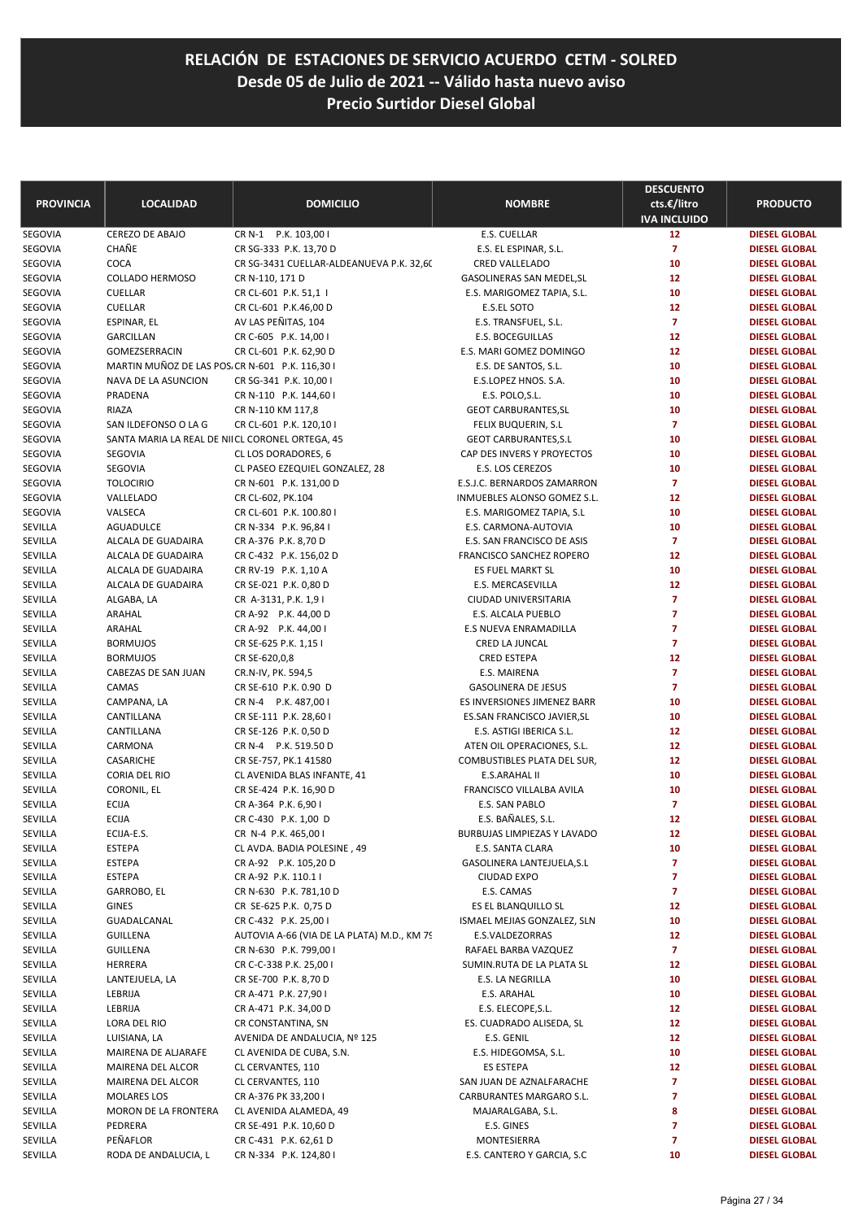| <b>PROVINCIA</b>   | <b>LOCALIDAD</b>                                           | <b>DOMICILIO</b>                                      | <b>NOMBRE</b>                                              | <b>DESCUENTO</b><br>cts.€/litro | <b>PRODUCTO</b>                              |
|--------------------|------------------------------------------------------------|-------------------------------------------------------|------------------------------------------------------------|---------------------------------|----------------------------------------------|
| SEGOVIA            | <b>CEREZO DE ABAJO</b>                                     | CR N-1 P.K. 103,00 I                                  | E.S. CUELLAR                                               | <b>IVA INCLUIDO</b><br>12       | <b>DIESEL GLOBAL</b>                         |
| SEGOVIA            | CHAÑE                                                      | CR SG-333 P.K. 13,70 D                                | E.S. EL ESPINAR, S.L.                                      | $\overline{7}$                  | <b>DIESEL GLOBAL</b>                         |
| SEGOVIA            | COCA                                                       | CR SG-3431 CUELLAR-ALDEANUEVA P.K. 32,60              | <b>CRED VALLELADO</b>                                      | 10                              | <b>DIESEL GLOBAL</b>                         |
| SEGOVIA            | <b>COLLADO HERMOSO</b>                                     | CR N-110, 171 D                                       | GASOLINERAS SAN MEDEL, SL                                  | 12                              | <b>DIESEL GLOBAL</b>                         |
| SEGOVIA            | <b>CUELLAR</b>                                             | CR CL-601 P.K. 51,1 I                                 | E.S. MARIGOMEZ TAPIA, S.L.                                 | 10                              | <b>DIESEL GLOBAL</b>                         |
| SEGOVIA            | CUELLAR                                                    | CR CL-601 P.K.46,00 D                                 | <b>E.S.EL SOTO</b>                                         | 12                              | <b>DIESEL GLOBAL</b>                         |
| SEGOVIA            | ESPINAR, EL                                                | AV LAS PEÑITAS, 104                                   | E.S. TRANSFUEL, S.L.                                       | $\overline{7}$                  | <b>DIESEL GLOBAL</b>                         |
| SEGOVIA            | GARCILLAN                                                  | CR C-605 P.K. 14,00 I                                 | <b>E.S. BOCEGUILLAS</b>                                    | 12                              | <b>DIESEL GLOBAL</b>                         |
| SEGOVIA            | GOMEZSERRACIN                                              | CR CL-601 P.K. 62,90 D                                | E.S. MARI GOMEZ DOMINGO                                    | 12                              | <b>DIESEL GLOBAL</b>                         |
| SEGOVIA            | MARTIN MUÑOZ DE LAS POS. CR N-601 P.K. 116,30 I            |                                                       | E.S. DE SANTOS, S.L.                                       | 10                              | <b>DIESEL GLOBAL</b>                         |
| SEGOVIA            | NAVA DE LA ASUNCION                                        | CR SG-341 P.K. 10,00 I                                | E.S.LOPEZ HNOS. S.A.                                       | 10                              | <b>DIESEL GLOBAL</b>                         |
| SEGOVIA            | PRADENA                                                    | CR N-110 P.K. 144,60 I                                | E.S. POLO, S.L.                                            | 10                              | <b>DIESEL GLOBAL</b>                         |
| SEGOVIA            | RIAZA                                                      | CR N-110 KM 117,8                                     | <b>GEOT CARBURANTES, SL</b>                                | 10                              | <b>DIESEL GLOBAL</b>                         |
| SEGOVIA            | SAN ILDEFONSO O LA G                                       | CR CL-601 P.K. 120,10 I                               | FELIX BUQUERIN, S.L                                        | $\overline{7}$                  | <b>DIESEL GLOBAL</b>                         |
| SEGOVIA<br>SEGOVIA | SANTA MARIA LA REAL DE NIICL CORONEL ORTEGA, 45<br>SEGOVIA |                                                       | <b>GEOT CARBURANTES, S.L</b><br>CAP DES INVERS Y PROYECTOS | 10<br>10                        | <b>DIESEL GLOBAL</b><br><b>DIESEL GLOBAL</b> |
| SEGOVIA            | SEGOVIA                                                    | CL LOS DORADORES, 6<br>CL PASEO EZEQUIEL GONZALEZ, 28 | E.S. LOS CEREZOS                                           | 10                              | <b>DIESEL GLOBAL</b>                         |
| SEGOVIA            | <b>TOLOCIRIO</b>                                           | CR N-601 P.K. 131,00 D                                | E.S.J.C. BERNARDOS ZAMARRON                                | $\overline{7}$                  | <b>DIESEL GLOBAL</b>                         |
| SEGOVIA            | VALLELADO                                                  | CR CL-602, PK.104                                     | INMUEBLES ALONSO GOMEZ S.L.                                | 12                              | <b>DIESEL GLOBAL</b>                         |
| SEGOVIA            | VALSECA                                                    | CR CL-601 P.K. 100.80 I                               | E.S. MARIGOMEZ TAPIA, S.L                                  | 10                              | <b>DIESEL GLOBAL</b>                         |
| SEVILLA            | AGUADULCE                                                  | CR N-334 P.K. 96,84 I                                 | E.S. CARMONA-AUTOVIA                                       | 10                              | <b>DIESEL GLOBAL</b>                         |
| SEVILLA            | ALCALA DE GUADAIRA                                         | CR A-376 P.K. 8,70 D                                  | E.S. SAN FRANCISCO DE ASIS                                 | $\overline{z}$                  | <b>DIESEL GLOBAL</b>                         |
| SEVILLA            | ALCALA DE GUADAIRA                                         | CR C-432 P.K. 156,02 D                                | <b>FRANCISCO SANCHEZ ROPERO</b>                            | 12                              | <b>DIESEL GLOBAL</b>                         |
| SEVILLA            | <b>ALCALA DE GUADAIRA</b>                                  | CR RV-19 P.K. 1,10 A                                  | ES FUEL MARKT SL                                           | 10                              | <b>DIESEL GLOBAL</b>                         |
| SEVILLA            | ALCALA DE GUADAIRA                                         | CR SE-021 P.K. 0,80 D                                 | E.S. MERCASEVILLA                                          | 12                              | <b>DIESEL GLOBAL</b>                         |
| SEVILLA            | ALGABA, LA                                                 | CR A-3131, P.K. 1,91                                  | CIUDAD UNIVERSITARIA                                       | $\overline{7}$                  | <b>DIESEL GLOBAL</b>                         |
| SEVILLA            | ARAHAL                                                     | CR A-92 P.K. 44,00 D                                  | E.S. ALCALA PUEBLO                                         | $\overline{7}$                  | <b>DIESEL GLOBAL</b>                         |
| SEVILLA            | ARAHAL                                                     | CR A-92 P.K. 44,00 I                                  | E.S NUEVA ENRAMADILLA                                      | $\overline{z}$                  | <b>DIESEL GLOBAL</b>                         |
| SEVILLA            | <b>BORMUJOS</b>                                            | CR SE-625 P.K. 1,15 I                                 | CRED LA JUNCAL                                             | $\overline{7}$                  | <b>DIESEL GLOBAL</b>                         |
| SEVILLA            | <b>BORMUJOS</b>                                            | CR SE-620,0,8                                         | <b>CRED ESTEPA</b>                                         | 12                              | <b>DIESEL GLOBAL</b>                         |
| SEVILLA            | CABEZAS DE SAN JUAN                                        | CR.N-IV, PK. 594,5                                    | E.S. MAIRENA                                               | $\overline{7}$                  | <b>DIESEL GLOBAL</b>                         |
| SEVILLA            | CAMAS                                                      | CR SE-610 P.K. 0.90 D                                 | <b>GASOLINERA DE JESUS</b>                                 | $\overline{7}$                  | <b>DIESEL GLOBAL</b>                         |
| SEVILLA            | CAMPANA, LA                                                | CR N-4 P.K. 487,00 I                                  | ES INVERSIONES JIMENEZ BARR                                | 10<br>10                        | <b>DIESEL GLOBAL</b>                         |
| SEVILLA<br>SEVILLA | CANTILLANA<br>CANTILLANA                                   | CR SE-111 P.K. 28,60 I<br>CR SE-126 P.K. 0,50 D       | ES.SAN FRANCISCO JAVIER, SL<br>E.S. ASTIGI IBERICA S.L.    | 12                              | <b>DIESEL GLOBAL</b><br><b>DIESEL GLOBAL</b> |
| SEVILLA            | CARMONA                                                    | CR N-4 P.K. 519.50 D                                  | ATEN OIL OPERACIONES, S.L.                                 | 12                              | <b>DIESEL GLOBAL</b>                         |
| SEVILLA            | CASARICHE                                                  | CR SE-757, PK.1 41580                                 | COMBUSTIBLES PLATA DEL SUR,                                | 12                              | <b>DIESEL GLOBAL</b>                         |
| SEVILLA            | CORIA DEL RIO                                              | CL AVENIDA BLAS INFANTE, 41                           | <b>E.S.ARAHAL II</b>                                       | 10                              | <b>DIESEL GLOBAL</b>                         |
| SEVILLA            | CORONIL, EL                                                | CR SE-424 P.K. 16,90 D                                | FRANCISCO VILLALBA AVILA                                   | 10                              | <b>DIESEL GLOBAL</b>                         |
| SEVILLA            | <b>ECIJA</b>                                               | CR A-364 P.K. 6,901                                   | E.S. SAN PABLO                                             | $\overline{7}$                  | <b>DIESEL GLOBAL</b>                         |
| SEVILLA            | <b>ECIJA</b>                                               | CR C-430 P.K. 1,00 D                                  | E.S. BAÑALES, S.L.                                         | 12                              | <b>DIESEL GLOBAL</b>                         |
| SEVILLA            | ECIJA-E.S.                                                 | CR N-4 P.K. 465,00 I                                  | BURBUJAS LIMPIEZAS Y LAVADO                                | 12                              | <b>DIESEL GLOBAL</b>                         |
| SEVILLA            | ESTEPA                                                     | CL AVDA. BADIA POLESINE, 49                           | E.S. SANTA CLARA                                           | 10                              | <b>DIESEL GLOBAL</b>                         |
| SEVILLA            | ESTEPA                                                     | CR A-92 P.K. 105,20 D                                 | GASOLINERA LANTEJUELA, S.L                                 | $\overline{7}$                  | <b>DIESEL GLOBAL</b>                         |
| SEVILLA            | <b>ESTEPA</b>                                              | CR A-92 P.K. 110.1 I                                  | <b>CIUDAD EXPO</b>                                         | 7                               | <b>DIESEL GLOBAL</b>                         |
| SEVILLA            | GARROBO, EL                                                | CR N-630 P.K. 781,10 D                                | E.S. CAMAS                                                 | 7                               | <b>DIESEL GLOBAL</b>                         |
| SEVILLA            | <b>GINES</b>                                               | CR SE-625 P.K. 0,75 D                                 | ES EL BLANQUILLO SL                                        | 12                              | <b>DIESEL GLOBAL</b>                         |
| SEVILLA            | GUADALCANAL                                                | CR C-432 P.K. 25,00 I                                 | ISMAEL MEJIAS GONZALEZ, SLN                                | 10                              | <b>DIESEL GLOBAL</b>                         |
| SEVILLA            | GUILLENA                                                   | AUTOVIA A-66 (VIA DE LA PLATA) M.D., KM 79            | E.S.VALDEZORRAS                                            | 12                              | <b>DIESEL GLOBAL</b>                         |
| SEVILLA            | GUILLENA                                                   | CR N-630 P.K. 799,00 I                                | RAFAEL BARBA VAZQUEZ                                       | 7                               | <b>DIESEL GLOBAL</b>                         |
| SEVILLA            | HERRERA                                                    | CR C-C-338 P.K. 25,00 I                               | SUMIN.RUTA DE LA PLATA SL                                  | 12                              | <b>DIESEL GLOBAL</b>                         |
| SEVILLA            | LANTEJUELA, LA                                             | CR SE-700 P.K. 8,70 D                                 | E.S. LA NEGRILLA                                           | 10                              | <b>DIESEL GLOBAL</b>                         |
| SEVILLA<br>SEVILLA | LEBRIJA                                                    | CR A-471 P.K. 27,901                                  | E.S. ARAHAL                                                | 10                              | <b>DIESEL GLOBAL</b>                         |
| SEVILLA            | LEBRIJA<br>LORA DEL RIO                                    | CR A-471 P.K. 34,00 D<br>CR CONSTANTINA, SN           | E.S. ELECOPE, S.L.<br>ES. CUADRADO ALISEDA, SL             | 12<br>12                        | <b>DIESEL GLOBAL</b><br><b>DIESEL GLOBAL</b> |
| SEVILLA            | LUISIANA, LA                                               | AVENIDA DE ANDALUCIA, Nº 125                          | E.S. GENIL                                                 | 12                              | <b>DIESEL GLOBAL</b>                         |
| SEVILLA            | MAIRENA DE ALJARAFE                                        | CL AVENIDA DE CUBA, S.N.                              | E.S. HIDEGOMSA, S.L.                                       | 10                              | <b>DIESEL GLOBAL</b>                         |
| SEVILLA            | MAIRENA DEL ALCOR                                          | CL CERVANTES, 110                                     | ES ESTEPA                                                  | 12                              | <b>DIESEL GLOBAL</b>                         |
| SEVILLA            | MAIRENA DEL ALCOR                                          | CL CERVANTES, 110                                     | SAN JUAN DE AZNALFARACHE                                   | $\overline{7}$                  | <b>DIESEL GLOBAL</b>                         |
| SEVILLA            | MOLARES LOS                                                | CR A-376 PK 33,200 I                                  | CARBURANTES MARGARO S.L.                                   | 7                               | <b>DIESEL GLOBAL</b>                         |
| SEVILLA            | MORON DE LA FRONTERA                                       | CL AVENIDA ALAMEDA, 49                                | MAJARALGABA, S.L.                                          | 8                               | <b>DIESEL GLOBAL</b>                         |
| SEVILLA            | PEDRERA                                                    | CR SE-491 P.K. 10,60 D                                | E.S. GINES                                                 | $\overline{7}$                  | <b>DIESEL GLOBAL</b>                         |
| SEVILLA            | PEÑAFLOR                                                   | CR C-431 P.K. 62,61 D                                 | MONTESIERRA                                                | 7                               | <b>DIESEL GLOBAL</b>                         |
| SEVILLA            | RODA DE ANDALUCIA, L                                       | CR N-334 P.K. 124,80 I                                | E.S. CANTERO Y GARCIA, S.C                                 | 10                              | <b>DIESEL GLOBAL</b>                         |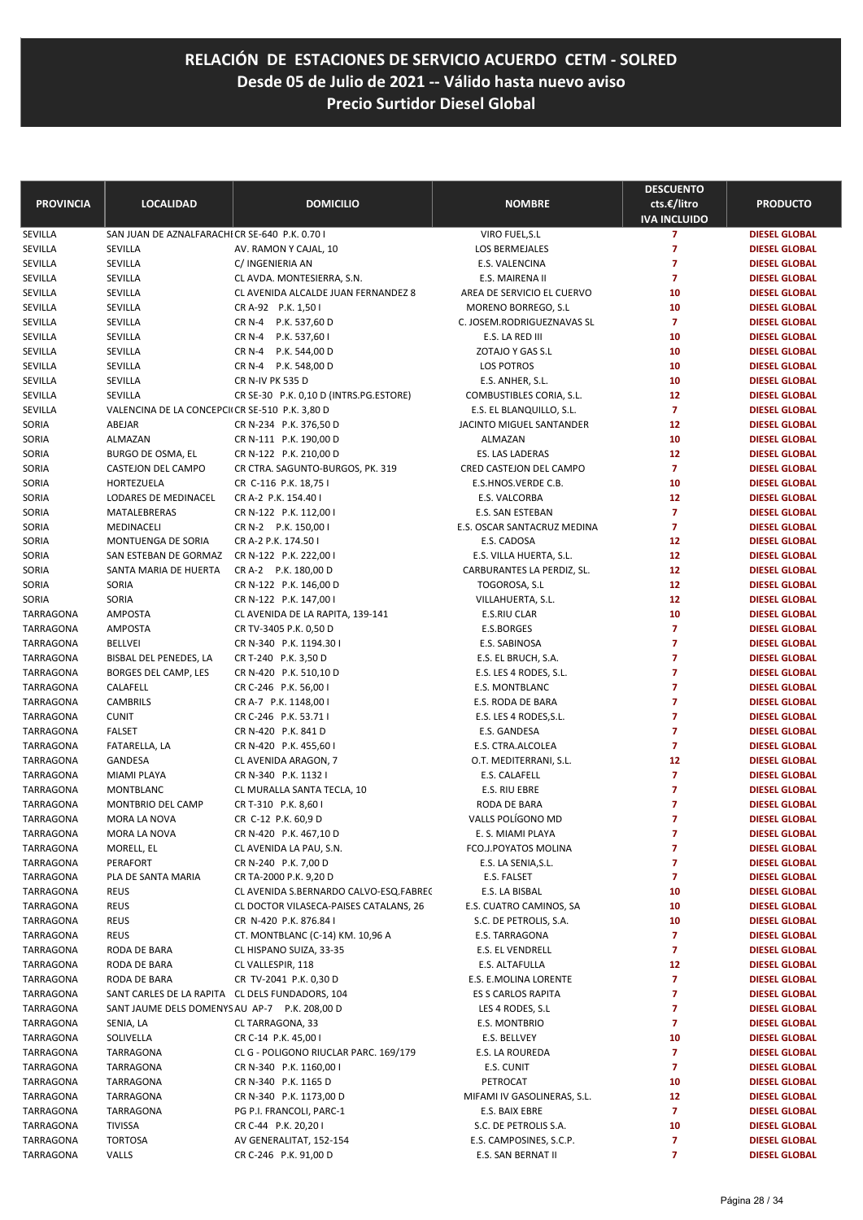| <b>PROVINCIA</b>       | <b>LOCALIDAD</b>                                | <b>DOMICILIO</b>                                           | <b>NOMBRE</b>                                 | <b>DESCUENTO</b><br>cts.€/litro<br><b>IVA INCLUIDO</b> | <b>PRODUCTO</b>                              |
|------------------------|-------------------------------------------------|------------------------------------------------------------|-----------------------------------------------|--------------------------------------------------------|----------------------------------------------|
| SEVILLA                | SAN JUAN DE AZNALFARACHI CR SE-640 P.K. 0.70 I  |                                                            | VIRO FUEL, S.L                                | $\overline{7}$                                         | <b>DIESEL GLOBAL</b>                         |
| SEVILLA                | SEVILLA                                         | AV. RAMON Y CAJAL, 10                                      | LOS BERMEJALES                                | $\overline{z}$                                         | <b>DIESEL GLOBAL</b>                         |
| SEVILLA                | SEVILLA                                         | C/ INGENIERIA AN                                           | E.S. VALENCINA                                | 7                                                      | <b>DIESEL GLOBAL</b>                         |
| SEVILLA                | SEVILLA                                         | CL AVDA. MONTESIERRA, S.N.                                 | E.S. MAIRENA II                               | $\overline{7}$                                         | <b>DIESEL GLOBAL</b>                         |
| SEVILLA                | SEVILLA                                         | CL AVENIDA ALCALDE JUAN FERNANDEZ 8                        | AREA DE SERVICIO EL CUERVO                    | 10                                                     | <b>DIESEL GLOBAL</b>                         |
| SEVILLA                | SEVILLA                                         | CR A-92 P.K. 1,50 I                                        | MORENO BORREGO, S.L.                          | 10                                                     | <b>DIESEL GLOBAL</b>                         |
| SEVILLA                | SEVILLA                                         | CR N-4 P.K. 537,60 D                                       | C. JOSEM.RODRIGUEZNAVAS SL                    | $\overline{7}$                                         | <b>DIESEL GLOBAL</b>                         |
| SEVILLA                | SEVILLA                                         | CR N-4 P.K. 537,60 I                                       | E.S. LA RED III                               | 10                                                     | <b>DIESEL GLOBAL</b>                         |
| SEVILLA                | SEVILLA                                         | <b>CR N-4</b><br>P.K. 544,00 D                             | ZOTAJO Y GAS S.L                              | 10                                                     | <b>DIESEL GLOBAL</b>                         |
| SEVILLA                | SEVILLA                                         | CR N-4 P.K. 548,00 D                                       | <b>LOS POTROS</b>                             | 10<br>10                                               | <b>DIESEL GLOBAL</b><br><b>DIESEL GLOBAL</b> |
| SEVILLA<br>SEVILLA     | SEVILLA<br>SEVILLA                              | CR N-IV PK 535 D<br>CR SE-30 P.K. 0,10 D (INTRS.PG.ESTORE) | E.S. ANHER, S.L.<br>COMBUSTIBLES CORIA, S.L.  | 12                                                     | <b>DIESEL GLOBAL</b>                         |
| SEVILLA                | VALENCINA DE LA CONCEPCII CR SE-510 P.K. 3,80 D |                                                            | E.S. EL BLANQUILLO, S.L.                      | $\overline{7}$                                         | <b>DIESEL GLOBAL</b>                         |
| SORIA                  | ABEJAR                                          | CR N-234 P.K. 376,50 D                                     | JACINTO MIGUEL SANTANDER                      | 12                                                     | <b>DIESEL GLOBAL</b>                         |
| SORIA                  | ALMAZAN                                         | CR N-111 P.K. 190,00 D                                     | ALMAZAN                                       | 10                                                     | <b>DIESEL GLOBAL</b>                         |
| SORIA                  | BURGO DE OSMA, EL                               | CR N-122 P.K. 210,00 D                                     | ES. LAS LADERAS                               | 12                                                     | <b>DIESEL GLOBAL</b>                         |
| SORIA                  | CASTEJON DEL CAMPO                              | CR CTRA. SAGUNTO-BURGOS, PK. 319                           | CRED CASTEJON DEL CAMPO                       | $\overline{7}$                                         | <b>DIESEL GLOBAL</b>                         |
| SORIA                  | HORTEZUELA                                      | CR C-116 P.K. 18,75 I                                      | E.S.HNOS.VERDE C.B.                           | 10                                                     | <b>DIESEL GLOBAL</b>                         |
| SORIA                  | LODARES DE MEDINACEL                            | CR A-2 P.K. 154.40 I                                       | E.S. VALCORBA                                 | 12                                                     | <b>DIESEL GLOBAL</b>                         |
| SORIA                  | MATALEBRERAS                                    | CR N-122 P.K. 112,00 I                                     | E.S. SAN ESTEBAN                              | $\overline{7}$                                         | <b>DIESEL GLOBAL</b>                         |
| SORIA                  | MEDINACELI                                      | CR N-2 P.K. 150,00 I                                       | E.S. OSCAR SANTACRUZ MEDINA                   | $\overline{z}$                                         | <b>DIESEL GLOBAL</b>                         |
| SORIA                  | MONTUENGA DE SORIA                              | CR A-2 P.K. 174.50 I                                       | E.S. CADOSA                                   | 12                                                     | <b>DIESEL GLOBAL</b>                         |
| SORIA                  | SAN ESTEBAN DE GORMAZ                           | CR N-122 P.K. 222,00 I                                     | E.S. VILLA HUERTA, S.L.                       | 12                                                     | <b>DIESEL GLOBAL</b>                         |
| SORIA                  | SANTA MARIA DE HUERTA                           | CR A-2 P.K. 180,00 D                                       | CARBURANTES LA PERDIZ, SL.                    | 12                                                     | <b>DIESEL GLOBAL</b>                         |
| SORIA                  | SORIA                                           | CR N-122 P.K. 146,00 D                                     | TOGOROSA, S.L                                 | 12                                                     | <b>DIESEL GLOBAL</b>                         |
| SORIA                  | SORIA                                           | CR N-122 P.K. 147,00 I                                     | VILLAHUERTA, S.L.                             | 12                                                     | <b>DIESEL GLOBAL</b>                         |
| TARRAGONA              | <b>AMPOSTA</b>                                  | CL AVENIDA DE LA RAPITA, 139-141                           | E.S.RIU CLAR                                  | 10                                                     | <b>DIESEL GLOBAL</b>                         |
| TARRAGONA              | <b>AMPOSTA</b>                                  | CR TV-3405 P.K. 0,50 D                                     | E.S.BORGES                                    | $\overline{7}$                                         | <b>DIESEL GLOBAL</b>                         |
| TARRAGONA              | <b>BELLVEI</b>                                  | CR N-340 P.K. 1194.30 I                                    | E.S. SABINOSA                                 | $\overline{7}$                                         | <b>DIESEL GLOBAL</b>                         |
| TARRAGONA              | BISBAL DEL PENEDES, LA                          | CR T-240 P.K. 3,50 D                                       | E.S. EL BRUCH, S.A.                           | $\overline{7}$                                         | <b>DIESEL GLOBAL</b>                         |
| TARRAGONA              | BORGES DEL CAMP, LES                            | CR N-420 P.K. 510,10 D                                     | E.S. LES 4 RODES, S.L.                        | $\overline{7}$                                         | <b>DIESEL GLOBAL</b>                         |
| TARRAGONA              | CALAFELL                                        | CR C-246 P.K. 56,00 I                                      | E.S. MONTBLANC                                | 7                                                      | <b>DIESEL GLOBAL</b>                         |
| TARRAGONA              | <b>CAMBRILS</b>                                 | CR A-7 P.K. 1148,00 I                                      | E.S. RODA DE BARA                             | $\overline{7}$                                         | <b>DIESEL GLOBAL</b>                         |
| TARRAGONA              | <b>CUNIT</b>                                    | CR C-246 P.K. 53.71 I                                      | E.S. LES 4 RODES, S.L.                        | $\overline{7}$                                         | <b>DIESEL GLOBAL</b>                         |
| TARRAGONA              | <b>FALSET</b>                                   | CR N-420 P.K. 841 D                                        | E.S. GANDESA                                  | $\overline{z}$                                         | <b>DIESEL GLOBAL</b>                         |
| TARRAGONA              | FATARELLA, LA                                   | CR N-420 P.K. 455,60 I                                     | E.S. CTRA.ALCOLEA                             | $\overline{7}$                                         | <b>DIESEL GLOBAL</b>                         |
| TARRAGONA              | GANDESA                                         | CL AVENIDA ARAGON, 7<br>CR N-340 P.K. 1132 I               | O.T. MEDITERRANI, S.L.<br>E.S. CALAFELL       | 12<br>$\overline{z}$                                   | <b>DIESEL GLOBAL</b>                         |
| TARRAGONA<br>TARRAGONA | MIAMI PLAYA<br>MONTBLANC                        | CL MURALLA SANTA TECLA, 10                                 | E.S. RIU EBRE                                 | $\overline{7}$                                         | <b>DIESEL GLOBAL</b><br><b>DIESEL GLOBAL</b> |
| <b>TARRAGONA</b>       | MONTBRIO DEL CAMP                               | CR T-310 P.K. 8,60 I                                       | RODA DE BARA                                  | 7                                                      | <b>DIESEL GLOBAL</b>                         |
| TARRAGONA              | MORA LA NOVA                                    | CR C-12 P.K. 60,9 D                                        | VALLS POLÍGONO MD                             | 7                                                      | <b>DIESEL GLOBAL</b>                         |
| TARRAGONA              | MORA LA NOVA                                    | CR N-420 P.K. 467,10 D                                     | E. S. MIAMI PLAYA                             | 7                                                      | <b>DIESEL GLOBAL</b>                         |
| TARRAGONA              | MORELL, EL                                      | CL AVENIDA LA PAU, S.N.                                    | FCO.J.POYATOS MOLINA                          | 7                                                      | <b>DIESEL GLOBAL</b>                         |
| TARRAGONA              | PERAFORT                                        | CR N-240 P.K. 7,00 D                                       | E.S. LA SENIA, S.L.                           | 7                                                      | <b>DIESEL GLOBAL</b>                         |
| TARRAGONA              | PLA DE SANTA MARIA                              | CR TA-2000 P.K. 9,20 D                                     | E.S. FALSET                                   | 7                                                      | <b>DIESEL GLOBAL</b>                         |
| TARRAGONA              | <b>REUS</b>                                     | CL AVENIDA S.BERNARDO CALVO-ESQ.FABREC                     | E.S. LA BISBAL                                | 10                                                     | <b>DIESEL GLOBAL</b>                         |
| TARRAGONA              | <b>REUS</b>                                     | CL DOCTOR VILASECA-PAISES CATALANS, 26                     | E.S. CUATRO CAMINOS, SA                       | 10                                                     | <b>DIESEL GLOBAL</b>                         |
| TARRAGONA              | <b>REUS</b>                                     | CR N-420 P.K. 876.84 I                                     | S.C. DE PETROLIS, S.A.                        | 10                                                     | <b>DIESEL GLOBAL</b>                         |
| TARRAGONA              | REUS                                            | CT. MONTBLANC (C-14) KM. 10,96 A                           | E.S. TARRAGONA                                | 7                                                      | <b>DIESEL GLOBAL</b>                         |
| TARRAGONA              | RODA DE BARA                                    | CL HISPANO SUIZA, 33-35                                    | E.S. EL VENDRELL                              | $\overline{7}$                                         | <b>DIESEL GLOBAL</b>                         |
| TARRAGONA              | RODA DE BARA                                    | CL VALLESPIR, 118                                          | E.S. ALTAFULLA                                | 12                                                     | <b>DIESEL GLOBAL</b>                         |
| TARRAGONA              | RODA DE BARA                                    | CR TV-2041 P.K. 0,30 D                                     | E.S. E.MOLINA LORENTE                         | $\overline{7}$                                         | <b>DIESEL GLOBAL</b>                         |
| TARRAGONA              | SANT CARLES DE LA RAPITA CL DELS FUNDADORS, 104 |                                                            | ES S CARLOS RAPITA                            | 7                                                      | <b>DIESEL GLOBAL</b>                         |
| TARRAGONA              | SANT JAUME DELS DOMENYS AU AP-7 P.K. 208,00 D   |                                                            | LES 4 RODES, S.L.                             | 7                                                      | <b>DIESEL GLOBAL</b>                         |
| TARRAGONA              | SENIA, LA                                       | CL TARRAGONA, 33                                           | E.S. MONTBRIO                                 | 7                                                      | <b>DIESEL GLOBAL</b>                         |
| TARRAGONA              | SOLIVELLA                                       | CR C-14 P.K. 45,00 I                                       | E.S. BELLVEY                                  | 10                                                     | <b>DIESEL GLOBAL</b>                         |
| TARRAGONA              | TARRAGONA                                       | CL G - POLIGONO RIUCLAR PARC. 169/179                      | E.S. LA ROUREDA                               | 7                                                      | <b>DIESEL GLOBAL</b>                         |
| TARRAGONA              | TARRAGONA                                       | CR N-340 P.K. 1160,00 I                                    | E.S. CUNIT                                    | 7                                                      | <b>DIESEL GLOBAL</b>                         |
| TARRAGONA              | TARRAGONA                                       | CR N-340 P.K. 1165 D                                       | PETROCAT                                      | 10                                                     | <b>DIESEL GLOBAL</b>                         |
| TARRAGONA              | TARRAGONA                                       | CR N-340 P.K. 1173,00 D                                    | MIFAMI IV GASOLINERAS, S.L.                   | 12                                                     | <b>DIESEL GLOBAL</b>                         |
| TARRAGONA              | TARRAGONA                                       | PG P.I. FRANCOLI, PARC-1                                   | E.S. BAIX EBRE                                | $\overline{7}$                                         | <b>DIESEL GLOBAL</b>                         |
| TARRAGONA              | <b>TIVISSA</b>                                  | CR C-44 P.K. 20,201                                        | S.C. DE PETROLIS S.A.                         | 10                                                     | <b>DIESEL GLOBAL</b>                         |
| TARRAGONA<br>TARRAGONA | <b>TORTOSA</b><br>VALLS                         | AV GENERALITAT, 152-154<br>CR C-246 P.K. 91,00 D           | E.S. CAMPOSINES, S.C.P.<br>E.S. SAN BERNAT II | 7<br>7                                                 | <b>DIESEL GLOBAL</b><br><b>DIESEL GLOBAL</b> |
|                        |                                                 |                                                            |                                               |                                                        |                                              |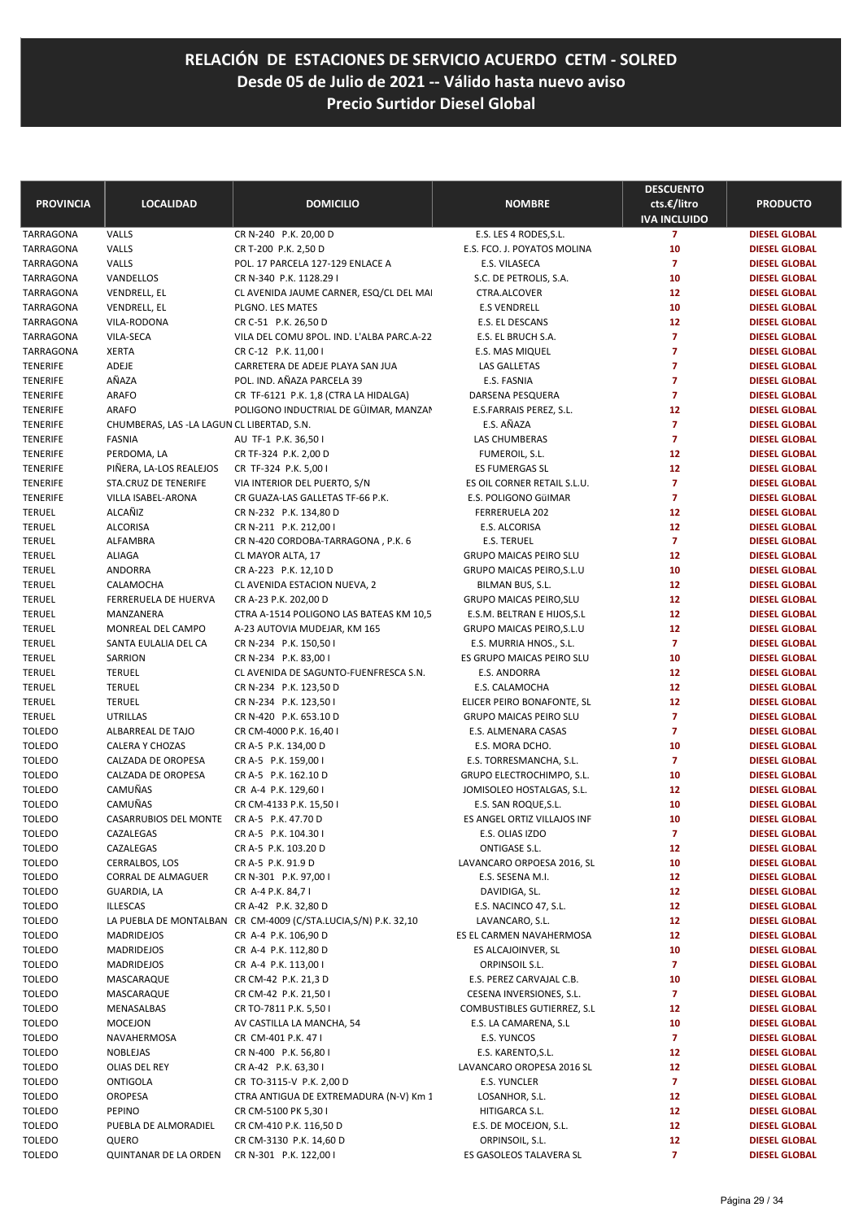| <b>PROVINCIA</b>        | <b>LOCALIDAD</b>                                       | <b>DOMICILIO</b>                                                                       | <b>NOMBRE</b>                               | <b>DESCUENTO</b><br>cts.€/litro<br><b>IVA INCLUIDO</b> | <b>PRODUCTO</b>                              |
|-------------------------|--------------------------------------------------------|----------------------------------------------------------------------------------------|---------------------------------------------|--------------------------------------------------------|----------------------------------------------|
| <b>TARRAGONA</b>        | VALLS                                                  | CR N-240 P.K. 20,00 D                                                                  | E.S. LES 4 RODES, S.L.                      | $\overline{7}$                                         | <b>DIESEL GLOBAL</b>                         |
| TARRAGONA               | VALLS                                                  | CR T-200 P.K. 2,50 D                                                                   | E.S. FCO. J. POYATOS MOLINA                 | 10                                                     | <b>DIESEL GLOBAL</b>                         |
| TARRAGONA               | VALLS                                                  | POL. 17 PARCELA 127-129 ENLACE A                                                       | E.S. VILASECA                               | $\overline{7}$                                         | <b>DIESEL GLOBAL</b>                         |
| TARRAGONA               | VANDELLOS                                              | CR N-340 P.K. 1128.29 I                                                                | S.C. DE PETROLIS, S.A.                      | 10                                                     | <b>DIESEL GLOBAL</b>                         |
| TARRAGONA               | VENDRELL, EL                                           | CL AVENIDA JAUME CARNER, ESQ/CL DEL MAI                                                | CTRA.ALCOVER                                | 12                                                     | <b>DIESEL GLOBAL</b>                         |
| TARRAGONA               | VENDRELL, EL                                           | PLGNO. LES MATES                                                                       | <b>E.S VENDRELL</b>                         | 10                                                     | <b>DIESEL GLOBAL</b>                         |
| TARRAGONA               | VILA-RODONA                                            | CR C-51 P.K. 26,50 D                                                                   | E.S. EL DESCANS                             | 12                                                     | <b>DIESEL GLOBAL</b>                         |
| TARRAGONA               | VILA-SECA                                              | VILA DEL COMU 8POL. IND. L'ALBA PARC.A-22                                              | E.S. EL BRUCH S.A.                          | $\overline{7}$                                         | <b>DIESEL GLOBAL</b>                         |
| TARRAGONA               | <b>XERTA</b>                                           | CR C-12 P.K. 11,00 I                                                                   | E.S. MAS MIQUEL                             | $\overline{7}$                                         | <b>DIESEL GLOBAL</b>                         |
| TENERIFE                | ADEJE                                                  | CARRETERA DE ADEJE PLAYA SAN JUA                                                       | LAS GALLETAS                                | $\overline{7}$                                         | <b>DIESEL GLOBAL</b>                         |
| TENERIFE                | AÑAZA                                                  | POL. IND. AÑAZA PARCELA 39                                                             | E.S. FASNIA                                 | $\overline{7}$                                         | <b>DIESEL GLOBAL</b>                         |
| TENERIFE                | <b>ARAFO</b>                                           | CR TF-6121 P.K. 1,8 (CTRA LA HIDALGA)                                                  | DARSENA PESQUERA                            | $\overline{7}$                                         | <b>DIESEL GLOBAL</b>                         |
| TENERIFE                | <b>ARAFO</b>                                           | POLIGONO INDUCTRIAL DE GÜIMAR, MANZAN                                                  | E.S.FARRAIS PEREZ, S.L.                     | 12                                                     | <b>DIESEL GLOBAL</b>                         |
| TENERIFE                | CHUMBERAS, LAS -LA LAGUN CL LIBERTAD, S.N.             |                                                                                        | E.S. AÑAZA                                  | $\overline{7}$                                         | <b>DIESEL GLOBAL</b>                         |
| TENERIFE                | <b>FASNIA</b>                                          | AU TF-1 P.K. 36,501                                                                    | LAS CHUMBERAS                               | $\overline{7}$                                         | <b>DIESEL GLOBAL</b>                         |
| TENERIFE                | PERDOMA, LA                                            | CR TF-324 P.K. 2,00 D                                                                  | FUMEROIL, S.L.<br><b>ES FUMERGAS SL</b>     | 12                                                     | <b>DIESEL GLOBAL</b>                         |
| TENERIFE<br>TENERIFE    | PIÑERA, LA-LOS REALEJOS<br><b>STA.CRUZ DE TENERIFE</b> | CR TF-324 P.K. 5,00 I<br>VIA INTERIOR DEL PUERTO, S/N                                  | ES OIL CORNER RETAIL S.L.U.                 | 12<br>$\overline{7}$                                   | <b>DIESEL GLOBAL</b><br><b>DIESEL GLOBAL</b> |
| <b>TENERIFE</b>         | VILLA ISABEL-ARONA                                     | CR GUAZA-LAS GALLETAS TF-66 P.K.                                                       | E.S. POLIGONO GÜIMAR                        | $\overline{7}$                                         | <b>DIESEL GLOBAL</b>                         |
| TERUEL                  | ALCAÑIZ                                                | CR N-232 P.K. 134,80 D                                                                 | FERRERUELA 202                              | 12                                                     | <b>DIESEL GLOBAL</b>                         |
| <b>TERUEL</b>           | <b>ALCORISA</b>                                        | CR N-211 P.K. 212,00 l                                                                 | E.S. ALCORISA                               | 12                                                     | <b>DIESEL GLOBAL</b>                         |
| <b>TERUEL</b>           | ALFAMBRA                                               | CR N-420 CORDOBA-TARRAGONA, P.K. 6                                                     | <b>E.S. TERUEL</b>                          | $\overline{7}$                                         | <b>DIESEL GLOBAL</b>                         |
| TERUEL                  | <b>ALIAGA</b>                                          | CL MAYOR ALTA, 17                                                                      | <b>GRUPO MAICAS PEIRO SLU</b>               | 12                                                     | <b>DIESEL GLOBAL</b>                         |
| TERUEL                  | ANDORRA                                                | CR A-223 P.K. 12,10 D                                                                  | <b>GRUPO MAICAS PEIRO, S.L.U</b>            | 10                                                     | <b>DIESEL GLOBAL</b>                         |
| TERUEL                  | CALAMOCHA                                              | CL AVENIDA ESTACION NUEVA, 2                                                           | BILMAN BUS, S.L.                            | 12                                                     | <b>DIESEL GLOBAL</b>                         |
| TERUEL                  | FERRERUELA DE HUERVA                                   | CR A-23 P.K. 202,00 D                                                                  | <b>GRUPO MAICAS PEIRO, SLU</b>              | 12                                                     | <b>DIESEL GLOBAL</b>                         |
| TERUEL                  | MANZANERA                                              | CTRA A-1514 POLIGONO LAS BATEAS KM 10,5                                                | E.S.M. BELTRAN E HIJOS, S.L                 | 12                                                     | <b>DIESEL GLOBAL</b>                         |
| TERUEL                  | MONREAL DEL CAMPO                                      | A-23 AUTOVIA MUDEJAR, KM 165                                                           | <b>GRUPO MAICAS PEIRO, S.L.U</b>            | 12                                                     | <b>DIESEL GLOBAL</b>                         |
| TERUEL                  | SANTA EULALIA DEL CA                                   | CR N-234 P.K. 150,50 I                                                                 | E.S. MURRIA HNOS., S.L.                     | $\overline{7}$                                         | <b>DIESEL GLOBAL</b>                         |
| TERUEL                  | SARRION                                                | CR N-234 P.K. 83,00 I                                                                  | ES GRUPO MAICAS PEIRO SLU                   | 10                                                     | <b>DIESEL GLOBAL</b>                         |
| TERUEL                  | <b>TERUEL</b>                                          | CL AVENIDA DE SAGUNTO-FUENFRESCA S.N.                                                  | E.S. ANDORRA                                | 12                                                     | <b>DIESEL GLOBAL</b>                         |
| TERUEL                  | <b>TERUEL</b>                                          | CR N-234 P.K. 123,50 D                                                                 | E.S. CALAMOCHA                              | 12                                                     | <b>DIESEL GLOBAL</b>                         |
| TERUEL                  | <b>TERUEL</b>                                          | CR N-234 P.K. 123,50 I                                                                 | ELICER PEIRO BONAFONTE, SL                  | 12                                                     | <b>DIESEL GLOBAL</b>                         |
| TERUEL                  | <b>UTRILLAS</b>                                        | CR N-420 P.K. 653.10 D                                                                 | <b>GRUPO MAICAS PEIRO SLU</b>               | $\overline{7}$                                         | <b>DIESEL GLOBAL</b>                         |
| TOLEDO                  | ALBARREAL DE TAJO                                      | CR CM-4000 P.K. 16,40 I                                                                | E.S. ALMENARA CASAS                         | $\overline{7}$                                         | <b>DIESEL GLOBAL</b>                         |
| <b>TOLEDO</b>           | <b>CALERA Y CHOZAS</b>                                 | CR A-5 P.K. 134,00 D                                                                   | E.S. MORA DCHO.                             | 10                                                     | <b>DIESEL GLOBAL</b>                         |
| TOLEDO                  | CALZADA DE OROPESA                                     | CR A-5 P.K. 159,00 I                                                                   | E.S. TORRESMANCHA, S.L.                     | $\overline{7}$                                         | <b>DIESEL GLOBAL</b>                         |
| <b>TOLEDO</b>           | CALZADA DE OROPESA                                     | CR A-5 P.K. 162.10 D                                                                   | GRUPO ELECTROCHIMPO, S.L.                   | 10                                                     | <b>DIESEL GLOBAL</b>                         |
| TOLEDO                  | CAMUÑAS                                                | CR A-4 P.K. 129,60 I                                                                   | JOMISOLEO HOSTALGAS, S.L.                   | 12                                                     | <b>DIESEL GLOBAL</b>                         |
| TOLEDO                  | CAMUÑAS                                                | CR CM-4133 P.K. 15,50 I                                                                | E.S. SAN ROQUE, S.L.                        | 10                                                     | <b>DIESEL GLOBAL</b>                         |
| <b>TOLEDO</b>           | CASARRUBIOS DEL MONTE                                  | CR A-5 P.K. 47.70 D                                                                    | ES ANGEL ORTIZ VILLAJOS INF                 | 10                                                     | <b>DIESEL GLOBAL</b>                         |
| TOLEDO                  | CAZALEGAS                                              | CR A-5 P.K. 104.30 I                                                                   | E.S. OLIAS IZDO                             | 7                                                      | <b>DIESEL GLOBAL</b>                         |
| <b>TOLEDO</b>           | CAZALEGAS                                              | CR A-5 P.K. 103.20 D                                                                   | ONTIGASE S.L.                               | 12                                                     | <b>DIESEL GLOBAL</b>                         |
| TOLEDO                  | CERRALBOS, LOS                                         | CR A-5 P.K. 91.9 D                                                                     | LAVANCARO ORPOESA 2016, SL                  | 10                                                     | <b>DIESEL GLOBAL</b>                         |
| <b>TOLEDO</b>           | CORRAL DE ALMAGUER                                     | CR N-301 P.K. 97,00 I                                                                  | E.S. SESENA M.I.                            | 12                                                     | <b>DIESEL GLOBAL</b>                         |
| <b>TOLEDO</b>           | GUARDIA, LA                                            | CR A-4 P.K. 84,71                                                                      | DAVIDIGA, SL.                               | 12                                                     | <b>DIESEL GLOBAL</b>                         |
| TOLEDO                  | <b>ILLESCAS</b>                                        | CR A-42 P.K. 32,80 D<br>LA PUEBLA DE MONTALBAN CR CM-4009 (C/STA.LUCIA,S/N) P.K. 32,10 | E.S. NACINCO 47, S.L.                       | 12                                                     | <b>DIESEL GLOBAL</b>                         |
| TOLEDO<br><b>TOLEDO</b> | <b>MADRIDEJOS</b>                                      | CR A-4 P.K. 106,90 D                                                                   | LAVANCARO, S.L.<br>ES EL CARMEN NAVAHERMOSA | 12<br>12                                               | <b>DIESEL GLOBAL</b><br><b>DIESEL GLOBAL</b> |
| <b>TOLEDO</b>           | MADRIDEJOS                                             | CR A-4 P.K. 112,80 D                                                                   | ES ALCAJOINVER, SL                          | 10                                                     | <b>DIESEL GLOBAL</b>                         |
| TOLEDO                  | MADRIDEJOS                                             | CR A-4 P.K. 113,00 I                                                                   | ORPINSOIL S.L.                              | $\overline{7}$                                         | <b>DIESEL GLOBAL</b>                         |
| TOLEDO                  | MASCARAQUE                                             | CR CM-42 P.K. 21,3 D                                                                   | E.S. PEREZ CARVAJAL C.B.                    | 10                                                     | <b>DIESEL GLOBAL</b>                         |
| TOLEDO                  | MASCARAQUE                                             | CR CM-42 P.K. 21,50 I                                                                  | CESENA INVERSIONES, S.L.                    | $\overline{\mathbf{z}}$                                | <b>DIESEL GLOBAL</b>                         |
| <b>TOLEDO</b>           | MENASALBAS                                             | CR TO-7811 P.K. 5,50 I                                                                 | COMBUSTIBLES GUTIERREZ, S.L                 | 12                                                     | <b>DIESEL GLOBAL</b>                         |
| TOLEDO                  | MOCEJON                                                | AV CASTILLA LA MANCHA, 54                                                              | E.S. LA CAMARENA, S.L                       | 10                                                     | <b>DIESEL GLOBAL</b>                         |
| TOLEDO                  | NAVAHERMOSA                                            | CR CM-401 P.K. 47 I                                                                    | E.S. YUNCOS                                 | $\overline{\mathbf{z}}$                                | <b>DIESEL GLOBAL</b>                         |
| TOLEDO                  | NOBLEJAS                                               | CR N-400 P.K. 56,80 I                                                                  | E.S. KARENTO, S.L.                          | 12                                                     | <b>DIESEL GLOBAL</b>                         |
| TOLEDO                  | OLIAS DEL REY                                          | CR A-42 P.K. 63,30 I                                                                   | LAVANCARO OROPESA 2016 SL                   | 12                                                     | <b>DIESEL GLOBAL</b>                         |
| TOLEDO                  | <b>ONTIGOLA</b>                                        | CR TO-3115-V P.K. 2,00 D                                                               | E.S. YUNCLER                                | $\overline{7}$                                         | <b>DIESEL GLOBAL</b>                         |
| TOLEDO                  | OROPESA                                                | CTRA ANTIGUA DE EXTREMADURA (N-V) Km 1                                                 | LOSANHOR, S.L.                              | 12                                                     | <b>DIESEL GLOBAL</b>                         |
| TOLEDO                  | PEPINO                                                 | CR CM-5100 PK 5,30 I                                                                   | HITIGARCA S.L.                              | 12                                                     | <b>DIESEL GLOBAL</b>                         |
| TOLEDO                  | PUEBLA DE ALMORADIEL                                   | CR CM-410 P.K. 116,50 D                                                                | E.S. DE MOCEJON, S.L.                       | 12                                                     | <b>DIESEL GLOBAL</b>                         |
| TOLEDO                  | QUERO                                                  | CR CM-3130 P.K. 14,60 D                                                                | ORPINSOIL, S.L.                             | 12                                                     | <b>DIESEL GLOBAL</b>                         |
| <b>TOLEDO</b>           | QUINTANAR DE LA ORDEN                                  | CR N-301 P.K. 122,00 I                                                                 | ES GASOLEOS TALAVERA SL                     | $\overline{7}$                                         | <b>DIESEL GLOBAL</b>                         |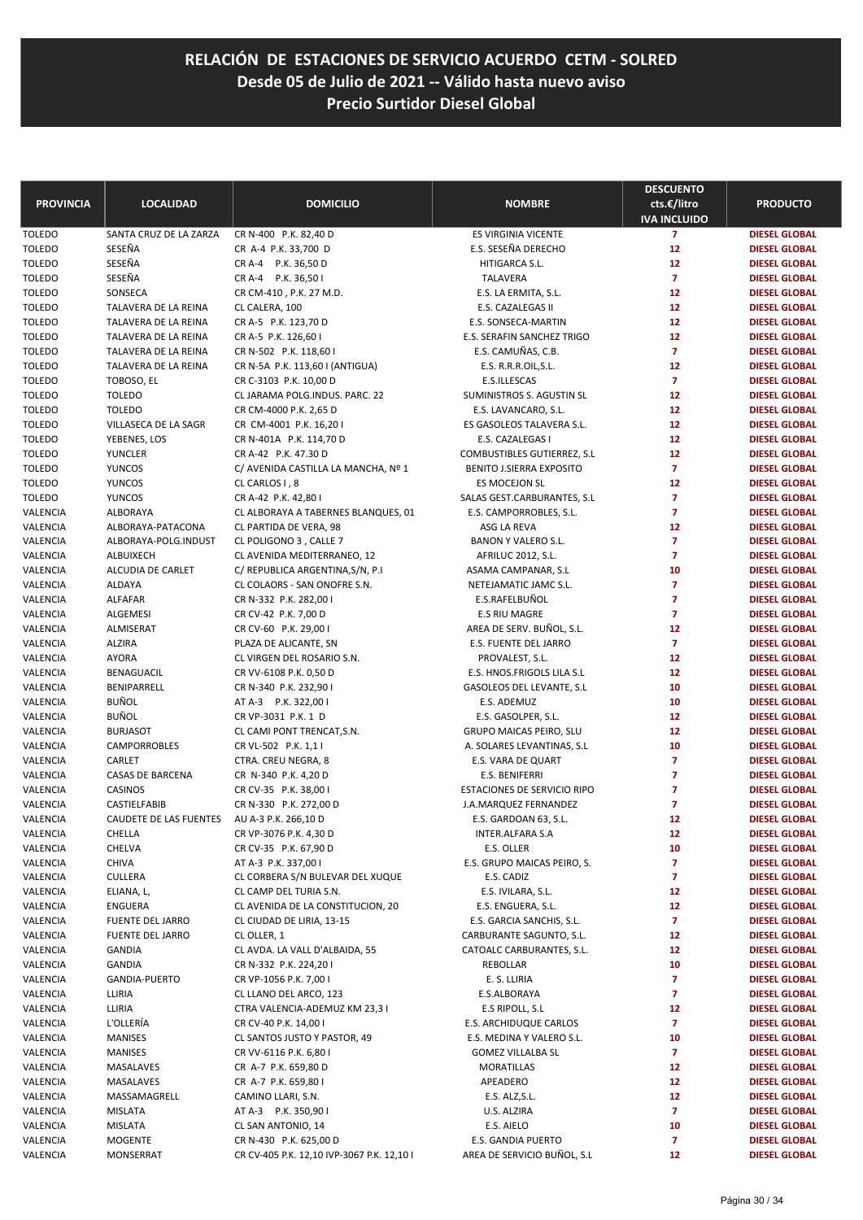| <b>PROVINCIA</b>          | <b>LOCALIDAD</b>              | <b>DOMICILIO</b>                                              | <b>NOMBRE</b>                          | <b>DESCUENTO</b><br>cts.€/litro<br><b>IVA INCLUIDO</b> | <b>PRODUCTO</b>                              |
|---------------------------|-------------------------------|---------------------------------------------------------------|----------------------------------------|--------------------------------------------------------|----------------------------------------------|
| <b>TOLEDO</b>             | SANTA CRUZ DE LA ZARZA        | CR N-400 P.K. 82,40 D                                         | ES VIRGINIA VICENTE                    | $\overline{7}$                                         | <b>DIESEL GLOBAL</b>                         |
| <b>TOLEDO</b>             | SESEÑA                        | CR A-4 P.K. 33,700 D                                          | E.S. SESEÑA DERECHO                    | 12                                                     | <b>DIESEL GLOBAL</b>                         |
| <b>TOLEDO</b>             | SESEÑA                        | CR A-4 P.K. 36,50 D                                           | HITIGARCA S.L.                         | 12                                                     | <b>DIESEL GLOBAL</b>                         |
| <b>TOLEDO</b>             | SESEÑA                        | CR A-4 P.K. 36,50 I                                           | <b>TALAVERA</b>                        | $\overline{7}$                                         | <b>DIESEL GLOBAL</b>                         |
| <b>TOLEDO</b>             | SONSECA                       | CR CM-410, P.K. 27 M.D.                                       | E.S. LA ERMITA, S.L.                   | 12                                                     | <b>DIESEL GLOBAL</b>                         |
| <b>TOLEDO</b>             | TALAVERA DE LA REINA          | CL CALERA, 100                                                | E.S. CAZALEGAS II                      | 12                                                     | <b>DIESEL GLOBAL</b>                         |
| <b>TOLEDO</b>             | TALAVERA DE LA REINA          | CR A-5 P.K. 123,70 D                                          | E.S. SONSECA-MARTIN                    | 12                                                     | <b>DIESEL GLOBAL</b>                         |
| <b>TOLEDO</b>             | TALAVERA DE LA REINA          | CR A-5 P.K. 126,60 I                                          | E.S. SERAFIN SANCHEZ TRIGO             | 12                                                     | <b>DIESEL GLOBAL</b>                         |
| <b>TOLEDO</b>             | TALAVERA DE LA REINA          | CR N-502 P.K. 118,60 I                                        | E.S. CAMUÑAS, C.B.                     | $\overline{7}$                                         | <b>DIESEL GLOBAL</b>                         |
| <b>TOLEDO</b>             | TALAVERA DE LA REINA          | CR N-5A P.K. 113,60 I (ANTIGUA)                               | E.S. R.R.R.OIL, S.L.                   | 12                                                     | <b>DIESEL GLOBAL</b>                         |
| <b>TOLEDO</b>             | TOBOSO, EL                    | CR C-3103 P.K. 10,00 D                                        | E.S.ILLESCAS                           | $\overline{7}$                                         | <b>DIESEL GLOBAL</b>                         |
| <b>TOLEDO</b>             | <b>TOLEDO</b>                 | CL JARAMA POLG.INDUS. PARC. 22                                | SUMINISTROS S. AGUSTIN SL              | 12                                                     | <b>DIESEL GLOBAL</b>                         |
| <b>TOLEDO</b>             | <b>TOLEDO</b>                 | CR CM-4000 P.K. 2,65 D                                        | E.S. LAVANCARO, S.L.                   | 12                                                     | <b>DIESEL GLOBAL</b>                         |
| <b>TOLEDO</b>             | VILLASECA DE LA SAGR          | CR CM-4001 P.K. 16,201                                        | ES GASOLEOS TALAVERA S.L.              | 12                                                     | <b>DIESEL GLOBAL</b>                         |
| <b>TOLEDO</b>             | YEBENES, LOS                  | CR N-401A P.K. 114,70 D                                       | E.S. CAZALEGAS I                       | 12                                                     | <b>DIESEL GLOBAL</b>                         |
| <b>TOLEDO</b>             | YUNCLER                       | CR A-42 P.K. 47.30 D                                          | COMBUSTIBLES GUTIERREZ, S.L.           | 12                                                     | <b>DIESEL GLOBAL</b>                         |
| <b>TOLEDO</b>             | <b>YUNCOS</b>                 | C/ AVENIDA CASTILLA LA MANCHA, Nº 1                           | BENITO J.SIERRA EXPOSITO               | $\overline{7}$                                         | <b>DIESEL GLOBAL</b>                         |
| <b>TOLEDO</b>             | <b>YUNCOS</b>                 | CL CARLOS I, 8<br>CR A-42 P.K. 42,80 I                        | ES MOCEJON SL                          | 12<br>7                                                | <b>DIESEL GLOBAL</b>                         |
| <b>TOLEDO</b><br>VALENCIA | <b>YUNCOS</b><br>ALBORAYA     |                                                               | SALAS GEST.CARBURANTES, S.L.           | $\overline{7}$                                         | <b>DIESEL GLOBAL</b><br><b>DIESEL GLOBAL</b> |
| VALENCIA                  | ALBORAYA-PATACONA             | CL ALBORAYA A TABERNES BLANQUES, 01<br>CL PARTIDA DE VERA, 98 | E.S. CAMPORROBLES, S.L.<br>ASG LA REVA | 12                                                     | <b>DIESEL GLOBAL</b>                         |
| VALENCIA                  | ALBORAYA-POLG.INDUST          | CL POLIGONO 3, CALLE 7                                        | BANON Y VALERO S.L.                    | 7                                                      | <b>DIESEL GLOBAL</b>                         |
| VALENCIA                  | <b>ALBUIXECH</b>              | CL AVENIDA MEDITERRANEO, 12                                   | AFRILUC 2012, S.L.                     | $\overline{7}$                                         | <b>DIESEL GLOBAL</b>                         |
| VALENCIA                  | ALCUDIA DE CARLET             | C/ REPUBLICA ARGENTINA, S/N, P.I.                             | ASAMA CAMPANAR, S.L                    | 10                                                     | <b>DIESEL GLOBAL</b>                         |
| VALENCIA                  | ALDAYA                        | CL COLAORS - SAN ONOFRE S.N.                                  | NETEJAMATIC JAMC S.L.                  | $\overline{7}$                                         | <b>DIESEL GLOBAL</b>                         |
| VALENCIA                  | <b>ALFAFAR</b>                | CR N-332 P.K. 282,00 I                                        | E.S.RAFELBUÑOL                         | $\overline{7}$                                         | <b>DIESEL GLOBAL</b>                         |
| VALENCIA                  | ALGEMESI                      | CR CV-42 P.K. 7,00 D                                          | <b>E.S RIU MAGRE</b>                   | $\overline{7}$                                         | <b>DIESEL GLOBAL</b>                         |
| VALENCIA                  | ALMISERAT                     | CR CV-60 P.K. 29,00 I                                         | AREA DE SERV. BUÑOL, S.L.              | 12                                                     | <b>DIESEL GLOBAL</b>                         |
| VALENCIA                  | <b>ALZIRA</b>                 | PLAZA DE ALICANTE, SN                                         | E.S. FUENTE DEL JARRO                  | $\overline{7}$                                         | <b>DIESEL GLOBAL</b>                         |
| VALENCIA                  | <b>AYORA</b>                  | CL VIRGEN DEL ROSARIO S.N.                                    | PROVALEST, S.L.                        | 12                                                     | <b>DIESEL GLOBAL</b>                         |
| VALENCIA                  | BENAGUACIL                    | CR VV-6108 P.K. 0,50 D                                        | E.S. HNOS.FRIGOLS LILA S.L             | 12                                                     | <b>DIESEL GLOBAL</b>                         |
| VALENCIA                  | BENIPARRELL                   | CR N-340 P.K. 232,90 I                                        | GASOLEOS DEL LEVANTE, S.L              | 10                                                     | <b>DIESEL GLOBAL</b>                         |
| VALENCIA                  | <b>BUÑOL</b>                  | AT A-3 P.K. 322,00 I                                          | E.S. ADEMUZ                            | 10                                                     | <b>DIESEL GLOBAL</b>                         |
| VALENCIA                  | <b>BUÑOL</b>                  | CR VP-3031 P.K. 1 D                                           | E.S. GASOLPER, S.L.                    | 12                                                     | <b>DIESEL GLOBAL</b>                         |
| VALENCIA                  | <b>BURJASOT</b>               | CL CAMI PONT TRENCAT, S.N.                                    | GRUPO MAICAS PEIRO, SLU                | 12                                                     | <b>DIESEL GLOBAL</b>                         |
| VALENCIA                  | CAMPORROBLES                  | CR VL-502 P.K. 1,1 I                                          | A. SOLARES LEVANTINAS, S.L.            | 10                                                     | <b>DIESEL GLOBAL</b>                         |
| VALENCIA                  | CARLET                        | CTRA. CREU NEGRA, 8                                           | E.S. VARA DE QUART                     | 7                                                      | <b>DIESEL GLOBAL</b>                         |
| VALENCIA                  | CASAS DE BARCENA              | CR N-340 P.K. 4,20 D                                          | E.S. BENIFERRI                         | 7                                                      | <b>DIESEL GLOBAL</b>                         |
| VALENCIA                  | CASINOS                       | CR CV-35 P.K. 38,00 I                                         | <b>ESTACIONES DE SERVICIO RIPO</b>     | 7                                                      | <b>DIESEL GLOBAL</b>                         |
| VALENCIA                  | CASTIELFABIB                  | CR N-330 P.K. 272,00 D                                        | J.A.MARQUEZ FERNANDEZ                  | 7                                                      | <b>DIESEL GLOBAL</b>                         |
| VALENCIA                  | <b>CAUDETE DE LAS FUENTES</b> | AU A-3 P.K. 266,10 D                                          | E.S. GARDOAN 63, S.L.                  | 12                                                     | <b>DIESEL GLOBAL</b>                         |
| VALENCIA                  | CHELLA                        | CR VP-3076 P.K. 4,30 D                                        | INTER.ALFARA S.A                       | 12                                                     | <b>DIESEL GLOBAL</b>                         |
| VALENCIA                  | CHELVA                        | CR CV-35 P.K. 67,90 D                                         | E.S. OLLER                             | 10                                                     | <b>DIESEL GLOBAL</b>                         |
| VALENCIA                  | CHIVA                         | AT A-3 P.K. 337,00 I                                          | E.S. GRUPO MAICAS PEIRO, S.            | 7                                                      | <b>DIESEL GLOBAL</b>                         |
| VALENCIA                  | CULLERA                       | CL CORBERA S/N BULEVAR DEL XUQUE                              | E.S. CADIZ                             | 7                                                      | <b>DIESEL GLOBAL</b>                         |
| VALENCIA                  | ELIANA, L,                    | CL CAMP DEL TURIA S.N.                                        | E.S. IVILARA, S.L.                     | 12                                                     | DIESEL GLOBAL                                |
| VALENCIA                  | <b>ENGUERA</b>                | CL AVENIDA DE LA CONSTITUCION, 20                             | E.S. ENGUERA, S.L.                     | 12                                                     | <b>DIESEL GLOBAL</b>                         |
| VALENCIA                  | FUENTE DEL JARRO              | CL CIUDAD DE LIRIA, 13-15                                     | E.S. GARCIA SANCHIS, S.L.              | $\overline{z}$                                         | <b>DIESEL GLOBAL</b>                         |
| VALENCIA                  | FUENTE DEL JARRO              | CL OLLER, 1                                                   | CARBURANTE SAGUNTO, S.L.               | 12                                                     | <b>DIESEL GLOBAL</b>                         |
| VALENCIA                  | GANDIA                        | CL AVDA. LA VALL D'ALBAIDA, 55                                | CATOALC CARBURANTES, S.L.              | 12                                                     | <b>DIESEL GLOBAL</b>                         |
| VALENCIA                  | <b>GANDIA</b>                 | CR N-332 P.K. 224,201                                         | REBOLLAR                               | 10                                                     | <b>DIESEL GLOBAL</b>                         |
| VALENCIA                  | <b>GANDIA-PUERTO</b>          | CR VP-1056 P.K. 7,00 I<br>CL LLANO DEL ARCO, 123              | E. S. LLIRIA                           | $\overline{7}$<br>7                                    | <b>DIESEL GLOBAL</b>                         |
| VALENCIA<br>VALENCIA      | LLIRIA<br>LLIRIA              | CTRA VALENCIA-ADEMUZ KM 23,31                                 | E.S.ALBORAYA<br>E.S RIPOLL, S.L        | 12                                                     | <b>DIESEL GLOBAL</b><br><b>DIESEL GLOBAL</b> |
| VALENCIA                  | L'OLLERIA                     | CR CV-40 P.K. 14,00 I                                         | E.S. ARCHIDUQUE CARLOS                 | 7                                                      | <b>DIESEL GLOBAL</b>                         |
| VALENCIA                  | MANISES                       | CL SANTOS JUSTO Y PASTOR, 49                                  | E.S. MEDINA Y VALERO S.L.              | 10                                                     | <b>DIESEL GLOBAL</b>                         |
| VALENCIA                  | <b>MANISES</b>                | CR VV-6116 P.K. 6,80 I                                        | <b>GOMEZ VILLALBA SL</b>               | 7                                                      | <b>DIESEL GLOBAL</b>                         |
| VALENCIA                  | MASALAVES                     | CR A-7 P.K. 659,80 D                                          | MORATILLAS                             | 12                                                     | <b>DIESEL GLOBAL</b>                         |
| VALENCIA                  | MASALAVES                     | CR A-7 P.K. 659,80 I                                          | APEADERO                               | 12                                                     | <b>DIESEL GLOBAL</b>                         |
| VALENCIA                  | MASSAMAGRELL                  | CAMINO LLARI, S.N.                                            | E.S. ALZ, S.L.                         | 12                                                     | <b>DIESEL GLOBAL</b>                         |
| VALENCIA                  | <b>MISLATA</b>                | AT A-3 P.K. 350,901                                           | U.S. ALZIRA                            | 7                                                      | <b>DIESEL GLOBAL</b>                         |
| VALENCIA                  | MISLATA                       | CL SAN ANTONIO, 14                                            | E.S. AIELO                             | 10                                                     | <b>DIESEL GLOBAL</b>                         |
| VALENCIA                  | MOGENTE                       | CR N-430 P.K. 625,00 D                                        | E.S. GANDIA PUERTO                     | 7                                                      | <b>DIESEL GLOBAL</b>                         |
| VALENCIA                  | MONSERRAT                     | CR CV-405 P.K. 12,10 IVP-3067 P.K. 12,10 I                    | AREA DE SERVICIO BUÑOL, S.L            | 12                                                     | <b>DIESEL GLOBAL</b>                         |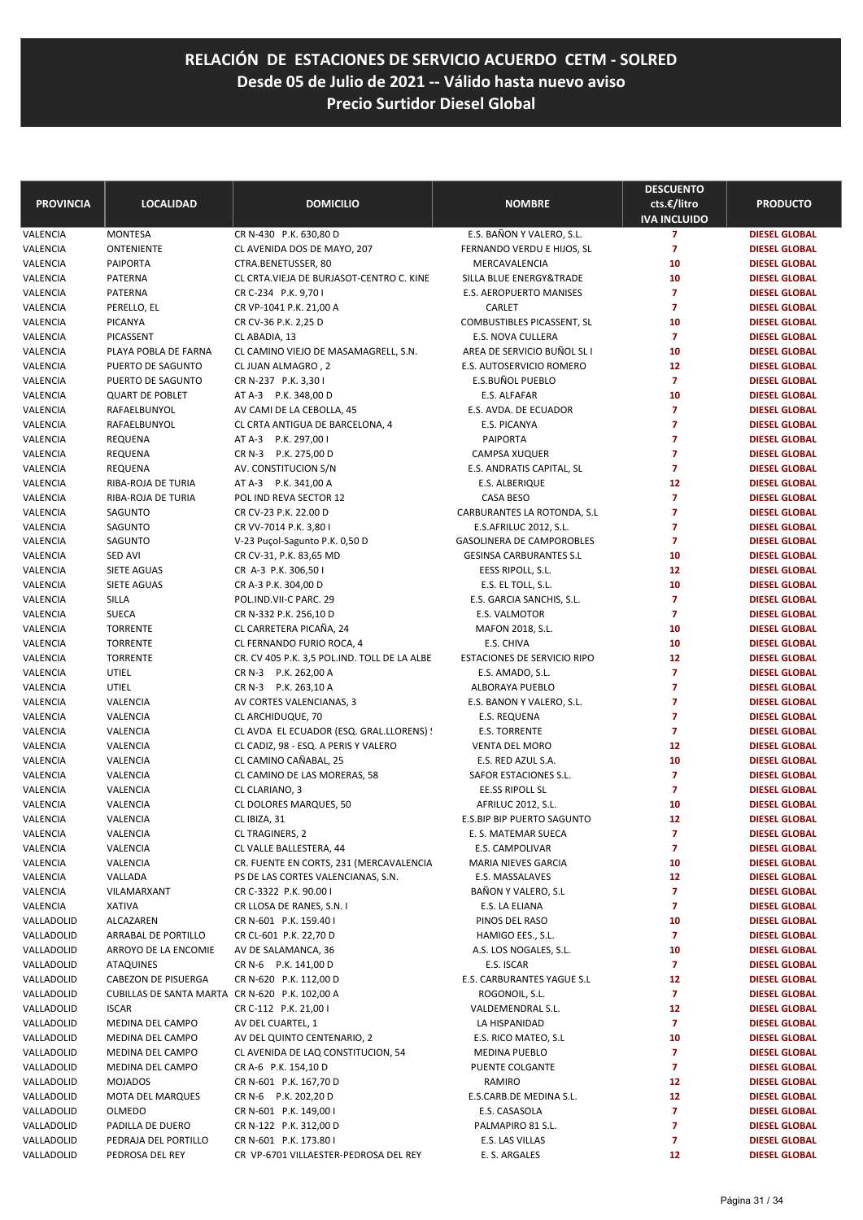| <b>PROVINCIA</b>     | <b>LOCALIDAD</b>                               | <b>DOMICILIO</b>                                             | <b>NOMBRE</b>                          | <b>DESCUENTO</b><br>cts.€/litro<br><b>IVA INCLUIDO</b> | <b>PRODUCTO</b>                              |
|----------------------|------------------------------------------------|--------------------------------------------------------------|----------------------------------------|--------------------------------------------------------|----------------------------------------------|
| VALENCIA             | <b>MONTESA</b>                                 | CR N-430 P.K. 630,80 D                                       | E.S. BAÑON Y VALERO, S.L.              | $\overline{7}$                                         | <b>DIESEL GLOBAL</b>                         |
| VALENCIA             | ONTENIENTE                                     | CL AVENIDA DOS DE MAYO, 207                                  | FERNANDO VERDU E HIJOS, SL             | $\overline{7}$                                         | <b>DIESEL GLOBAL</b>                         |
| VALENCIA             | <b>PAIPORTA</b>                                | CTRA.BENETUSSER, 80                                          | MERCAVALENCIA                          | 10                                                     | <b>DIESEL GLOBAL</b>                         |
| VALENCIA             | PATERNA                                        | CL CRTA.VIEJA DE BURJASOT-CENTRO C. KINE                     | SILLA BLUE ENERGY™                     | 10                                                     | <b>DIESEL GLOBAL</b>                         |
| VALENCIA             | PATERNA                                        | CR C-234 P.K. 9,70 I                                         | E.S. AEROPUERTO MANISES                | $\overline{7}$                                         | <b>DIESEL GLOBAL</b>                         |
| VALENCIA             | PERELLO, EL                                    | CR VP-1041 P.K. 21,00 A                                      | CARLET                                 | $\overline{7}$                                         | <b>DIESEL GLOBAL</b>                         |
| VALENCIA             | <b>PICANYA</b>                                 | CR CV-36 P.K. 2,25 D                                         | COMBUSTIBLES PICASSENT, SL             | 10                                                     | <b>DIESEL GLOBAL</b>                         |
| VALENCIA             | PICASSENT                                      | CL ABADIA, 13                                                | E.S. NOVA CULLERA                      | $\overline{7}$                                         | <b>DIESEL GLOBAL</b>                         |
| VALENCIA             | PLAYA POBLA DE FARNA                           | CL CAMINO VIEJO DE MASAMAGRELL, S.N.                         | AREA DE SERVICIO BUÑOL SL I            | 10                                                     | <b>DIESEL GLOBAL</b>                         |
| VALENCIA             | PUERTO DE SAGUNTO                              | CL JUAN ALMAGRO, 2                                           | E.S. AUTOSERVICIO ROMERO               | 12                                                     | <b>DIESEL GLOBAL</b>                         |
| VALENCIA             | PUERTO DE SAGUNTO                              | CR N-237 P.K. 3,301                                          | E.S.BUÑOL PUEBLO                       | $\overline{7}$                                         | <b>DIESEL GLOBAL</b>                         |
| VALENCIA             | <b>QUART DE POBLET</b>                         | AT A-3 P.K. 348,00 D                                         | E.S. ALFAFAR                           | 10                                                     | <b>DIESEL GLOBAL</b>                         |
| VALENCIA             | RAFAELBUNYOL                                   | AV CAMI DE LA CEBOLLA, 45                                    | E.S. AVDA. DE ECUADOR                  | $\overline{7}$                                         | <b>DIESEL GLOBAL</b>                         |
| VALENCIA             | RAFAELBUNYOL                                   | CL CRTA ANTIGUA DE BARCELONA, 4                              | E.S. PICANYA                           | $\overline{7}$                                         | <b>DIESEL GLOBAL</b>                         |
| VALENCIA             | REQUENA                                        | AT A-3 P.K. 297,00 I                                         | <b>PAIPORTA</b>                        | $\overline{7}$                                         | <b>DIESEL GLOBAL</b>                         |
| VALENCIA             | REQUENA                                        | CR N-3 P.K. 275,00 D                                         | <b>CAMPSA XUQUER</b>                   | $\overline{7}$                                         | <b>DIESEL GLOBAL</b>                         |
| VALENCIA             | REQUENA                                        | AV. CONSTITUCION S/N                                         | E.S. ANDRATIS CAPITAL, SL              | $\overline{7}$                                         | <b>DIESEL GLOBAL</b>                         |
| VALENCIA             | RIBA-ROJA DE TURIA                             | AT A-3 P.K. 341,00 A                                         | E.S. ALBERIQUE                         | 12                                                     | <b>DIESEL GLOBAL</b>                         |
| VALENCIA             | RIBA-ROJA DE TURIA                             | POL IND REVA SECTOR 12                                       | CASA BESO                              | $\overline{7}$                                         | <b>DIESEL GLOBAL</b>                         |
| VALENCIA             | SAGUNTO                                        | CR CV-23 P.K. 22.00 D                                        | CARBURANTES LA ROTONDA, S.L            | $\overline{7}$                                         | <b>DIESEL GLOBAL</b>                         |
| VALENCIA             | SAGUNTO                                        | CR VV-7014 P.K. 3,80 I                                       | E.S.AFRILUC 2012, S.L.                 | $\overline{7}$                                         | <b>DIESEL GLOBAL</b>                         |
| VALENCIA             | SAGUNTO                                        | V-23 Puçol-Sagunto P.K. 0,50 D                               | <b>GASOLINERA DE CAMPOROBLES</b>       | $\overline{7}$                                         | <b>DIESEL GLOBAL</b>                         |
| VALENCIA             | SED AVI                                        | CR CV-31, P.K. 83,65 MD                                      | <b>GESINSA CARBURANTES S.L</b>         | 10                                                     | <b>DIESEL GLOBAL</b>                         |
| VALENCIA             | SIETE AGUAS                                    | CR A-3 P.K. 306,50 I                                         | EESS RIPOLL, S.L.                      | 12                                                     | <b>DIESEL GLOBAL</b>                         |
| VALENCIA             | <b>SIETE AGUAS</b>                             | CR A-3 P.K. 304,00 D                                         | E.S. EL TOLL, S.L.                     | 10                                                     | <b>DIESEL GLOBAL</b>                         |
| VALENCIA             | SILLA                                          | POL.IND.VII-C PARC. 29                                       | E.S. GARCIA SANCHIS, S.L.              | $\overline{7}$                                         | <b>DIESEL GLOBAL</b>                         |
| VALENCIA             | <b>SUECA</b>                                   | CR N-332 P.K. 256,10 D                                       | E.S. VALMOTOR                          | $\overline{7}$                                         | <b>DIESEL GLOBAL</b>                         |
| VALENCIA             | <b>TORRENTE</b>                                | CL CARRETERA PICAÑA, 24                                      | MAFON 2018, S.L.                       | 10                                                     | <b>DIESEL GLOBAL</b>                         |
| VALENCIA             | <b>TORRENTE</b>                                | CL FERNANDO FURIO ROCA, 4                                    | E.S. CHIVA                             | 10                                                     | <b>DIESEL GLOBAL</b>                         |
| VALENCIA             | <b>TORRENTE</b>                                | CR. CV 405 P.K. 3,5 POL. IND. TOLL DE LA ALBE                | <b>ESTACIONES DE SERVICIO RIPO</b>     | 12                                                     | <b>DIESEL GLOBAL</b>                         |
| VALENCIA             | UTIEL                                          | CR N-3 P.K. 262,00 A                                         | E.S. AMADO, S.L.                       | $\overline{7}$                                         | <b>DIESEL GLOBAL</b>                         |
| VALENCIA             | UTIEL                                          | CR N-3 P.K. 263,10 A                                         | ALBORAYA PUEBLO                        | $\overline{7}$                                         | <b>DIESEL GLOBAL</b>                         |
| VALENCIA             | VALENCIA                                       | AV CORTES VALENCIANAS, 3                                     | E.S. BANON Y VALERO, S.L.              | $\overline{7}$                                         | <b>DIESEL GLOBAL</b>                         |
| VALENCIA             | VALENCIA                                       | CL ARCHIDUQUE, 70                                            | E.S. REQUENA                           | $\overline{7}$                                         | <b>DIESEL GLOBAL</b>                         |
| VALENCIA             | VALENCIA                                       | CL AVDA EL ECUADOR (ESQ. GRAL.LLORENS) !                     | <b>E.S. TORRENTE</b>                   | $\overline{7}$                                         | <b>DIESEL GLOBAL</b>                         |
| VALENCIA             | VALENCIA                                       | CL CADIZ, 98 - ESQ. A PERIS Y VALERO                         | <b>VENTA DEL MORO</b>                  | 12                                                     | <b>DIESEL GLOBAL</b>                         |
| VALENCIA             | VALENCIA                                       | CL CAMINO CAÑABAL, 25                                        | E.S. RED AZUL S.A.                     | 10                                                     | <b>DIESEL GLOBAL</b>                         |
| VALENCIA             | VALENCIA                                       | CL CAMINO DE LAS MORERAS, 58                                 | SAFOR ESTACIONES S.L.                  | $\overline{7}$                                         | <b>DIESEL GLOBAL</b>                         |
| VALENCIA             | VALENCIA                                       | CL CLARIANO, 3                                               | <b>EE.SS RIPOLL SL</b>                 | $\overline{7}$                                         | <b>DIESEL GLOBAL</b>                         |
| VALENCIA             | VALENCIA                                       | CL DOLORES MARQUES, 50                                       | AFRILUC 2012, S.L.                     | 10                                                     | <b>DIESEL GLOBAL</b>                         |
| VALENCIA             | VALENCIA                                       | CL IBIZA, 31                                                 | E.S.BIP BIP PUERTO SAGUNTO             | 12                                                     | <b>DIESEL GLOBAL</b>                         |
| VALENCIA             | VALENCIA                                       | <b>CL TRAGINERS, 2</b>                                       | E. S. MATEMAR SUECA                    | 7<br>$\overline{7}$                                    | <b>DIESEL GLOBAL</b>                         |
| VALENCIA             | VALENCIA                                       | CL VALLE BALLESTERA, 44                                      | E.S. CAMPOLIVAR                        |                                                        | <b>DIESEL GLOBAL</b>                         |
| VALENCIA<br>VALENCIA | VALENCIA<br>VALLADA                            | CR. FUENTE EN CORTS, 231 (MERCAVALENCIA                      | MARIA NIEVES GARCIA<br>E.S. MASSALAVES | 10                                                     | <b>DIESEL GLOBAL</b>                         |
| VALENCIA             |                                                | PS DE LAS CORTES VALENCIANAS, S.N.<br>CR C-3322 P.K. 90.00 I | BAÑON Y VALERO, S.L                    | 12<br>7                                                | <b>DIESEL GLOBAL</b><br><b>DIESEL GLOBAL</b> |
| VALENCIA             | VILAMARXANT<br><b>XATIVA</b>                   | CR LLOSA DE RANES, S.N. I                                    | E.S. LA ELIANA                         | 7                                                      | <b>DIESEL GLOBAL</b>                         |
| VALLADOLID           | ALCAZAREN                                      | CR N-601 P.K. 159.40 I                                       | PINOS DEL RASO                         | 10                                                     | <b>DIESEL GLOBAL</b>                         |
| VALLADOLID           | ARRABAL DE PORTILLO                            | CR CL-601 P.K. 22,70 D                                       | HAMIGO EES., S.L.                      | $\overline{7}$                                         | <b>DIESEL GLOBAL</b>                         |
| VALLADOLID           | ARROYO DE LA ENCOMIE                           | AV DE SALAMANCA, 36                                          | A.S. LOS NOGALES, S.L.                 | 10                                                     | <b>DIESEL GLOBAL</b>                         |
| VALLADOLID           | <b>ATAQUINES</b>                               | CR N-6 P.K. 141,00 D                                         | E.S. ISCAR                             | $\mathbf{7}$                                           | <b>DIESEL GLOBAL</b>                         |
| VALLADOLID           | CABEZON DE PISUERGA                            | CR N-620 P.K. 112,00 D                                       | E.S. CARBURANTES YAGUE S.L             | 12                                                     | <b>DIESEL GLOBAL</b>                         |
| VALLADOLID           | CUBILLAS DE SANTA MARTA CR N-620 P.K. 102,00 A |                                                              | ROGONOIL, S.L.                         | $\overline{7}$                                         | <b>DIESEL GLOBAL</b>                         |
| VALLADOLID           | <b>ISCAR</b>                                   | CR C-112 P.K. 21,00 I                                        | VALDEMENDRAL S.L.                      | 12                                                     | <b>DIESEL GLOBAL</b>                         |
| VALLADOLID           | MEDINA DEL CAMPO                               | AV DEL CUARTEL, 1                                            | LA HISPANIDAD                          | $\overline{7}$                                         | <b>DIESEL GLOBAL</b>                         |
| VALLADOLID           | MEDINA DEL CAMPO                               | AV DEL QUINTO CENTENARIO, 2                                  | E.S. RICO MATEO, S.L                   | 10                                                     | <b>DIESEL GLOBAL</b>                         |
| VALLADOLID           | MEDINA DEL CAMPO                               | CL AVENIDA DE LAQ CONSTITUCION, 54                           | <b>MEDINA PUEBLO</b>                   | $\overline{7}$                                         | <b>DIESEL GLOBAL</b>                         |
| VALLADOLID           | MEDINA DEL CAMPO                               | CR A-6 P.K. 154,10 D                                         | PUENTE COLGANTE                        | 7                                                      | <b>DIESEL GLOBAL</b>                         |
| VALLADOLID           | <b>MOJADOS</b>                                 | CR N-601 P.K. 167,70 D                                       | RAMIRO                                 | 12                                                     | <b>DIESEL GLOBAL</b>                         |
| VALLADOLID           | MOTA DEL MARQUES                               | CR N-6 P.K. 202,20 D                                         | E.S.CARB.DE MEDINA S.L.                | 12                                                     | <b>DIESEL GLOBAL</b>                         |
| VALLADOLID           | OLMEDO                                         | CR N-601 P.K. 149,00 I                                       | E.S. CASASOLA                          | $\overline{7}$                                         | <b>DIESEL GLOBAL</b>                         |
| VALLADOLID           | PADILLA DE DUERO                               | CR N-122 P.K. 312,00 D                                       | PALMAPIRO 81 S.L.                      | 7                                                      | <b>DIESEL GLOBAL</b>                         |
| VALLADOLID           | PEDRAJA DEL PORTILLO                           | CR N-601 P.K. 173.80 I                                       | E.S. LAS VILLAS                        | 7                                                      | <b>DIESEL GLOBAL</b>                         |
| VALLADOLID           | PEDROSA DEL REY                                | CR VP-6701 VILLAESTER-PEDROSA DEL REY                        | E. S. ARGALES                          | 12                                                     | <b>DIESEL GLOBAL</b>                         |
|                      |                                                |                                                              |                                        |                                                        |                                              |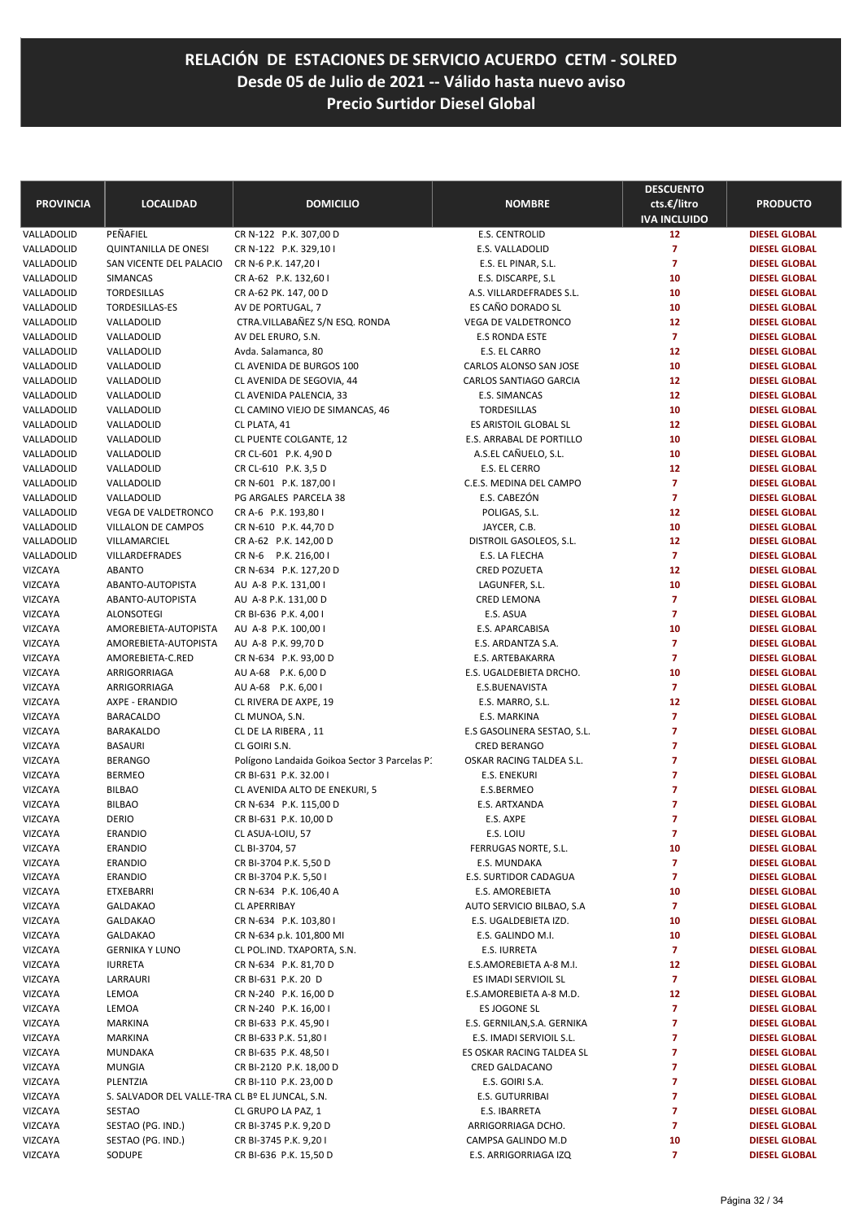| <b>PROVINCIA</b>   | <b>LOCALIDAD</b>                                | <b>DOMICILIO</b>                              | <b>NOMBRE</b>                               | <b>DESCUENTO</b><br>cts.€/litro  | <b>PRODUCTO</b>                              |
|--------------------|-------------------------------------------------|-----------------------------------------------|---------------------------------------------|----------------------------------|----------------------------------------------|
|                    |                                                 |                                               |                                             | <b>IVA INCLUIDO</b>              |                                              |
| VALLADOLID         | PEÑAFIEL                                        | CR N-122 P.K. 307,00 D                        | <b>E.S. CENTROLID</b>                       | 12                               | <b>DIESEL GLOBAL</b>                         |
| VALLADOLID         | <b>QUINTANILLA DE ONESI</b>                     | CR N-122 P.K. 329,10 I                        | E.S. VALLADOLID                             | $\overline{7}$                   | <b>DIESEL GLOBAL</b>                         |
| VALLADOLID         | SAN VICENTE DEL PALACIO                         | CR N-6 P.K. 147,201                           | E.S. EL PINAR, S.L.                         | $\overline{7}$                   | <b>DIESEL GLOBAL</b>                         |
| VALLADOLID         | SIMANCAS                                        | CR A-62 P.K. 132,60 I                         | E.S. DISCARPE, S.L                          | 10                               | <b>DIESEL GLOBAL</b>                         |
| VALLADOLID         | TORDESILLAS                                     | CR A-62 PK. 147, 00 D                         | A.S. VILLARDEFRADES S.L.                    | 10                               | <b>DIESEL GLOBAL</b>                         |
| VALLADOLID         | TORDESILLAS-ES                                  | AV DE PORTUGAL, 7                             | ES CAÑO DORADO SL                           | 10                               | <b>DIESEL GLOBAL</b>                         |
| VALLADOLID         | VALLADOLID                                      | CTRA.VILLABAÑEZ S/N ESQ. RONDA                | VEGA DE VALDETRONCO                         | 12                               | <b>DIESEL GLOBAL</b>                         |
| VALLADOLID         | VALLADOLID                                      | AV DEL ERURO, S.N.                            | E.S RONDA ESTE                              | $\overline{7}$                   | <b>DIESEL GLOBAL</b>                         |
| VALLADOLID         | VALLADOLID                                      | Avda. Salamanca, 80                           | E.S. EL CARRO                               | 12                               | <b>DIESEL GLOBAL</b>                         |
| VALLADOLID         | VALLADOLID                                      | CL AVENIDA DE BURGOS 100                      | CARLOS ALONSO SAN JOSE                      | 10                               | <b>DIESEL GLOBAL</b>                         |
| VALLADOLID         | VALLADOLID                                      | CL AVENIDA DE SEGOVIA, 44                     | CARLOS SANTIAGO GARCIA                      | 12                               | <b>DIESEL GLOBAL</b>                         |
| VALLADOLID         | VALLADOLID                                      | CL AVENIDA PALENCIA, 33                       | E.S. SIMANCAS                               | 12                               | <b>DIESEL GLOBAL</b>                         |
| VALLADOLID         | VALLADOLID                                      | CL CAMINO VIEJO DE SIMANCAS, 46               | TORDESILLAS                                 | 10                               | <b>DIESEL GLOBAL</b>                         |
| VALLADOLID         | VALLADOLID                                      | CL PLATA, 41                                  | ES ARISTOIL GLOBAL SL                       | 12                               | <b>DIESEL GLOBAL</b>                         |
| VALLADOLID         | VALLADOLID                                      | CL PUENTE COLGANTE, 12                        | E.S. ARRABAL DE PORTILLO                    | 10                               | <b>DIESEL GLOBAL</b>                         |
| VALLADOLID         | VALLADOLID                                      | CR CL-601 P.K. 4,90 D                         | A.S.EL CAÑUELO, S.L.                        | 10                               | <b>DIESEL GLOBAL</b>                         |
| VALLADOLID         | VALLADOLID                                      | CR CL-610 P.K. 3,5 D                          | E.S. EL CERRO                               | 12                               | <b>DIESEL GLOBAL</b>                         |
| VALLADOLID         | VALLADOLID                                      | CR N-601 P.K. 187,00 I                        | C.E.S. MEDINA DEL CAMPO                     | $\overline{7}$                   | <b>DIESEL GLOBAL</b>                         |
| VALLADOLID         | VALLADOLID                                      | PG ARGALES PARCELA 38                         | E.S. CABEZÓN                                | $\overline{7}$                   | <b>DIESEL GLOBAL</b>                         |
| VALLADOLID         | VEGA DE VALDETRONCO                             | CR A-6 P.K. 193,80 I                          | POLIGAS, S.L.                               | 12                               | <b>DIESEL GLOBAL</b>                         |
| VALLADOLID         | <b>VILLALON DE CAMPOS</b>                       | CR N-610 P.K. 44,70 D                         | JAYCER, C.B.                                | 10                               | <b>DIESEL GLOBAL</b>                         |
| VALLADOLID         | VILLAMARCIEL                                    | CR A-62 P.K. 142,00 D                         | DISTROIL GASOLEOS, S.L.                     | 12                               | <b>DIESEL GLOBAL</b>                         |
| VALLADOLID         | VILLARDEFRADES                                  | CR N-6 P.K. 216,00 I                          | E.S. LA FLECHA                              | $\overline{7}$                   | <b>DIESEL GLOBAL</b>                         |
| VIZCAYA            | <b>ABANTO</b>                                   | CR N-634 P.K. 127,20 D                        | <b>CRED POZUETA</b>                         | 12                               | <b>DIESEL GLOBAL</b>                         |
| VIZCAYA            | ABANTO-AUTOPISTA                                | AU A-8 P.K. 131,00 I                          | LAGUNFER, S.L.                              | 10                               | <b>DIESEL GLOBAL</b>                         |
| VIZCAYA            | ABANTO-AUTOPISTA                                | AU A-8 P.K. 131,00 D                          | <b>CRED LEMONA</b>                          | $\overline{7}$                   | <b>DIESEL GLOBAL</b>                         |
| VIZCAYA            | <b>ALONSOTEGI</b>                               | CR BI-636 P.K. 4,00 I                         | E.S. ASUA                                   | $\overline{7}$                   | <b>DIESEL GLOBAL</b>                         |
| VIZCAYA            | AMOREBIETA-AUTOPISTA                            | AU A-8 P.K. 100,00 I                          | E.S. APARCABISA                             | 10                               | <b>DIESEL GLOBAL</b>                         |
| VIZCAYA            | AMOREBIETA-AUTOPISTA                            | AU A-8 P.K. 99,70 D                           | E.S. ARDANTZA S.A.                          | $\overline{7}$<br>$\overline{7}$ | <b>DIESEL GLOBAL</b>                         |
| VIZCAYA            | AMOREBIETA-C.RED<br>ARRIGORRIAGA                | CR N-634 P.K. 93,00 D                         | E.S. ARTEBAKARRA<br>E.S. UGALDEBIETA DRCHO. | 10                               | <b>DIESEL GLOBAL</b>                         |
| VIZCAYA            |                                                 | AU A-68 P.K. 6,00 D                           | E.S.BUENAVISTA                              | $\overline{7}$                   | <b>DIESEL GLOBAL</b>                         |
| VIZCAYA<br>VIZCAYA | ARRIGORRIAGA<br>AXPE - ERANDIO                  | AU A-68 P.K. 6,00 I<br>CL RIVERA DE AXPE, 19  | E.S. MARRO, S.L.                            | 12                               | <b>DIESEL GLOBAL</b><br><b>DIESEL GLOBAL</b> |
| VIZCAYA            | <b>BARACALDO</b>                                |                                               | E.S. MARKINA                                | $\overline{7}$                   | <b>DIESEL GLOBAL</b>                         |
| VIZCAYA            | <b>BARAKALDO</b>                                | CL MUNOA, S.N.<br>CL DE LA RIBERA, 11         | E.S GASOLINERA SESTAO, S.L.                 | 7                                | <b>DIESEL GLOBAL</b>                         |
| VIZCAYA            | <b>BASAURI</b>                                  | CL GOIRI S.N.                                 | <b>CRED BERANGO</b>                         | 7                                | <b>DIESEL GLOBAL</b>                         |
| VIZCAYA            | <b>BERANGO</b>                                  | Polígono Landaida Goikoa Sector 3 Parcelas P. | OSKAR RACING TALDEA S.L.                    | 7                                | <b>DIESEL GLOBAL</b>                         |
| VIZCAYA            | <b>BERMEO</b>                                   | CR BI-631 P.K. 32.00 I                        | <b>E.S. ENEKURI</b>                         | $\overline{7}$                   | <b>DIESEL GLOBAL</b>                         |
| VIZCAYA            | <b>BILBAO</b>                                   | CL AVENIDA ALTO DE ENEKURI, 5                 | E.S.BERMEO                                  | $\overline{7}$                   | <b>DIESEL GLOBAL</b>                         |
| VIZCAYA            | <b>BILBAO</b>                                   | CR N-634 P.K. 115,00 D                        | E.S. ARTXANDA                               | $\overline{7}$                   | <b>DIESEL GLOBAL</b>                         |
| VIZCAYA            | <b>DERIO</b>                                    | CR BI-631 P.K. 10,00 D                        | E.S. AXPE                                   | $\overline{7}$                   | <b>DIESEL GLOBAL</b>                         |
| VIZCAYA            | ERANDIO                                         | CL ASUA-LOIU, 57                              | E.S. LOIU                                   | 7                                | <b>DIESEL GLOBAL</b>                         |
| VIZCAYA            | <b>ERANDIO</b>                                  | CL BI-3704, 57                                | FERRUGAS NORTE, S.L.                        | 10                               | <b>DIESEL GLOBAL</b>                         |
| VIZCAYA            | ERANDIO                                         | CR BI-3704 P.K. 5,50 D                        | E.S. MUNDAKA                                | 7                                | <b>DIESEL GLOBAL</b>                         |
| VIZCAYA            | <b>ERANDIO</b>                                  | CR BI-3704 P.K. 5,50 I                        | E.S. SURTIDOR CADAGUA                       | $\overline{7}$                   | <b>DIESEL GLOBAL</b>                         |
| VIZCAYA            | ETXEBARRI                                       | CR N-634 P.K. 106,40 A                        | E.S. AMOREBIETA                             | 10                               | <b>DIESEL GLOBAL</b>                         |
| VIZCAYA            | <b>GALDAKAO</b>                                 | <b>CL APERRIBAY</b>                           | AUTO SERVICIO BILBAO, S.A.                  | $\overline{ }$                   | <b>DIESEL GLOBAL</b>                         |
| VIZCAYA            | <b>GALDAKAO</b>                                 | CR N-634 P.K. 103,80 I                        | E.S. UGALDEBIETA IZD.                       | 10                               | <b>DIESEL GLOBAL</b>                         |
| VIZCAYA            | <b>GALDAKAO</b>                                 | CR N-634 p.k. 101,800 MI                      | E.S. GALINDO M.I.                           | 10                               | <b>DIESEL GLOBAL</b>                         |
| VIZCAYA            | <b>GERNIKA Y LUNO</b>                           | CL POL.IND. TXAPORTA, S.N.                    | E.S. IURRETA                                | $\overline{7}$                   | <b>DIESEL GLOBAL</b>                         |
| VIZCAYA            | <b>IURRETA</b>                                  | CR N-634 P.K. 81,70 D                         | E.S.AMOREBIETA A-8 M.I.                     | 12                               | <b>DIESEL GLOBAL</b>                         |
| VIZCAYA            | LARRAURI                                        | CR BI-631 P.K. 20 D                           | ES IMADI SERVIOIL SL                        | $\overline{7}$                   | <b>DIESEL GLOBAL</b>                         |
| VIZCAYA            | LEMOA                                           | CR N-240 P.K. 16,00 D                         | E.S.AMOREBIETA A-8 M.D.                     | 12                               | <b>DIESEL GLOBAL</b>                         |
| VIZCAYA            | LEMOA                                           | CR N-240 P.K. 16,00 I                         | ES JOGONE SL                                | $\overline{ }$                   | <b>DIESEL GLOBAL</b>                         |
| VIZCAYA            | <b>MARKINA</b>                                  | CR BI-633 P.K. 45,90 I                        | E.S. GERNILAN, S.A. GERNIKA                 | $\overline{7}$                   | <b>DIESEL GLOBAL</b>                         |
| VIZCAYA            | <b>MARKINA</b>                                  | CR BI-633 P.K. 51,80 I                        | E.S. IMADI SERVIOIL S.L.                    | 7                                | <b>DIESEL GLOBAL</b>                         |
| VIZCAYA            | MUNDAKA                                         | CR BI-635 P.K. 48,50 I                        | ES OSKAR RACING TALDEA SL                   | 7                                | <b>DIESEL GLOBAL</b>                         |
| VIZCAYA            | <b>MUNGIA</b>                                   | CR BI-2120 P.K. 18,00 D                       | CRED GALDACANO                              | 7                                | <b>DIESEL GLOBAL</b>                         |
| VIZCAYA            | PLENTZIA                                        | CR BI-110 P.K. 23,00 D                        | E.S. GOIRI S.A.                             | 7                                | <b>DIESEL GLOBAL</b>                         |
| VIZCAYA            | S. SALVADOR DEL VALLE-TRA CL Bº EL JUNCAL, S.N. |                                               | E.S. GUTURRIBAI                             | 7                                | <b>DIESEL GLOBAL</b>                         |
| VIZCAYA            | SESTAO                                          | CL GRUPO LA PAZ, 1                            | E.S. IBARRETA                               | 7                                | <b>DIESEL GLOBAL</b>                         |
| VIZCAYA            | SESTAO (PG. IND.)                               | CR BI-3745 P.K. 9,20 D                        | ARRIGORRIAGA DCHO.                          | $\overline{7}$                   | <b>DIESEL GLOBAL</b>                         |
| VIZCAYA            | SESTAO (PG. IND.)                               | CR BI-3745 P.K. 9,201                         | CAMPSA GALINDO M.D                          | 10                               | <b>DIESEL GLOBAL</b>                         |
| VIZCAYA            | SODUPE                                          | CR BI-636 P.K. 15,50 D                        | E.S. ARRIGORRIAGA IZQ                       | $\overline{7}$                   | <b>DIESEL GLOBAL</b>                         |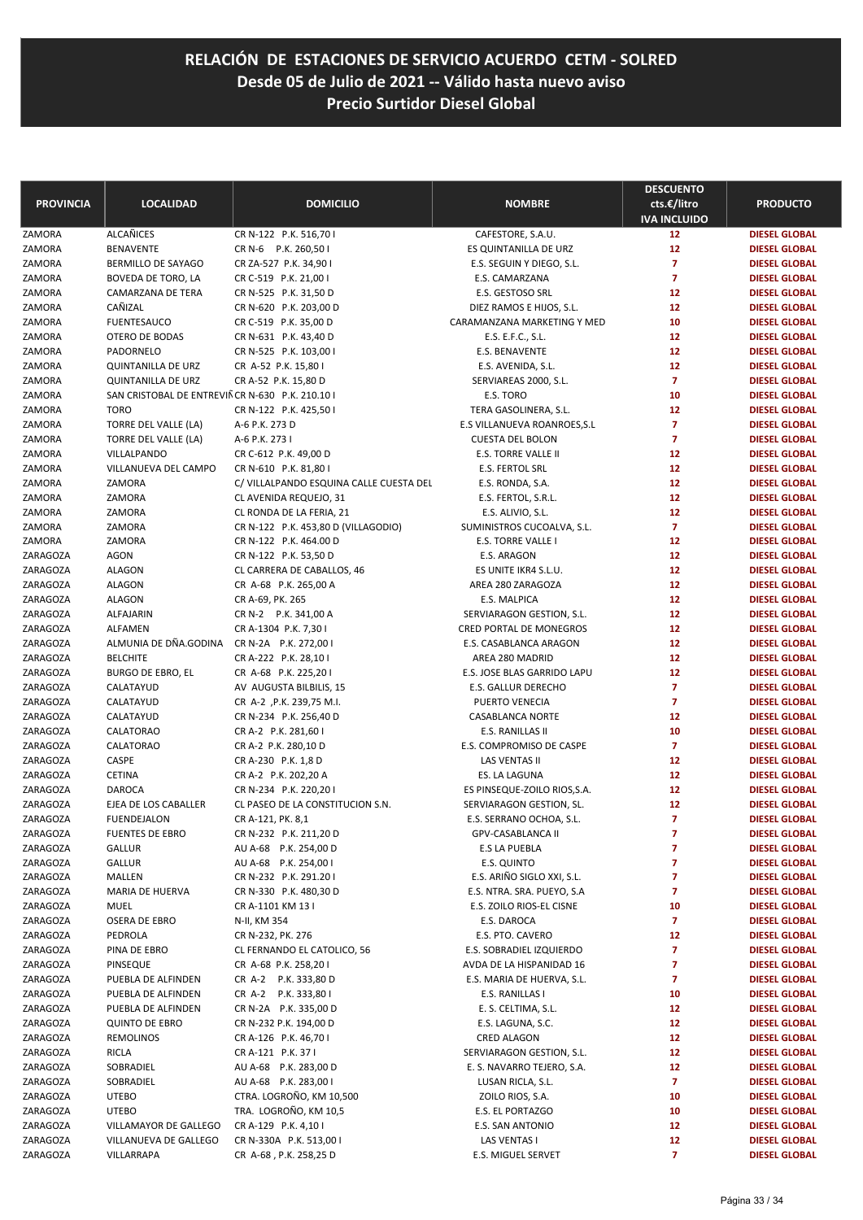| <b>PROVINCIA</b>     | <b>LOCALIDAD</b>                                 | <b>DOMICILIO</b>                                          | <b>NOMBRE</b>                                            | <b>DESCUENTO</b><br>cts.€/litro<br><b>IVA INCLUIDO</b> | <b>PRODUCTO</b>                              |
|----------------------|--------------------------------------------------|-----------------------------------------------------------|----------------------------------------------------------|--------------------------------------------------------|----------------------------------------------|
| ZAMORA               | <b>ALCAÑICES</b>                                 | CR N-122 P.K. 516,70 I                                    | CAFESTORE, S.A.U.                                        | 12                                                     | <b>DIESEL GLOBAL</b>                         |
| ZAMORA               | <b>BENAVENTE</b>                                 | CR N-6 P.K. 260,50 I                                      | ES QUINTANILLA DE URZ                                    | 12                                                     | <b>DIESEL GLOBAL</b>                         |
| ZAMORA               | BERMILLO DE SAYAGO                               | CR ZA-527 P.K. 34,90 I                                    | E.S. SEGUIN Y DIEGO, S.L.                                | $\overline{7}$                                         | <b>DIESEL GLOBAL</b>                         |
| ZAMORA               | BOVEDA DE TORO, LA                               | CR C-519 P.K. 21,00 I                                     | E.S. CAMARZANA                                           | $\overline{7}$                                         | <b>DIESEL GLOBAL</b>                         |
| ZAMORA               | CAMARZANA DE TERA                                | CR N-525 P.K. 31,50 D                                     | E.S. GESTOSO SRL                                         | 12                                                     | <b>DIESEL GLOBAL</b>                         |
| ZAMORA               | CAÑIZAL                                          | CR N-620 P.K. 203,00 D                                    | DIEZ RAMOS E HIJOS, S.L.                                 | 12                                                     | <b>DIESEL GLOBAL</b>                         |
| ZAMORA               | <b>FUENTESAUCO</b>                               | CR C-519 P.K. 35,00 D                                     | CARAMANZANA MARKETING Y MED                              | 10                                                     | <b>DIESEL GLOBAL</b>                         |
| ZAMORA               | OTERO DE BODAS                                   | CR N-631 P.K. 43,40 D                                     | E.S. E.F.C., S.L.                                        | 12                                                     | <b>DIESEL GLOBAL</b>                         |
| ZAMORA               | PADORNELO                                        | CR N-525 P.K. 103,00 I                                    | E.S. BENAVENTE                                           | 12                                                     | <b>DIESEL GLOBAL</b>                         |
| ZAMORA               | <b>QUINTANILLA DE URZ</b>                        | CR A-52 P.K. 15,80 I                                      | E.S. AVENIDA, S.L.                                       | 12                                                     | <b>DIESEL GLOBAL</b>                         |
| ZAMORA               | <b>QUINTANILLA DE URZ</b>                        | CR A-52 P.K. 15,80 D                                      | SERVIAREAS 2000, S.L.                                    | $\overline{7}$                                         | <b>DIESEL GLOBAL</b>                         |
| ZAMORA               | SAN CRISTOBAL DE ENTREVIÑ CR N-630 P.K. 210.10 I |                                                           | E.S. TORO                                                | 10                                                     | <b>DIESEL GLOBAL</b>                         |
| ZAMORA               | <b>TORO</b>                                      | CR N-122 P.K. 425,50 I                                    | TERA GASOLINERA, S.L.                                    | 12                                                     | <b>DIESEL GLOBAL</b>                         |
| ZAMORA               | TORRE DEL VALLE (LA)                             | A-6 P.K. 273 D                                            | E.S VILLANUEVA ROANROES, S.L.                            | $\overline{7}$                                         | <b>DIESEL GLOBAL</b>                         |
| ZAMORA               | TORRE DEL VALLE (LA)                             | A-6 P.K. 273 I                                            | <b>CUESTA DEL BOLON</b>                                  | $\overline{7}$                                         | <b>DIESEL GLOBAL</b>                         |
| ZAMORA               | VILLALPANDO                                      | CR C-612 P.K. 49,00 D                                     | E.S. TORRE VALLE II                                      | 12                                                     | <b>DIESEL GLOBAL</b>                         |
| ZAMORA               | VILLANUEVA DEL CAMPO                             | CR N-610 P.K. 81,80 I                                     | E.S. FERTOL SRL                                          | 12                                                     | <b>DIESEL GLOBAL</b>                         |
| ZAMORA               | ZAMORA                                           | C/ VILLALPANDO ESQUINA CALLE CUESTA DEL                   | E.S. RONDA, S.A.                                         | 12                                                     | <b>DIESEL GLOBAL</b>                         |
| ZAMORA               | ZAMORA                                           | CL AVENIDA REQUEJO, 31                                    | E.S. FERTOL, S.R.L.                                      | 12                                                     | <b>DIESEL GLOBAL</b>                         |
| ZAMORA               | ZAMORA                                           | CL RONDA DE LA FERIA, 21                                  | E.S. ALIVIO, S.L.                                        | 12                                                     | <b>DIESEL GLOBAL</b>                         |
| ZAMORA               | ZAMORA                                           | CR N-122 P.K. 453,80 D (VILLAGODIO)                       | SUMINISTROS CUCOALVA, S.L.                               | $\overline{7}$                                         | <b>DIESEL GLOBAL</b>                         |
| ZAMORA               | ZAMORA                                           | CR N-122 P.K. 464.00 D                                    | E.S. TORRE VALLE I                                       | 12                                                     | <b>DIESEL GLOBAL</b>                         |
| ZARAGOZA             | <b>AGON</b>                                      | CR N-122 P.K. 53,50 D                                     | E.S. ARAGON                                              | 12                                                     | <b>DIESEL GLOBAL</b>                         |
| ZARAGOZA             | <b>ALAGON</b>                                    | CL CARRERA DE CABALLOS, 46                                | ES UNITE IKR4 S.L.U.                                     | 12                                                     | <b>DIESEL GLOBAL</b>                         |
| ZARAGOZA             | <b>ALAGON</b>                                    | CR A-68 P.K. 265,00 A                                     | AREA 280 ZARAGOZA                                        | 12                                                     | <b>DIESEL GLOBAL</b>                         |
| ZARAGOZA             | <b>ALAGON</b>                                    | CR A-69, PK. 265                                          | E.S. MALPICA                                             | 12                                                     | <b>DIESEL GLOBAL</b>                         |
| ZARAGOZA             | ALFAJARIN                                        | CR N-2 P.K. 341,00 A                                      | SERVIARAGON GESTION, S.L.                                | 12                                                     | <b>DIESEL GLOBAL</b>                         |
| ZARAGOZA             | ALFAMEN                                          | CR A-1304 P.K. 7,30 I                                     | <b>CRED PORTAL DE MONEGROS</b>                           | 12                                                     | <b>DIESEL GLOBAL</b>                         |
| ZARAGOZA             | ALMUNIA DE DÑA.GODINA                            | CR N-2A P.K. 272,00 I                                     | E.S. CASABLANCA ARAGON                                   | 12                                                     | <b>DIESEL GLOBAL</b>                         |
| ZARAGOZA             | <b>BELCHITE</b>                                  | CR A-222 P.K. 28,10 I                                     | AREA 280 MADRID                                          | 12                                                     | <b>DIESEL GLOBAL</b>                         |
| ZARAGOZA             | <b>BURGO DE EBRO, EL</b>                         | CR A-68 P.K. 225,201                                      | E.S. JOSE BLAS GARRIDO LAPU                              | 12                                                     | <b>DIESEL GLOBAL</b>                         |
| ZARAGOZA             | CALATAYUD                                        | AV AUGUSTA BILBILIS, 15                                   | E.S. GALLUR DERECHO                                      | $\overline{7}$                                         | <b>DIESEL GLOBAL</b>                         |
| ZARAGOZA             | CALATAYUD                                        | CR A-2, P.K. 239,75 M.I.                                  | PUERTO VENECIA                                           | $\overline{7}$                                         | <b>DIESEL GLOBAL</b>                         |
| ZARAGOZA             | CALATAYUD                                        | CR N-234 P.K. 256,40 D                                    | CASABLANCA NORTE                                         | 12                                                     | <b>DIESEL GLOBAL</b>                         |
| ZARAGOZA             | CALATORAO                                        | CR A-2 P.K. 281,60 I                                      | E.S. RANILLAS II                                         | 10                                                     | <b>DIESEL GLOBAL</b>                         |
| ZARAGOZA             | CALATORAO                                        | CR A-2 P.K. 280,10 D                                      | E.S. COMPROMISO DE CASPE                                 | $\overline{7}$                                         | <b>DIESEL GLOBAL</b>                         |
| ZARAGOZA             | CASPE                                            | CR A-230 P.K. 1,8 D                                       | LAS VENTAS II                                            | 12                                                     | <b>DIESEL GLOBAL</b><br><b>DIESEL GLOBAL</b> |
| ZARAGOZA<br>ZARAGOZA | <b>CETINA</b><br><b>DAROCA</b>                   | CR A-2 P.K. 202,20 A                                      | ES. LA LAGUNA                                            | 12<br>12                                               | <b>DIESEL GLOBAL</b>                         |
| ZARAGOZA             | EJEA DE LOS CABALLER                             | CR N-234 P.K. 220,201<br>CL PASEO DE LA CONSTITUCION S.N. | ES PINSEQUE-ZOILO RIOS, S.A.<br>SERVIARAGON GESTION, SL. | 12                                                     | <b>DIESEL GLOBAL</b>                         |
| ZARAGOZA             | <b>FUENDEJALON</b>                               | CR A-121, PK. 8,1                                         | E.S. SERRANO OCHOA, S.L.                                 | $\overline{7}$                                         | <b>DIESEL GLOBAL</b>                         |
| ZARAGOZA             |                                                  |                                                           |                                                          | 7                                                      |                                              |
| ZARAGOZA             | FUENTES DE EBRO<br>GALLUR                        | CR N-232 P.K. 211,20 D<br>AU A-68 P.K. 254,00 D           | GPV-CASABLANCA II<br><b>E.S LA PUEBLA</b>                | 7                                                      | <b>DIESEL GLOBAL</b><br><b>DIESEL GLOBAL</b> |
| ZARAGOZA             | <b>GALLUR</b>                                    | AU A-68 P.K. 254,00 I                                     | E.S. QUINTO                                              | 7                                                      | <b>DIESEL GLOBAL</b>                         |
| ZARAGOZA             | MALLEN                                           | CR N-232 P.K. 291.201                                     | E.S. ARIÑO SIGLO XXI, S.L.                               | $\overline{7}$                                         | <b>DIESEL GLOBAL</b>                         |
| ZARAGOZA             | MARIA DE HUERVA                                  | CR N-330 P.K. 480,30 D                                    | E.S. NTRA. SRA. PUEYO, S.A                               | $\overline{7}$                                         | <b>DIESEL GLOBAL</b>                         |
| ZARAGOZA             | <b>MUEL</b>                                      | CR A-1101 KM 13 I                                         | E.S. ZOILO RIOS-EL CISNE                                 | 10                                                     | <b>DIESEL GLOBAL</b>                         |
| ZARAGOZA             | OSERA DE EBRO                                    | N-II, KM 354                                              | E.S. DAROCA                                              | $\overline{7}$                                         | <b>DIESEL GLOBAL</b>                         |
| ZARAGOZA             | PEDROLA                                          | CR N-232, PK. 276                                         | E.S. PTO. CAVERO                                         | 12                                                     | <b>DIESEL GLOBAL</b>                         |
| ZARAGOZA             | PINA DE EBRO                                     | CL FERNANDO EL CATOLICO, 56                               | E.S. SOBRADIEL IZQUIERDO                                 | $\overline{z}$                                         | <b>DIESEL GLOBAL</b>                         |
| ZARAGOZA             | PINSEQUE                                         | CR A-68 P.K. 258,201                                      | AVDA DE LA HISPANIDAD 16                                 | $\overline{7}$                                         | <b>DIESEL GLOBAL</b>                         |
| ZARAGOZA             | PUEBLA DE ALFINDEN                               | CR A-2 P.K. 333,80 D                                      | E.S. MARIA DE HUERVA, S.L.                               | 7                                                      | <b>DIESEL GLOBAL</b>                         |
| ZARAGOZA             | PUEBLA DE ALFINDEN                               | CR A-2 P.K. 333,801                                       | E.S. RANILLAS I                                          | 10                                                     | <b>DIESEL GLOBAL</b>                         |
| ZARAGOZA             | PUEBLA DE ALFINDEN                               | CR N-2A P.K. 335,00 D                                     | E. S. CELTIMA, S.L.                                      | 12                                                     | <b>DIESEL GLOBAL</b>                         |
| ZARAGOZA             | <b>QUINTO DE EBRO</b>                            | CR N-232 P.K. 194,00 D                                    | E.S. LAGUNA, S.C.                                        | 12                                                     | <b>DIESEL GLOBAL</b>                         |
| ZARAGOZA             | <b>REMOLINOS</b>                                 | CR A-126 P.K. 46,701                                      | <b>CRED ALAGON</b>                                       | 12                                                     | <b>DIESEL GLOBAL</b>                         |
| ZARAGOZA             | <b>RICLA</b>                                     | CR A-121 P.K. 371                                         | SERVIARAGON GESTION, S.L.                                | 12                                                     | <b>DIESEL GLOBAL</b>                         |
| ZARAGOZA             | SOBRADIEL                                        | AU A-68 P.K. 283,00 D                                     | E. S. NAVARRO TEJERO, S.A.                               | 12                                                     | <b>DIESEL GLOBAL</b>                         |
| ZARAGOZA             | SOBRADIEL                                        | AU A-68 P.K. 283,00 I                                     | LUSAN RICLA, S.L.                                        | $\overline{7}$                                         | <b>DIESEL GLOBAL</b>                         |
| ZARAGOZA             | <b>UTEBO</b>                                     | CTRA. LOGROÑO, KM 10,500                                  | ZOILO RIOS, S.A.                                         | 10                                                     | <b>DIESEL GLOBAL</b>                         |
| ZARAGOZA             | <b>UTEBO</b>                                     | TRA. LOGROÑO, KM 10,5                                     | E.S. EL PORTAZGO                                         | 10                                                     | <b>DIESEL GLOBAL</b>                         |
| ZARAGOZA             | VILLAMAYOR DE GALLEGO                            | CR A-129 P.K. 4,10 I                                      | E.S. SAN ANTONIO                                         | 12                                                     | <b>DIESEL GLOBAL</b>                         |
| ZARAGOZA             | VILLANUEVA DE GALLEGO                            | CR N-330A P.K. 513,00 I                                   | LAS VENTAS I                                             | 12                                                     | <b>DIESEL GLOBAL</b>                         |
| ZARAGOZA             | VILLARRAPA                                       | CR A-68, P.K. 258,25 D                                    | E.S. MIGUEL SERVET                                       | 7                                                      | <b>DIESEL GLOBAL</b>                         |
|                      |                                                  |                                                           |                                                          |                                                        |                                              |